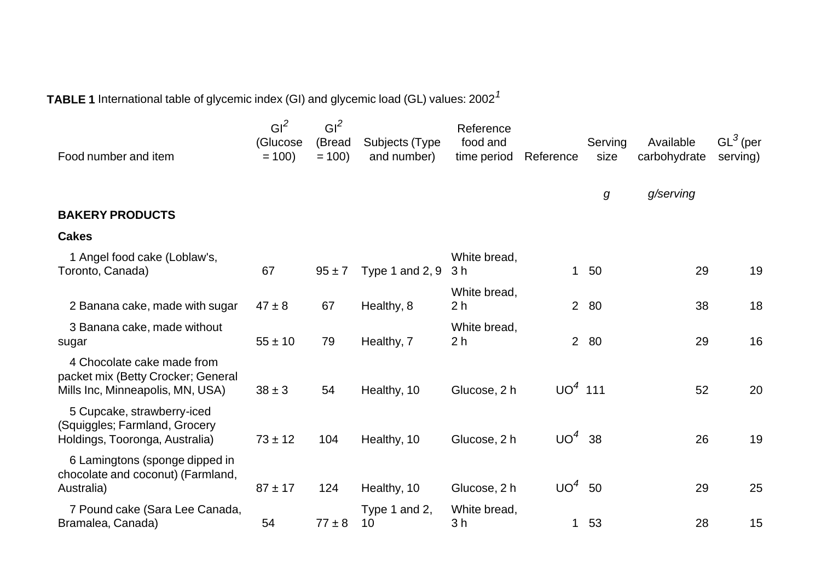**TABLE 1** International table of glycemic index (GI) and glycemic load (GL) values: <sup>2002</sup>*<sup>1</sup>*

| Food number and item                                                                                 | GI <sup>2</sup><br>(Glucose<br>$= 100$ | GI <sup>2</sup><br>(Bread<br>$= 100$ | Subjects (Type<br>and number) | Reference<br>food and<br>time period | Reference      | Serving<br>size | Available<br>carbohydrate | $GL^3$ (per<br>serving) |
|------------------------------------------------------------------------------------------------------|----------------------------------------|--------------------------------------|-------------------------------|--------------------------------------|----------------|-----------------|---------------------------|-------------------------|
|                                                                                                      |                                        |                                      |                               |                                      |                | g               | g/serving                 |                         |
| <b>BAKERY PRODUCTS</b>                                                                               |                                        |                                      |                               |                                      |                |                 |                           |                         |
| <b>Cakes</b>                                                                                         |                                        |                                      |                               |                                      |                |                 |                           |                         |
| 1 Angel food cake (Loblaw's,<br>Toronto, Canada)                                                     | 67                                     | $95 \pm 7$                           | Type 1 and $2, 9$             | White bread,<br>3 <sub>h</sub>       | $\mathbf{1}$   | 50              | 29                        | 19                      |
| 2 Banana cake, made with sugar                                                                       | $47 \pm 8$                             | 67                                   | Healthy, 8                    | White bread,<br>2 <sub>h</sub>       | 2 <sup>1</sup> | 80              | 38                        | 18                      |
| 3 Banana cake, made without<br>sugar                                                                 | $55 \pm 10$                            | 79                                   | Healthy, 7                    | White bread,<br>2 <sub>h</sub>       | $2^{\circ}$    | 80              | 29                        | 16                      |
| 4 Chocolate cake made from<br>packet mix (Betty Crocker; General<br>Mills Inc, Minneapolis, MN, USA) | $38 \pm 3$                             | 54                                   | Healthy, 10                   | Glucose, 2 h                         | $UO4$ 111      |                 | 52                        | 20                      |
| 5 Cupcake, strawberry-iced<br>(Squiggles; Farmland, Grocery<br>Holdings, Tooronga, Australia)        | $73 \pm 12$                            | 104                                  | Healthy, 10                   | Glucose, 2 h                         | $UO4$ 38       |                 | 26                        | 19                      |
| 6 Lamingtons (sponge dipped in<br>chocolate and coconut) (Farmland,<br>Australia)                    | $87 \pm 17$                            | 124                                  | Healthy, 10                   | Glucose, 2 h                         | $UO^4$         | 50              | 29                        | 25                      |
| 7 Pound cake (Sara Lee Canada,<br>Bramalea, Canada)                                                  | 54                                     | $77 \pm 8$                           | Type 1 and 2,<br>10           | White bread,<br>3 <sub>h</sub>       | $\mathbf{1}$   | 53              | 28                        | 15                      |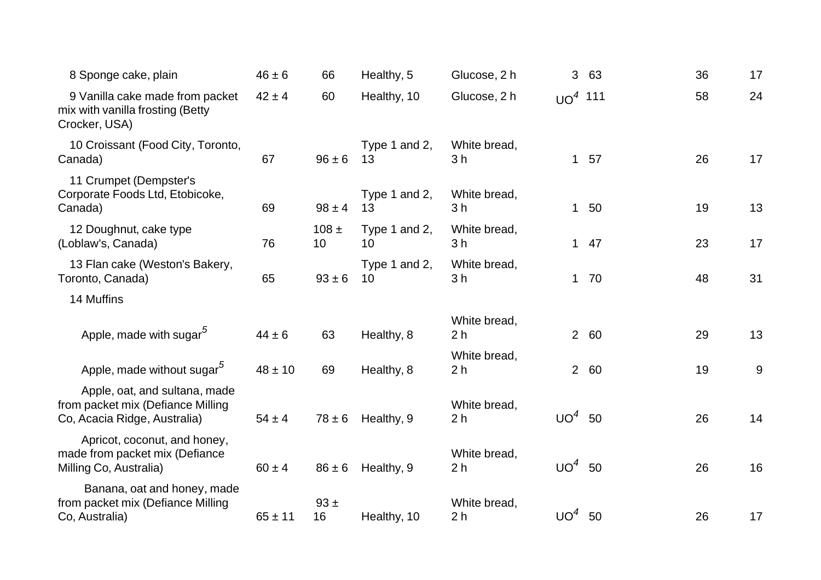| 8 Sponge cake, plain                                                                               | $46 \pm 6$  | 66              | Healthy, 5          | Glucose, 2 h                   | 3               | 63    | 36 | 17 |
|----------------------------------------------------------------------------------------------------|-------------|-----------------|---------------------|--------------------------------|-----------------|-------|----|----|
| 9 Vanilla cake made from packet<br>mix with vanilla frosting (Betty<br>Crocker, USA)               | $42 \pm 4$  | 60              | Healthy, 10         | Glucose, 2 h                   | $UO4$ 111       |       | 58 | 24 |
| 10 Croissant (Food City, Toronto,<br>Canada)                                                       | 67          | $96 \pm 6$      | Type 1 and 2,<br>13 | White bread,<br>3 <sub>h</sub> |                 | 1 57  | 26 | 17 |
| 11 Crumpet (Dempster's<br>Corporate Foods Ltd, Etobicoke,<br>Canada)                               | 69          | $98 \pm 4$      | Type 1 and 2,<br>13 | White bread,<br>3 <sub>h</sub> |                 | 1 50  | 19 | 13 |
| 12 Doughnut, cake type<br>(Loblaw's, Canada)                                                       | 76          | $108 \pm$<br>10 | Type 1 and 2,<br>10 | White bread,<br>3 <sub>h</sub> |                 | $147$ | 23 | 17 |
| 13 Flan cake (Weston's Bakery,<br>Toronto, Canada)                                                 | 65          | $93 \pm 6$      | Type 1 and 2,<br>10 | White bread,<br>3h             |                 | 1 70  | 48 | 31 |
| 14 Muffins                                                                                         |             |                 |                     |                                |                 |       |    |    |
| Apple, made with sugar <sup>5</sup>                                                                | $44 \pm 6$  | 63              | Healthy, 8          | White bread,<br>2 <sub>h</sub> |                 | 2 60  | 29 | 13 |
| Apple, made without sugar <sup>5</sup>                                                             | $48 \pm 10$ | 69              | Healthy, 8          | White bread,<br>2 <sub>h</sub> |                 | 2 60  | 19 | 9  |
| Apple, oat, and sultana, made<br>from packet mix (Defiance Milling<br>Co, Acacia Ridge, Australia) | $54 \pm 4$  | $78 \pm 6$      | Healthy, 9          | White bread,<br>2 <sub>h</sub> | UO <sup>4</sup> | 50    | 26 | 14 |
| Apricot, coconut, and honey,<br>made from packet mix (Defiance<br>Milling Co, Australia)           | $60 \pm 4$  | $86 \pm 6$      | Healthy, 9          | White bread,<br>2 <sub>h</sub> | UO <sup>4</sup> | 50    | 26 | 16 |
| Banana, oat and honey, made<br>from packet mix (Defiance Milling<br>Co, Australia)                 | $65 \pm 11$ | $93 +$<br>16    | Healthy, 10         | White bread,<br>2 <sub>h</sub> | UO <sup>4</sup> | 50    | 26 | 17 |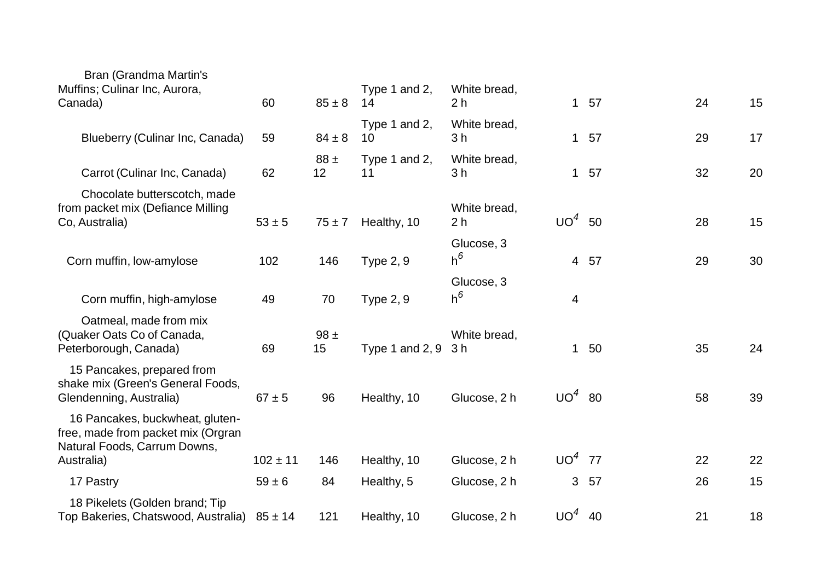| Bran (Grandma Martin's                                                                                |              |                |                     |                                |                 |            |    |    |
|-------------------------------------------------------------------------------------------------------|--------------|----------------|---------------------|--------------------------------|-----------------|------------|----|----|
| Muffins; Culinar Inc, Aurora,<br>Canada)                                                              | 60           | $85 \pm 8$     | Type 1 and 2,<br>14 | White bread,<br>2 <sub>h</sub> |                 | $1\quad57$ | 24 | 15 |
| Blueberry (Culinar Inc, Canada)                                                                       | 59           | $84 \pm 8$     | Type 1 and 2,<br>10 | White bread,<br>3 <sub>h</sub> |                 | 1 57       | 29 | 17 |
|                                                                                                       |              | $88 \pm$       | Type 1 and 2,       | White bread,                   |                 |            |    |    |
| Carrot (Culinar Inc, Canada)                                                                          | 62           | 12             | 11                  | 3 <sub>h</sub>                 | $\mathbf{1}$    | 57         | 32 | 20 |
| Chocolate butterscotch, made<br>from packet mix (Defiance Milling<br>Co, Australia)                   | $53 \pm 5$   | $75 \pm 7$     | Healthy, 10         | White bread,<br>2 <sub>h</sub> | UO <sup>4</sup> | 50         | 28 | 15 |
| Corn muffin, low-amylose                                                                              | 102          | 146            | <b>Type 2, 9</b>    | Glucose, 3<br>$h^6$            |                 | 4 57       | 29 | 30 |
| Corn muffin, high-amylose                                                                             | 49           | 70             | <b>Type 2, 9</b>    | Glucose, 3<br>$h^6$            | 4               |            |    |    |
| Oatmeal, made from mix<br>(Quaker Oats Co of Canada,<br>Peterborough, Canada)                         | 69           | $98 \pm$<br>15 | Type 1 and $2, 9$   | White bread,<br>3 <sub>h</sub> | $\mathbf{1}$    | 50         | 35 | 24 |
| 15 Pancakes, prepared from<br>shake mix (Green's General Foods,<br>Glendenning, Australia)            | $67 \pm 5$   | 96             | Healthy, 10         | Glucose, 2 h                   | $UO4$ 80        |            | 58 | 39 |
| 16 Pancakes, buckwheat, gluten-<br>free, made from packet mix (Orgran<br>Natural Foods, Carrum Downs, |              |                |                     |                                |                 |            |    |    |
| Australia)                                                                                            | $102 \pm 11$ | 146            | Healthy, 10         | Glucose, 2 h                   | $UO4$ 77        |            | 22 | 22 |
| 17 Pastry                                                                                             | $59 \pm 6$   | 84             | Healthy, 5          | Glucose, 2 h                   | 3               | 57         | 26 | 15 |
| 18 Pikelets (Golden brand; Tip<br>Top Bakeries, Chatswood, Australia)                                 | $85 \pm 14$  | 121            | Healthy, 10         | Glucose, 2 h                   | $UO4$ 40        |            | 21 | 18 |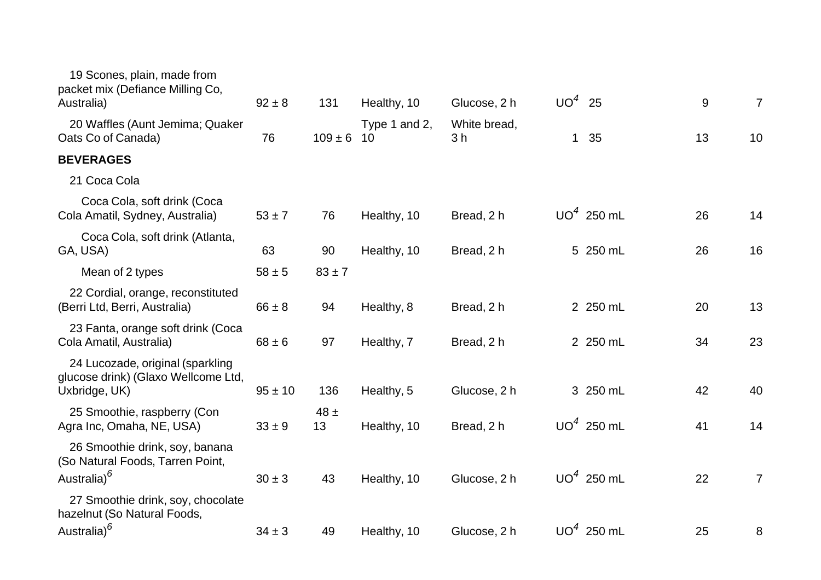| 19 Scones, plain, made from<br>packet mix (Defiance Milling Co,<br>Australia)                 | $92 \pm 8$  | 131            | Healthy, 10         | Glucose, 2 h                   | $UO4$ 25     |              | 9  | $\overline{7}$ |
|-----------------------------------------------------------------------------------------------|-------------|----------------|---------------------|--------------------------------|--------------|--------------|----|----------------|
| 20 Waffles (Aunt Jemima; Quaker<br>Oats Co of Canada)                                         | 76          | $109 \pm 6$    | Type 1 and 2,<br>10 | White bread,<br>3 <sub>h</sub> | $\mathbf{1}$ | 35           | 13 | 10             |
| <b>BEVERAGES</b>                                                                              |             |                |                     |                                |              |              |    |                |
| 21 Coca Cola                                                                                  |             |                |                     |                                |              |              |    |                |
| Coca Cola, soft drink (Coca<br>Cola Amatil, Sydney, Australia)                                | $53 \pm 7$  | 76             | Healthy, 10         | Bread, 2 h                     |              | $UO4$ 250 mL | 26 | 14             |
| Coca Cola, soft drink (Atlanta,<br>GA, USA)                                                   | 63          | 90             | Healthy, 10         | Bread, 2 h                     |              | 5 250 mL     | 26 | 16             |
| Mean of 2 types                                                                               | $58 \pm 5$  | $83 \pm 7$     |                     |                                |              |              |    |                |
| 22 Cordial, orange, reconstituted<br>(Berri Ltd, Berri, Australia)                            | $66 \pm 8$  | 94             | Healthy, 8          | Bread, 2 h                     |              | 2 250 mL     | 20 | 13             |
| 23 Fanta, orange soft drink (Coca<br>Cola Amatil, Australia)                                  | $68 \pm 6$  | 97             | Healthy, 7          | Bread, 2 h                     |              | 2 250 mL     | 34 | 23             |
| 24 Lucozade, original (sparkling<br>glucose drink) (Glaxo Wellcome Ltd,<br>Uxbridge, UK)      | $95 \pm 10$ | 136            | Healthy, 5          | Glucose, 2 h                   |              | 3 250 mL     | 42 | 40             |
| 25 Smoothie, raspberry (Con<br>Agra Inc, Omaha, NE, USA)                                      | $33 \pm 9$  | $48 \pm$<br>13 | Healthy, 10         | Bread, 2 h                     |              | $UO4$ 250 mL | 41 | 14             |
| 26 Smoothie drink, soy, banana<br>(So Natural Foods, Tarren Point,<br>Australia) <sup>6</sup> | $30 \pm 3$  | 43             | Healthy, 10         | Glucose, 2 h                   |              | $UO4$ 250 mL | 22 | $\overline{7}$ |
| 27 Smoothie drink, soy, chocolate<br>hazelnut (So Natural Foods,<br>Australia) <sup>6</sup>   | $34 \pm 3$  | 49             | Healthy, 10         | Glucose, 2 h                   |              | $UO4$ 250 mL | 25 | 8              |
|                                                                                               |             |                |                     |                                |              |              |    |                |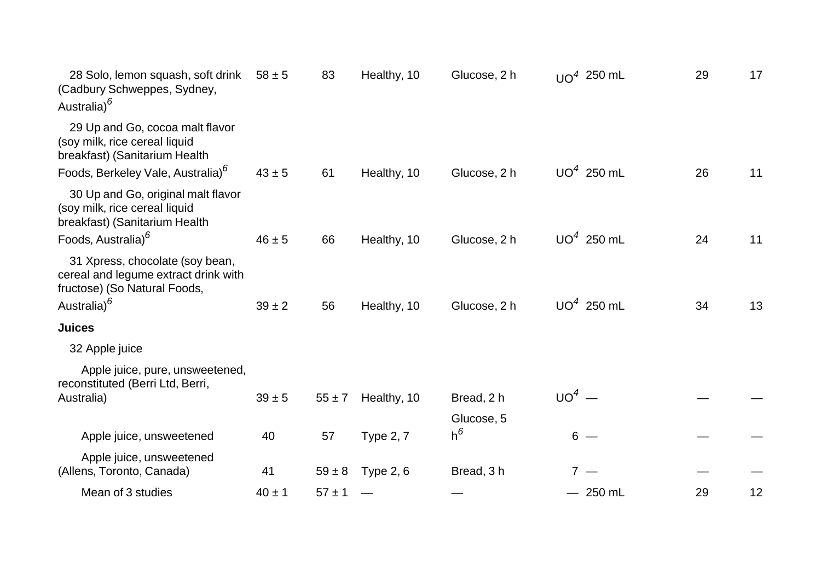| 28 Solo, lemon squash, soft drink<br>(Cadbury Schweppes, Sydney,<br>Australia) <sup>6</sup>                                        | $58 \pm 5$ | 83         | Healthy, 10      | Glucose, 2 h | $UQ4$ 250 mL | 29 | 17 |
|------------------------------------------------------------------------------------------------------------------------------------|------------|------------|------------------|--------------|--------------|----|----|
| 29 Up and Go, cocoa malt flavor<br>(soy milk, rice cereal liquid<br>breakfast) (Sanitarium Health                                  |            |            |                  |              |              |    |    |
| Foods, Berkeley Vale, Australia) <sup>6</sup>                                                                                      | $43 \pm 5$ | 61         | Healthy, 10      | Glucose, 2 h | $UO4$ 250 mL | 26 | 11 |
| 30 Up and Go, original malt flavor<br>(soy milk, rice cereal liquid<br>breakfast) (Sanitarium Health                               |            |            |                  |              |              |    |    |
| Foods, Australia) <sup>6</sup>                                                                                                     | $46 \pm 5$ | 66         | Healthy, 10      | Glucose, 2 h | $UO4$ 250 mL | 24 | 11 |
| 31 Xpress, chocolate (soy bean,<br>cereal and legume extract drink with<br>fructose) (So Natural Foods,<br>Australia) <sup>6</sup> | $39 \pm 2$ | 56         | Healthy, 10      | Glucose, 2 h | $UO4$ 250 mL | 34 | 13 |
| <b>Juices</b>                                                                                                                      |            |            |                  |              |              |    |    |
| 32 Apple juice                                                                                                                     |            |            |                  |              |              |    |    |
| Apple juice, pure, unsweetened,<br>reconstituted (Berri Ltd, Berri,<br>Australia)                                                  | $39 + 5$   | $55 \pm 7$ | Healthy, 10      | Bread, 2 h   | $UO4$ —      |    |    |
|                                                                                                                                    |            |            |                  | Glucose, 5   |              |    |    |
| Apple juice, unsweetened                                                                                                           | 40         | 57         | <b>Type 2, 7</b> | $h^6$        | $6 -$        |    |    |
| Apple juice, unsweetened<br>(Allens, Toronto, Canada)                                                                              | 41         | $59 \pm 8$ | <b>Type 2, 6</b> | Bread, 3 h   | $7 -$        |    |    |
| Mean of 3 studies                                                                                                                  | $40 \pm 1$ | $57 \pm 1$ |                  |              | $-250$ mL    | 29 | 12 |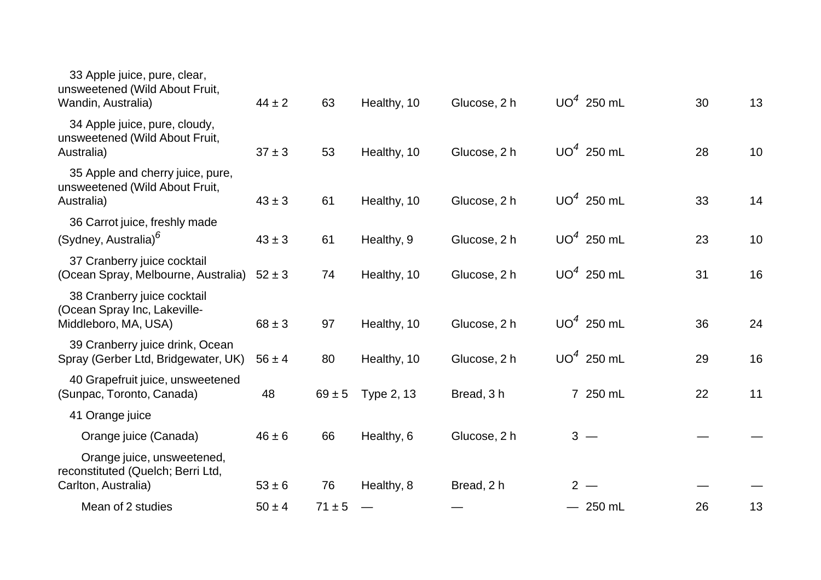| $44 \pm 2$ | 63         | Healthy, 10 | Glucose, 2 h |  | 30                                                                                                                                                      | 13 |
|------------|------------|-------------|--------------|--|---------------------------------------------------------------------------------------------------------------------------------------------------------|----|
| $37 \pm 3$ | 53         | Healthy, 10 | Glucose, 2 h |  | 28                                                                                                                                                      | 10 |
| $43 \pm 3$ | 61         | Healthy, 10 | Glucose, 2 h |  | 33                                                                                                                                                      | 14 |
| $43 \pm 3$ | 61         | Healthy, 9  | Glucose, 2 h |  | 23                                                                                                                                                      | 10 |
| $52 \pm 3$ | 74         | Healthy, 10 | Glucose, 2 h |  | 31                                                                                                                                                      | 16 |
| $68 \pm 3$ | 97         | Healthy, 10 | Glucose, 2 h |  | 36                                                                                                                                                      | 24 |
| $56 \pm 4$ | 80         | Healthy, 10 | Glucose, 2 h |  | 29                                                                                                                                                      | 16 |
| 48         | $69 \pm 5$ | Type 2, 13  | Bread, 3h    |  | 22                                                                                                                                                      | 11 |
|            |            |             |              |  |                                                                                                                                                         |    |
| $46 \pm 6$ | 66         | Healthy, 6  | Glucose, 2 h |  |                                                                                                                                                         |    |
| $53 \pm 6$ | 76         | Healthy, 8  | Bread, 2 h   |  |                                                                                                                                                         |    |
| $50 \pm 4$ | $71 \pm 5$ |             |              |  | 26                                                                                                                                                      | 13 |
|            |            |             |              |  | $UO4$ 250 mL<br>$UO4$ 250 mL<br>$UO4$ 250 mL<br>$UO4$ 250 mL<br>$UO4$ 250 mL<br>$UO4$ 250 mL<br>$UO4$ 250 mL<br>7 250 mL<br>$3 -$<br>$2 -$<br>$-250$ mL |    |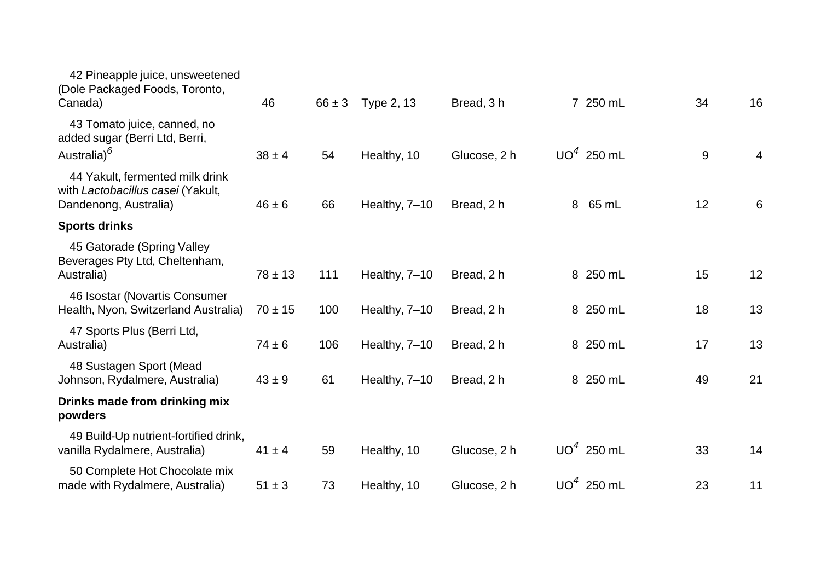| 42 Pineapple juice, unsweetened<br>(Dole Packaged Foods, Toronto,<br>Canada)                  | 46          | $66 \pm 3$ | Type 2, 13    | Bread, 3h    |   | 7 250 mL     | 34 | 16 |
|-----------------------------------------------------------------------------------------------|-------------|------------|---------------|--------------|---|--------------|----|----|
| 43 Tomato juice, canned, no<br>added sugar (Berri Ltd, Berri,<br>Australia) <sup>6</sup>      | $38 \pm 4$  | 54         | Healthy, 10   | Glucose, 2 h |   | $UO4$ 250 mL | 9  | 4  |
| 44 Yakult, fermented milk drink<br>with Lactobacillus casei (Yakult,<br>Dandenong, Australia) | $46 \pm 6$  | 66         | Healthy, 7-10 | Bread, 2 h   | 8 | 65 mL        | 12 | 6  |
| <b>Sports drinks</b>                                                                          |             |            |               |              |   |              |    |    |
| 45 Gatorade (Spring Valley<br>Beverages Pty Ltd, Cheltenham,<br>Australia)                    | $78 \pm 13$ | 111        | Healthy, 7-10 | Bread, 2 h   |   | 8 250 mL     | 15 | 12 |
| 46 Isostar (Novartis Consumer<br>Health, Nyon, Switzerland Australia)                         | $70 \pm 15$ | 100        | Healthy, 7-10 | Bread, 2 h   |   | 8 250 mL     | 18 | 13 |
| 47 Sports Plus (Berri Ltd,<br>Australia)                                                      | $74 \pm 6$  | 106        | Healthy, 7-10 | Bread, 2 h   |   | 8 250 mL     | 17 | 13 |
| 48 Sustagen Sport (Mead<br>Johnson, Rydalmere, Australia)                                     | $43 \pm 9$  | 61         | Healthy, 7-10 | Bread, 2 h   |   | 8 250 mL     | 49 | 21 |
| Drinks made from drinking mix<br>powders                                                      |             |            |               |              |   |              |    |    |
| 49 Build-Up nutrient-fortified drink,<br>vanilla Rydalmere, Australia)                        | $41 \pm 4$  | 59         | Healthy, 10   | Glucose, 2 h |   | $UO4$ 250 mL | 33 | 14 |
| 50 Complete Hot Chocolate mix<br>made with Rydalmere, Australia)                              | $51 \pm 3$  | 73         | Healthy, 10   | Glucose, 2 h |   | $UO4$ 250 mL | 23 | 11 |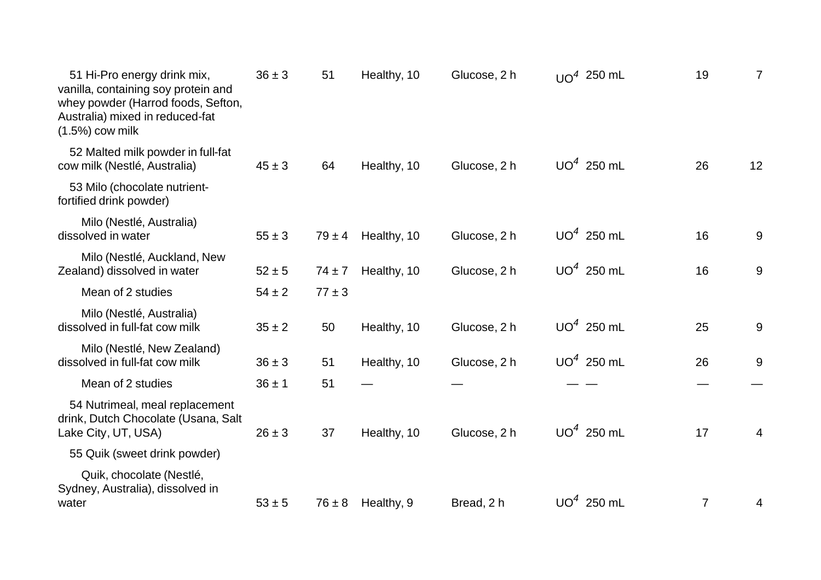| 51 Hi-Pro energy drink mix,<br>vanilla, containing soy protein and<br>whey powder (Harrod foods, Sefton,<br>Australia) mixed in reduced-fat<br>$(1.5\%)$ cow milk | $36 \pm 3$ | 51         | Healthy, 10 | Glucose, 2 h | $UQ4$ 250 mL | 19             | $\overline{7}$ |
|-------------------------------------------------------------------------------------------------------------------------------------------------------------------|------------|------------|-------------|--------------|--------------|----------------|----------------|
| 52 Malted milk powder in full-fat<br>cow milk (Nestlé, Australia)                                                                                                 | $45 \pm 3$ | 64         | Healthy, 10 | Glucose, 2 h | $UO4$ 250 mL | 26             | 12             |
| 53 Milo (chocolate nutrient-<br>fortified drink powder)                                                                                                           |            |            |             |              |              |                |                |
| Milo (Nestlé, Australia)<br>dissolved in water                                                                                                                    | $55 \pm 3$ | $79 \pm 4$ | Healthy, 10 | Glucose, 2 h | $UO4$ 250 mL | 16             | 9              |
| Milo (Nestlé, Auckland, New<br>Zealand) dissolved in water                                                                                                        | $52 \pm 5$ | $74 \pm 7$ | Healthy, 10 | Glucose, 2 h | $UO4$ 250 mL | 16             | 9              |
| Mean of 2 studies                                                                                                                                                 | $54 \pm 2$ | $77 \pm 3$ |             |              |              |                |                |
| Milo (Nestlé, Australia)<br>dissolved in full-fat cow milk                                                                                                        | $35 \pm 2$ | 50         | Healthy, 10 | Glucose, 2 h | $UO4$ 250 mL | 25             | 9              |
| Milo (Nestlé, New Zealand)<br>dissolved in full-fat cow milk                                                                                                      | $36 \pm 3$ | 51         | Healthy, 10 | Glucose, 2 h | $UO4$ 250 mL | 26             | 9              |
| Mean of 2 studies                                                                                                                                                 | $36 \pm 1$ | 51         |             |              |              |                |                |
| 54 Nutrimeal, meal replacement<br>drink, Dutch Chocolate (Usana, Salt<br>Lake City, UT, USA)                                                                      | $26 \pm 3$ | 37         | Healthy, 10 | Glucose, 2 h | $UO4$ 250 mL | 17             | 4              |
| 55 Quik (sweet drink powder)                                                                                                                                      |            |            |             |              |              |                |                |
| Quik, chocolate (Nestlé,<br>Sydney, Australia), dissolved in<br>water                                                                                             | $53 \pm 5$ | $76 \pm 8$ | Healthy, 9  | Bread, 2 h   | $UO4$ 250 mL | $\overline{7}$ | 4              |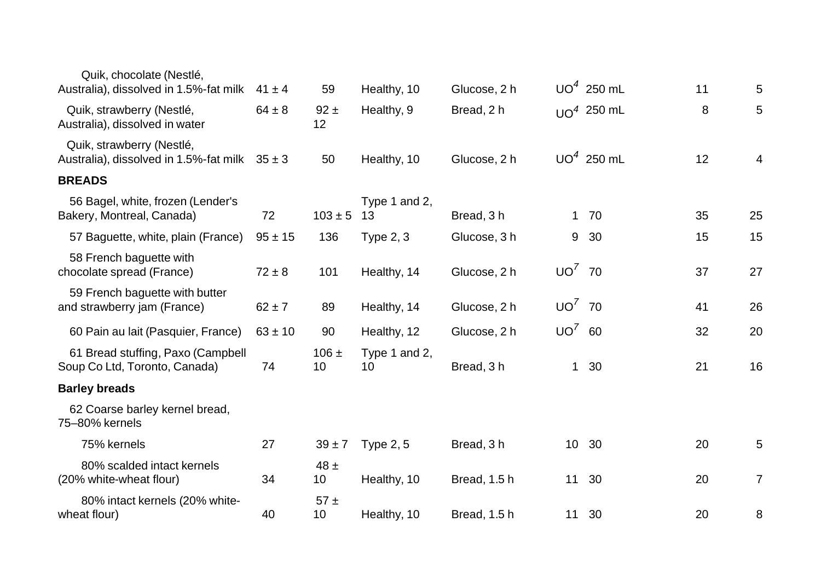| Quik, chocolate (Nestlé,<br>Australia), dissolved in 1.5%-fat milk  | $41 \pm 4$  | 59              | Healthy, 10         | Glucose, 2 h |                 | $UO4$ 250 mL | 11 | 5              |
|---------------------------------------------------------------------|-------------|-----------------|---------------------|--------------|-----------------|--------------|----|----------------|
|                                                                     |             |                 |                     |              |                 |              |    |                |
| Quik, strawberry (Nestlé,<br>Australia), dissolved in water         | $64 \pm 8$  | $92 \pm$<br>12  | Healthy, 9          | Bread, 2 h   |                 | $UQ4$ 250 mL | 8  | 5              |
| Quik, strawberry (Nestlé,<br>Australia), dissolved in 1.5%-fat milk | $35 \pm 3$  | 50              | Healthy, 10         | Glucose, 2 h |                 | $UO4$ 250 mL | 12 | 4              |
| <b>BREADS</b>                                                       |             |                 |                     |              |                 |              |    |                |
| 56 Bagel, white, frozen (Lender's<br>Bakery, Montreal, Canada)      | 72          | $103 \pm 5$     | Type 1 and 2,<br>13 | Bread, 3h    |                 | $1\quad70$   | 35 | 25             |
| 57 Baguette, white, plain (France)                                  | $95 \pm 15$ | 136             | Type $2, 3$         | Glucose, 3 h | 9               | 30           | 15 | 15             |
| 58 French baguette with<br>chocolate spread (France)                | $72 \pm 8$  | 101             | Healthy, 14         | Glucose, 2 h | $UO'$ 70        |              | 37 | 27             |
| 59 French baguette with butter<br>and strawberry jam (France)       | $62 \pm 7$  | 89              | Healthy, 14         | Glucose, 2 h | $UO'$ 70        |              | 41 | 26             |
| 60 Pain au lait (Pasquier, France)                                  | $63 \pm 10$ | 90              | Healthy, 12         | Glucose, 2 h | $UO^7$ 60       |              | 32 | 20             |
| 61 Bread stuffing, Paxo (Campbell<br>Soup Co Ltd, Toronto, Canada)  | 74          | $106 \pm$<br>10 | Type 1 and 2,<br>10 | Bread, 3h    | $\mathbf 1$     | 30           | 21 | 16             |
| <b>Barley breads</b>                                                |             |                 |                     |              |                 |              |    |                |
| 62 Coarse barley kernel bread,<br>75-80% kernels                    |             |                 |                     |              |                 |              |    |                |
| 75% kernels                                                         | 27          | $39 \pm 7$      | <b>Type 2, 5</b>    | Bread, 3h    | 10 <sup>°</sup> | 30           | 20 | 5              |
| 80% scalded intact kernels<br>(20% white-wheat flour)               | 34          | $48 \pm$<br>10  | Healthy, 10         | Bread, 1.5 h | 11              | 30           | 20 | $\overline{7}$ |
| 80% intact kernels (20% white-<br>wheat flour)                      | 40          | 57±<br>10       | Healthy, 10         | Bread, 1.5 h |                 | 11 30        | 20 | 8              |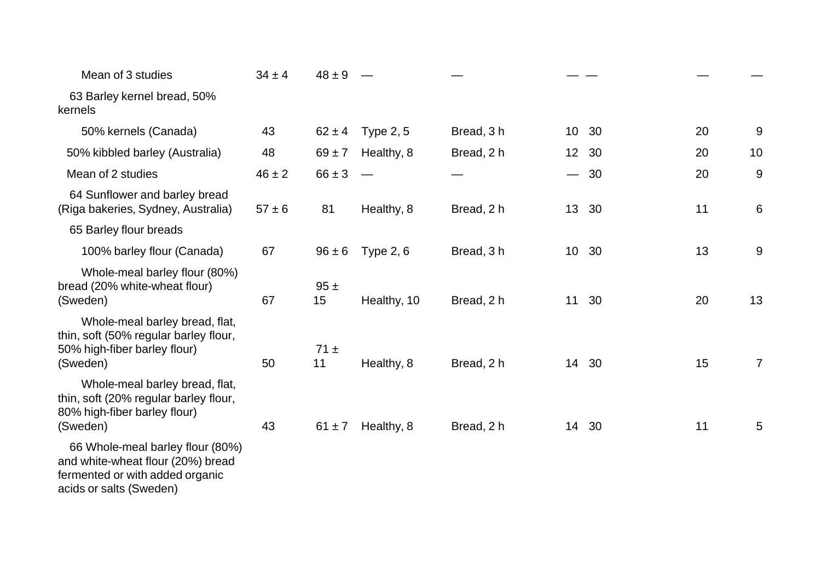| Mean of 3 studies                                                                                                   | $34 \pm 4$ | $48 \pm 9$     |                  |            |                         |    |                |
|---------------------------------------------------------------------------------------------------------------------|------------|----------------|------------------|------------|-------------------------|----|----------------|
| 63 Barley kernel bread, 50%<br>kernels                                                                              |            |                |                  |            |                         |    |                |
| 50% kernels (Canada)                                                                                                | 43         | $62 \pm 4$     | <b>Type 2, 5</b> | Bread, 3h  | 10 30                   | 20 | 9              |
| 50% kibbled barley (Australia)                                                                                      | 48         | $69 \pm 7$     | Healthy, 8       | Bread, 2 h | 12 30                   | 20 | 10             |
| Mean of 2 studies                                                                                                   | $46 \pm 2$ | $66 \pm 3$     |                  |            | - 30<br>$\qquad \qquad$ | 20 | 9              |
| 64 Sunflower and barley bread<br>(Riga bakeries, Sydney, Australia)                                                 | $57 \pm 6$ | 81             | Healthy, 8       | Bread, 2 h | 13 30                   | 11 | 6              |
| 65 Barley flour breads                                                                                              |            |                |                  |            |                         |    |                |
| 100% barley flour (Canada)                                                                                          | 67         | $96 \pm 6$     | Type $2, 6$      | Bread, 3 h | 10 30                   | 13 | 9              |
| Whole-meal barley flour (80%)<br>bread (20% white-wheat flour)<br>(Sweden)                                          | 67         | 95±<br>15      | Healthy, 10      | Bread, 2 h | 11 30                   | 20 | 13             |
| Whole-meal barley bread, flat,<br>thin, soft (50% regular barley flour,<br>50% high-fiber barley flour)<br>(Sweden) | 50         | $71 \pm$<br>11 | Healthy, 8       | Bread, 2 h | 14 30                   | 15 | $\overline{7}$ |
| Whole-meal barley bread, flat,<br>thin, soft (20% regular barley flour,<br>80% high-fiber barley flour)<br>(Sweden) | 43         | $61 \pm 7$     | Healthy, 8       | Bread, 2 h | 14 30                   | 11 | 5              |
| 66 Whole-meal barley flour (80%)<br>and white-wheat flour (20%) bread<br>fermented or with added organic            |            |                |                  |            |                         |    |                |

acids or salts (Sweden)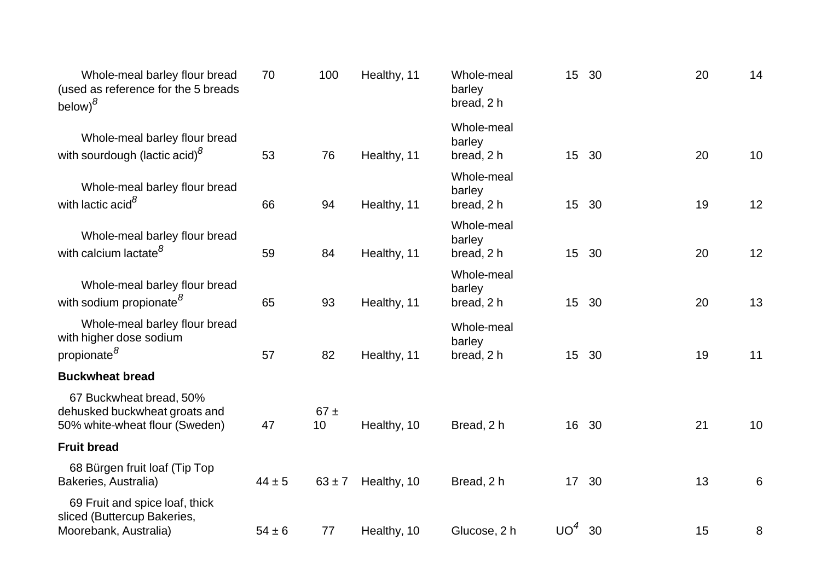| Whole-meal barley flour bread<br>(used as reference for the 5 breads<br>below) $^8$        | 70         | 100            | Healthy, 11 | Whole-meal<br>barley<br>bread, 2 h | 15 30            |    | 20 | 14    |
|--------------------------------------------------------------------------------------------|------------|----------------|-------------|------------------------------------|------------------|----|----|-------|
| Whole-meal barley flour bread<br>with sourdough (lactic acid) <sup>8</sup>                 | 53         | 76             | Healthy, 11 | Whole-meal<br>barley<br>bread, 2 h | 15 30            |    | 20 | 10    |
| Whole-meal barley flour bread<br>with lactic acid <sup>8</sup>                             | 66         | 94             | Healthy, 11 | Whole-meal<br>barley<br>bread, 2 h | 15               | 30 | 19 | 12    |
| Whole-meal barley flour bread<br>with calcium lactate <sup>8</sup>                         | 59         | 84             | Healthy, 11 | Whole-meal<br>barley<br>bread, 2 h | 15 <sub>1</sub>  | 30 | 20 | 12    |
| Whole-meal barley flour bread<br>with sodium propionate <sup>8</sup>                       | 65         | 93             | Healthy, 11 | Whole-meal<br>barley<br>bread, 2 h | 15 <sub>1</sub>  | 30 | 20 | 13    |
| Whole-meal barley flour bread<br>with higher dose sodium<br>propionate <sup>8</sup>        | 57         | 82             | Healthy, 11 | Whole-meal<br>barley<br>bread, 2 h | 15               | 30 | 19 | 11    |
| <b>Buckwheat bread</b>                                                                     |            |                |             |                                    |                  |    |    |       |
| 67 Buckwheat bread, 50%<br>dehusked buckwheat groats and<br>50% white-wheat flour (Sweden) | 47         | $67 \pm$<br>10 | Healthy, 10 | Bread, 2 h                         | 16 <sup>1</sup>  | 30 | 21 | 10    |
| <b>Fruit bread</b>                                                                         |            |                |             |                                    |                  |    |    |       |
| 68 Bürgen fruit loaf (Tip Top<br>Bakeries, Australia)                                      | $44 \pm 5$ | $63 \pm 7$     | Healthy, 10 | Bread, 2 h                         | 17 <sup>17</sup> | 30 | 13 | $6\,$ |
| 69 Fruit and spice loaf, thick<br>sliced (Buttercup Bakeries,<br>Moorebank, Australia)     | $54 \pm 6$ | 77             | Healthy, 10 | Glucose, 2 h                       | UO <sup>4</sup>  | 30 | 15 | 8     |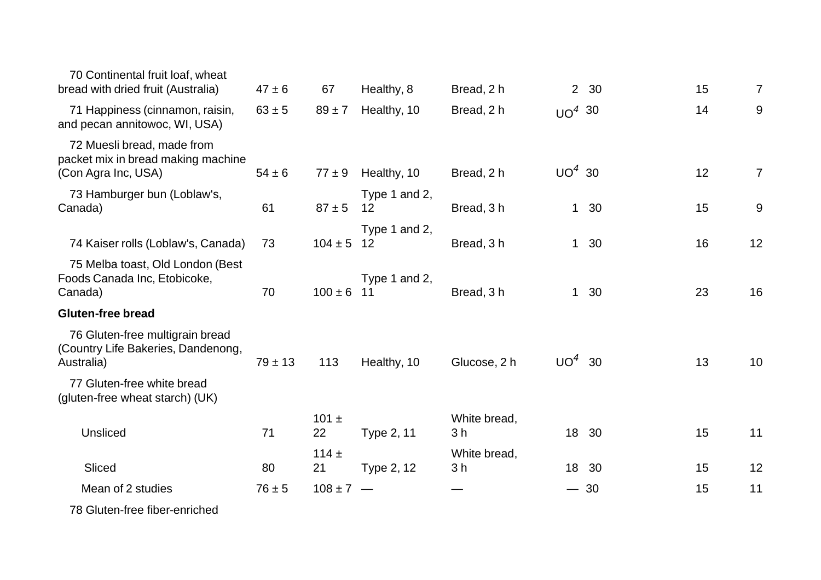| 70 Continental fruit loaf, wheat<br>bread with dried fruit (Australia)                  | $47 \pm 6$  | 67              | Healthy, 8          | Bread, 2 h                     |             | 2 30  | 15 | 7              |
|-----------------------------------------------------------------------------------------|-------------|-----------------|---------------------|--------------------------------|-------------|-------|----|----------------|
| 71 Happiness (cinnamon, raisin,<br>and pecan annitowoc, WI, USA)                        | $63 \pm 5$  | $89 \pm 7$      | Healthy, 10         | Bread, 2 h                     | $UO4$ 30    |       | 14 | 9              |
| 72 Muesli bread, made from<br>packet mix in bread making machine<br>(Con Agra Inc, USA) | $54 \pm 6$  | $77 \pm 9$      | Healthy, 10         | Bread, 2 h                     | $UO4$ 30    |       | 12 | $\overline{7}$ |
| 73 Hamburger bun (Loblaw's,<br>Canada)                                                  | 61          | $87 + 5$        | Type 1 and 2,<br>12 | Bread, 3h                      | $\mathbf 1$ | 30    | 15 | 9              |
| 74 Kaiser rolls (Loblaw's, Canada)                                                      | 73          | $104 \pm 5$ 12  | Type 1 and 2,       | Bread, 3h                      |             | 1 30  | 16 | 12             |
| 75 Melba toast, Old London (Best<br>Foods Canada Inc, Etobicoke,<br>Canada)             | 70          | $100 \pm 6$ 11  | Type 1 and 2,       | Bread, 3h                      |             | 1 30  | 23 | 16             |
| <b>Gluten-free bread</b>                                                                |             |                 |                     |                                |             |       |    |                |
| 76 Gluten-free multigrain bread<br>(Country Life Bakeries, Dandenong,<br>Australia)     | $79 \pm 13$ | 113             | Healthy, 10         | Glucose, 2 h                   | $UO4$ 30    |       | 13 | 10             |
| 77 Gluten-free white bread<br>(gluten-free wheat starch) (UK)                           |             |                 |                     |                                |             |       |    |                |
| Unsliced                                                                                | 71          | $101 \pm$<br>22 | Type 2, 11          | White bread,<br>3 <sub>h</sub> |             | 18 30 | 15 | 11             |
|                                                                                         |             | $114 +$         |                     | White bread,                   |             |       |    |                |
| Sliced                                                                                  | 80          | 21              | Type 2, 12          | 3 <sub>h</sub>                 | 18          | 30    | 15 | 12             |
| Mean of 2 studies                                                                       | $76 \pm 5$  | $108 \pm 7$ –   |                     |                                |             | $-30$ | 15 | 11             |
| 78 Gluten-free fiber-enriched                                                           |             |                 |                     |                                |             |       |    |                |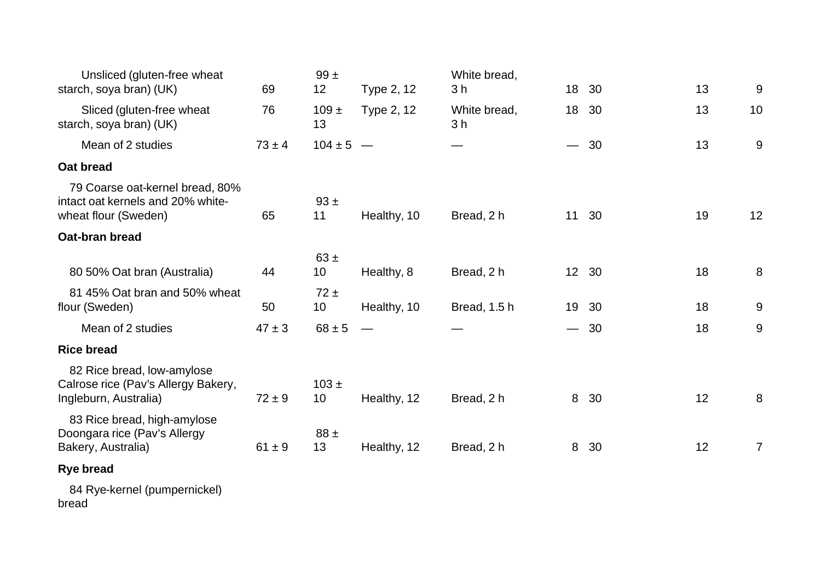| Unsliced (gluten-free wheat<br>starch, soya bran) (UK)                                       | 69         | 99±<br>12       | Type 2, 12  | White bread,<br>3 h            | 18                            | 30    | 13 | 9               |
|----------------------------------------------------------------------------------------------|------------|-----------------|-------------|--------------------------------|-------------------------------|-------|----|-----------------|
| Sliced (gluten-free wheat<br>starch, soya bran) (UK)                                         | 76         | $109 \pm$<br>13 | Type 2, 12  | White bread,<br>3 <sub>h</sub> | 18                            | 30    | 13 | 10              |
| Mean of 2 studies                                                                            | $73 \pm 4$ | $104 \pm 5$ –   |             |                                | $\overbrace{\phantom{aaaaa}}$ | 30    | 13 | 9               |
| Oat bread                                                                                    |            |                 |             |                                |                               |       |    |                 |
| 79 Coarse oat-kernel bread, 80%<br>intact oat kernels and 20% white-<br>wheat flour (Sweden) | 65         | $93 +$<br>11    | Healthy, 10 | Bread, 2 h                     | 11                            | 30    | 19 | 12 <sub>2</sub> |
| Oat-bran bread                                                                               |            |                 |             |                                |                               |       |    |                 |
| 80 50% Oat bran (Australia)                                                                  | 44         | $63 \pm$<br>10  | Healthy, 8  | Bread, 2 h                     |                               | 12 30 | 18 | 8               |
| 81 45% Oat bran and 50% wheat<br>flour (Sweden)                                              | 50         | $72 \pm$<br>10  | Healthy, 10 | Bread, 1.5 h                   | 19                            | -30   | 18 | 9               |
| Mean of 2 studies                                                                            | $47 \pm 3$ | $68 \pm 5$      |             |                                | $\overline{\phantom{0}}$      | 30    | 18 | 9               |
| <b>Rice bread</b>                                                                            |            |                 |             |                                |                               |       |    |                 |
| 82 Rice bread, low-amylose<br>Calrose rice (Pav's Allergy Bakery,<br>Ingleburn, Australia)   | $72 \pm 9$ | $103 \pm$<br>10 | Healthy, 12 | Bread, 2 h                     | 8                             | 30    | 12 | 8               |
| 83 Rice bread, high-amylose<br>Doongara rice (Pav's Allergy<br>Bakery, Australia)            | $61 \pm 9$ | $88 \pm$<br>13  | Healthy, 12 | Bread, 2 h                     | 8                             | 30    | 12 | $\overline{7}$  |
| <b>Rye bread</b>                                                                             |            |                 |             |                                |                               |       |    |                 |
|                                                                                              |            |                 |             |                                |                               |       |    |                 |

 84 Rye-kernel (pumpernickel) bread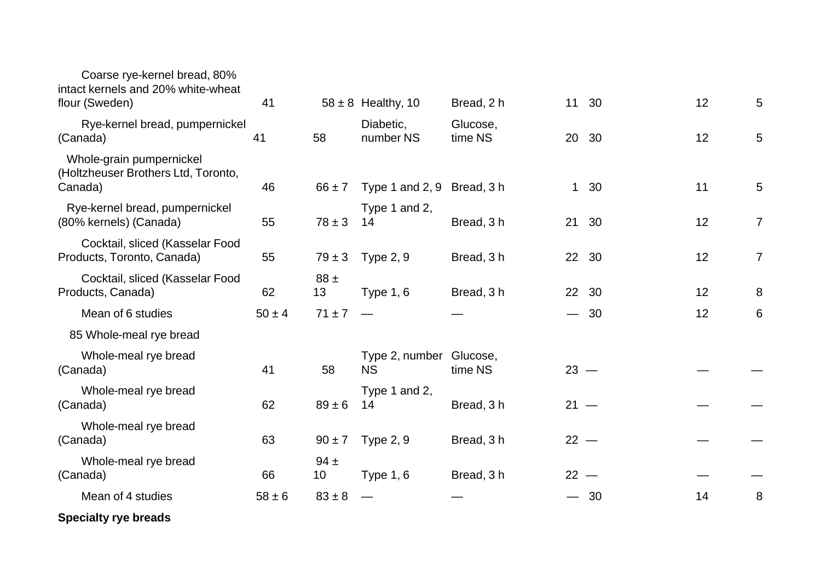| Coarse rye-kernel bread, 80%<br>intact kernels and 20% white-wheat         |            |                |                                      |                     |                          |       |    |                |
|----------------------------------------------------------------------------|------------|----------------|--------------------------------------|---------------------|--------------------------|-------|----|----------------|
| flour (Sweden)                                                             | 41         |                | $58 \pm 8$ Healthy, 10               | Bread, 2 h          | 11                       | 30    | 12 | 5              |
| Rye-kernel bread, pumpernickel<br>(Canada)                                 | 41         | 58             | Diabetic,<br>number NS               | Glucose,<br>time NS |                          | 20 30 | 12 | 5              |
| Whole-grain pumpernickel<br>(Holtzheuser Brothers Ltd, Toronto,<br>Canada) | 46         | $66 \pm 7$     | Type 1 and 2, 9 Bread, 3 h           |                     | $\mathbf{1}$             | 30    | 11 | 5              |
| Rye-kernel bread, pumpernickel<br>(80% kernels) (Canada)                   | 55         | $78 \pm 3$     | Type 1 and 2,<br>14                  | Bread, 3 h          | 21                       | 30    | 12 | $\overline{7}$ |
| Cocktail, sliced (Kasselar Food<br>Products, Toronto, Canada)              | 55         | $79 \pm 3$     | <b>Type 2, 9</b>                     | Bread, 3 h          |                          | 22 30 | 12 | $\overline{7}$ |
| Cocktail, sliced (Kasselar Food<br>Products, Canada)                       | 62         | $88 \pm$<br>13 | Type $1, 6$                          | Bread, 3 h          | 22                       | 30    | 12 | 8              |
| Mean of 6 studies                                                          | $50 \pm 4$ | $71 \pm 7$     |                                      |                     | $\qquad \qquad$          | 30    | 12 | 6              |
| 85 Whole-meal rye bread                                                    |            |                |                                      |                     |                          |       |    |                |
| Whole-meal rye bread<br>(Canada)                                           | 41         | 58             | Type 2, number Glucose,<br><b>NS</b> | time NS             | $23 -$                   |       |    |                |
| Whole-meal rye bread<br>(Canada)                                           | 62         | $89 \pm 6$     | Type 1 and 2,<br>14                  | Bread, 3h           | $21 -$                   |       |    |                |
| Whole-meal rye bread<br>(Canada)                                           | 63         | $90 \pm 7$     | <b>Type 2, 9</b>                     | Bread, 3 h          | $22 -$                   |       |    |                |
| Whole-meal rye bread<br>(Canada)                                           | 66         | $94 \pm$<br>10 | <b>Type 1, 6</b>                     | Bread, 3 h          | $22 -$                   |       |    |                |
| Mean of 4 studies                                                          | $58 \pm 6$ | $83 \pm 8$     |                                      |                     | $\overline{\phantom{0}}$ | 30    | 14 | 8              |
| <b>Specialty rye breads</b>                                                |            |                |                                      |                     |                          |       |    |                |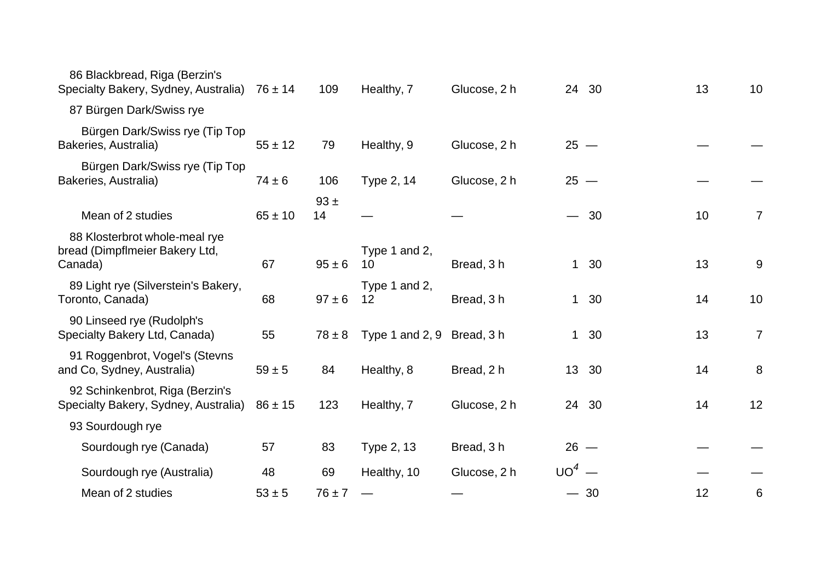| $76 \pm 14$                                                                                                                                      | 109        | Healthy, 7          | Glucose, 2 h |                            |    | 13                                                                                                                   | 10             |
|--------------------------------------------------------------------------------------------------------------------------------------------------|------------|---------------------|--------------|----------------------------|----|----------------------------------------------------------------------------------------------------------------------|----------------|
|                                                                                                                                                  |            |                     |              |                            |    |                                                                                                                      |                |
| $55 \pm 12$                                                                                                                                      | 79         | Healthy, 9          | Glucose, 2 h |                            |    |                                                                                                                      |                |
| $74 \pm 6$                                                                                                                                       | 106        | Type 2, 14          | Glucose, 2 h |                            |    |                                                                                                                      |                |
| $65 \pm 10$                                                                                                                                      | 93±<br>14  |                     |              |                            |    | 10                                                                                                                   | $\overline{7}$ |
| 67                                                                                                                                               | $95 \pm 6$ | Type 1 and 2,<br>10 | Bread, 3h    |                            |    | 13                                                                                                                   | 9              |
| 68                                                                                                                                               | $97 \pm 6$ | Type 1 and 2,<br>12 | Bread, 3h    |                            |    | 14                                                                                                                   | 10             |
| 55                                                                                                                                               | $78 \pm 8$ |                     |              |                            |    | 13                                                                                                                   | $\overline{7}$ |
| $59 \pm 5$                                                                                                                                       | 84         | Healthy, 8          | Bread, 2 h   |                            | 30 | 14                                                                                                                   | 8              |
| $86 \pm 15$                                                                                                                                      | 123        | Healthy, 7          | Glucose, 2 h |                            |    | 14                                                                                                                   | 12             |
|                                                                                                                                                  |            |                     |              |                            |    |                                                                                                                      |                |
| 57                                                                                                                                               | 83         | Type 2, 13          | Bread, 3 h   |                            |    |                                                                                                                      |                |
| 48                                                                                                                                               | 69         | Healthy, 10         | Glucose, 2 h |                            |    |                                                                                                                      |                |
| $53 \pm 5$                                                                                                                                       | $76 \pm 7$ |                     |              |                            |    | 12                                                                                                                   | 6              |
| Specialty Bakery, Sydney, Australia)<br>Bürgen Dark/Swiss rye (Tip Top<br>Bürgen Dark/Swiss rye (Tip Top<br>Specialty Bakery, Sydney, Australia) |            |                     |              | Type 1 and 2, 9 Bread, 3 h |    | 24 30<br>$25 -$<br>$25 -$<br>$-30$<br>1 30<br>1 30<br>1 30<br>13 <sup>2</sup><br>24 30<br>$26 -$<br>$UO4$ —<br>$-30$ |                |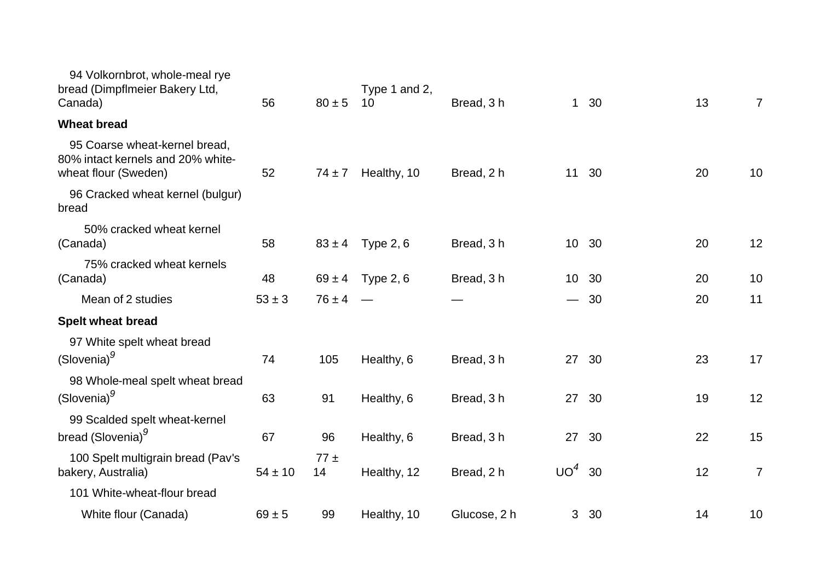| 94 Volkornbrot, whole-meal rye<br>bread (Dimpflmeier Bakery Ltd,<br>Canada)                | 56          | $80 \pm 5$     | Type 1 and 2,<br>10 | Bread, 3h    |                 | $1\quad30$ | 13 | $\overline{7}$ |
|--------------------------------------------------------------------------------------------|-------------|----------------|---------------------|--------------|-----------------|------------|----|----------------|
| <b>Wheat bread</b>                                                                         |             |                |                     |              |                 |            |    |                |
| 95 Coarse wheat-kernel bread,<br>80% intact kernels and 20% white-<br>wheat flour (Sweden) | 52          | $74 \pm 7$     | Healthy, 10         | Bread, 2 h   |                 | 11 30      | 20 | 10             |
| 96 Cracked wheat kernel (bulgur)<br>bread                                                  |             |                |                     |              |                 |            |    |                |
| 50% cracked wheat kernel<br>(Canada)                                                       | 58          | $83 \pm 4$     | Type $2, 6$         | Bread, 3h    | 10 <sup>°</sup> | 30         | 20 | 12             |
| 75% cracked wheat kernels<br>(Canada)                                                      | 48          | $69 \pm 4$     | Type $2, 6$         | Bread, 3 h   | 10 <sup>1</sup> | 30         | 20 | 10             |
| Mean of 2 studies                                                                          | $53 \pm 3$  | $76 \pm 4$     |                     |              | $\qquad \qquad$ | - 30       | 20 | 11             |
| <b>Spelt wheat bread</b>                                                                   |             |                |                     |              |                 |            |    |                |
| 97 White spelt wheat bread<br>(Slovenia) <sup>9</sup>                                      | 74          | 105            | Healthy, 6          | Bread, 3 h   | 27              | 30         | 23 | 17             |
| 98 Whole-meal spelt wheat bread<br>(Slovenia) <sup>9</sup>                                 | 63          | 91             | Healthy, 6          | Bread, 3h    |                 | 27 30      | 19 | 12             |
| 99 Scalded spelt wheat-kernel<br>bread (Slovenia) <sup>9</sup>                             | 67          | 96             | Healthy, 6          | Bread, 3 h   |                 | 27 30      | 22 | 15             |
| 100 Spelt multigrain bread (Pav's<br>bakery, Australia)                                    | $54 \pm 10$ | $77 \pm$<br>14 | Healthy, 12         | Bread, 2 h   | UO <sup>4</sup> | 30         | 12 | $\overline{7}$ |
| 101 White-wheat-flour bread                                                                |             |                |                     |              |                 |            |    |                |
| White flour (Canada)                                                                       | $69 \pm 5$  | 99             | Healthy, 10         | Glucose, 2 h | 3 <sup>1</sup>  | 30         | 14 | 10             |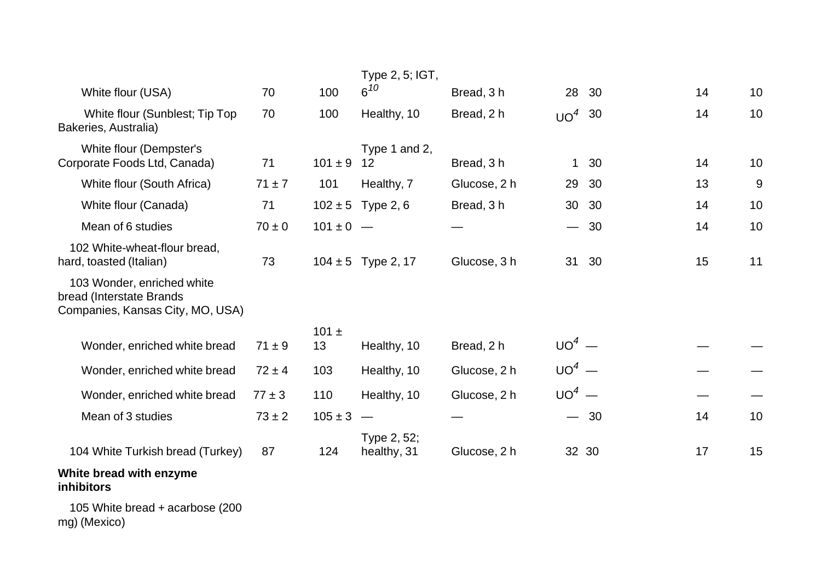|                                                                                            |            |               | Type 2, 5; IGT,            |              |              |       |    |    |
|--------------------------------------------------------------------------------------------|------------|---------------|----------------------------|--------------|--------------|-------|----|----|
| White flour (USA)                                                                          | 70         | 100           | $6^{10}$                   | Bread, 3h    |              | 28 30 | 14 | 10 |
| White flour (Sunblest; Tip Top<br>Bakeries, Australia)                                     | 70         | 100           | Healthy, 10                | Bread, 2 h   | $UO4$ 30     |       | 14 | 10 |
| White flour (Dempster's                                                                    |            |               | Type 1 and 2,              |              |              |       |    |    |
| Corporate Foods Ltd, Canada)                                                               | 71         | $101 \pm 9$   | 12                         | Bread, 3 h   | $\mathbf{1}$ | 30    | 14 | 10 |
| White flour (South Africa)                                                                 | $71 \pm 7$ | 101           | Healthy, 7                 | Glucose, 2 h |              | 29 30 | 13 | 9  |
| White flour (Canada)                                                                       | 71         |               | $102 \pm 5$ Type 2, 6      | Bread, 3 h   |              | 30 30 | 14 | 10 |
| Mean of 6 studies                                                                          | $70 \pm 0$ | $101 \pm 0$ – |                            |              |              | 30    | 14 | 10 |
| 102 White-wheat-flour bread,<br>hard, toasted (Italian)                                    | 73         |               | $104 \pm 5$ Type 2, 17     | Glucose, 3 h | 31           | - 30  | 15 | 11 |
| 103 Wonder, enriched white<br>bread (Interstate Brands<br>Companies, Kansas City, MO, USA) |            |               |                            |              |              |       |    |    |
|                                                                                            |            | 101 $\pm$     |                            |              |              |       |    |    |
| Wonder, enriched white bread                                                               | $71 \pm 9$ | 13            | Healthy, 10                | Bread, 2 h   | $UO4$ —      |       |    |    |
| Wonder, enriched white bread                                                               | $72 \pm 4$ | 103           | Healthy, 10                | Glucose, 2 h | $UO4$ —      |       |    |    |
| Wonder, enriched white bread                                                               | $77 \pm 3$ | 110           | Healthy, 10                | Glucose, 2 h | $UO4$ —      |       |    |    |
| Mean of 3 studies                                                                          | $73 \pm 2$ | $105 \pm 3$   | $\overline{\phantom{a}}$   |              |              | $-30$ | 14 | 10 |
| 104 White Turkish bread (Turkey)                                                           | 87         | 124           | Type 2, 52;<br>healthy, 31 | Glucose, 2 h |              | 32 30 | 17 | 15 |
| White bread with enzyme<br>inhibitors                                                      |            |               |                            |              |              |       |    |    |
| $4.0.5 M/L$ is the set of the set of $(0.001)$                                             |            |               |                            |              |              |       |    |    |

 105 White bread <sup>+</sup> acarbose (200 mg) (Mexico)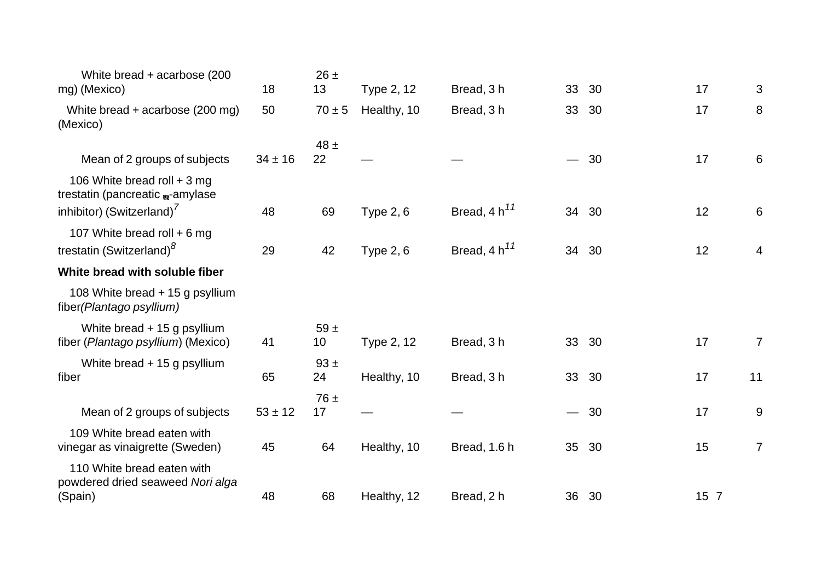| White bread + acarbose (200<br>mg) (Mexico)                                                              | 18          | $26 \pm$<br>13 | Type 2, 12       | Bread, 3 h        | 33              | 30    | 17   | 3              |
|----------------------------------------------------------------------------------------------------------|-------------|----------------|------------------|-------------------|-----------------|-------|------|----------------|
| White bread + acarbose (200 mg)<br>(Mexico)                                                              | 50          | $70 \pm 5$     | Healthy, 10      | Bread, 3h         | 33              | 30    | 17   | 8              |
| Mean of 2 groups of subjects                                                                             | $34 \pm 16$ | $48 \pm$<br>22 |                  |                   |                 | $-30$ | 17   | 6              |
| 106 White bread roll $+3$ mg<br>trestatin (pancreatic m-amylase<br>inhibitor) (Switzerland) <sup>'</sup> | 48          | 69             | <b>Type 2, 6</b> | Bread, $4 h^{11}$ | 34              | 30    | 12   | 6              |
| 107 White bread roll + 6 mg<br>trestatin (Switzerland) <sup>8</sup>                                      | 29          | 42             | <b>Type 2, 6</b> | Bread, $4 h^{11}$ | 34              | 30    | 12   | 4              |
| White bread with soluble fiber                                                                           |             |                |                  |                   |                 |       |      |                |
| 108 White bread + 15 g psyllium<br>fiber (Plantago psyllium)                                             |             |                |                  |                   |                 |       |      |                |
| White bread + 15 g psyllium<br>fiber (Plantago psyllium) (Mexico)                                        | 41          | $59 +$<br>10   | Type 2, 12       | Bread, 3 h        |                 | 33 30 | 17   | $\overline{7}$ |
| White bread $+$ 15 g psyllium<br>fiber                                                                   | 65          | $93 +$<br>24   | Healthy, 10      | Bread, 3 h        | 33              | 30    | 17   | 11             |
| Mean of 2 groups of subjects                                                                             | $53 \pm 12$ | $76 \pm$<br>17 |                  |                   |                 | $-30$ | 17   | 9              |
| 109 White bread eaten with<br>vinegar as vinaigrette (Sweden)                                            | 45          | 64             | Healthy, 10      | Bread, 1.6 h      | 35 <sup>5</sup> | 30    | 15   | $\overline{7}$ |
| 110 White bread eaten with<br>powdered dried seaweed Nori alga<br>(Spain)                                | 48          | 68             | Healthy, 12      | Bread, 2 h        |                 | 36 30 | 15 7 |                |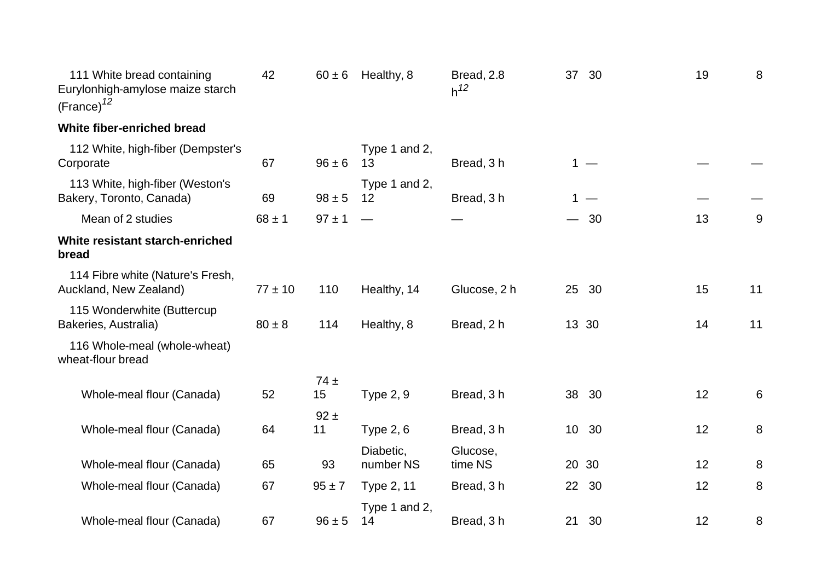| 111 White bread containing<br>Eurylonhigh-amylose maize starch<br>$(France)^{12}$ | 42          | $60 \pm 6$     | Healthy, 8                         | Bread, 2.8<br>$h^{12}$ | 37              | 30    | 19 | 8  |
|-----------------------------------------------------------------------------------|-------------|----------------|------------------------------------|------------------------|-----------------|-------|----|----|
| White fiber-enriched bread                                                        |             |                |                                    |                        |                 |       |    |    |
| 112 White, high-fiber (Dempster's<br>Corporate                                    | 67          | $96 \pm 6$     | Type 1 and 2,<br>13                | Bread, 3h              |                 | $1 -$ |    |    |
| 113 White, high-fiber (Weston's<br>Bakery, Toronto, Canada)                       | 69          | $98 \pm 5$     | Type 1 and 2,<br>$12 \overline{ }$ | Bread, 3h              |                 | 1 $-$ |    |    |
| Mean of 2 studies                                                                 | $68 \pm 1$  | $97 \pm 1$     |                                    |                        |                 | 30    | 13 | 9  |
| White resistant starch-enriched<br>bread                                          |             |                |                                    |                        |                 |       |    |    |
| 114 Fibre white (Nature's Fresh,<br>Auckland, New Zealand)                        | $77 \pm 10$ | 110            | Healthy, 14                        | Glucose, 2 h           |                 | 25 30 | 15 | 11 |
| 115 Wonderwhite (Buttercup<br>Bakeries, Australia)                                | $80 \pm 8$  | 114            | Healthy, 8                         | Bread, 2 h             |                 | 13 30 | 14 | 11 |
| 116 Whole-meal (whole-wheat)<br>wheat-flour bread                                 |             |                |                                    |                        |                 |       |    |    |
| Whole-meal flour (Canada)                                                         | 52          | $74 \pm$<br>15 | <b>Type 2, 9</b>                   | Bread, 3h              |                 | 38 30 | 12 | 6  |
| Whole-meal flour (Canada)                                                         | 64          | $92 \pm$<br>11 | Type $2, 6$                        | Bread, 3h              |                 | 10 30 | 12 | 8  |
| Whole-meal flour (Canada)                                                         | 65          | 93             | Diabetic,<br>number NS             | Glucose,<br>time NS    |                 | 20 30 | 12 | 8  |
| Whole-meal flour (Canada)                                                         | 67          | $95 \pm 7$     | Type 2, 11                         | Bread, 3h              | 22 <sub>2</sub> | 30    | 12 | 8  |
| Whole-meal flour (Canada)                                                         | 67          | $96 \pm 5$     | Type 1 and 2,<br>14                | Bread, 3 h             |                 | 21 30 | 12 | 8  |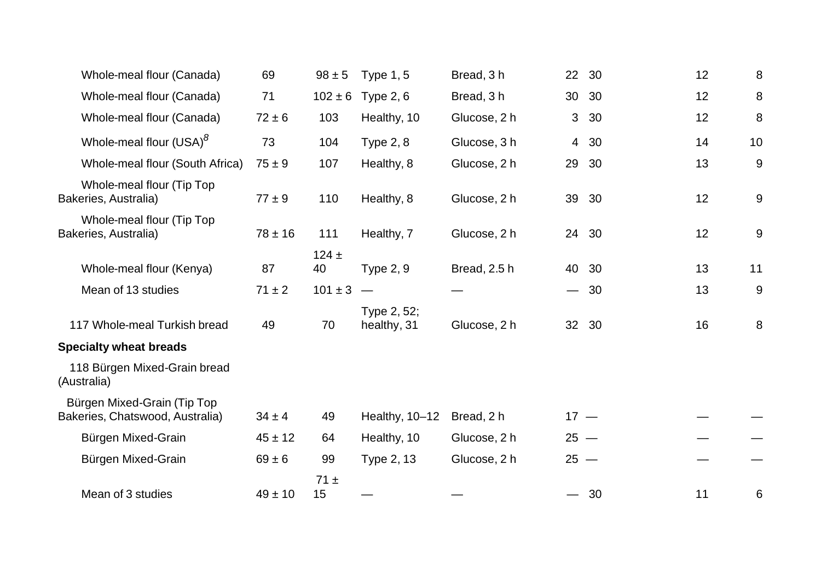| Whole-meal flour (Canada)                                      | 69          | $98 \pm 5$      | <b>Type 1, 5</b>           | Bread, 3h    |                               | 22 30 | 12 | 8  |
|----------------------------------------------------------------|-------------|-----------------|----------------------------|--------------|-------------------------------|-------|----|----|
| Whole-meal flour (Canada)                                      | 71          | $102 \pm 6$     | Type $2, 6$                | Bread, 3 h   | 30 <sup>°</sup>               | 30    | 12 | 8  |
| Whole-meal flour (Canada)                                      | $72 \pm 6$  | 103             | Healthy, 10                | Glucose, 2 h | 3                             | 30    | 12 | 8  |
| Whole-meal flour (USA) <sup>8</sup>                            | 73          | 104             | Type $2, 8$                | Glucose, 3 h | $\overline{4}$                | 30    | 14 | 10 |
| Whole-meal flour (South Africa)                                | $75 \pm 9$  | 107             | Healthy, 8                 | Glucose, 2 h | 29                            | 30    | 13 | 9  |
| Whole-meal flour (Tip Top<br>Bakeries, Australia)              | $77 \pm 9$  | 110             | Healthy, 8                 | Glucose, 2 h | 39                            | 30    | 12 | 9  |
| Whole-meal flour (Tip Top<br>Bakeries, Australia)              | $78 \pm 16$ | 111             | Healthy, 7                 | Glucose, 2 h | 24                            | 30    | 12 | 9  |
| Whole-meal flour (Kenya)                                       | 87          | $124 \pm$<br>40 | <b>Type 2, 9</b>           | Bread, 2.5 h | 40                            | 30    | 13 | 11 |
| Mean of 13 studies                                             | $71 \pm 2$  | $101 \pm 3$     |                            |              | $\overbrace{\phantom{aaaaa}}$ | 30    | 13 | 9  |
| 117 Whole-meal Turkish bread                                   | 49          | 70              | Type 2, 52;<br>healthy, 31 | Glucose, 2 h |                               | 32 30 | 16 | 8  |
| <b>Specialty wheat breads</b>                                  |             |                 |                            |              |                               |       |    |    |
| 118 Bürgen Mixed-Grain bread<br>(Australia)                    |             |                 |                            |              |                               |       |    |    |
| Bürgen Mixed-Grain (Tip Top<br>Bakeries, Chatswood, Australia) | $34 \pm 4$  | 49              | Healthy, 10-12             | Bread, 2 h   | $17 -$                        |       |    |    |
| Bürgen Mixed-Grain                                             | $45 \pm 12$ | 64              | Healthy, 10                | Glucose, 2 h | $25 -$                        |       |    |    |
| Bürgen Mixed-Grain                                             | $69 \pm 6$  | 99              | Type 2, 13                 | Glucose, 2 h | $25 -$                        |       |    |    |
| Mean of 3 studies                                              | $49 \pm 10$ | $71 \pm$<br>15  |                            |              |                               | - 30  | 11 | 6  |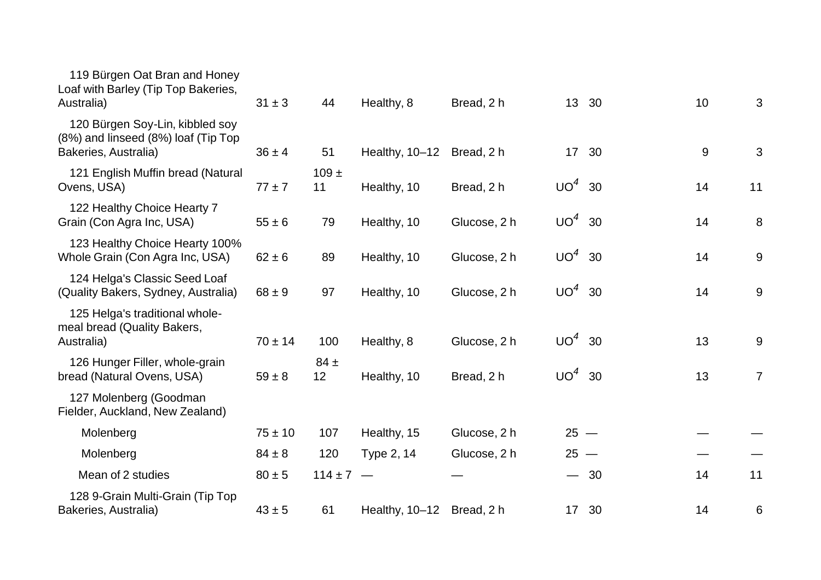| 119 Bürgen Oat Bran and Honey<br>Loaf with Barley (Tip Top Bakeries,<br>Australia)             | $31 \pm 3$  | 44              | Healthy, 8     | Bread, 2 h   |          | 13 30 | 10    | 3              |
|------------------------------------------------------------------------------------------------|-------------|-----------------|----------------|--------------|----------|-------|-------|----------------|
| 120 Bürgen Soy-Lin, kibbled soy<br>(8%) and linseed (8%) loaf (Tip Top<br>Bakeries, Australia) | $36 \pm 4$  | 51              | Healthy, 10-12 | Bread, 2 h   |          | 17 30 | $9\,$ | 3              |
| 121 English Muffin bread (Natural<br>Ovens, USA)                                               | $77 \pm 7$  | $109 \pm$<br>11 | Healthy, 10    | Bread, 2 h   | $UO4$ 30 |       | 14    | 11             |
| 122 Healthy Choice Hearty 7<br>Grain (Con Agra Inc, USA)                                       | $55 \pm 6$  | 79              | Healthy, 10    | Glucose, 2 h | $UO4$ 30 |       | 14    | 8              |
| 123 Healthy Choice Hearty 100%<br>Whole Grain (Con Agra Inc, USA)                              | $62 \pm 6$  | 89              | Healthy, 10    | Glucose, 2 h | $UO4$ 30 |       | 14    | 9              |
| 124 Helga's Classic Seed Loaf<br>(Quality Bakers, Sydney, Australia)                           | $68 \pm 9$  | 97              | Healthy, 10    | Glucose, 2 h | $UO4$ 30 |       | 14    | 9              |
| 125 Helga's traditional whole-<br>meal bread (Quality Bakers,<br>Australia)                    | $70 \pm 14$ | 100             | Healthy, 8     | Glucose, 2 h | $UO4$ 30 |       | 13    | 9              |
| 126 Hunger Filler, whole-grain<br>bread (Natural Ovens, USA)                                   | $59 \pm 8$  | $84 \pm$<br>12  | Healthy, 10    | Bread, 2 h   | $UO4$ 30 |       | 13    | $\overline{7}$ |
| 127 Molenberg (Goodman<br>Fielder, Auckland, New Zealand)                                      |             |                 |                |              |          |       |       |                |
| Molenberg                                                                                      | $75 \pm 10$ | 107             | Healthy, 15    | Glucose, 2 h | $25 -$   |       |       |                |
| Molenberg                                                                                      | $84 \pm 8$  | 120             | Type 2, 14     | Glucose, 2 h | $25 -$   |       |       |                |
| Mean of 2 studies                                                                              | $80 \pm 5$  | $114 \pm 7 -$   |                |              |          | $-30$ | 14    | 11             |
| 128 9-Grain Multi-Grain (Tip Top<br>Bakeries, Australia)                                       | $43 \pm 5$  | 61              | Healthy, 10-12 | Bread, 2 h   |          | 17 30 | 14    | 6              |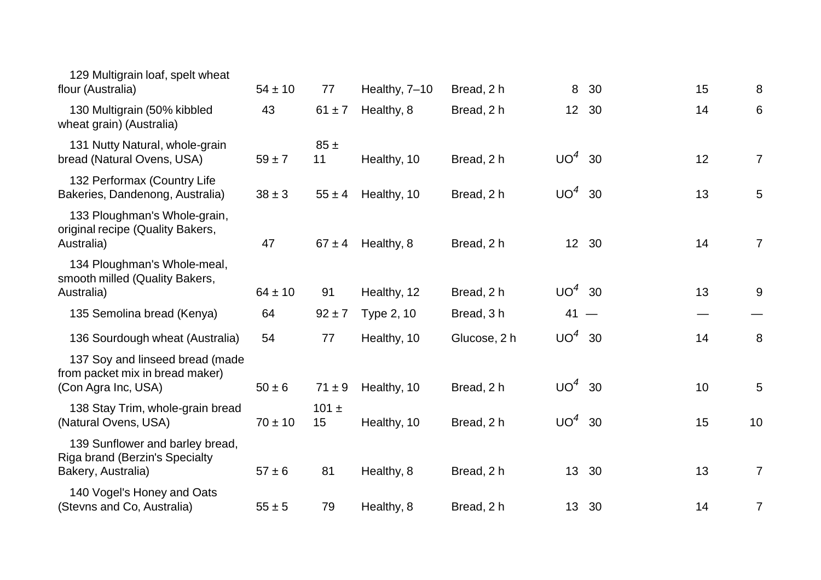| 129 Multigrain loaf, spelt wheat<br>flour (Australia)                                     | $54 \pm 10$ | 77              | Healthy, 7-10 | Bread, 2 h   | 8        | 30    | 15 | 8               |
|-------------------------------------------------------------------------------------------|-------------|-----------------|---------------|--------------|----------|-------|----|-----------------|
| 130 Multigrain (50% kibbled<br>wheat grain) (Australia)                                   | 43          | $61 \pm 7$      | Healthy, 8    | Bread, 2 h   |          | 12 30 | 14 | 6               |
| 131 Nutty Natural, whole-grain<br>bread (Natural Ovens, USA)                              | $59 \pm 7$  | $85 \pm$<br>11  | Healthy, 10   | Bread, 2 h   | $UO4$ 30 |       | 12 | $7\overline{ }$ |
| 132 Performax (Country Life<br>Bakeries, Dandenong, Australia)                            | $38 \pm 3$  | $55 \pm 4$      | Healthy, 10   | Bread, 2 h   | $UO4$ 30 |       | 13 | $5\phantom{.0}$ |
| 133 Ploughman's Whole-grain,<br>original recipe (Quality Bakers,<br>Australia)            | 47          | $67 \pm 4$      | Healthy, 8    | Bread, 2 h   |          | 12 30 | 14 | $\overline{7}$  |
| 134 Ploughman's Whole-meal,<br>smooth milled (Quality Bakers,<br>Australia)               | $64 \pm 10$ | 91              | Healthy, 12   | Bread, 2 h   | $UO4$ 30 |       | 13 | 9               |
| 135 Semolina bread (Kenya)                                                                | 64          | $92 \pm 7$      | Type 2, 10    | Bread, 3 h   | $41 -$   |       |    |                 |
| 136 Sourdough wheat (Australia)                                                           | 54          | 77              | Healthy, 10   | Glucose, 2 h | $UO4$ 30 |       | 14 | 8               |
| 137 Soy and linseed bread (made<br>from packet mix in bread maker)<br>(Con Agra Inc, USA) | $50 \pm 6$  | $71 \pm 9$      | Healthy, 10   | Bread, 2 h   | $UO4$ 30 |       | 10 | 5               |
| 138 Stay Trim, whole-grain bread<br>(Natural Ovens, USA)                                  | $70 \pm 10$ | 101 $\pm$<br>15 | Healthy, 10   | Bread, 2 h   | $UO4$ 30 |       | 15 | 10              |
| 139 Sunflower and barley bread,<br>Riga brand (Berzin's Specialty<br>Bakery, Australia)   | $57 \pm 6$  | 81              | Healthy, 8    | Bread, 2 h   |          | 13 30 | 13 | $\overline{7}$  |
| 140 Vogel's Honey and Oats<br>(Stevns and Co, Australia)                                  | $55 \pm 5$  | 79              | Healthy, 8    | Bread, 2 h   |          | 13 30 | 14 | 7               |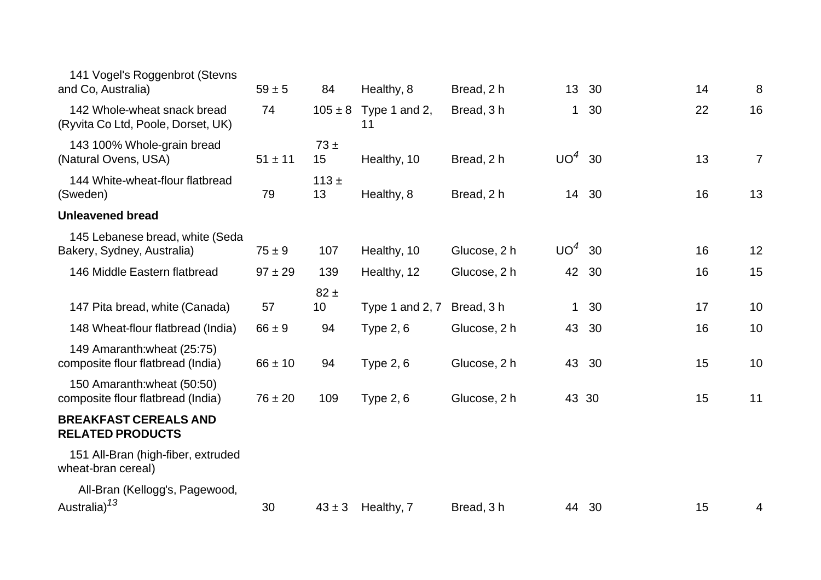| 141 Vogel's Roggenbrot (Stevns<br>and Co, Australia)              | $59 \pm 5$  | 84             | Healthy, 8                      | Bread, 2 h   | 13 <sup>2</sup> | 30    | 14 | 8              |
|-------------------------------------------------------------------|-------------|----------------|---------------------------------|--------------|-----------------|-------|----|----------------|
| 142 Whole-wheat snack bread<br>(Ryvita Co Ltd, Poole, Dorset, UK) | 74          |                | $105 \pm 8$ Type 1 and 2,<br>11 | Bread, 3h    | $\mathbf{1}$    | 30    | 22 | 16             |
| 143 100% Whole-grain bread<br>(Natural Ovens, USA)                | $51 \pm 11$ | $73 \pm$<br>15 | Healthy, 10                     | Bread, 2 h   | $UO4$ 30        |       | 13 | $\overline{7}$ |
| 144 White-wheat-flour flatbread<br>(Sweden)                       | 79          | $113 +$<br>13  | Healthy, 8                      | Bread, 2 h   |                 | 14 30 | 16 | 13             |
| <b>Unleavened bread</b>                                           |             |                |                                 |              |                 |       |    |                |
| 145 Lebanese bread, white (Seda<br>Bakery, Sydney, Australia)     | $75 \pm 9$  | 107            | Healthy, 10                     | Glucose, 2 h | $UO4$ 30        |       | 16 | 12             |
| 146 Middle Eastern flatbread                                      | $97 \pm 29$ | 139            | Healthy, 12                     | Glucose, 2 h |                 | 42 30 | 16 | 15             |
|                                                                   |             | $82 \pm$       |                                 |              |                 |       |    |                |
| 147 Pita bread, white (Canada)                                    | 57          | 10             | Type 1 and 2, $7$               | Bread, 3 h   | 1               | 30    | 17 | 10             |
| 148 Wheat-flour flatbread (India)                                 | $66 \pm 9$  | 94             | <b>Type 2, 6</b>                | Glucose, 2 h | 43              | 30    | 16 | 10             |
| 149 Amaranth: wheat (25:75)<br>composite flour flatbread (India)  | $66 \pm 10$ | 94             | <b>Type 2, 6</b>                | Glucose, 2 h |                 | 43 30 | 15 | 10             |
| 150 Amaranth: wheat (50:50)<br>composite flour flatbread (India)  | $76 \pm 20$ | 109            | Type $2, 6$                     | Glucose, 2 h | 43 30           |       | 15 | 11             |
| <b>BREAKFAST CEREALS AND</b><br><b>RELATED PRODUCTS</b>           |             |                |                                 |              |                 |       |    |                |
| 151 All-Bran (high-fiber, extruded<br>wheat-bran cereal)          |             |                |                                 |              |                 |       |    |                |
| All-Bran (Kellogg's, Pagewood,<br>Australia) <sup>13</sup>        | 30          | $43 \pm 3$     | Healthy, 7                      | Bread, 3h    |                 | 44 30 | 15 | 4              |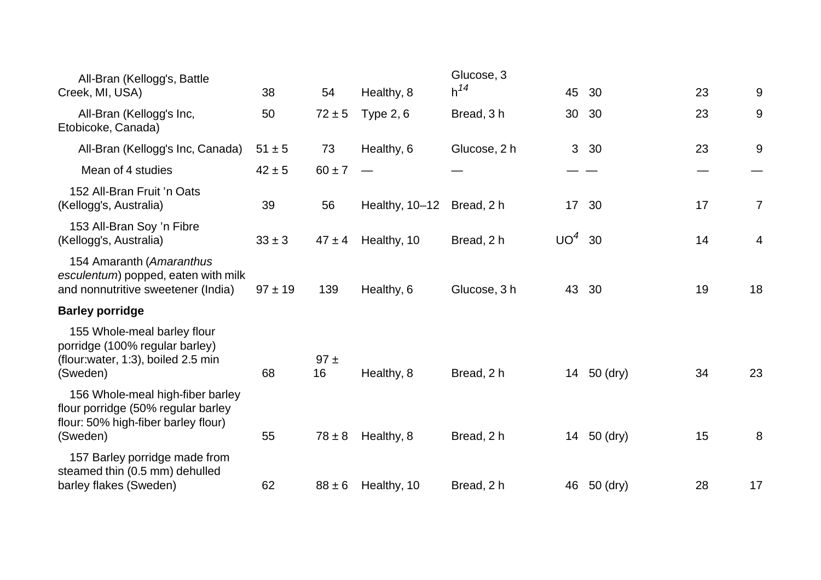| All-Bran (Kellogg's, Battle<br>Creek, MI, USA)                                                                            | 38         | 54         | Healthy, 8       | Glucose, 3<br>$h^{14}$ | 45           | 30       | 23 | 9  |
|---------------------------------------------------------------------------------------------------------------------------|------------|------------|------------------|------------------------|--------------|----------|----|----|
| All-Bran (Kellogg's Inc,<br>Etobicoke, Canada)                                                                            | 50         | $72 \pm 5$ | <b>Type 2, 6</b> | Bread, 3h              | 30           | 30       | 23 | 9  |
| All-Bran (Kellogg's Inc, Canada)                                                                                          | $51 \pm 5$ | 73         | Healthy, 6       | Glucose, 2 h           | $\mathbf{3}$ | 30       | 23 | 9  |
| Mean of 4 studies                                                                                                         | $42 \pm 5$ | $60 \pm 7$ |                  |                        |              |          |    |    |
| 152 All-Bran Fruit 'n Oats<br>(Kellogg's, Australia)                                                                      | 39         | 56         | Healthy, 10-12   | Bread, 2 h             | 17           | 30       | 17 | 7  |
| 153 All-Bran Soy 'n Fibre<br>(Kellogg's, Australia)                                                                       | $33 \pm 3$ | $47 \pm 4$ | Healthy, 10      | Bread, 2 h             | $UO4$ 30     |          | 14 | 4  |
| 154 Amaranth (Amaranthus<br>esculentum) popped, eaten with milk<br>and nonnutritive sweetener (India)                     | $97 + 19$  | 139        | Healthy, 6       | Glucose, 3 h           | 43           | 30       | 19 | 18 |
| <b>Barley porridge</b>                                                                                                    |            |            |                  |                        |              |          |    |    |
| 155 Whole-meal barley flour<br>porridge (100% regular barley)<br>(flour:water, 1:3), boiled 2.5 min<br>(Sweden)           | 68         | 97±<br>16  | Healthy, 8       | Bread, 2 h             | 14           | 50 (dry) | 34 | 23 |
| 156 Whole-meal high-fiber barley<br>flour porridge (50% regular barley<br>flour: 50% high-fiber barley flour)<br>(Sweden) | 55         | $78 \pm 8$ | Healthy, 8       | Bread, 2 h             | 14           | 50 (dry) | 15 | 8  |
| 157 Barley porridge made from<br>steamed thin (0.5 mm) dehulled<br>barley flakes (Sweden)                                 | 62         | $88 \pm 6$ | Healthy, 10      | Bread, 2 h             | 46           | 50 (dry) | 28 | 17 |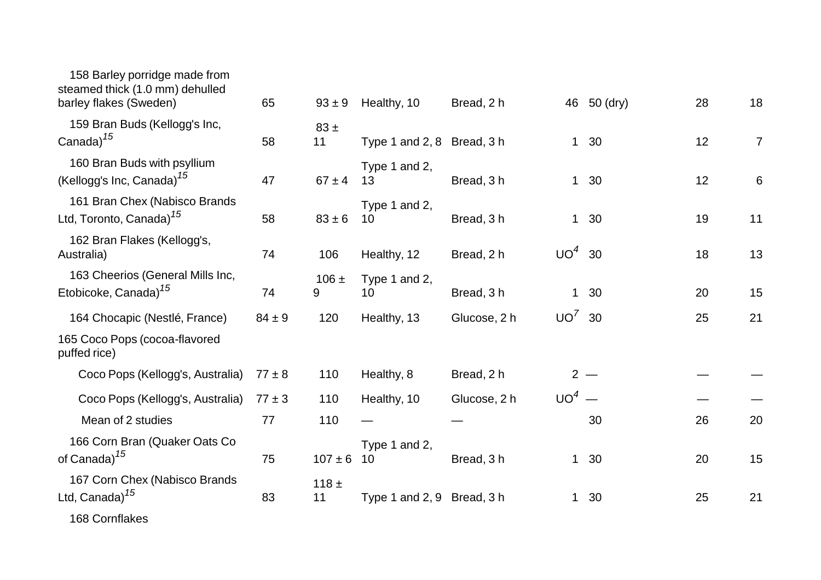| 158 Barley porridge made from<br>steamed thick (1.0 mm) dehulled<br>barley flakes (Sweden) | 65         | $93 \pm 9$      | Healthy, 10                | Bread, 2 h   |              | 46 50 (dry) | 28 | 18             |
|--------------------------------------------------------------------------------------------|------------|-----------------|----------------------------|--------------|--------------|-------------|----|----------------|
| 159 Bran Buds (Kellogg's Inc,<br>Canada) $15$                                              | 58         | $83 \pm$<br>11  | Type 1 and $2, 8$          | Bread, 3h    |              | 1 30        | 12 | $\overline{7}$ |
| 160 Bran Buds with psyllium<br>(Kellogg's Inc, Canada) <sup>15</sup>                       | 47         | $67 \pm 4$      | Type 1 and 2,<br>13        | Bread, 3h    |              | 1 30        | 12 | 6              |
| 161 Bran Chex (Nabisco Brands<br>Ltd, Toronto, Canada) <sup>15</sup>                       | 58         | $83 \pm 6$      | Type 1 and 2,<br>10        | Bread, 3h    |              | 1 30        | 19 | 11             |
| 162 Bran Flakes (Kellogg's,<br>Australia)                                                  | 74         | 106             | Healthy, 12                | Bread, 2 h   | $UO4$ 30     |             | 18 | 13             |
| 163 Cheerios (General Mills Inc,<br>Etobicoke, Canada) <sup>15</sup>                       | 74         | $106 \pm$<br>9  | Type 1 and 2,<br>10        | Bread, 3h    | $\mathbf{1}$ | 30          | 20 | 15             |
| 164 Chocapic (Nestlé, France)                                                              | $84 \pm 9$ | 120             | Healthy, 13                | Glucose, 2 h | $UO'$ 30     |             | 25 | 21             |
| 165 Coco Pops (cocoa-flavored<br>puffed rice)                                              |            |                 |                            |              |              |             |    |                |
| Coco Pops (Kellogg's, Australia)                                                           | $77 \pm 8$ | 110             | Healthy, 8                 | Bread, 2 h   |              | $2 -$       |    |                |
| Coco Pops (Kellogg's, Australia)                                                           | $77 \pm 3$ | 110             | Healthy, 10                | Glucose, 2 h | $UO4$ —      |             |    |                |
| Mean of 2 studies                                                                          | 77         | 110             |                            |              |              | 30          | 26 | 20             |
| 166 Corn Bran (Quaker Oats Co<br>of Canada) <sup>15</sup>                                  | 75         | $107 \pm 6$     | Type 1 and 2,<br>10        | Bread, 3h    |              | 1 30        | 20 | 15             |
| 167 Corn Chex (Nabisco Brands<br>Ltd, Canada) <sup>15</sup>                                | 83         | 118 $\pm$<br>11 | Type 1 and 2, 9 Bread, 3 h |              | $\mathbf{1}$ | 30          | 25 | 21             |
|                                                                                            |            |                 |                            |              |              |             |    |                |

168 Cornflakes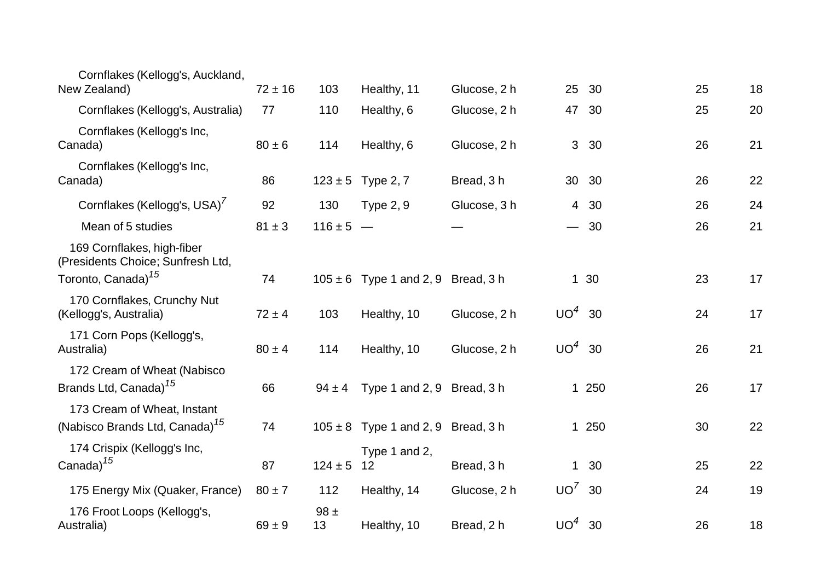| Cornflakes (Kellogg's, Auckland,<br>New Zealand)                          | $72 \pm 16$ | 103            | Healthy, 11                            | Glucose, 2 h | 25 <sub>2</sub> | 30    | 25 | 18       |
|---------------------------------------------------------------------------|-------------|----------------|----------------------------------------|--------------|-----------------|-------|----|----------|
| Cornflakes (Kellogg's, Australia)                                         | 77          | 110            | Healthy, 6                             | Glucose, 2 h | 47              | 30    |    | 20<br>25 |
| Cornflakes (Kellogg's Inc,<br>Canada)                                     | $80 \pm 6$  | 114            | Healthy, 6                             | Glucose, 2 h | 3 <sup>1</sup>  | 30    |    | 26<br>21 |
| Cornflakes (Kellogg's Inc,<br>Canada)                                     | 86          |                | $123 \pm 5$ Type 2, 7                  | Bread, 3 h   |                 | 30 30 |    | 22<br>26 |
| Cornflakes (Kellogg's, USA)                                               | 92          | 130            | <b>Type 2, 9</b>                       | Glucose, 3 h |                 | 4 30  |    | 26<br>24 |
| Mean of 5 studies                                                         | $81 \pm 3$  | $116 \pm 5 -$  |                                        |              |                 | $-30$ |    | 21<br>26 |
| 169 Cornflakes, high-fiber<br>(Presidents Choice; Sunfresh Ltd,           |             |                |                                        |              |                 |       |    |          |
| Toronto, Canada) <sup>15</sup>                                            | 74          |                | $105 \pm 6$ Type 1 and 2, 9 Bread, 3 h |              |                 | 1 30  | 23 | 17       |
| 170 Cornflakes, Crunchy Nut<br>(Kellogg's, Australia)                     | $72 \pm 4$  | 103            | Healthy, 10                            | Glucose, 2 h | UO <sup>4</sup> | 30    |    | 17<br>24 |
| 171 Corn Pops (Kellogg's,<br>Australia)                                   | $80 \pm 4$  | 114            | Healthy, 10                            | Glucose, 2 h | $UO4$ 30        |       |    | 21<br>26 |
| 172 Cream of Wheat (Nabisco<br>Brands Ltd, Canada) <sup>15</sup>          | 66          | $94 \pm 4$     | Type 1 and 2, 9 Bread, 3 h             |              |                 | 1 250 |    | 26<br>17 |
| 173 Cream of Wheat, Instant<br>(Nabisco Brands Ltd, Canada) <sup>15</sup> | 74          |                | $105 \pm 8$ Type 1 and 2, 9 Bread, 3 h |              |                 | 1 250 |    | 22<br>30 |
| 174 Crispix (Kellogg's Inc,<br>Canada) <sup>15</sup>                      | 87          | $124 \pm 5$    | Type 1 and 2,<br>12                    | Bread, 3 h   |                 | 1 30  |    | 22<br>25 |
| 175 Energy Mix (Quaker, France)                                           | $80 \pm 7$  | 112            | Healthy, 14                            | Glucose, 2 h | $UO^7$ 30       |       |    | 19<br>24 |
| 176 Froot Loops (Kellogg's,<br>Australia)                                 | $69 \pm 9$  | $98 \pm$<br>13 | Healthy, 10                            | Bread, 2 h   | $UO4$ 30        |       |    | 26<br>18 |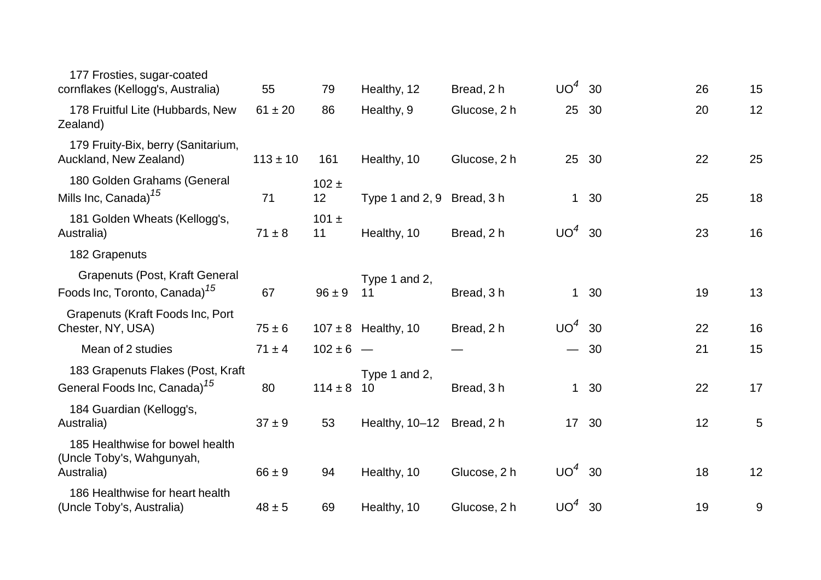| 177 Frosties, sugar-coated<br>cornflakes (Kellogg's, Australia)                    | 55           | 79              | Healthy, 12                | Bread, 2 h   | $UO4$ 30 |       | 26 | 15 |
|------------------------------------------------------------------------------------|--------------|-----------------|----------------------------|--------------|----------|-------|----|----|
| 178 Fruitful Lite (Hubbards, New<br>Zealand)                                       | $61 \pm 20$  | 86              | Healthy, 9                 | Glucose, 2 h | 25       | 30    | 20 | 12 |
| 179 Fruity-Bix, berry (Sanitarium,<br>Auckland, New Zealand)                       | $113 \pm 10$ | 161             | Healthy, 10                | Glucose, 2 h | 25 30    |       | 22 | 25 |
| 180 Golden Grahams (General<br>Mills Inc, Canada) <sup>15</sup>                    | 71           | $102 \pm$<br>12 | Type 1 and 2, 9 Bread, 3 h |              |          | 1 30  | 25 | 18 |
| 181 Golden Wheats (Kellogg's,<br>Australia)                                        | $71 \pm 8$   | 101 $\pm$<br>11 | Healthy, 10                | Bread, 2 h   | $UO4$ 30 |       | 23 | 16 |
| 182 Grapenuts                                                                      |              |                 |                            |              |          |       |    |    |
| <b>Grapenuts (Post, Kraft General</b><br>Foods Inc, Toronto, Canada) <sup>15</sup> | 67           | $96 \pm 9$      | Type 1 and 2,<br>11        | Bread, 3h    |          | 1 30  | 19 | 13 |
| Grapenuts (Kraft Foods Inc, Port<br>Chester, NY, USA)                              | $75 \pm 6$   |                 | $107 \pm 8$ Healthy, 10    | Bread, 2 h   | $UO4$ 30 |       | 22 | 16 |
| Mean of 2 studies                                                                  | $71 \pm 4$   | $102 \pm 6$ –   |                            |              |          | $-30$ | 21 | 15 |
| 183 Grapenuts Flakes (Post, Kraft<br>General Foods Inc, Canada) <sup>15</sup>      | 80           | $114 \pm 8$     | Type 1 and 2,<br>10        | Bread, 3h    |          | 1 30  | 22 | 17 |
| 184 Guardian (Kellogg's,<br>Australia)                                             | $37 + 9$     | 53              | Healthy, 10-12             | Bread, 2 h   |          | 17 30 | 12 | 5  |
| 185 Healthwise for bowel health<br>(Uncle Toby's, Wahgunyah,<br>Australia)         | $66 \pm 9$   | 94              | Healthy, 10                | Glucose, 2 h | $UO4$ 30 |       | 18 | 12 |
| 186 Healthwise for heart health<br>(Uncle Toby's, Australia)                       | $48 \pm 5$   | 69              | Healthy, 10                | Glucose, 2 h | $UO4$ 30 |       | 19 | 9  |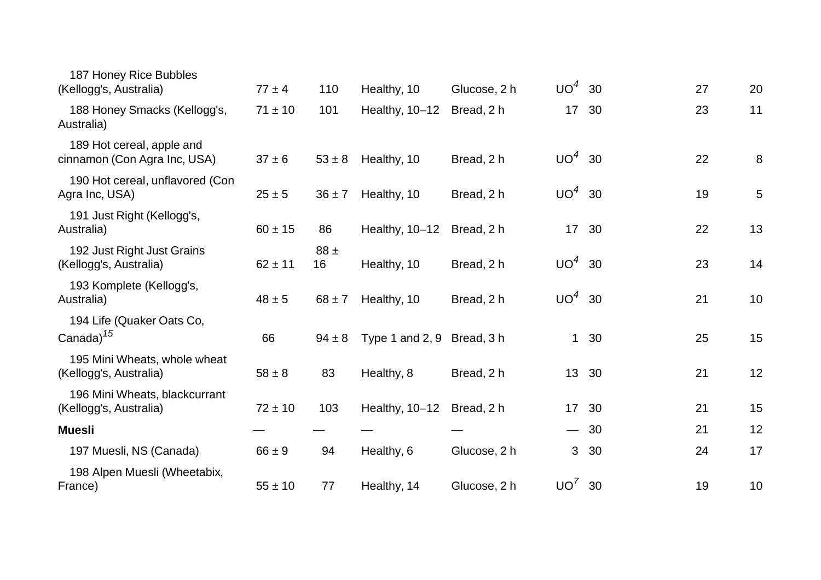| 187 Honey Rice Bubbles<br>(Kellogg's, Australia)          | $77 \pm 4$  | 110            | Healthy, 10                | Glucose, 2 h | $UO4$ 30        |       | 27 | 20 |
|-----------------------------------------------------------|-------------|----------------|----------------------------|--------------|-----------------|-------|----|----|
| 188 Honey Smacks (Kellogg's,<br>Australia)                | $71 \pm 10$ | 101            | Healthy, 10-12             | Bread, 2 h   | 17 <sup>2</sup> | 30    | 23 | 11 |
| 189 Hot cereal, apple and<br>cinnamon (Con Agra Inc, USA) | $37 \pm 6$  | $53 \pm 8$     | Healthy, 10                | Bread, 2 h   | $UO4$ 30        |       | 22 | 8  |
| 190 Hot cereal, unflavored (Con<br>Agra Inc, USA)         | $25 \pm 5$  | $36 \pm 7$     | Healthy, 10                | Bread, 2 h   | $UO4$ 30        |       | 19 | 5  |
| 191 Just Right (Kellogg's,<br>Australia)                  | $60 \pm 15$ | 86             | Healthy, 10-12             | Bread, 2 h   | 17 <sup>2</sup> | 30    | 22 | 13 |
| 192 Just Right Just Grains<br>(Kellogg's, Australia)      | $62 \pm 11$ | $88 \pm$<br>16 | Healthy, 10                | Bread, 2 h   | $UO4$ 30        |       | 23 | 14 |
| 193 Komplete (Kellogg's,<br>Australia)                    | $48 \pm 5$  | $68 \pm 7$     | Healthy, 10                | Bread, 2 h   | $UO4$ 30        |       | 21 | 10 |
| 194 Life (Quaker Oats Co,<br>Canada) <sup>15</sup>        | 66          | $94 \pm 8$     | Type 1 and 2, 9 Bread, 3 h |              |                 | 1 30  | 25 | 15 |
| 195 Mini Wheats, whole wheat<br>(Kellogg's, Australia)    | $58 \pm 8$  | 83             | Healthy, 8                 | Bread, 2 h   | 13 30           |       | 21 | 12 |
| 196 Mini Wheats, blackcurrant<br>(Kellogg's, Australia)   | $72 \pm 10$ | 103            | Healthy, 10-12             | Bread, 2 h   | 17 30           |       | 21 | 15 |
| <b>Muesli</b>                                             |             |                |                            |              |                 | $-30$ | 21 | 12 |
| 197 Muesli, NS (Canada)                                   | $66 \pm 9$  | 94             | Healthy, 6                 | Glucose, 2 h | 3 <sup>1</sup>  | 30    | 24 | 17 |
| 198 Alpen Muesli (Wheetabix,<br>France)                   | $55 \pm 10$ | 77             | Healthy, 14                | Glucose, 2 h | $UO'$ 30        |       | 19 | 10 |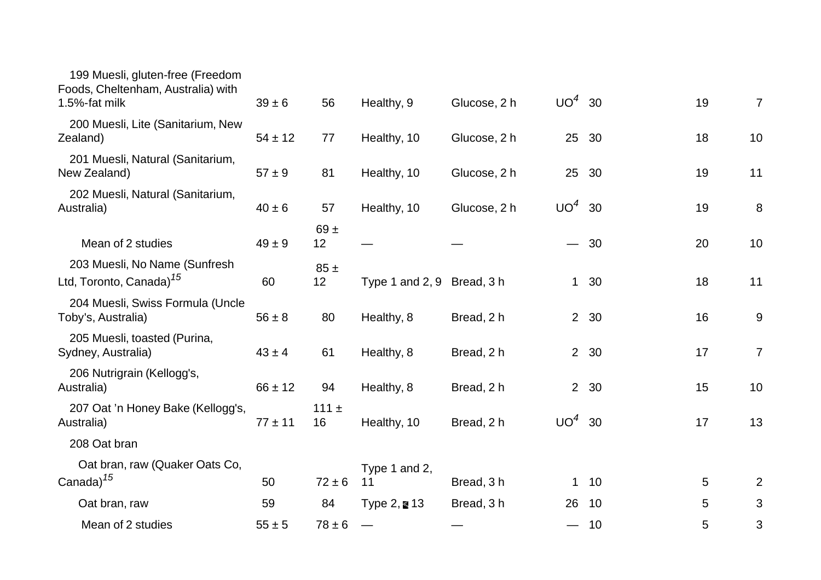| 199 Muesli, gluten-free (Freedom<br>Foods, Cheltenham, Australia) with<br>1.5%-fat milk | $39 \pm 6$  | 56              | Healthy, 9                 | Glucose, 2 h | $UO4$ 30        |       | 19 | $\overline{7}$ |
|-----------------------------------------------------------------------------------------|-------------|-----------------|----------------------------|--------------|-----------------|-------|----|----------------|
| 200 Muesli, Lite (Sanitarium, New<br>Zealand)                                           | $54 \pm 12$ | 77              | Healthy, 10                | Glucose, 2 h | 25              | 30    | 18 | 10             |
| 201 Muesli, Natural (Sanitarium,<br>New Zealand)                                        | $57 + 9$    | 81              | Healthy, 10                | Glucose, 2 h | 25              | 30    | 19 | 11             |
| 202 Muesli, Natural (Sanitarium,<br>Australia)                                          | $40 \pm 6$  | 57              | Healthy, 10                | Glucose, 2 h | UO <sup>4</sup> | 30    | 19 | 8              |
| Mean of 2 studies                                                                       | $49 \pm 9$  | $69 +$<br>12    |                            |              |                 | $-30$ | 20 | 10             |
| 203 Muesli, No Name (Sunfresh<br>Ltd, Toronto, Canada) <sup>15</sup>                    | 60          | $85 \pm$<br>12  | Type 1 and 2, 9 Bread, 3 h |              | $\mathbf{1}$    | 30    | 18 | 11             |
| 204 Muesli, Swiss Formula (Uncle<br>Toby's, Australia)                                  | $56 \pm 8$  | 80              | Healthy, 8                 | Bread, 2 h   |                 | 2 30  | 16 | 9              |
| 205 Muesli, toasted (Purina,<br>Sydney, Australia)                                      | $43 \pm 4$  | 61              | Healthy, 8                 | Bread, 2 h   |                 | 2 30  | 17 | $\overline{7}$ |
| 206 Nutrigrain (Kellogg's,<br>Australia)                                                | $66 \pm 12$ | 94              | Healthy, 8                 | Bread, 2 h   |                 | 2 30  | 15 | 10             |
| 207 Oat 'n Honey Bake (Kellogg's,<br>Australia)                                         | $77 \pm 11$ | 111 $\pm$<br>16 | Healthy, 10                | Bread, 2 h   | $UO4$ 30        |       | 17 | 13             |
| 208 Oat bran                                                                            |             |                 |                            |              |                 |       |    |                |
| Oat bran, raw (Quaker Oats Co,<br>Canada) <sup>15</sup>                                 | 50          | $72 \pm 6$      | Type 1 and 2,<br>11        | Bread, 3h    | $\mathbf 1$     | 10    | 5  | $\overline{2}$ |
| Oat bran, raw                                                                           | 59          | 84              | Type $2,$ ■ 13             | Bread, 3 h   | 26              | 10    | 5  | 3              |
| Mean of 2 studies                                                                       | $55 \pm 5$  | $78 \pm 6$      |                            |              |                 | 10    | 5  | 3              |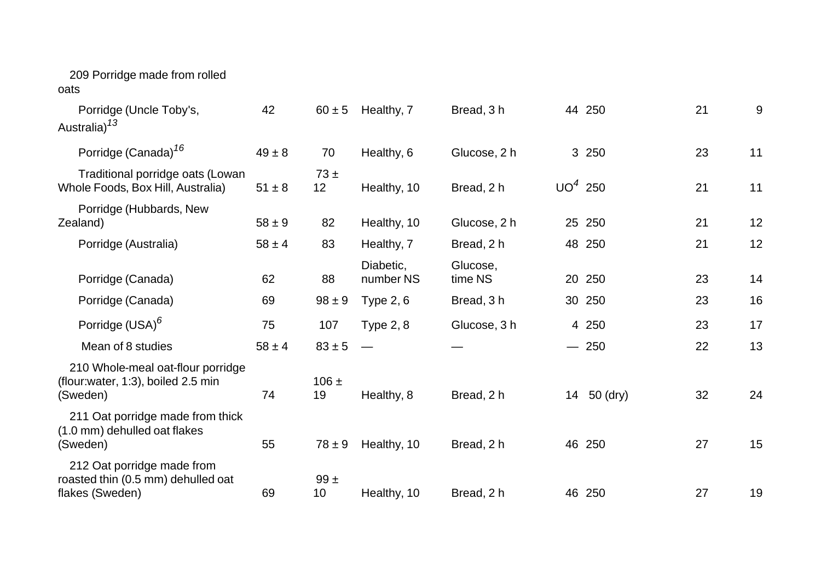## 209 Porridge made from rolled

oats

| Porridge (Uncle Toby's,<br>Australia) <sup>13</sup>                                 | 42         | $60 \pm 5$      | Healthy, 7             | Bread, 3 h          |           | 44 250   | 21 | 9  |
|-------------------------------------------------------------------------------------|------------|-----------------|------------------------|---------------------|-----------|----------|----|----|
| Porridge (Canada) <sup>16</sup>                                                     | $49 \pm 8$ | 70              | Healthy, 6             | Glucose, 2 h        |           | 3 250    | 23 | 11 |
| Traditional porridge oats (Lowan<br>Whole Foods, Box Hill, Australia)               | $51 \pm 8$ | $73 \pm$<br>12  | Healthy, 10            | Bread, 2 h          | $UO4$ 250 |          | 21 | 11 |
| Porridge (Hubbards, New<br>Zealand)                                                 | $58 \pm 9$ | 82              | Healthy, 10            | Glucose, 2 h        |           | 25 250   | 21 | 12 |
| Porridge (Australia)                                                                | $58 \pm 4$ | 83              | Healthy, 7             | Bread, 2 h          |           | 48 250   | 21 | 12 |
| Porridge (Canada)                                                                   | 62         | 88              | Diabetic,<br>number NS | Glucose,<br>time NS |           | 20 250   | 23 | 14 |
| Porridge (Canada)                                                                   | 69         | $98 \pm 9$      | <b>Type 2, 6</b>       | Bread, 3 h          |           | 30 250   | 23 | 16 |
| Porridge (USA) <sup>6</sup>                                                         | 75         | 107             | <b>Type 2, 8</b>       | Glucose, 3 h        |           | 4 250    | 23 | 17 |
| Mean of 8 studies                                                                   | $58 \pm 4$ | $83 \pm 5$      |                        |                     |           | $-250$   | 22 | 13 |
| 210 Whole-meal oat-flour porridge<br>(flour:water, 1:3), boiled 2.5 min<br>(Sweden) | 74         | $106 \pm$<br>19 | Healthy, 8             | Bread, 2 h          | 14        | 50 (dry) | 32 | 24 |
| 211 Oat porridge made from thick<br>(1.0 mm) dehulled oat flakes<br>(Sweden)        | 55         | $78 \pm 9$      | Healthy, 10            | Bread, 2 h          |           | 46 250   | 27 | 15 |
| 212 Oat porridge made from<br>roasted thin (0.5 mm) dehulled oat<br>flakes (Sweden) | 69         | $99 +$<br>10    | Healthy, 10            | Bread, 2 h          |           | 46 250   | 27 | 19 |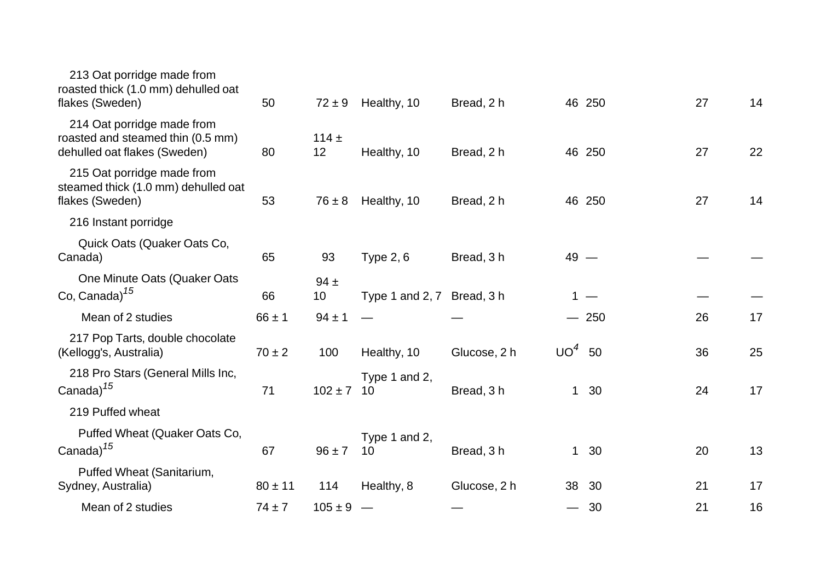| 213 Oat porridge made from<br>roasted thick (1.0 mm) dehulled oat<br>flakes (Sweden)            | 50          | $72 \pm 9$     | Healthy, 10                      | Bread, 2 h   |                 | 46 250 | 27 | 14 |
|-------------------------------------------------------------------------------------------------|-------------|----------------|----------------------------------|--------------|-----------------|--------|----|----|
| 214 Oat porridge made from<br>roasted and steamed thin (0.5 mm)<br>dehulled oat flakes (Sweden) | 80          | $114 +$<br>12  | Healthy, 10                      | Bread, 2 h   |                 | 46 250 | 27 | 22 |
| 215 Oat porridge made from<br>steamed thick (1.0 mm) dehulled oat<br>flakes (Sweden)            | 53          | $76 \pm 8$     | Healthy, 10                      | Bread, 2 h   |                 | 46 250 | 27 | 14 |
| 216 Instant porridge                                                                            |             |                |                                  |              |                 |        |    |    |
| Quick Oats (Quaker Oats Co,<br>Canada)                                                          | 65          | 93             | <b>Type 2, 6</b>                 | Bread, 3 h   | $49 -$          |        |    |    |
| One Minute Oats (Quaker Oats<br>Co, Canada) <sup>15</sup>                                       | 66          | $94 \pm$<br>10 | Type 1 and 2, 7 Bread, 3 h       |              |                 | $1 -$  |    |    |
| Mean of 2 studies                                                                               | $66 \pm 1$  | $94 \pm 1$     |                                  |              |                 | $-250$ | 26 | 17 |
| 217 Pop Tarts, double chocolate<br>(Kellogg's, Australia)                                       | $70 \pm 2$  | 100            | Healthy, 10                      | Glucose, 2 h | UO <sup>4</sup> | 50     | 36 | 25 |
| 218 Pro Stars (General Mills Inc,<br>Canada) <sup>15</sup>                                      | 71          | $102 \pm 7$ 10 | Type 1 and 2,                    | Bread, 3h    | $\mathbf{1}$    | 30     | 24 | 17 |
| 219 Puffed wheat                                                                                |             |                |                                  |              |                 |        |    |    |
| Puffed Wheat (Quaker Oats Co,<br>Canada) <sup>15</sup>                                          | 67          | $96 \pm 7$     | Type 1 and 2,<br>10 <sup>1</sup> | Bread, 3h    |                 | 1 30   | 20 | 13 |
| Puffed Wheat (Sanitarium,<br>Sydney, Australia)                                                 | $80 \pm 11$ | 114            | Healthy, 8                       | Glucose, 2 h | 38              | -30    | 21 | 17 |
| Mean of 2 studies                                                                               | $74 \pm 7$  | $105 \pm 9$ –  |                                  |              |                 | $-30$  | 21 | 16 |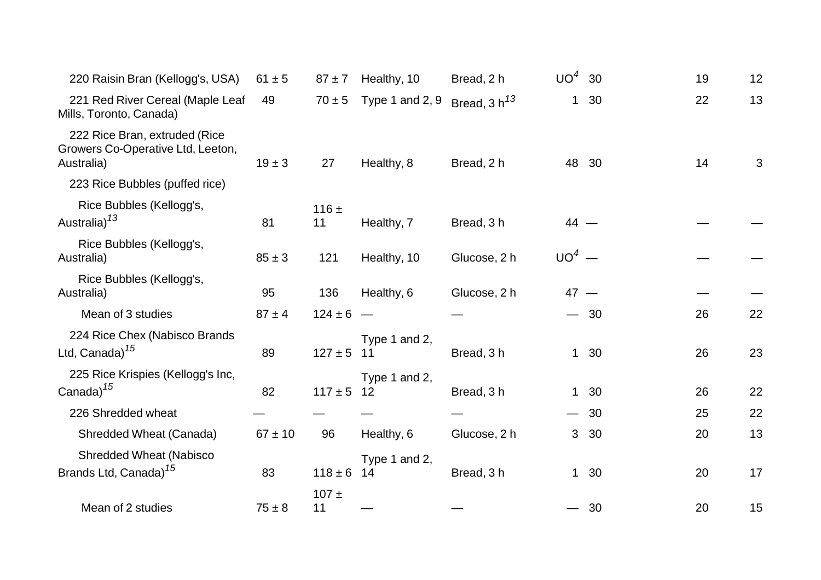| 220 Raisin Bran (Kellogg's, USA)                                                 | $61 \pm 5$  | $87 + 7$        | Healthy, 10         | Bread, 2 h        | $UO^4$       | 30    | 19 | 12 |
|----------------------------------------------------------------------------------|-------------|-----------------|---------------------|-------------------|--------------|-------|----|----|
| 221 Red River Cereal (Maple Leaf<br>Mills, Toronto, Canada)                      | 49          | $70 \pm 5$      | Type 1 and 2, 9     | Bread, $3 h^{13}$ | $\mathbf{1}$ | 30    | 22 | 13 |
| 222 Rice Bran, extruded (Rice<br>Growers Co-Operative Ltd, Leeton,<br>Australia) | $19 \pm 3$  | 27              | Healthy, 8          | Bread, 2 h        |              | 48 30 | 14 | 3  |
| 223 Rice Bubbles (puffed rice)                                                   |             |                 |                     |                   |              |       |    |    |
| Rice Bubbles (Kellogg's,<br>Australia) <sup>13</sup>                             | 81          | 116 $\pm$<br>11 | Healthy, 7          | Bread, 3 h        | $44 -$       |       |    |    |
| Rice Bubbles (Kellogg's,<br>Australia)                                           | $85 \pm 3$  | 121             | Healthy, 10         | Glucose, 2 h      | $UO4$ —      |       |    |    |
| Rice Bubbles (Kellogg's,<br>Australia)                                           | 95          | 136             | Healthy, 6          | Glucose, 2 h      | $47 -$       |       |    |    |
| Mean of 3 studies                                                                | $87 \pm 4$  | $124 \pm 6 -$   |                     |                   |              | $-30$ | 26 | 22 |
| 224 Rice Chex (Nabisco Brands<br>Ltd, Canada) <sup>15</sup>                      | 89          | $127 \pm 5$ 11  | Type 1 and 2,       | Bread, 3h         |              | 1 30  | 26 | 23 |
| 225 Rice Krispies (Kellogg's Inc,<br>Canada) $15$                                | 82          | $117 \pm 5$ 12  | Type 1 and 2,       | Bread, 3h         |              | 1 30  | 26 | 22 |
| 226 Shredded wheat                                                               |             |                 |                     |                   |              | $-30$ | 25 | 22 |
| <b>Shredded Wheat (Canada)</b>                                                   | $67 \pm 10$ | 96              | Healthy, 6          | Glucose, 2 h      | 3            | 30    | 20 | 13 |
| <b>Shredded Wheat (Nabisco</b><br>Brands Ltd, Canada) <sup>15</sup>              | 83          | $118 \pm 6$     | Type 1 and 2,<br>14 | Bread, 3h         |              | 1 30  | 20 | 17 |
| Mean of 2 studies                                                                | $75 \pm 8$  | $107 +$<br>11   |                     |                   |              | - 30  | 20 | 15 |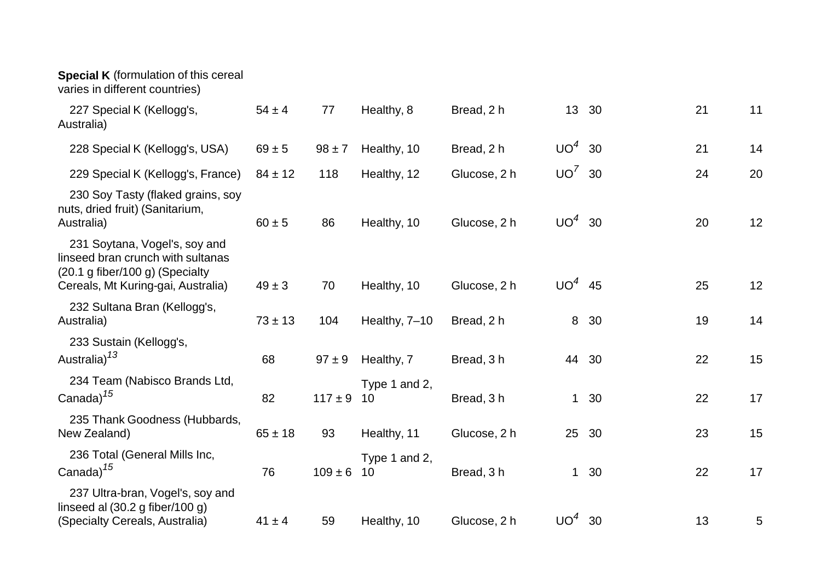## **Special K** (formulation of this cereal

varies in different countries)

| 227 Special K (Kellogg's,<br>Australia)                                                                                                     | $54 \pm 4$  | 77          | Healthy, 8          | Bread, 2 h   |              | 13 30 | 21 | 11 |
|---------------------------------------------------------------------------------------------------------------------------------------------|-------------|-------------|---------------------|--------------|--------------|-------|----|----|
| 228 Special K (Kellogg's, USA)                                                                                                              | $69 \pm 5$  | $98 \pm 7$  | Healthy, 10         | Bread, 2 h   | $UO4$ 30     |       | 21 | 14 |
| 229 Special K (Kellogg's, France)                                                                                                           | $84 \pm 12$ | 118         | Healthy, 12         | Glucose, 2 h | $UO^7$ 30    |       | 24 | 20 |
| 230 Soy Tasty (flaked grains, soy<br>nuts, dried fruit) (Sanitarium,<br>Australia)                                                          | $60 \pm 5$  | 86          | Healthy, 10         | Glucose, 2 h | $UO4$ 30     |       | 20 | 12 |
| 231 Soytana, Vogel's, soy and<br>linseed bran crunch with sultanas<br>(20.1 g fiber/100 g) (Specialty<br>Cereals, Mt Kuring-gai, Australia) | $49 \pm 3$  | 70          | Healthy, 10         | Glucose, 2 h | $UO4$ 45     |       | 25 | 12 |
| 232 Sultana Bran (Kellogg's,<br>Australia)                                                                                                  | $73 \pm 13$ | 104         | Healthy, 7-10       | Bread, 2 h   | 8            | 30    | 19 | 14 |
| 233 Sustain (Kellogg's,<br>Australia) <sup>13</sup>                                                                                         | 68          | $97 \pm 9$  | Healthy, 7          | Bread, 3 h   |              | 44 30 | 22 | 15 |
| 234 Team (Nabisco Brands Ltd,<br>Canada) <sup>15</sup>                                                                                      | 82          | $117 \pm 9$ | Type 1 and 2,<br>10 | Bread, 3h    | $\mathbf{1}$ | 30    | 22 | 17 |
| 235 Thank Goodness (Hubbards,<br>New Zealand)                                                                                               | $65 \pm 18$ | 93          | Healthy, 11         | Glucose, 2 h | 25           | 30    | 23 | 15 |
| 236 Total (General Mills Inc,<br>Canada) <sup>15</sup>                                                                                      | 76          | $109 \pm 6$ | Type 1 and 2,<br>10 | Bread, 3h    |              | 1 30  | 22 | 17 |
| 237 Ultra-bran, Vogel's, soy and<br>linseed al $(30.2 g$ fiber/100 g)<br>(Specialty Cereals, Australia)                                     | $41 \pm 4$  | 59          | Healthy, 10         | Glucose, 2 h | $UO4$ 30     |       | 13 | 5  |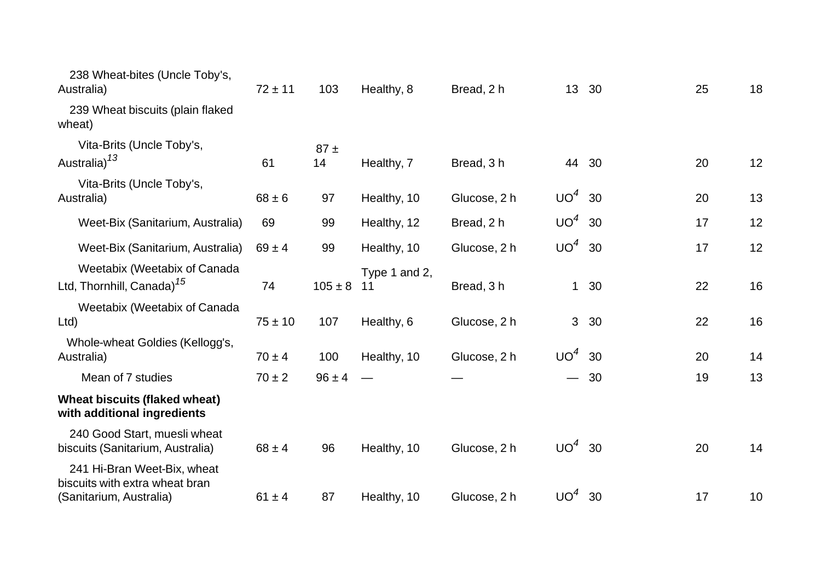| 238 Wheat-bites (Uncle Toby's,<br>Australia)                                             | $72 \pm 11$ | 103            | Healthy, 8          | Bread, 2 h   |                          | 13 30 | 25 | 18 |
|------------------------------------------------------------------------------------------|-------------|----------------|---------------------|--------------|--------------------------|-------|----|----|
| 239 Wheat biscuits (plain flaked<br>wheat)                                               |             |                |                     |              |                          |       |    |    |
| Vita-Brits (Uncle Toby's,<br>Australia) <sup>13</sup>                                    | 61          | $87 \pm$<br>14 | Healthy, 7          | Bread, 3 h   |                          | 44 30 | 20 | 12 |
| Vita-Brits (Uncle Toby's,<br>Australia)                                                  | $68 \pm 6$  | 97             | Healthy, 10         | Glucose, 2 h | $UO4$ 30                 |       | 20 | 13 |
| Weet-Bix (Sanitarium, Australia)                                                         | 69          | 99             | Healthy, 12         | Bread, 2 h   | $UO4$ 30                 |       | 17 | 12 |
| Weet-Bix (Sanitarium, Australia)                                                         | $69 \pm 4$  | 99             | Healthy, 10         | Glucose, 2 h | $UO4$ 30                 |       | 17 | 12 |
| Weetabix (Weetabix of Canada<br>Ltd, Thornhill, Canada) <sup>15</sup>                    | 74          | $105 \pm 8$    | Type 1 and 2,<br>11 | Bread, 3h    |                          | 1 30  | 22 | 16 |
| Weetabix (Weetabix of Canada<br>Ltd                                                      | $75 \pm 10$ | 107            | Healthy, 6          | Glucose, 2 h |                          | 3 30  | 22 | 16 |
| Whole-wheat Goldies (Kellogg's,<br>Australia)                                            | $70 \pm 4$  | 100            | Healthy, 10         | Glucose, 2 h | UO <sup>4</sup>          | 30    | 20 | 14 |
| Mean of 7 studies                                                                        | $70 \pm 2$  | $96 \pm 4$     |                     |              | $\overline{\phantom{0}}$ | - 30  | 19 | 13 |
| <b>Wheat biscuits (flaked wheat)</b><br>with additional ingredients                      |             |                |                     |              |                          |       |    |    |
| 240 Good Start, muesli wheat<br>biscuits (Sanitarium, Australia)                         | $68 \pm 4$  | 96             | Healthy, 10         | Glucose, 2 h | UO <sup>4</sup>          | 30    | 20 | 14 |
| 241 Hi-Bran Weet-Bix, wheat<br>biscuits with extra wheat bran<br>(Sanitarium, Australia) | $61 \pm 4$  | 87             | Healthy, 10         | Glucose, 2 h | UO <sup>4</sup>          | 30    | 17 | 10 |
|                                                                                          |             |                |                     |              |                          |       |    |    |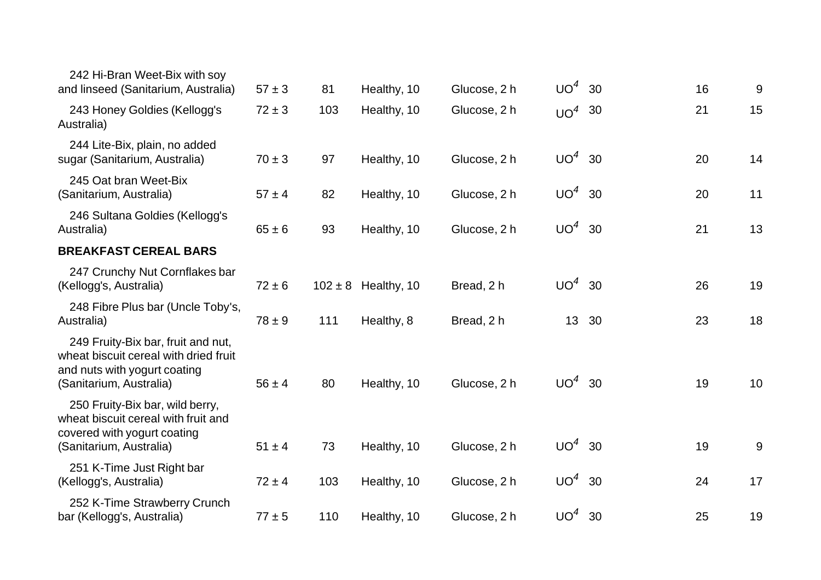| 242 Hi-Bran Weet-Bix with soy<br>and linseed (Sanitarium, Australia)                                                                   | $57 \pm 3$ | 81  | Healthy, 10             | Glucose, 2 h | $UO4$ 30        |    | 16 | 9  |
|----------------------------------------------------------------------------------------------------------------------------------------|------------|-----|-------------------------|--------------|-----------------|----|----|----|
| 243 Honey Goldies (Kellogg's<br>Australia)                                                                                             | $72 \pm 3$ | 103 | Healthy, 10             | Glucose, 2 h | $UO4$ 30        |    | 21 | 15 |
| 244 Lite-Bix, plain, no added<br>sugar (Sanitarium, Australia)                                                                         | $70 \pm 3$ | 97  | Healthy, 10             | Glucose, 2 h | UO <sup>4</sup> | 30 | 20 | 14 |
| 245 Oat bran Weet-Bix<br>(Sanitarium, Australia)                                                                                       | $57 \pm 4$ | 82  | Healthy, 10             | Glucose, 2 h | $UO4$ 30        |    | 20 | 11 |
| 246 Sultana Goldies (Kellogg's<br>Australia)                                                                                           | $65 \pm 6$ | 93  | Healthy, 10             | Glucose, 2 h | $UO4$ 30        |    | 21 | 13 |
| <b>BREAKFAST CEREAL BARS</b>                                                                                                           |            |     |                         |              |                 |    |    |    |
| 247 Crunchy Nut Cornflakes bar<br>(Kellogg's, Australia)                                                                               | $72 \pm 6$ |     | $102 \pm 8$ Healthy, 10 | Bread, 2 h   | $UO4$ 30        |    | 26 | 19 |
| 248 Fibre Plus bar (Uncle Toby's,<br>Australia)                                                                                        | $78 \pm 9$ | 111 | Healthy, 8              | Bread, 2 h   | 13 30           |    | 23 | 18 |
| 249 Fruity-Bix bar, fruit and nut,<br>wheat biscuit cereal with dried fruit<br>and nuts with yogurt coating<br>(Sanitarium, Australia) | $56 \pm 4$ | 80  | Healthy, 10             | Glucose, 2 h | $UO4$ 30        |    | 19 | 10 |
| 250 Fruity-Bix bar, wild berry,<br>wheat biscuit cereal with fruit and<br>covered with yogurt coating<br>(Sanitarium, Australia)       | $51 \pm 4$ | 73  | Healthy, 10             | Glucose, 2 h | $UO4$ 30        |    | 19 | 9  |
| 251 K-Time Just Right bar<br>(Kellogg's, Australia)                                                                                    | $72 \pm 4$ | 103 | Healthy, 10             | Glucose, 2 h | $UO4$ 30        |    | 24 | 17 |
| 252 K-Time Strawberry Crunch<br>bar (Kellogg's, Australia)                                                                             | $77 \pm 5$ | 110 | Healthy, 10             | Glucose, 2 h | $UO4$ 30        |    | 25 | 19 |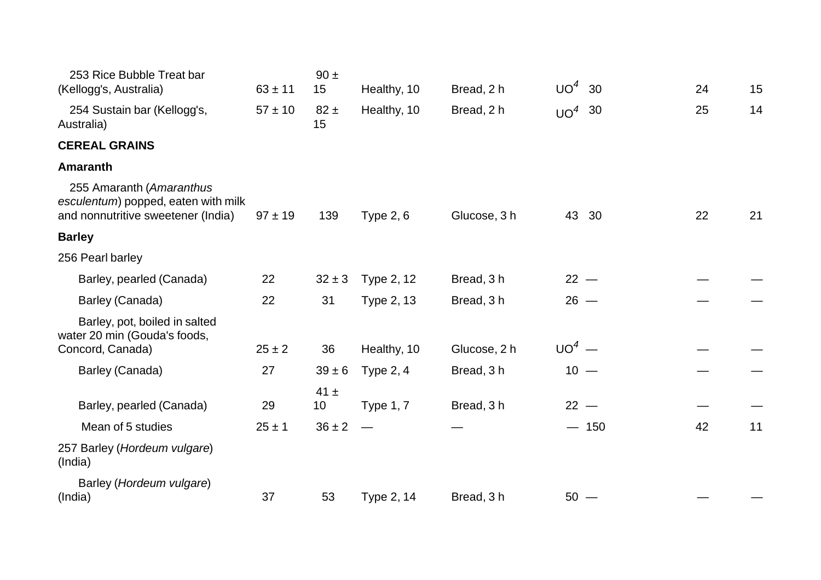| 253 Rice Bubble Treat bar<br>(Kellogg's, Australia)                                                   | $63 \pm 11$      | $90 \pm$<br>15               | Healthy, 10      | Bread, 2 h   | $UO^4$   | 30     | 24 | 15 |
|-------------------------------------------------------------------------------------------------------|------------------|------------------------------|------------------|--------------|----------|--------|----|----|
| 254 Sustain bar (Kellogg's,<br>Australia)                                                             | $57 \pm 10$      | $82 \pm$<br>15               | Healthy, 10      | Bread, 2 h   | $UO4$ 30 |        | 25 | 14 |
| <b>CEREAL GRAINS</b>                                                                                  |                  |                              |                  |              |          |        |    |    |
| <b>Amaranth</b>                                                                                       |                  |                              |                  |              |          |        |    |    |
| 255 Amaranth (Amaranthus<br>esculentum) popped, eaten with milk<br>and nonnutritive sweetener (India) | $97 \pm 19$      | 139                          | <b>Type 2, 6</b> | Glucose, 3 h | 43 30    |        | 22 | 21 |
| <b>Barley</b>                                                                                         |                  |                              |                  |              |          |        |    |    |
| 256 Pearl barley                                                                                      |                  |                              |                  |              |          |        |    |    |
| Barley, pearled (Canada)                                                                              | 22               | $32 \pm 3$                   | Type 2, 12       | Bread, 3 h   | $22 -$   |        |    |    |
| Barley (Canada)                                                                                       | 22               | 31                           | Type 2, 13       | Bread, 3h    | $26 -$   |        |    |    |
| Barley, pot, boiled in salted<br>water 20 min (Gouda's foods,<br>Concord, Canada)                     | $25 \pm 2$       | 36                           | Healthy, 10      | Glucose, 2 h | $UO4$ —  |        |    |    |
| Barley (Canada)                                                                                       | 27               | $39 \pm 6$                   | Type $2, 4$      | Bread, 3h    | $10 -$   |        |    |    |
| Barley, pearled (Canada)<br>Mean of 5 studies                                                         | 29<br>$25 \pm 1$ | $41 \pm$<br>10<br>$36 \pm 2$ | <b>Type 1, 7</b> | Bread, 3 h   | $22 -$   | $-150$ | 42 | 11 |
| 257 Barley (Hordeum vulgare)<br>(India)                                                               |                  |                              |                  |              |          |        |    |    |
| Barley (Hordeum vulgare)<br>(India)                                                                   | 37               | 53                           | Type 2, 14       | Bread, 3h    | $50 -$   |        |    |    |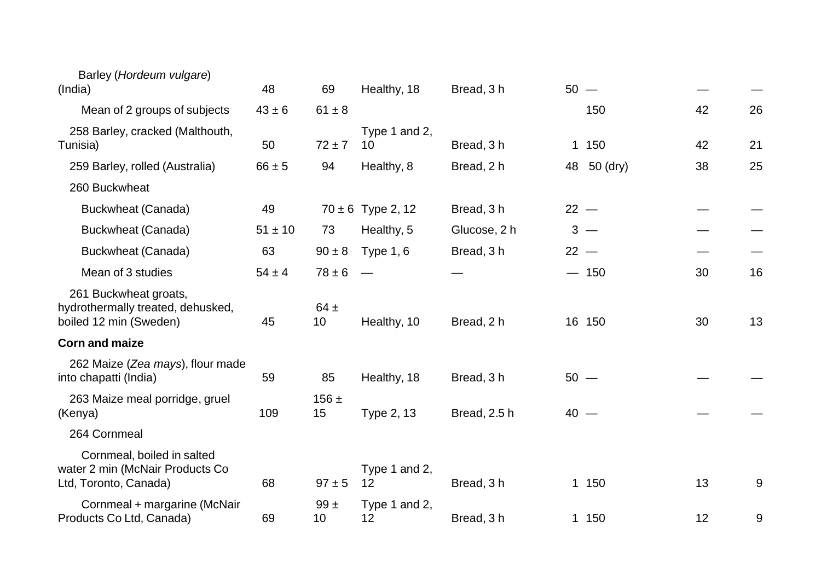| Barley (Hordeum vulgare)<br>(India)                                                    | 48          | 69              | Healthy, 18           | Bread, 3 h   |    | $50 -$   |    |    |
|----------------------------------------------------------------------------------------|-------------|-----------------|-----------------------|--------------|----|----------|----|----|
| Mean of 2 groups of subjects                                                           | $43 \pm 6$  | $61 \pm 8$      |                       |              |    | 150      | 42 | 26 |
| 258 Barley, cracked (Malthouth,<br>Tunisia)                                            | 50          | $72 \pm 7$      | Type 1 and 2,<br>10   | Bread, 3h    |    | 1 150    | 42 | 21 |
| 259 Barley, rolled (Australia)                                                         | $66 \pm 5$  | 94              | Healthy, 8            | Bread, 2 h   | 48 | 50 (dry) | 38 | 25 |
| 260 Buckwheat                                                                          |             |                 |                       |              |    |          |    |    |
| Buckwheat (Canada)                                                                     | 49          |                 | $70 \pm 6$ Type 2, 12 | Bread, 3 h   |    | $22 -$   |    |    |
| Buckwheat (Canada)                                                                     | $51 \pm 10$ | 73              | Healthy, 5            | Glucose, 2 h |    | $3 -$    |    |    |
| Buckwheat (Canada)                                                                     | 63          | $90 \pm 8$      | <b>Type 1, 6</b>      | Bread, 3 h   |    | $22 -$   |    |    |
| Mean of 3 studies                                                                      | $54 \pm 4$  | $78 \pm 6$      |                       |              |    | $-150$   | 30 | 16 |
| 261 Buckwheat groats,<br>hydrothermally treated, dehusked,<br>boiled 12 min (Sweden)   | 45          | $64 \pm$<br>10  | Healthy, 10           | Bread, 2 h   |    | 16 150   | 30 | 13 |
| <b>Corn and maize</b>                                                                  |             |                 |                       |              |    |          |    |    |
| 262 Maize (Zea mays), flour made<br>into chapatti (India)                              | 59          | 85              | Healthy, 18           | Bread, 3 h   |    | $50 -$   |    |    |
| 263 Maize meal porridge, gruel<br>(Kenya)                                              | 109         | $156 \pm$<br>15 | Type 2, 13            | Bread, 2.5 h |    | $40 -$   |    |    |
| 264 Cornmeal                                                                           |             |                 |                       |              |    |          |    |    |
| Cornmeal, boiled in salted<br>water 2 min (McNair Products Co<br>Ltd, Toronto, Canada) | 68          | $97 \pm 5$      | Type 1 and 2,<br>12   | Bread, 3 h   |    | 1 150    | 13 | 9  |
| Cornmeal + margarine (McNair<br>Products Co Ltd, Canada)                               | 69          | $99 +$<br>10    | Type 1 and 2,<br>12   | Bread, 3h    |    | 1 150    | 12 | 9  |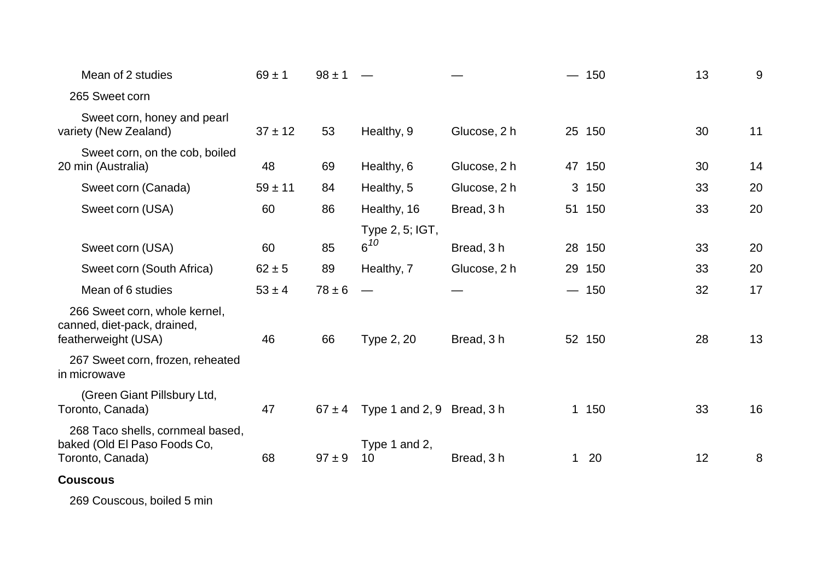| Mean of 2 studies                                                                    | $69 \pm 1$  | $98 \pm 1$ |                            |              | $-150$ | 13 | 9  |
|--------------------------------------------------------------------------------------|-------------|------------|----------------------------|--------------|--------|----|----|
| 265 Sweet corn                                                                       |             |            |                            |              |        |    |    |
| Sweet corn, honey and pearl<br>variety (New Zealand)                                 | $37 \pm 12$ | 53         | Healthy, 9                 | Glucose, 2 h | 25 150 | 30 | 11 |
| Sweet corn, on the cob, boiled<br>20 min (Australia)                                 | 48          | 69         | Healthy, 6                 | Glucose, 2 h | 47 150 | 30 | 14 |
| Sweet corn (Canada)                                                                  | $59 \pm 11$ | 84         | Healthy, 5                 | Glucose, 2 h | 3 150  | 33 | 20 |
| Sweet corn (USA)                                                                     | 60          | 86         | Healthy, 16                | Bread, 3 h   | 51 150 | 33 | 20 |
|                                                                                      |             |            | Type 2, 5; IGT,            |              |        |    |    |
| Sweet corn (USA)                                                                     | 60          | 85         | $6^{10}$                   | Bread, 3h    | 28 150 | 33 | 20 |
| Sweet corn (South Africa)                                                            | $62 \pm 5$  | 89         | Healthy, 7                 | Glucose, 2 h | 29 150 | 33 | 20 |
| Mean of 6 studies                                                                    | $53 \pm 4$  | $78 \pm 6$ | $\overline{\phantom{a}}$   |              | $-150$ | 32 | 17 |
| 266 Sweet corn, whole kernel,<br>canned, diet-pack, drained,<br>featherweight (USA)  | 46          | 66         | Type 2, 20                 | Bread, 3 h   | 52 150 | 28 | 13 |
| 267 Sweet corn, frozen, reheated<br>in microwave                                     |             |            |                            |              |        |    |    |
| (Green Giant Pillsbury Ltd,<br>Toronto, Canada)                                      | 47          | $67 \pm 4$ | Type 1 and 2, 9 Bread, 3 h |              | 1 150  | 33 | 16 |
| 268 Taco shells, cornmeal based,<br>baked (Old El Paso Foods Co,<br>Toronto, Canada) | 68          | $97 \pm 9$ | Type 1 and 2,<br>10        | Bread, 3h    | $1 20$ | 12 | 8  |
| <b>Couscous</b>                                                                      |             |            |                            |              |        |    |    |

269 Couscous, boiled 5 min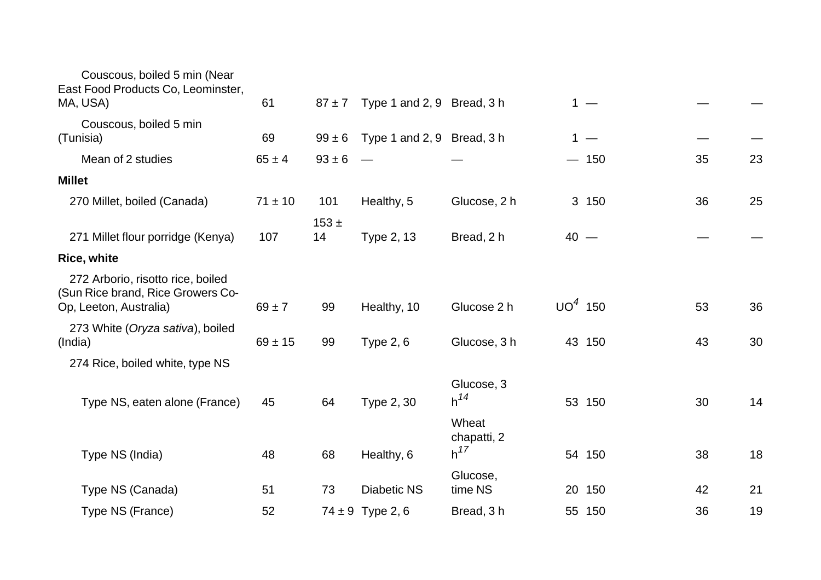| 61          | $87 + 7$        |                    |                                  |                                                          |                                                                                                            |    |    |
|-------------|-----------------|--------------------|----------------------------------|----------------------------------------------------------|------------------------------------------------------------------------------------------------------------|----|----|
| 69          | $99 \pm 6$      |                    |                                  |                                                          |                                                                                                            |    |    |
| $65 \pm 4$  | $93 \pm 6$      |                    |                                  |                                                          |                                                                                                            | 35 | 23 |
|             |                 |                    |                                  |                                                          |                                                                                                            |    |    |
| $71 \pm 10$ | 101             | Healthy, 5         | Glucose, 2 h                     |                                                          |                                                                                                            | 36 | 25 |
| 107         | $153 \pm$<br>14 | Type 2, 13         | Bread, 2 h                       |                                                          |                                                                                                            |    |    |
|             |                 |                    |                                  |                                                          |                                                                                                            |    |    |
| $69 \pm 7$  | 99              | Healthy, 10        | Glucose 2 h                      |                                                          |                                                                                                            | 53 | 36 |
| $69 \pm 15$ | 99              | Type $2, 6$        | Glucose, 3 h                     |                                                          |                                                                                                            | 43 | 30 |
|             |                 |                    |                                  |                                                          |                                                                                                            |    |    |
| 45          | 64              | Type 2, 30         | Glucose, 3<br>$h^{14}$           |                                                          |                                                                                                            | 30 | 14 |
| 48          | 68              | Healthy, 6         | Wheat<br>chapatti, 2<br>$h^{17}$ |                                                          |                                                                                                            | 38 | 18 |
| 51          | 73              | <b>Diabetic NS</b> | Glucose,<br>time NS              |                                                          |                                                                                                            | 42 | 21 |
| 52          |                 |                    | Bread, 3h                        |                                                          |                                                                                                            | 36 | 19 |
|             |                 |                    | $74 \pm 9$ Type 2, 6             | Type 1 and 2, 9 Bread, 3 h<br>Type 1 and 2, 9 Bread, 3 h | $1 -$<br>$1 -$<br>$-150$<br>3 150<br>$40 -$<br>$UO4$ 150<br>43 150<br>53 150<br>54 150<br>20 150<br>55 150 |    |    |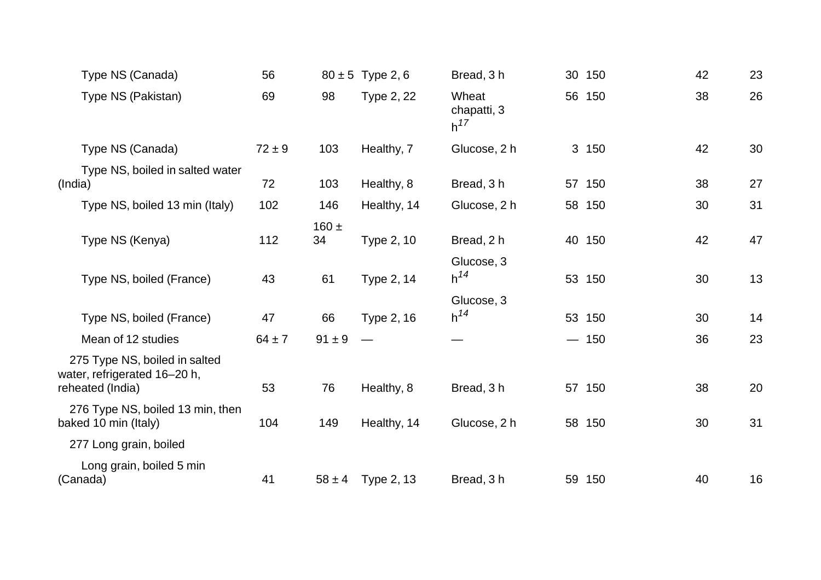| Type NS (Canada)                                                                  | 56         |                 | $80 \pm 5$ Type 2, 6  | Bread, 3h                        | 30 150 | 42 | 23 |
|-----------------------------------------------------------------------------------|------------|-----------------|-----------------------|----------------------------------|--------|----|----|
| Type NS (Pakistan)                                                                | 69         | 98              | Type 2, 22            | Wheat<br>chapatti, 3<br>$h^{17}$ | 56 150 | 38 | 26 |
| Type NS (Canada)                                                                  | $72 \pm 9$ | 103             | Healthy, 7            | Glucose, 2 h                     | 3 150  | 42 | 30 |
| Type NS, boiled in salted water<br>(India)                                        | 72         | 103             | Healthy, 8            | Bread, 3h                        | 57 150 | 38 | 27 |
| Type NS, boiled 13 min (Italy)                                                    | 102        | 146             | Healthy, 14           | Glucose, 2 h                     | 58 150 | 30 | 31 |
| Type NS (Kenya)                                                                   | 112        | $160 \pm$<br>34 | Type 2, 10            | Bread, 2 h                       | 40 150 | 42 | 47 |
| Type NS, boiled (France)                                                          | 43         | 61              | Type 2, 14            | Glucose, 3<br>$h^{14}$           | 53 150 | 30 | 13 |
| Type NS, boiled (France)                                                          | 47         | 66              | Type 2, 16            | Glucose, 3<br>$h^{14}$           | 53 150 | 30 | 14 |
| Mean of 12 studies                                                                | $64 \pm 7$ | $91 \pm 9$      | $\hspace{0.05cm}$     |                                  | $-150$ | 36 | 23 |
| 275 Type NS, boiled in salted<br>water, refrigerated 16-20 h,<br>reheated (India) | 53         | 76              | Healthy, 8            | Bread, 3 h                       | 57 150 | 38 | 20 |
| 276 Type NS, boiled 13 min, then<br>baked 10 min (Italy)                          | 104        | 149             | Healthy, 14           | Glucose, 2 h                     | 58 150 | 30 | 31 |
| 277 Long grain, boiled                                                            |            |                 |                       |                                  |        |    |    |
| Long grain, boiled 5 min<br>(Canada)                                              | 41         |                 | $58 \pm 4$ Type 2, 13 | Bread, 3h                        | 59 150 | 40 | 16 |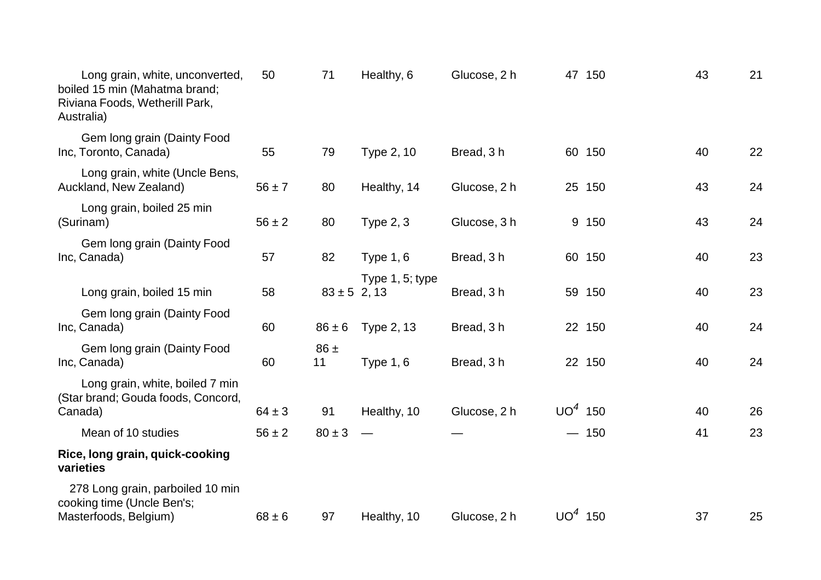| Long grain, white, unconverted,<br>boiled 15 min (Mahatma brand;<br>Riviana Foods, Wetherill Park,<br>Australia) | 50         | 71               | Healthy, 6       | Glucose, 2 h |           | 47 150 | 43 | 21 |
|------------------------------------------------------------------------------------------------------------------|------------|------------------|------------------|--------------|-----------|--------|----|----|
| Gem long grain (Dainty Food<br>Inc, Toronto, Canada)                                                             | 55         | 79               | Type 2, 10       | Bread, 3 h   |           | 60 150 | 40 | 22 |
| Long grain, white (Uncle Bens,<br>Auckland, New Zealand)                                                         | $56 \pm 7$ | 80               | Healthy, 14      | Glucose, 2 h |           | 25 150 | 43 | 24 |
| Long grain, boiled 25 min<br>(Surinam)                                                                           | $56 \pm 2$ | 80               | <b>Type 2, 3</b> | Glucose, 3 h |           | 9 150  | 43 | 24 |
| Gem long grain (Dainty Food<br>Inc, Canada)                                                                      | 57         | 82               | Type $1, 6$      | Bread, 3 h   |           | 60 150 | 40 | 23 |
| Long grain, boiled 15 min                                                                                        | 58         | $83 \pm 5$ 2, 13 | Type 1, 5; type  | Bread, 3h    |           | 59 150 | 40 | 23 |
| Gem long grain (Dainty Food<br>Inc, Canada)                                                                      | 60         | $86 \pm 6$       | Type 2, 13       | Bread, 3 h   |           | 22 150 | 40 | 24 |
| Gem long grain (Dainty Food<br>Inc, Canada)                                                                      | 60         | $86 \pm$<br>11   | Type $1, 6$      | Bread, 3 h   |           | 22 150 | 40 | 24 |
| Long grain, white, boiled 7 min<br>(Star brand; Gouda foods, Concord,                                            | $64 \pm 3$ | 91               |                  | Glucose, 2 h | $UO4$ 150 |        | 40 | 26 |
| Canada)<br>Mean of 10 studies                                                                                    | $56 \pm 2$ | $80 \pm 3$       | Healthy, 10      |              |           | $-150$ | 41 | 23 |
| Rice, long grain, quick-cooking<br>varieties                                                                     |            |                  |                  |              |           |        |    |    |
| 278 Long grain, parboiled 10 min<br>cooking time (Uncle Ben's;<br>Masterfoods, Belgium)                          | $68 \pm 6$ | 97               | Healthy, 10      | Glucose, 2 h | $UO4$ 150 |        | 37 | 25 |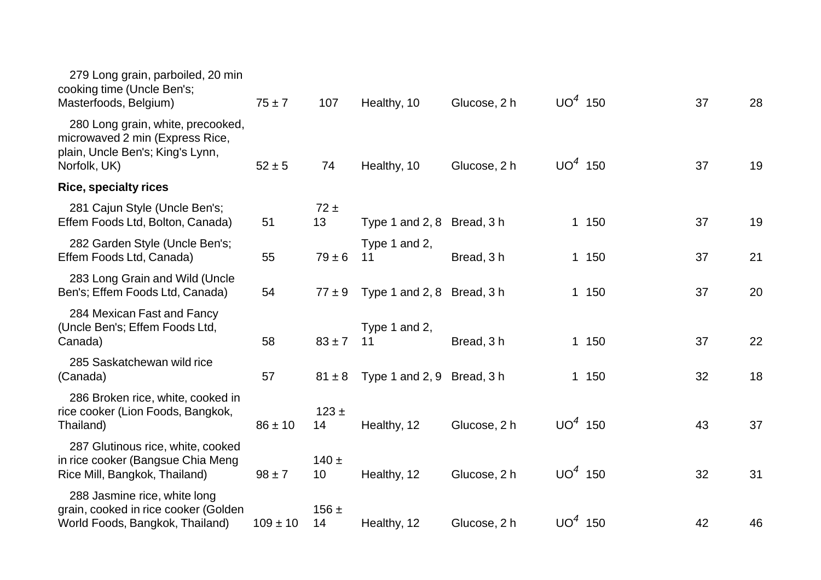| 279 Long grain, parboiled, 20 min<br>cooking time (Uncle Ben's;<br>Masterfoods, Belgium)                                 | $75 \pm 7$   | 107                        | Healthy, 10                | Glucose, 2 h | $UO4$ 150 |       | 37 | 28 |
|--------------------------------------------------------------------------------------------------------------------------|--------------|----------------------------|----------------------------|--------------|-----------|-------|----|----|
| 280 Long grain, white, precooked,<br>microwaved 2 min (Express Rice,<br>plain, Uncle Ben's; King's Lynn,<br>Norfolk, UK) | $52 \pm 5$   | 74                         | Healthy, 10                | Glucose, 2 h | $UO4$ 150 |       | 37 | 19 |
| <b>Rice, specialty rices</b>                                                                                             |              |                            |                            |              |           |       |    |    |
| 281 Cajun Style (Uncle Ben's;<br>Effem Foods Ltd, Bolton, Canada)                                                        | 51           | $72 \pm$<br>13             | Type 1 and 2, 8 Bread, 3 h |              |           | 1 150 | 37 | 19 |
| 282 Garden Style (Uncle Ben's;<br>Effem Foods Ltd, Canada)                                                               | 55           | $79 \pm 6$                 | Type 1 and 2,<br>11        | Bread, 3 h   |           | 1 150 | 37 | 21 |
| 283 Long Grain and Wild (Uncle<br>Ben's; Effem Foods Ltd, Canada)                                                        | 54           | $77 \pm 9$                 | Type 1 and 2, 8 Bread, 3 h |              |           | 1 150 | 37 | 20 |
| 284 Mexican Fast and Fancy<br>(Uncle Ben's; Effem Foods Ltd,<br>Canada)                                                  | 58           | $83 \pm 7$                 | Type 1 and 2,<br>11        | Bread, 3 h   |           | 1 150 | 37 | 22 |
| 285 Saskatchewan wild rice<br>(Canada)                                                                                   | 57           | $81 \pm 8$                 | Type 1 and 2, 9 Bread, 3 h |              |           | 1 150 | 32 | 18 |
| 286 Broken rice, white, cooked in<br>rice cooker (Lion Foods, Bangkok,<br>Thailand)                                      | $86 \pm 10$  | $123 \pm$<br>14            | Healthy, 12                | Glucose, 2 h | $UO4$ 150 |       | 43 | 37 |
| 287 Glutinous rice, white, cooked<br>in rice cooker (Bangsue Chia Meng<br>Rice Mill, Bangkok, Thailand)                  | $98 \pm 7$   | $140 +$<br>10 <sup>°</sup> | Healthy, 12                | Glucose, 2 h | $UO4$ 150 |       | 32 | 31 |
| 288 Jasmine rice, white long<br>grain, cooked in rice cooker (Golden<br>World Foods, Bangkok, Thailand)                  | $109 \pm 10$ | $156 \pm$<br>14            | Healthy, 12                | Glucose, 2 h | $UO4$ 150 |       | 42 | 46 |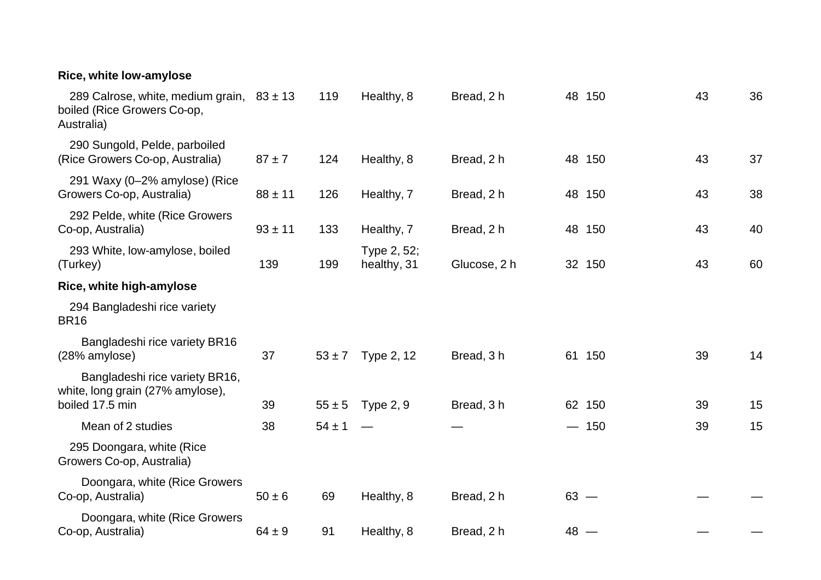| Rice, white low-amylose                                                                    |             |            |                            |              |        |        |    |    |
|--------------------------------------------------------------------------------------------|-------------|------------|----------------------------|--------------|--------|--------|----|----|
| 289 Calrose, white, medium grain, $83 \pm 13$<br>boiled (Rice Growers Co-op,<br>Australia) |             | 119        | Healthy, 8                 | Bread, 2 h   |        | 48 150 | 43 | 36 |
| 290 Sungold, Pelde, parboiled<br>(Rice Growers Co-op, Australia)                           | $87 + 7$    | 124        | Healthy, 8                 | Bread, 2 h   |        | 48 150 | 43 | 37 |
| 291 Waxy (0-2% amylose) (Rice<br>Growers Co-op, Australia)                                 | $88 \pm 11$ | 126        | Healthy, 7                 | Bread, 2 h   |        | 48 150 | 43 | 38 |
| 292 Pelde, white (Rice Growers<br>Co-op, Australia)                                        | $93 \pm 11$ | 133        | Healthy, 7                 | Bread, 2 h   |        | 48 150 | 43 | 40 |
| 293 White, low-amylose, boiled<br>(Turkey)                                                 | 139         | 199        | Type 2, 52;<br>healthy, 31 | Glucose, 2 h |        | 32 150 | 43 | 60 |
| Rice, white high-amylose                                                                   |             |            |                            |              |        |        |    |    |
| 294 Bangladeshi rice variety<br><b>BR16</b>                                                |             |            |                            |              |        |        |    |    |
| Bangladeshi rice variety BR16<br>(28% amylose)                                             | 37          | $53 \pm 7$ | Type 2, 12                 | Bread, 3 h   |        | 61 150 | 39 | 14 |
| Bangladeshi rice variety BR16,<br>white, long grain (27% amylose),<br>boiled 17.5 min      | 39          | $55 \pm 5$ | <b>Type 2, 9</b>           | Bread, 3 h   |        | 62 150 | 39 | 15 |
| Mean of 2 studies                                                                          | 38          | $54 \pm 1$ |                            |              |        | $-150$ | 39 | 15 |
| 295 Doongara, white (Rice<br>Growers Co-op, Australia)                                     |             |            |                            |              |        |        |    |    |
| Doongara, white (Rice Growers<br>Co-op, Australia)                                         | $50 \pm 6$  | 69         | Healthy, 8                 | Bread, 2 h   | $63 -$ |        |    |    |
| Doongara, white (Rice Growers<br>Co-op, Australia)                                         | $64 \pm 9$  | 91         | Healthy, 8                 | Bread, 2 h   | $48 -$ |        |    |    |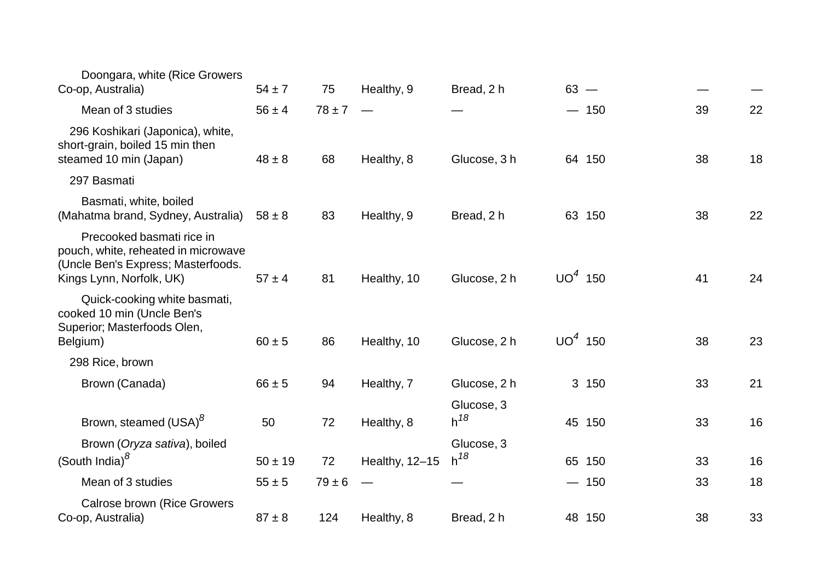| Doongara, white (Rice Growers<br>Co-op, Australia)                                                                                 | $54 \pm 7$  | 75         | Healthy, 9               | Bread, 2 h             | $63 -$    |        |    |    |
|------------------------------------------------------------------------------------------------------------------------------------|-------------|------------|--------------------------|------------------------|-----------|--------|----|----|
| Mean of 3 studies                                                                                                                  | $56 \pm 4$  | $78 \pm 7$ | $\overline{\phantom{a}}$ |                        |           | $-150$ | 39 | 22 |
| 296 Koshikari (Japonica), white,<br>short-grain, boiled 15 min then<br>steamed 10 min (Japan)                                      | $48 \pm 8$  | 68         | Healthy, 8               | Glucose, 3 h           |           | 64 150 | 38 | 18 |
| 297 Basmati                                                                                                                        |             |            |                          |                        |           |        |    |    |
| Basmati, white, boiled<br>(Mahatma brand, Sydney, Australia)                                                                       | $58 \pm 8$  | 83         | Healthy, 9               | Bread, 2 h             |           | 63 150 | 38 | 22 |
| Precooked basmati rice in<br>pouch, white, reheated in microwave<br>(Uncle Ben's Express; Masterfoods.<br>Kings Lynn, Norfolk, UK) | $57 \pm 4$  | 81         | Healthy, 10              | Glucose, 2 h           | $UO4$ 150 |        | 41 | 24 |
| Quick-cooking white basmati,<br>cooked 10 min (Uncle Ben's<br>Superior; Masterfoods Olen,<br>Belgium)                              | $60 \pm 5$  | 86         | Healthy, 10              | Glucose, 2 h           | $UO4$ 150 |        | 38 | 23 |
| 298 Rice, brown                                                                                                                    |             |            |                          |                        |           |        |    |    |
| Brown (Canada)                                                                                                                     | $66 \pm 5$  | 94         | Healthy, 7               | Glucose, 2 h           |           | 3 150  | 33 | 21 |
| Brown, steamed (USA) <sup>8</sup>                                                                                                  | 50          | 72         | Healthy, 8               | Glucose, 3<br>$h^{18}$ |           | 45 150 | 33 | 16 |
| Brown (Oryza sativa), boiled<br>(South India) $\delta$                                                                             | $50 \pm 19$ | 72         | Healthy, 12-15           | Glucose, 3<br>$h^{18}$ |           | 65 150 | 33 | 16 |
| Mean of 3 studies                                                                                                                  | $55 \pm 5$  | $79 \pm 6$ |                          |                        |           | $-150$ | 33 | 18 |
| <b>Calrose brown (Rice Growers</b><br>Co-op, Australia)                                                                            | $87 \pm 8$  | 124        | Healthy, 8               | Bread, 2 h             |           | 48 150 | 38 | 33 |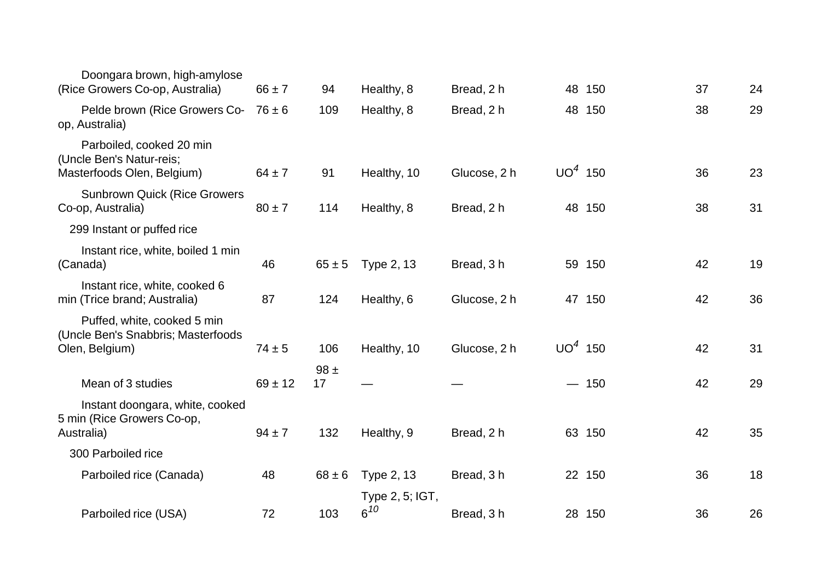| Doongara brown, high-amylose<br>(Rice Growers Co-op, Australia)                     | $66 \pm 7$  | 94             | Healthy, 8                  | Bread, 2 h   |                          | 48 150 | 37 | 24 |
|-------------------------------------------------------------------------------------|-------------|----------------|-----------------------------|--------------|--------------------------|--------|----|----|
| Pelde brown (Rice Growers Co-<br>op, Australia)                                     | $76 \pm 6$  | 109            | Healthy, 8                  | Bread, 2 h   |                          | 48 150 | 38 | 29 |
| Parboiled, cooked 20 min<br>(Uncle Ben's Natur-reis;<br>Masterfoods Olen, Belgium)  | $64 \pm 7$  | 91             | Healthy, 10                 | Glucose, 2 h | $UO4$ 150                |        | 36 | 23 |
| <b>Sunbrown Quick (Rice Growers</b><br>Co-op, Australia)                            | $80 \pm 7$  | 114            | Healthy, 8                  | Bread, 2 h   |                          | 48 150 | 38 | 31 |
| 299 Instant or puffed rice                                                          |             |                |                             |              |                          |        |    |    |
| Instant rice, white, boiled 1 min<br>(Canada)                                       | 46          | $65 \pm 5$     | Type 2, 13                  | Bread, 3h    |                          | 59 150 | 42 | 19 |
| Instant rice, white, cooked 6<br>min (Trice brand; Australia)                       | 87          | 124            | Healthy, 6                  | Glucose, 2 h |                          | 47 150 | 42 | 36 |
| Puffed, white, cooked 5 min<br>(Uncle Ben's Snabbris; Masterfoods<br>Olen, Belgium) | $74 \pm 5$  | 106            | Healthy, 10                 | Glucose, 2 h | $UO4$ 150                |        | 42 | 31 |
| Mean of 3 studies                                                                   | $69 \pm 12$ | $98 \pm$<br>17 |                             |              | $\overline{\phantom{0}}$ | 150    | 42 | 29 |
| Instant doongara, white, cooked<br>5 min (Rice Growers Co-op,<br>Australia)         | $94 \pm 7$  | 132            | Healthy, 9                  | Bread, 2 h   |                          | 63 150 | 42 | 35 |
| 300 Parboiled rice                                                                  |             |                |                             |              |                          |        |    |    |
| Parboiled rice (Canada)                                                             | 48          | $68 \pm 6$     | Type 2, 13                  | Bread, 3 h   |                          | 22 150 | 36 | 18 |
| Parboiled rice (USA)                                                                | 72          | 103            | Type 2, 5; IGT,<br>$6^{10}$ | Bread, 3h    |                          | 28 150 | 36 | 26 |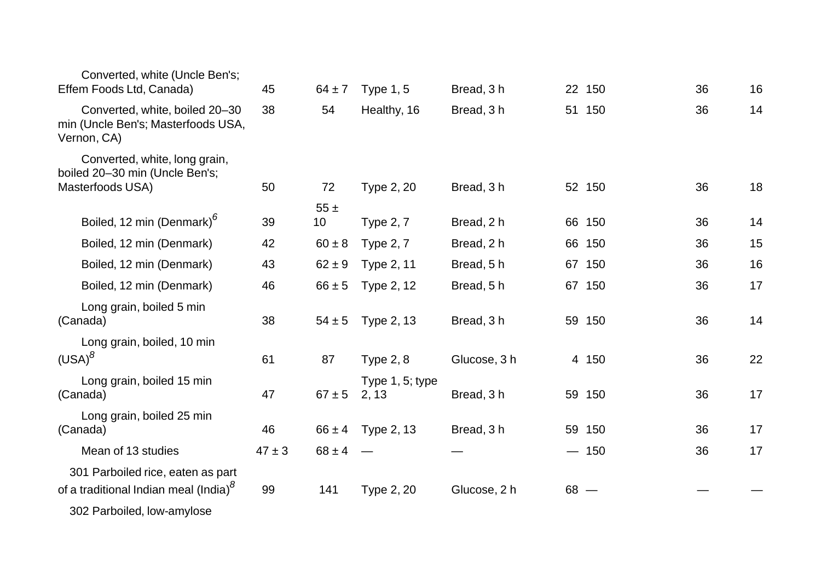| Converted, white (Uncle Ben's;<br>Effem Foods Ltd, Canada)                             | 45         | $64 \pm 7$     | Type $1, 5$              | Bread, 3 h   |        | 22 150 | 36 | 16 |
|----------------------------------------------------------------------------------------|------------|----------------|--------------------------|--------------|--------|--------|----|----|
| Converted, white, boiled 20-30<br>min (Uncle Ben's; Masterfoods USA,<br>Vernon, CA)    | 38         | 54             | Healthy, 16              | Bread, 3h    |        | 51 150 | 36 | 14 |
| Converted, white, long grain,<br>boiled 20-30 min (Uncle Ben's;<br>Masterfoods USA)    | 50         | 72             | Type 2, 20               | Bread, 3 h   |        | 52 150 | 36 | 18 |
| Boiled, 12 min (Denmark) <sup>6</sup>                                                  | 39         | $55 \pm$<br>10 | <b>Type 2, 7</b>         | Bread, 2 h   |        | 66 150 | 36 | 14 |
|                                                                                        |            |                |                          |              |        |        |    |    |
| Boiled, 12 min (Denmark)                                                               | 42         | $60 \pm 8$     | <b>Type 2, 7</b>         | Bread, 2 h   |        | 66 150 | 36 | 15 |
| Boiled, 12 min (Denmark)                                                               | 43         | $62 \pm 9$     | <b>Type 2, 11</b>        | Bread, 5h    |        | 67 150 | 36 | 16 |
| Boiled, 12 min (Denmark)                                                               | 46         | $66 \pm 5$     | Type 2, 12               | Bread, 5h    |        | 67 150 | 36 | 17 |
| Long grain, boiled 5 min<br>(Canada)                                                   | 38         | $54 \pm 5$     | Type 2, 13               | Bread, 3h    |        | 59 150 | 36 | 14 |
| Long grain, boiled, 10 min<br>$(USA)^8$                                                | 61         | 87             | <b>Type 2, 8</b>         | Glucose, 3 h |        | 4 150  | 36 | 22 |
| Long grain, boiled 15 min<br>(Canada)                                                  | 47         | $67 \pm 5$     | Type 1, 5; type<br>2, 13 | Bread, 3h    |        | 59 150 | 36 | 17 |
| Long grain, boiled 25 min<br>(Canada)                                                  | 46         | $66 \pm 4$     | Type 2, 13               | Bread, 3h    |        | 59 150 | 36 | 17 |
| Mean of 13 studies                                                                     | $47 \pm 3$ | $68 \pm 4$     |                          |              |        | $-150$ | 36 | 17 |
| 301 Parboiled rice, eaten as part<br>of a traditional Indian meal (India) <sup>8</sup> | 99         | 141            | Type 2, 20               | Glucose, 2 h | $68 -$ |        |    |    |
| 302 Parboiled, low-amylose                                                             |            |                |                          |              |        |        |    |    |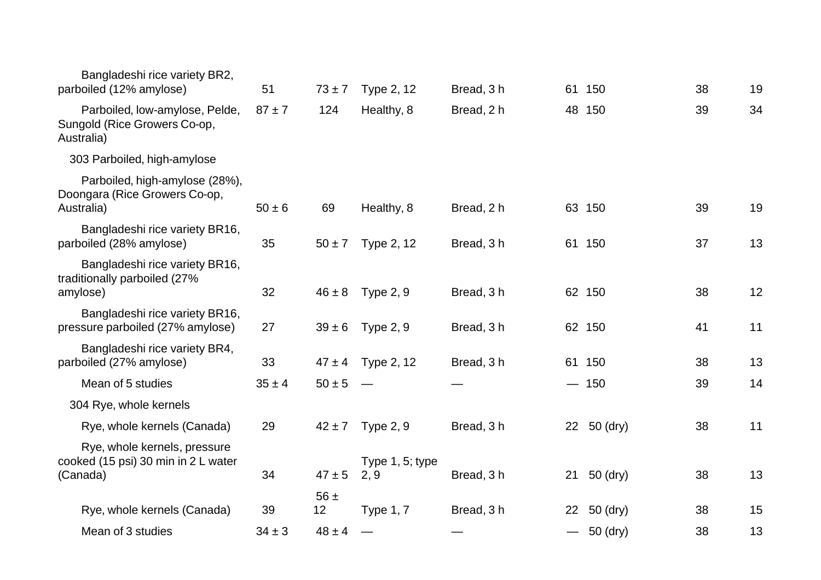| Bangladeshi rice variety BR2,<br>parboiled (12% amylose)                        | 51         | $73 \pm 7$     | Type 2, 12              | Bread, 3 h |                               | 61 150      | 38 | 19 |
|---------------------------------------------------------------------------------|------------|----------------|-------------------------|------------|-------------------------------|-------------|----|----|
| Parboiled, low-amylose, Pelde,<br>Sungold (Rice Growers Co-op,<br>Australia)    | $87 + 7$   | 124            | Healthy, 8              | Bread, 2 h |                               | 48 150      | 39 | 34 |
| 303 Parboiled, high-amylose                                                     |            |                |                         |            |                               |             |    |    |
| Parboiled, high-amylose (28%),<br>Doongara (Rice Growers Co-op,<br>Australia)   | $50 \pm 6$ | 69             | Healthy, 8              | Bread, 2 h |                               | 63 150      | 39 | 19 |
| Bangladeshi rice variety BR16,<br>parboiled (28% amylose)                       | 35         | $50 \pm 7$     | Type 2, 12              | Bread, 3 h |                               | 61 150      | 37 | 13 |
| Bangladeshi rice variety BR16,<br>traditionally parboiled (27%<br>amylose)      | 32         | $46 \pm 8$     | Type $2, 9$             | Bread, 3h  |                               | 62 150      | 38 | 12 |
| Bangladeshi rice variety BR16,<br>pressure parboiled (27% amylose)              | 27         | $39 \pm 6$     | Type 2, 9               | Bread, 3 h |                               | 62 150      | 41 | 11 |
| Bangladeshi rice variety BR4,<br>parboiled (27% amylose)                        | 33         | $47 \pm 4$     | Type 2, 12              | Bread, 3 h |                               | 61 150      | 38 | 13 |
| Mean of 5 studies                                                               | $35 \pm 4$ | $50 \pm 5$     |                         |            | $\overbrace{\phantom{aaaaa}}$ | 150         | 39 | 14 |
| 304 Rye, whole kernels                                                          |            |                |                         |            |                               |             |    |    |
| Rye, whole kernels (Canada)                                                     | 29         | $42 \pm 7$     | Type $2, 9$             | Bread, 3h  |                               | 22 50 (dry) | 38 | 11 |
| Rye, whole kernels, pressure<br>cooked (15 psi) 30 min in 2 L water<br>(Canada) | 34         | $47 \pm 5$     | Type 1, 5; type<br>2, 9 | Bread, 3h  | 21                            | 50 (dry)    | 38 | 13 |
| Rye, whole kernels (Canada)                                                     | 39         | $56 \pm$<br>12 | <b>Type 1, 7</b>        | Bread, 3 h | 22 <sub>2</sub>               | 50 (dry)    | 38 | 15 |
| Mean of 3 studies                                                               | $34 \pm 3$ | $48 \pm 4$     |                         |            |                               | $-50$ (dry) | 38 | 13 |
|                                                                                 |            |                |                         |            |                               |             |    |    |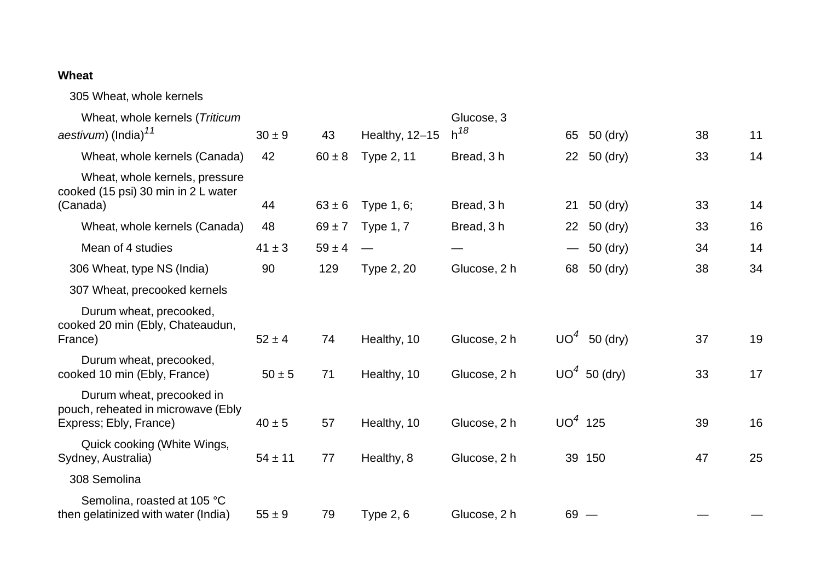## **Wheat**

305 Wheat, whole kernels

| Wheat, whole kernels (Triticum                                                            |             |            |                  | Glucose, 3   |           |                |    |    |
|-------------------------------------------------------------------------------------------|-------------|------------|------------------|--------------|-----------|----------------|----|----|
| aestivum) (India) <sup>11</sup>                                                           | $30 \pm 9$  | 43         | Healthy, 12-15   | $h^{18}$     | 65        | 50 (dry)       | 38 | 11 |
| Wheat, whole kernels (Canada)                                                             | 42          | $60 \pm 8$ | Type 2, 11       | Bread, 3 h   |           | 22 50 (dry)    | 33 | 14 |
| Wheat, whole kernels, pressure<br>cooked (15 psi) 30 min in 2 L water<br>(Canada)         | 44          | $63 \pm 6$ | Type 1, 6;       | Bread, 3h    | 21        | 50 (dry)       | 33 | 14 |
|                                                                                           |             |            |                  |              |           |                |    |    |
| Wheat, whole kernels (Canada)                                                             | 48          | $69 \pm 7$ | <b>Type 1, 7</b> | Bread, 3 h   | 22        | 50 (dry)       | 33 | 16 |
| Mean of 4 studies                                                                         | $41 \pm 3$  | $59 \pm 4$ |                  |              |           | 50 (dry)       | 34 | 14 |
| 306 Wheat, type NS (India)                                                                | 90          | 129        | Type 2, 20       | Glucose, 2 h | 68        | 50 (dry)       | 38 | 34 |
| 307 Wheat, precooked kernels                                                              |             |            |                  |              |           |                |    |    |
| Durum wheat, precooked,<br>cooked 20 min (Ebly, Chateaudun,<br>France)                    | $52 \pm 4$  | 74         | Healthy, 10      | Glucose, 2 h |           | $UO4$ 50 (dry) | 37 | 19 |
| Durum wheat, precooked,<br>cooked 10 min (Ebly, France)                                   | $50 \pm 5$  | 71         | Healthy, 10      | Glucose, 2 h |           | $UO4$ 50 (dry) | 33 | 17 |
| Durum wheat, precooked in<br>pouch, reheated in microwave (Ebly<br>Express; Ebly, France) | $40 \pm 5$  | 57         | Healthy, 10      | Glucose, 2 h | $UO4$ 125 |                | 39 | 16 |
| Quick cooking (White Wings,<br>Sydney, Australia)                                         | $54 \pm 11$ | 77         | Healthy, 8       | Glucose, 2 h |           | 39 150         | 47 | 25 |
| 308 Semolina                                                                              |             |            |                  |              |           |                |    |    |
| Semolina, roasted at 105 °C<br>then gelatinized with water (India)                        | $55 \pm 9$  | 79         | Type $2, 6$      | Glucose, 2 h | $69 -$    |                |    |    |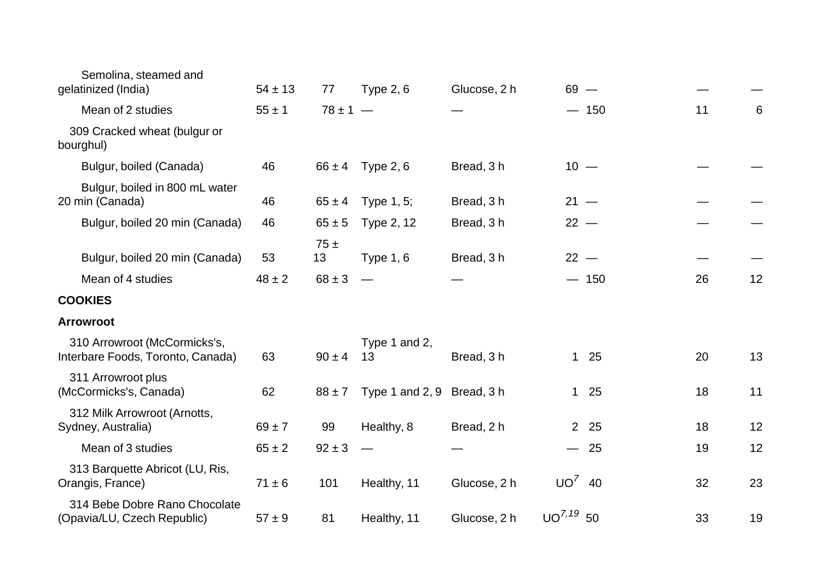| Semolina, steamed and<br>gelatinized (India)                      | $54 \pm 13$      | 77                      | <b>Type 2, 6</b>           | Glucose, 2 h | $69 -$          |        |    |    |
|-------------------------------------------------------------------|------------------|-------------------------|----------------------------|--------------|-----------------|--------|----|----|
| Mean of 2 studies                                                 | $55 \pm 1$       | $78 \pm 1 -$            |                            |              |                 | $-150$ | 11 | 6  |
| 309 Cracked wheat (bulgur or<br>bourghul)                         |                  |                         |                            |              |                 |        |    |    |
| Bulgur, boiled (Canada)                                           | 46               | $66 \pm 4$              | Type $2, 6$                | Bread, 3 h   | $10 -$          |        |    |    |
| Bulgur, boiled in 800 mL water<br>20 min (Canada)                 | 46               | $65 \pm 4$              | Type 1, 5;                 | Bread, 3h    | $21 -$          |        |    |    |
| Bulgur, boiled 20 min (Canada)                                    | 46               | $65 \pm 5$              | Type 2, 12                 | Bread, 3 h   | $22 -$          |        |    |    |
| Bulgur, boiled 20 min (Canada)<br>Mean of 4 studies               | 53<br>$48 \pm 2$ | 75±<br>13<br>$68 \pm 3$ | <b>Type 1, 6</b>           | Bread, 3 h   | $22 -$          | $-150$ | 26 | 12 |
| <b>COOKIES</b>                                                    |                  |                         |                            |              |                 |        |    |    |
| <b>Arrowroot</b>                                                  |                  |                         |                            |              |                 |        |    |    |
| 310 Arrowroot (McCormicks's,<br>Interbare Foods, Toronto, Canada) | 63               | $90 \pm 4$              | Type 1 and 2,<br>13        | Bread, 3h    |                 | $125$  | 20 | 13 |
| 311 Arrowroot plus<br>(McCormicks's, Canada)                      | 62               | $88 \pm 7$              | Type 1 and 2, 9 Bread, 3 h |              |                 | $125$  | 18 | 11 |
| 312 Milk Arrowroot (Arnotts,<br>Sydney, Australia)                | $69 \pm 7$       | 99                      | Healthy, 8                 | Bread, 2 h   |                 | 2 25   | 18 | 12 |
| Mean of 3 studies                                                 | $65 \pm 2$       | $92 \pm 3$              |                            |              |                 | $-25$  | 19 | 12 |
| 313 Barquette Abricot (LU, Ris,<br>Orangis, France)               | $71 \pm 6$       | 101                     | Healthy, 11                | Glucose, 2 h | $UO^7$ 40       |        | 32 | 23 |
| 314 Bebe Dobre Rano Chocolate<br>(Opavia/LU, Czech Republic)      | $57 \pm 9$       | 81                      | Healthy, 11                | Glucose, 2 h | $UO^{7, 19}$ 50 |        | 33 | 19 |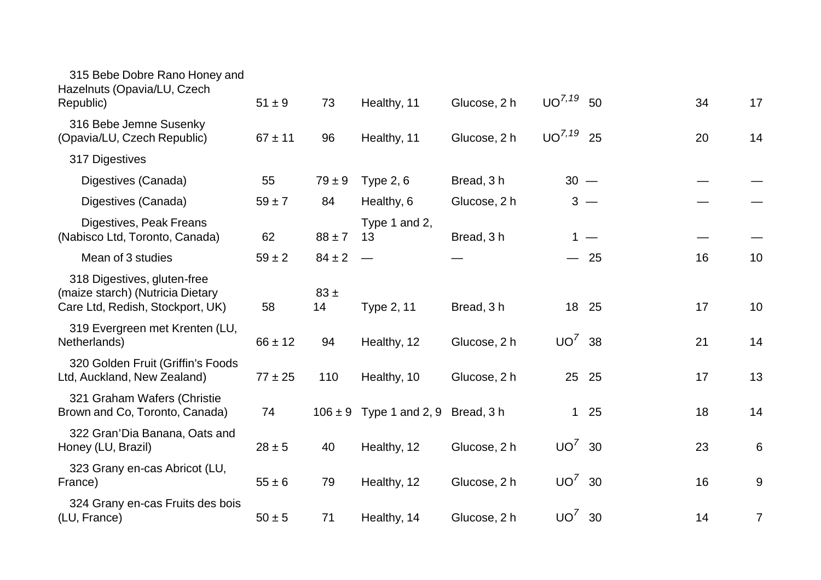| 315 Bebe Dobre Rano Honey and<br>Hazelnuts (Opavia/LU, Czech<br>Republic)                           | $51 \pm 9$  | 73             | Healthy, 11                            | Glucose, 2 h | $UO^{7, 19}$   | 50    | 34 | 17    |
|-----------------------------------------------------------------------------------------------------|-------------|----------------|----------------------------------------|--------------|----------------|-------|----|-------|
| 316 Bebe Jemne Susenky<br>(Opavia/LU, Czech Republic)                                               | $67 \pm 11$ | 96             | Healthy, 11                            | Glucose, 2 h | $UO^{7,19}$ 25 |       | 20 | 14    |
| 317 Digestives                                                                                      |             |                |                                        |              |                |       |    |       |
| Digestives (Canada)                                                                                 | 55          | $79 \pm 9$     | <b>Type 2, 6</b>                       | Bread, 3h    | $30 -$         |       |    |       |
| Digestives (Canada)                                                                                 | $59 \pm 7$  | 84             | Healthy, 6                             | Glucose, 2 h |                | $3 -$ |    |       |
| Digestives, Peak Freans<br>(Nabisco Ltd, Toronto, Canada)                                           | 62          | $88 \pm 7$     | Type 1 and 2,<br>13                    | Bread, 3 h   |                | 1 $-$ |    |       |
| Mean of 3 studies                                                                                   | $59 \pm 2$  | $84 \pm 2$     |                                        |              |                | $-25$ | 16 | 10    |
| 318 Digestives, gluten-free<br>(maize starch) (Nutricia Dietary<br>Care Ltd, Redish, Stockport, UK) | 58          | $83 \pm$<br>14 | Type 2, 11                             | Bread, 3 h   |                | 18 25 | 17 | 10    |
| 319 Evergreen met Krenten (LU,<br>Netherlands)                                                      | $66 \pm 12$ | 94             | Healthy, 12                            | Glucose, 2 h | $UO^7$ 38      |       | 21 | 14    |
| 320 Golden Fruit (Griffin's Foods<br>Ltd, Auckland, New Zealand)                                    | $77 \pm 25$ | 110            | Healthy, 10                            | Glucose, 2 h |                | 25 25 | 17 | 13    |
| 321 Graham Wafers (Christie<br>Brown and Co, Toronto, Canada)                                       | 74          |                | $106 \pm 9$ Type 1 and 2, 9 Bread, 3 h |              |                | $125$ | 18 | 14    |
| 322 Gran'Dia Banana, Oats and<br>Honey (LU, Brazil)                                                 | $28 \pm 5$  | 40             | Healthy, 12                            | Glucose, 2 h | $UO^7$ 30      |       | 23 | 6     |
| 323 Grany en-cas Abricot (LU,<br>France)                                                            | $55 \pm 6$  | 79             | Healthy, 12                            | Glucose, 2 h | $UO^7$ 30      |       | 16 | $9\,$ |
| 324 Grany en-cas Fruits des bois<br>(LU, France)                                                    | $50 \pm 5$  | 71             | Healthy, 14                            | Glucose, 2 h | $UO^7$ 30      |       | 14 | 7     |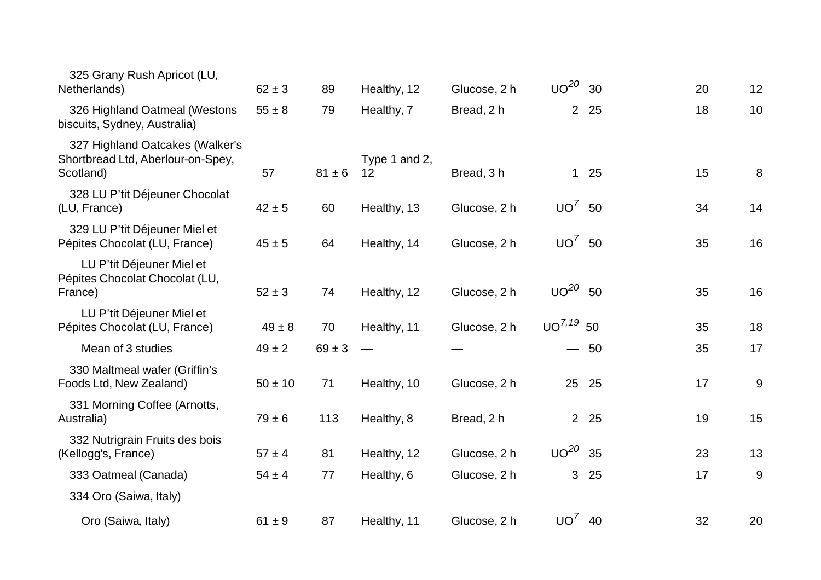| $62 \pm 3$  | 89         | Healthy, 12         | Glucose, 2 h |                | 30 | 20                                                                                                                               | 12 |
|-------------|------------|---------------------|--------------|----------------|----|----------------------------------------------------------------------------------------------------------------------------------|----|
| $55 \pm 8$  | 79         | Healthy, 7          | Bread, 2 h   | 2 <sup>1</sup> | 25 | 18                                                                                                                               | 10 |
| 57          | $81 \pm 6$ | Type 1 and 2,<br>12 | Bread, 3h    |                |    | 15                                                                                                                               | 8  |
| $42 \pm 5$  | 60         | Healthy, 13         | Glucose, 2 h |                | 50 | 34                                                                                                                               | 14 |
| $45 \pm 5$  | 64         | Healthy, 14         | Glucose, 2 h |                |    | 35                                                                                                                               | 16 |
| $52 \pm 3$  | 74         | Healthy, 12         | Glucose, 2 h |                |    | 35                                                                                                                               | 16 |
| $49 \pm 8$  | 70         | Healthy, 11         | Glucose, 2 h |                |    | 35                                                                                                                               | 18 |
| $49 \pm 2$  | $69 \pm 3$ |                     |              |                |    | 35                                                                                                                               | 17 |
| $50 \pm 10$ | 71         | Healthy, 10         | Glucose, 2 h | 25             | 25 | 17                                                                                                                               | 9  |
| $79 \pm 6$  | 113        | Healthy, 8          | Bread, 2 h   |                |    | 19                                                                                                                               | 15 |
| $57 \pm 4$  | 81         | Healthy, 12         | Glucose, 2 h |                | 35 | 23                                                                                                                               | 13 |
| $54 \pm 4$  | 77         | Healthy, 6          | Glucose, 2 h | 3              | 25 | 17                                                                                                                               | 9  |
|             |            |                     |              |                |    |                                                                                                                                  |    |
| $61 \pm 9$  | 87         | Healthy, 11         | Glucose, 2 h |                |    | 32                                                                                                                               | 20 |
|             |            |                     |              |                |    | $UO^{20}$<br>$125$<br>UO <sup>7</sup><br>$UO^7$ 50<br>$UO^{20}$ 50<br>$UO^{7, 19}$ 50<br>$-50$<br>2 25<br>$UO^{20}$<br>$UO^7$ 40 |    |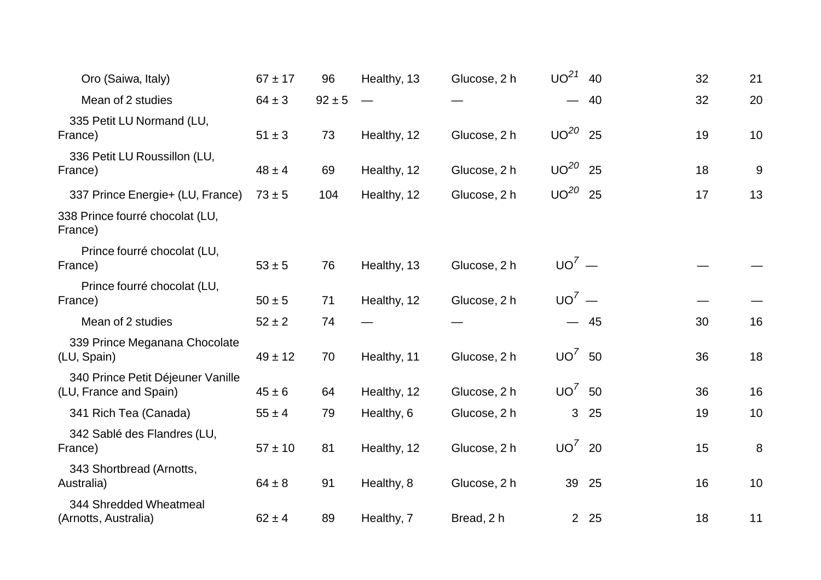| Oro (Saiwa, Italy)                                          | $67 \pm 17$ | 96         | Healthy, 13 | Glucose, 2 h | UO <sup>21</sup> | 40    | 32 | 21 |
|-------------------------------------------------------------|-------------|------------|-------------|--------------|------------------|-------|----|----|
| Mean of 2 studies                                           | $64 \pm 3$  | $92 \pm 5$ |             |              |                  | - 40  | 32 | 20 |
| 335 Petit LU Normand (LU,<br>France)                        | $51 \pm 3$  | 73         | Healthy, 12 | Glucose, 2 h | $UO^{20}$        | 25    | 19 | 10 |
| 336 Petit LU Roussillon (LU,<br>France)                     | $48 \pm 4$  | 69         | Healthy, 12 | Glucose, 2 h | $UO^{20}$        | 25    | 18 | 9  |
| 337 Prince Energie+ (LU, France)                            | $73 + 5$    | 104        | Healthy, 12 | Glucose, 2 h | $UO^{20}$ 25     |       | 17 | 13 |
| 338 Prince fourré chocolat (LU,<br>France)                  |             |            |             |              |                  |       |    |    |
| Prince fourré chocolat (LU,<br>France)                      | $53 + 5$    | 76         | Healthy, 13 | Glucose, 2 h | $UO^7$ —         |       |    |    |
| Prince fourré chocolat (LU,<br>France)                      | $50 \pm 5$  | 71         | Healthy, 12 | Glucose, 2 h | $UO^7$ —         |       |    |    |
| Mean of 2 studies                                           | $52 \pm 2$  | 74         |             |              |                  | $-45$ | 30 | 16 |
| 339 Prince Meganana Chocolate<br>(LU, Spain)                | $49 \pm 12$ | 70         | Healthy, 11 | Glucose, 2 h | $UO^7$ 50        |       | 36 | 18 |
| 340 Prince Petit Déjeuner Vanille<br>(LU, France and Spain) | $45 \pm 6$  | 64         | Healthy, 12 | Glucose, 2 h | $UO^7$ 50        |       | 36 | 16 |
| 341 Rich Tea (Canada)                                       | $55\pm4$    | 79         | Healthy, 6  | Glucose, 2 h |                  | 3 25  | 19 | 10 |
| 342 Sablé des Flandres (LU,<br>France)                      | $57 \pm 10$ | 81         | Healthy, 12 | Glucose, 2 h | $UO^7$ 20        |       | 15 | 8  |
| 343 Shortbread (Arnotts,<br>Australia)                      | $64 \pm 8$  | 91         | Healthy, 8  | Glucose, 2 h |                  | 39 25 | 16 | 10 |
| 344 Shredded Wheatmeal<br>(Arnotts, Australia)              | $62 \pm 4$  | 89         | Healthy, 7  | Bread, 2 h   |                  | 2 25  | 18 | 11 |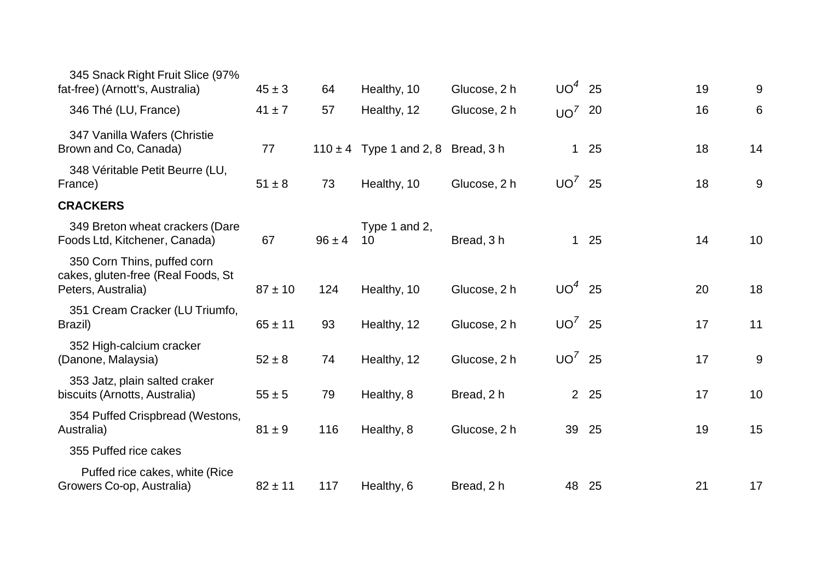| 345 Snack Right Fruit Slice (97%<br>fat-free) (Arnott's, Australia)                     | $45 \pm 3$  | 64         | Healthy, 10                            | Glucose, 2 h | $UO4$ 25  |       | 19 | 9  |
|-----------------------------------------------------------------------------------------|-------------|------------|----------------------------------------|--------------|-----------|-------|----|----|
| 346 Thé (LU, France)                                                                    | $41 \pm 7$  | 57         | Healthy, 12                            | Glucose, 2 h | $UO^7$ 20 |       | 16 | 6  |
| 347 Vanilla Wafers (Christie<br>Brown and Co, Canada)                                   | 77          |            | $110 \pm 4$ Type 1 and 2, 8 Bread, 3 h |              |           | $125$ | 18 | 14 |
| 348 Véritable Petit Beurre (LU,<br>France)                                              | $51 \pm 8$  | 73         | Healthy, 10                            | Glucose, 2 h | $UO^7$ 25 |       | 18 | 9  |
| <b>CRACKERS</b>                                                                         |             |            |                                        |              |           |       |    |    |
| 349 Breton wheat crackers (Dare<br>Foods Ltd, Kitchener, Canada)                        | 67          | $96 \pm 4$ | Type 1 and 2,<br>10                    | Bread, 3h    |           | $125$ | 14 | 10 |
| 350 Corn Thins, puffed corn<br>cakes, gluten-free (Real Foods, St<br>Peters, Australia) | $87 \pm 10$ | 124        | Healthy, 10                            | Glucose, 2 h | $UO4$ 25  |       | 20 | 18 |
| 351 Cream Cracker (LU Triumfo,<br>Brazil)                                               | $65 \pm 11$ | 93         | Healthy, 12                            | Glucose, 2 h | $UO^7$ 25 |       | 17 | 11 |
| 352 High-calcium cracker<br>(Danone, Malaysia)                                          | $52 \pm 8$  | 74         | Healthy, 12                            | Glucose, 2 h | $UO'$ 25  |       | 17 | 9  |
| 353 Jatz, plain salted craker<br>biscuits (Arnotts, Australia)                          | $55 \pm 5$  | 79         | Healthy, 8                             | Bread, 2 h   |           | 2 25  | 17 | 10 |
| 354 Puffed Crispbread (Westons,<br>Australia)                                           | $81 \pm 9$  | 116        | Healthy, 8                             | Glucose, 2 h |           | 39 25 | 19 | 15 |
| 355 Puffed rice cakes                                                                   |             |            |                                        |              |           |       |    |    |
| Puffed rice cakes, white (Rice<br>Growers Co-op, Australia)                             | $82 \pm 11$ | 117        | Healthy, 6                             | Bread, 2 h   |           | 48 25 | 21 | 17 |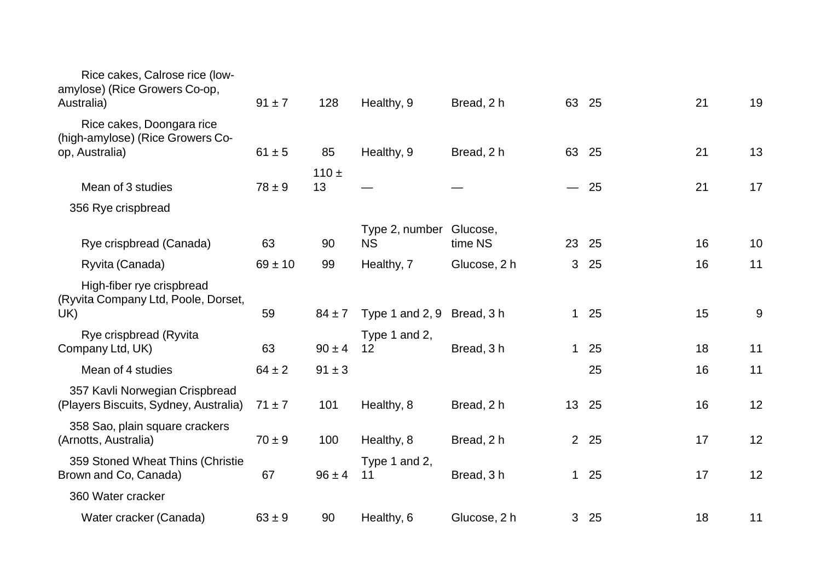| $91 \pm 7$  | 128        | Healthy, 9          | Bread, 2 h   |                                       |    | 21                                                           | 19 |
|-------------|------------|---------------------|--------------|---------------------------------------|----|--------------------------------------------------------------|----|
|             |            |                     |              |                                       |    |                                                              | 13 |
|             |            |                     |              |                                       |    |                                                              |    |
| $78 \pm 9$  | 13         |                     |              |                                       |    | 21                                                           | 17 |
|             |            |                     |              |                                       |    |                                                              |    |
| 63          | 90         | <b>NS</b>           | time NS      | 23                                    | 25 | 16                                                           | 10 |
| $69 \pm 10$ | 99         | Healthy, 7          | Glucose, 2 h | 3                                     | 25 | 16                                                           | 11 |
| 59          | $84 \pm 7$ | Type 1 and $2, 9$   | Bread, 3 h   |                                       |    | 15                                                           | 9  |
| 63          | $90 \pm 4$ | Type 1 and 2,<br>12 | Bread, 3h    | 1                                     | 25 | 18                                                           | 11 |
| $64 \pm 2$  | $91 \pm 3$ |                     |              |                                       | 25 | 16                                                           | 11 |
| $71 \pm 7$  | 101        | Healthy, 8          | Bread, 2 h   | 13 <sup>°</sup>                       | 25 | 16                                                           | 12 |
| $70 \pm 9$  | 100        | Healthy, 8          | Bread, 2 h   |                                       |    | 17                                                           | 12 |
| 67          | $96 \pm 4$ | Type 1 and 2,<br>11 | Bread, 3h    |                                       |    | 17                                                           | 12 |
|             |            |                     |              |                                       |    |                                                              |    |
| $63 \pm 9$  | 90         | Healthy, 6          | Glucose, 2 h |                                       |    | 18                                                           | 11 |
|             | $61 \pm 5$ | 85<br>$110 +$       | Healthy, 9   | Bread, 2 h<br>Type 2, number Glucose, |    | 63 25<br>63<br>25<br>$-25$<br>$125$<br>2 25<br>$125$<br>3 25 | 21 |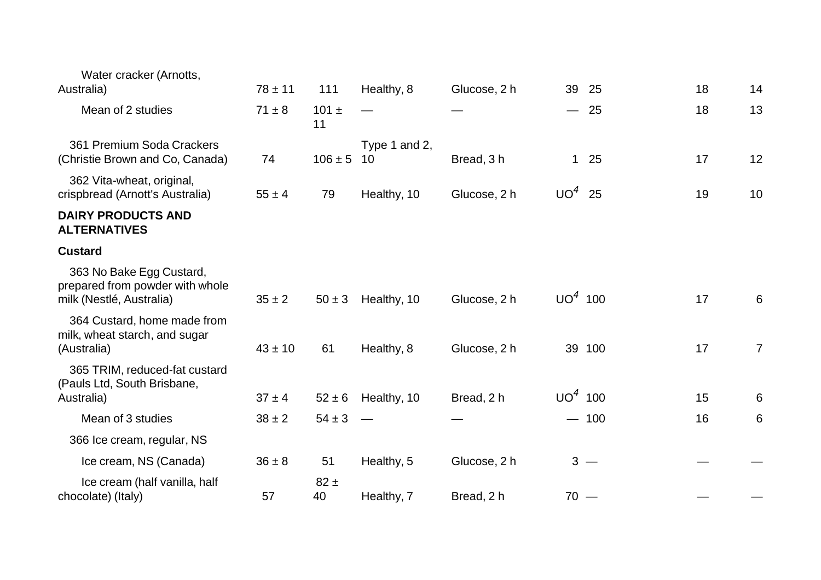| Water cracker (Arnotts,<br>Australia)                                                   | $78 \pm 11$ | 111             | Healthy, 8          | Glucose, 2 h | 39<br>25  | 18 | 14             |
|-----------------------------------------------------------------------------------------|-------------|-----------------|---------------------|--------------|-----------|----|----------------|
| Mean of 2 studies                                                                       | $71 \pm 8$  | $101 \pm$<br>11 |                     |              | $-25$     | 18 | 13             |
| 361 Premium Soda Crackers<br>(Christie Brown and Co, Canada)                            | 74          | $106 \pm 5$     | Type 1 and 2,<br>10 | Bread, 3h    | $125$     | 17 | 12             |
| 362 Vita-wheat, original,<br>crispbread (Arnott's Australia)                            | $55 \pm 4$  | 79              | Healthy, 10         | Glucose, 2 h | $UO4$ 25  | 19 | 10             |
| <b>DAIRY PRODUCTS AND</b><br><b>ALTERNATIVES</b>                                        |             |                 |                     |              |           |    |                |
| <b>Custard</b>                                                                          |             |                 |                     |              |           |    |                |
| 363 No Bake Egg Custard,<br>prepared from powder with whole<br>milk (Nestlé, Australia) | $35 \pm 2$  | $50 \pm 3$      | Healthy, 10         | Glucose, 2 h | $UO4$ 100 | 17 | 6              |
| 364 Custard, home made from<br>milk, wheat starch, and sugar<br>(Australia)             | $43 \pm 10$ | 61              | Healthy, 8          | Glucose, 2 h | 39 100    | 17 | $\overline{7}$ |
| 365 TRIM, reduced-fat custard<br>(Pauls Ltd, South Brisbane,<br>Australia)              | $37 \pm 4$  | $52 \pm 6$      | Healthy, 10         | Bread, 2 h   | $UO4$ 100 | 15 | 6              |
| Mean of 3 studies                                                                       | $38 \pm 2$  | $54 \pm 3$      |                     |              | $-100$    | 16 | 6              |
| 366 Ice cream, regular, NS                                                              |             |                 |                     |              |           |    |                |
| Ice cream, NS (Canada)                                                                  | $36 \pm 8$  | 51              | Healthy, 5          | Glucose, 2 h | $3 -$     |    |                |
| Ice cream (half vanilla, half<br>chocolate) (Italy)                                     | 57          | $82 \pm$<br>40  | Healthy, 7          | Bread, 2 h   | $70 -$    |    |                |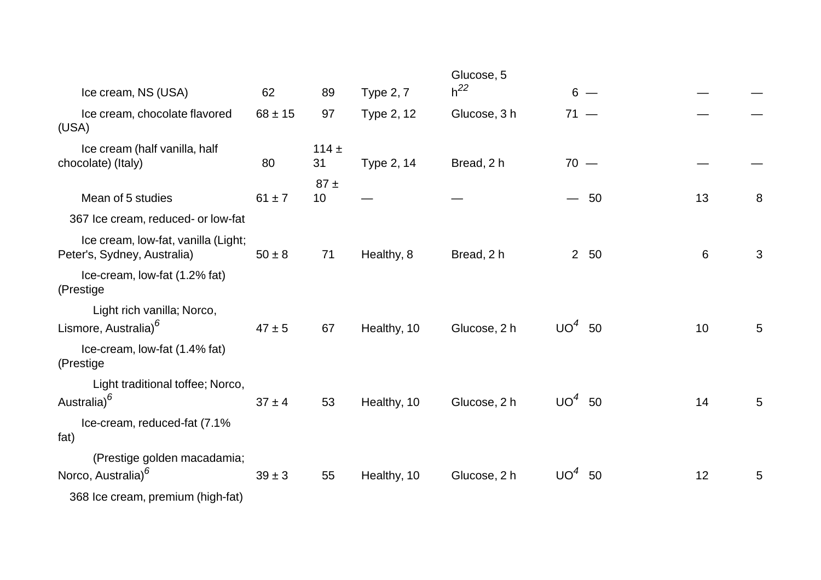|                                                                    |             |                 |                  | Glucose, 5   |                                |       |   |
|--------------------------------------------------------------------|-------------|-----------------|------------------|--------------|--------------------------------|-------|---|
| Ice cream, NS (USA)                                                | 62          | 89              | <b>Type 2, 7</b> | $h^{22}$     | $6 -$                          |       |   |
| Ice cream, chocolate flavored<br>(USA)                             | $68 \pm 15$ | 97              | Type 2, 12       | Glucose, 3 h | $71 -$                         |       |   |
| Ice cream (half vanilla, half<br>chocolate) (Italy)                | 80          | 114 $\pm$<br>31 | Type 2, 14       | Bread, 2 h   | $70 -$                         |       |   |
| Mean of 5 studies                                                  | $61 \pm 7$  | 87±<br>10       |                  |              | 50<br>$\overline{\phantom{0}}$ | 13    | 8 |
| 367 Ice cream, reduced- or low-fat                                 |             |                 |                  |              |                                |       |   |
| Ice cream, Iow-fat, vanilla (Light;<br>Peter's, Sydney, Australia) | $50 \pm 8$  | 71              | Healthy, 8       | Bread, 2 h   | 2 50                           | $6\,$ | 3 |
| Ice-cream, low-fat (1.2% fat)<br>(Prestige                         |             |                 |                  |              |                                |       |   |
| Light rich vanilla; Norco,<br>Lismore, Australia) <sup>6</sup>     | $47 \pm 5$  | 67              | Healthy, 10      | Glucose, 2 h | UO <sup>4</sup><br>50          | 10    | 5 |
| Ice-cream, low-fat (1.4% fat)<br>(Prestige                         |             |                 |                  |              |                                |       |   |
| Light traditional toffee; Norco,<br>Australia) <sup>6</sup>        | $37 \pm 4$  | 53              | Healthy, 10      | Glucose, 2 h | $UO4$ 50                       | 14    | 5 |
| Ice-cream, reduced-fat (7.1%<br>fat)                               |             |                 |                  |              |                                |       |   |
| (Prestige golden macadamia;<br>Norco, Australia) <sup>6</sup>      | $39 \pm 3$  | 55              | Healthy, 10      | Glucose, 2 h | UO <sup>4</sup><br>50          | 12    | 5 |
| 368 Ice cream, premium (high-fat)                                  |             |                 |                  |              |                                |       |   |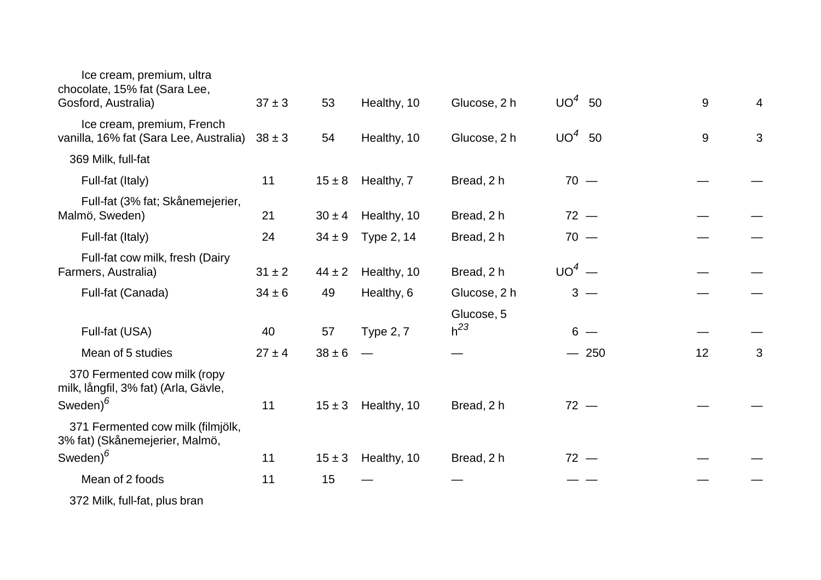| Ice cream, premium, ultra<br>chocolate, 15% fat (Sara Lee,<br>Gosford, Australia) | $37 \pm 3$ | 53         | Healthy, 10      | Glucose, 2 h           | $UO4$ 50 | $9\,$          | $\overline{4}$ |
|-----------------------------------------------------------------------------------|------------|------------|------------------|------------------------|----------|----------------|----------------|
| Ice cream, premium, French<br>vanilla, 16% fat (Sara Lee, Australia)              | $38 \pm 3$ | 54         | Healthy, 10      | Glucose, 2 h           | $UO4$ 50 | $\overline{9}$ | 3              |
| 369 Milk, full-fat                                                                |            |            |                  |                        |          |                |                |
| Full-fat (Italy)                                                                  | 11         | $15 \pm 8$ | Healthy, 7       | Bread, 2 h             | $70 -$   |                |                |
| Full-fat (3% fat; Skånemejerier,<br>Malmö, Sweden)                                | 21         | $30 \pm 4$ | Healthy, 10      | Bread, 2 h             | $72 -$   |                |                |
| Full-fat (Italy)                                                                  | 24         | $34 \pm 9$ | Type 2, 14       | Bread, 2 h             | $70 -$   |                |                |
| Full-fat cow milk, fresh (Dairy<br>Farmers, Australia)                            | $31 \pm 2$ | $44 \pm 2$ | Healthy, 10      | Bread, 2 h             | $UO4$ —  |                |                |
| Full-fat (Canada)                                                                 | $34 \pm 6$ | 49         | Healthy, 6       | Glucose, 2 h           | $3 -$    |                |                |
| Full-fat (USA)                                                                    | 40         | 57         | <b>Type 2, 7</b> | Glucose, 5<br>$h^{23}$ | $6 -$    |                |                |
| Mean of 5 studies                                                                 | $27 \pm 4$ | $38 \pm 6$ |                  |                        | $-250$   | 12             | 3              |
| 370 Fermented cow milk (ropy<br>milk, långfil, 3% fat) (Arla, Gävle,              |            |            |                  |                        |          |                |                |
| Sweden) $^6$                                                                      | 11         | $15 \pm 3$ | Healthy, 10      | Bread, 2 h             | $72 -$   |                |                |
| 371 Fermented cow milk (filmjölk,<br>3% fat) (Skånemejerier, Malmö,               |            |            |                  |                        |          |                |                |
| Sweden) <sup>6</sup>                                                              | 11         | $15 \pm 3$ | Healthy, 10      | Bread, 2 h             | $72 -$   |                |                |
| Mean of 2 foods                                                                   | 11         | 15         |                  |                        |          |                |                |
| 372 Milk, full-fat, plus bran                                                     |            |            |                  |                        |          |                |                |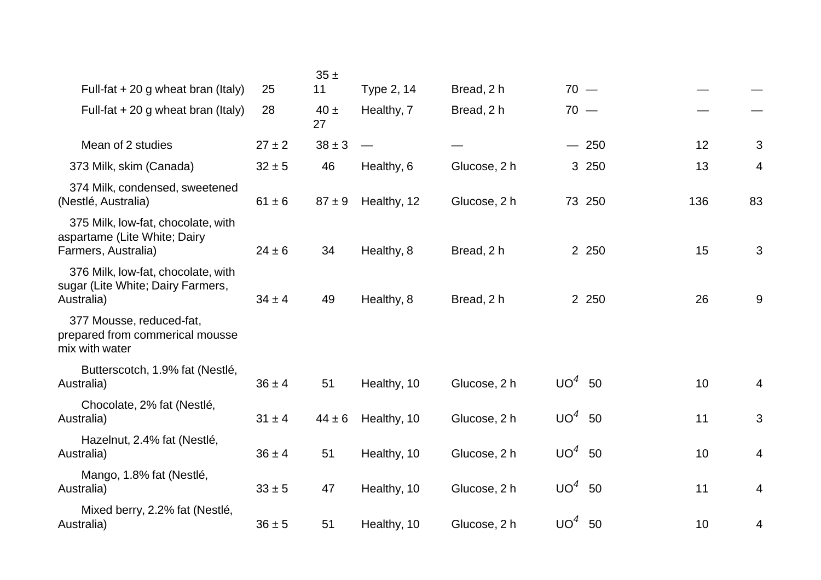|                                                                                           |            | 35±            |             |              |          |     |    |
|-------------------------------------------------------------------------------------------|------------|----------------|-------------|--------------|----------|-----|----|
| Full-fat $+20$ g wheat bran (Italy)                                                       | 25         | 11             | Type 2, 14  | Bread, 2 h   | $70 -$   |     |    |
| Full-fat $+20$ g wheat bran (Italy)                                                       | 28         | $40 \pm$<br>27 | Healthy, 7  | Bread, 2 h   | $70 -$   |     |    |
| Mean of 2 studies                                                                         | $27 \pm 2$ | $38 \pm 3$     |             |              | $-250$   | 12  | 3  |
| 373 Milk, skim (Canada)                                                                   | $32 \pm 5$ | 46             | Healthy, 6  | Glucose, 2 h | 3 250    | 13  | 4  |
| 374 Milk, condensed, sweetened<br>(Nestlé, Australia)                                     | $61 \pm 6$ | $87 \pm 9$     | Healthy, 12 | Glucose, 2 h | 73 250   | 136 | 83 |
| 375 Milk, low-fat, chocolate, with<br>aspartame (Lite White; Dairy<br>Farmers, Australia) | $24 \pm 6$ | 34             | Healthy, 8  | Bread, 2 h   | 2 2 5 0  | 15  | 3  |
| 376 Milk, low-fat, chocolate, with<br>sugar (Lite White; Dairy Farmers,<br>Australia)     | $34 \pm 4$ | 49             | Healthy, 8  | Bread, 2 h   | 2 2 5 0  | 26  | 9  |
| 377 Mousse, reduced-fat,<br>prepared from commerical mousse<br>mix with water             |            |                |             |              |          |     |    |
| Butterscotch, 1.9% fat (Nestlé,<br>Australia)                                             | $36 \pm 4$ | 51             | Healthy, 10 | Glucose, 2 h | $UO4$ 50 | 10  | 4  |
| Chocolate, 2% fat (Nestlé,<br>Australia)                                                  | $31 \pm 4$ | $44 \pm 6$     | Healthy, 10 | Glucose, 2 h | $UO4$ 50 | 11  | 3  |
| Hazelnut, 2.4% fat (Nestlé,<br>Australia)                                                 | $36 \pm 4$ | 51             | Healthy, 10 | Glucose, 2 h | $UO4$ 50 | 10  | 4  |
| Mango, 1.8% fat (Nestlé,<br>Australia)                                                    | $33 \pm 5$ | 47             | Healthy, 10 | Glucose, 2 h | $UO4$ 50 | 11  | 4  |
| Mixed berry, 2.2% fat (Nestlé,<br>Australia)                                              | $36 \pm 5$ | 51             | Healthy, 10 | Glucose, 2 h | $UO4$ 50 | 10  | 4  |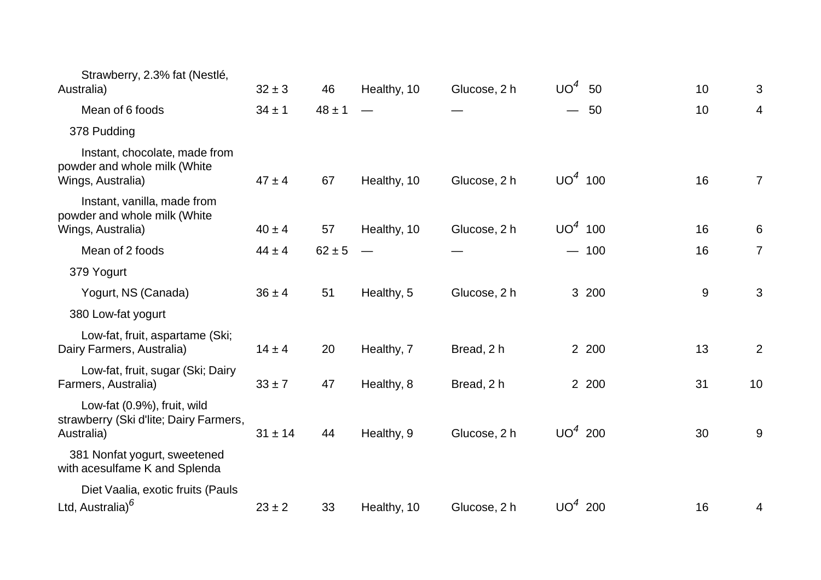| Strawberry, 2.3% fat (Nestlé,<br>Australia)                                         | $32 \pm 3$  | 46         | Healthy, 10 | Glucose, 2 h | UO <sup>4</sup>          | 50     | 10 | 3              |
|-------------------------------------------------------------------------------------|-------------|------------|-------------|--------------|--------------------------|--------|----|----------------|
| Mean of 6 foods                                                                     | $34 \pm 1$  | $48 \pm 1$ |             |              | $\overline{\phantom{0}}$ | 50     | 10 | $\overline{4}$ |
| 378 Pudding                                                                         |             |            |             |              |                          |        |    |                |
| Instant, chocolate, made from<br>powder and whole milk (White<br>Wings, Australia)  | $47 \pm 4$  | 67         | Healthy, 10 | Glucose, 2 h | $UO4$ 100                |        | 16 | $\overline{7}$ |
| Instant, vanilla, made from<br>powder and whole milk (White<br>Wings, Australia)    | $40 \pm 4$  | 57         | Healthy, 10 | Glucose, 2 h | $UO4$ 100                |        | 16 | 6              |
| Mean of 2 foods                                                                     | $44 \pm 4$  | $62 \pm 5$ |             |              |                          | $-100$ | 16 | $\overline{7}$ |
| 379 Yogurt                                                                          |             |            |             |              |                          |        |    |                |
| Yogurt, NS (Canada)                                                                 | $36 \pm 4$  | 51         | Healthy, 5  | Glucose, 2 h |                          | 3 200  | 9  | 3              |
| 380 Low-fat yogurt                                                                  |             |            |             |              |                          |        |    |                |
| Low-fat, fruit, aspartame (Ski;<br>Dairy Farmers, Australia)                        | $14 \pm 4$  | 20         | Healthy, 7  | Bread, 2 h   |                          | 2 200  | 13 | $\overline{2}$ |
| Low-fat, fruit, sugar (Ski; Dairy<br>Farmers, Australia)                            | $33 \pm 7$  | 47         | Healthy, 8  | Bread, 2 h   |                          | 2 200  | 31 | 10             |
| Low-fat (0.9%), fruit, wild<br>strawberry (Ski d'lite; Dairy Farmers,<br>Australia) | $31 \pm 14$ | 44         | Healthy, 9  | Glucose, 2 h | $UO4$ 200                |        | 30 | 9              |
| 381 Nonfat yogurt, sweetened<br>with acesulfame K and Splenda                       |             |            |             |              |                          |        |    |                |
| Diet Vaalia, exotic fruits (Pauls<br>Ltd, Australia) <sup>6</sup>                   | $23 \pm 2$  | 33         | Healthy, 10 | Glucose, 2 h | $UO4$ 200                |        | 16 | 4              |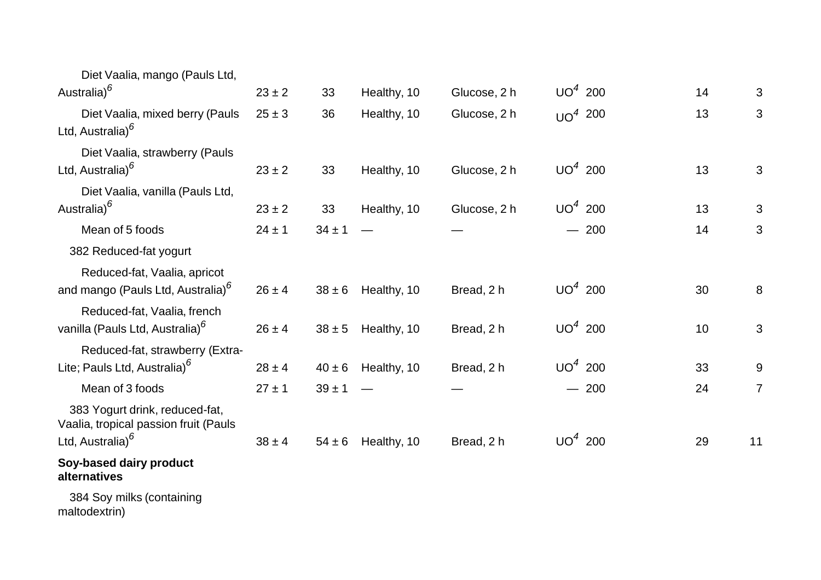| Diet Vaalia, mango (Pauls Ltd,                                                                          |            |            |             |              |           |    |                |
|---------------------------------------------------------------------------------------------------------|------------|------------|-------------|--------------|-----------|----|----------------|
| Australia) <sup>6</sup>                                                                                 | $23 \pm 2$ | 33         | Healthy, 10 | Glucose, 2 h | $UO4$ 200 | 14 | 3              |
| Diet Vaalia, mixed berry (Pauls<br>Ltd, Australia) <sup>6</sup>                                         | $25 \pm 3$ | 36         | Healthy, 10 | Glucose, 2 h | $UO4$ 200 | 13 | 3              |
| Diet Vaalia, strawberry (Pauls<br>Ltd, Australia) <sup>6</sup>                                          | $23 \pm 2$ | 33         | Healthy, 10 | Glucose, 2 h | $UO4$ 200 | 13 | 3              |
| Diet Vaalia, vanilla (Pauls Ltd,<br>Australia) <sup>6</sup>                                             | $23 \pm 2$ | 33         | Healthy, 10 | Glucose, 2 h | $UO4$ 200 | 13 | 3              |
| Mean of 5 foods                                                                                         | $24 \pm 1$ | $34 \pm 1$ |             |              | $-200$    | 14 | 3              |
| 382 Reduced-fat yogurt                                                                                  |            |            |             |              |           |    |                |
| Reduced-fat, Vaalia, apricot<br>and mango (Pauls Ltd, Australia) <sup>6</sup>                           | $26 \pm 4$ | $38 \pm 6$ | Healthy, 10 | Bread, 2 h   | $UO4$ 200 | 30 | 8              |
| Reduced-fat, Vaalia, french<br>vanilla (Pauls Ltd, Australia) <sup>6</sup>                              | $26 \pm 4$ | $38 \pm 5$ | Healthy, 10 | Bread, 2 h   | $UO4$ 200 | 10 | $\mathbf{3}$   |
| Reduced-fat, strawberry (Extra-<br>Lite; Pauls Ltd, Australia) <sup>6</sup>                             | $28 \pm 4$ | $40 \pm 6$ | Healthy, 10 | Bread, 2 h   | $UO4$ 200 | 33 | 9              |
| Mean of 3 foods                                                                                         | $27 \pm 1$ | $39 \pm 1$ |             |              | $-200$    | 24 | $\overline{7}$ |
| 383 Yogurt drink, reduced-fat,<br>Vaalia, tropical passion fruit (Pauls<br>Ltd, Australia) <sup>6</sup> | $38 \pm 4$ | $54 \pm 6$ | Healthy, 10 | Bread, 2 h   | $UO4$ 200 | 29 | 11             |
| Soy-based dairy product<br>alternatives                                                                 |            |            |             |              |           |    |                |
| 384 Soy milks (containing<br>maltodextrin)                                                              |            |            |             |              |           |    |                |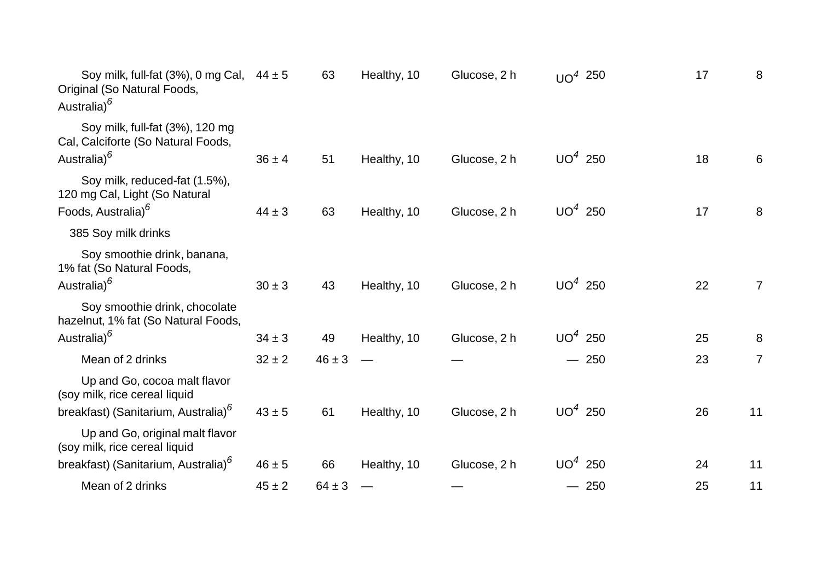| Soy milk, full-fat (3%), 0 mg Cal, $44 \pm 5$<br>Original (So Natural Foods,<br>Australia) <sup>6</sup> |            | 63         | Healthy, 10 | Glucose, 2 h | UO <sup>4</sup> 250 | 17 | 8              |
|---------------------------------------------------------------------------------------------------------|------------|------------|-------------|--------------|---------------------|----|----------------|
| Soy milk, full-fat (3%), 120 mg<br>Cal, Calciforte (So Natural Foods,<br>Australia) <sup>6</sup>        | $36 \pm 4$ | 51         | Healthy, 10 | Glucose, 2 h | $UO4$ 250           | 18 | 6              |
| Soy milk, reduced-fat (1.5%),<br>120 mg Cal, Light (So Natural                                          |            |            |             |              |                     |    |                |
| Foods, Australia) <sup>6</sup>                                                                          | $44 \pm 3$ | 63         | Healthy, 10 | Glucose, 2 h | $UO4$ 250           | 17 | 8              |
| 385 Soy milk drinks                                                                                     |            |            |             |              |                     |    |                |
| Soy smoothie drink, banana,<br>1% fat (So Natural Foods,<br>Australia) <sup>6</sup>                     | $30 \pm 3$ | 43         | Healthy, 10 | Glucose, 2 h | $UO4$ 250           | 22 | $\overline{7}$ |
| Soy smoothie drink, chocolate<br>hazelnut, 1% fat (So Natural Foods,                                    |            |            |             |              |                     |    |                |
| Australia) <sup>6</sup>                                                                                 | $34 \pm 3$ | 49         | Healthy, 10 | Glucose, 2 h | $UO4$ 250           | 25 | 8              |
| Mean of 2 drinks                                                                                        | $32 \pm 2$ | $46 \pm 3$ |             |              | $-250$              | 23 | $\overline{7}$ |
| Up and Go, cocoa malt flavor<br>(soy milk, rice cereal liquid                                           |            |            |             |              |                     |    |                |
| breakfast) (Sanitarium, Australia) <sup>6</sup>                                                         | $43 \pm 5$ | 61         | Healthy, 10 | Glucose, 2 h | $UO4$ 250           | 26 | 11             |
| Up and Go, original malt flavor<br>(soy milk, rice cereal liquid                                        |            |            |             |              |                     |    |                |
| breakfast) (Sanitarium, Australia) <sup>6</sup>                                                         | $46 \pm 5$ | 66         | Healthy, 10 | Glucose, 2 h | $UO4$ 250           | 24 | 11             |
| Mean of 2 drinks                                                                                        | $45 \pm 2$ | $64 \pm 3$ |             |              | $-250$              | 25 | 11             |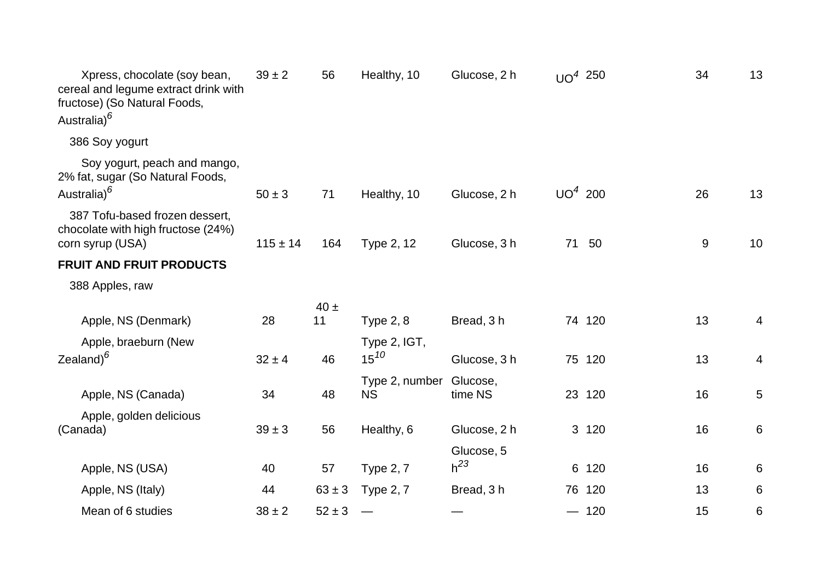| Xpress, chocolate (soy bean,<br>cereal and legume extract drink with<br>fructose) (So Natural Foods,<br>Australia) <sup>6</sup> | $39 \pm 2$   | 56         | Healthy, 10                          | Glucose, 2 h | $UO4$ 250 |        | 34 | 13             |
|---------------------------------------------------------------------------------------------------------------------------------|--------------|------------|--------------------------------------|--------------|-----------|--------|----|----------------|
| 386 Soy yogurt                                                                                                                  |              |            |                                      |              |           |        |    |                |
| Soy yogurt, peach and mango,<br>2% fat, sugar (So Natural Foods,<br>Australia) <sup>6</sup>                                     | $50 \pm 3$   | 71         | Healthy, 10                          | Glucose, 2 h | $UO4$ 200 |        | 26 | 13             |
| 387 Tofu-based frozen dessert,<br>chocolate with high fructose (24%)<br>corn syrup (USA)                                        | $115 \pm 14$ | 164        | Type 2, 12                           | Glucose, 3 h |           | 71 50  |    | 10<br>$9\,$    |
| <b>FRUIT AND FRUIT PRODUCTS</b>                                                                                                 |              |            |                                      |              |           |        |    |                |
| 388 Apples, raw                                                                                                                 |              |            |                                      |              |           |        |    |                |
|                                                                                                                                 |              | $40 \pm$   |                                      |              |           |        |    |                |
| Apple, NS (Denmark)                                                                                                             | 28           | 11         | <b>Type 2, 8</b>                     | Bread, 3 h   |           | 74 120 | 13 | $\overline{4}$ |
| Apple, braeburn (New<br>Zealand) $6$                                                                                            | $32 \pm 4$   | 46         | Type 2, IGT,<br>$15^{10}$            | Glucose, 3 h |           | 75 120 | 13 | 4              |
| Apple, NS (Canada)                                                                                                              | 34           | 48         | Type 2, number Glucose,<br><b>NS</b> | time NS      |           | 23 120 | 16 | 5              |
| Apple, golden delicious<br>(Canada)                                                                                             | $39 \pm 3$   | 56         | Healthy, 6                           | Glucose, 2 h |           | 3 120  | 16 | 6              |
|                                                                                                                                 |              |            |                                      | Glucose, 5   |           |        |    |                |
| Apple, NS (USA)                                                                                                                 | 40           | 57         | <b>Type 2, 7</b>                     | $h^{23}$     |           | 6 120  | 16 | 6              |
| Apple, NS (Italy)                                                                                                               | 44           | $63 \pm 3$ | <b>Type 2, 7</b>                     | Bread, 3 h   |           | 76 120 | 13 | 6              |
| Mean of 6 studies                                                                                                               | $38 \pm 2$   | $52 \pm 3$ |                                      |              |           | $-120$ | 15 | 6              |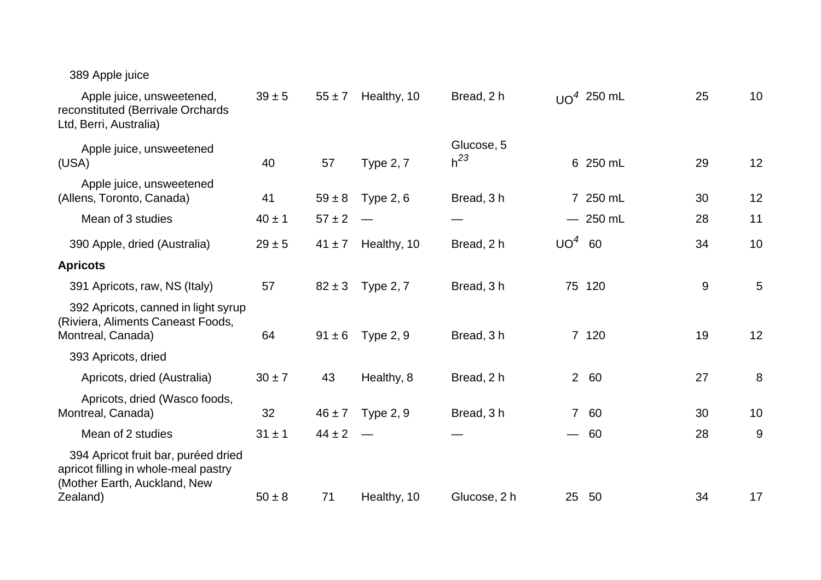## 389 Apple juice

| $39 \pm 5$ | $55 \pm 7$ | Healthy, 10      | Bread, 2 h             |                          |    | 25                                                                                                                            | 10 |
|------------|------------|------------------|------------------------|--------------------------|----|-------------------------------------------------------------------------------------------------------------------------------|----|
| 40         | 57         | <b>Type 2, 7</b> | Glucose, 5<br>$h^{23}$ |                          |    | 29                                                                                                                            | 12 |
| 41         | $59 \pm 8$ | Type 2, 6        | Bread, 3 h             |                          |    | 30                                                                                                                            | 12 |
| $40 \pm 1$ | $57 \pm 2$ |                  |                        |                          |    | 28                                                                                                                            | 11 |
| $29 \pm 5$ | $41 \pm 7$ | Healthy, 10      | Bread, 2 h             |                          |    | 34                                                                                                                            | 10 |
|            |            |                  |                        |                          |    |                                                                                                                               |    |
| 57         | $82 \pm 3$ | <b>Type 2, 7</b> | Bread, 3h              |                          |    | $\boldsymbol{9}$                                                                                                              | 5  |
| 64         | $91 \pm 6$ | <b>Type 2, 9</b> | Bread, 3h              |                          |    | 19                                                                                                                            | 12 |
|            |            |                  |                        |                          |    |                                                                                                                               |    |
| $30 \pm 7$ | 43         | Healthy, 8       | Bread, 2 h             |                          | 60 | 27                                                                                                                            | 8  |
| 32         | $46 \pm 7$ | Type $2, 9$      | Bread, 3 h             |                          | 60 | 30                                                                                                                            | 10 |
| $31 \pm 1$ | $44 \pm 2$ |                  |                        | $\overline{\phantom{0}}$ | 60 | 28                                                                                                                            | 9  |
|            |            |                  |                        |                          |    |                                                                                                                               | 17 |
|            | $50 \pm 8$ | 71               | Healthy, 10            | Glucose, 2 h             |    | $UO4$ 250 mL<br>6 250 mL<br>7 250 mL<br>$-250$ mL<br>$UO4$ 60<br>75 120<br>7 120<br>2 <sup>1</sup><br>$\overline{7}$<br>25 50 | 34 |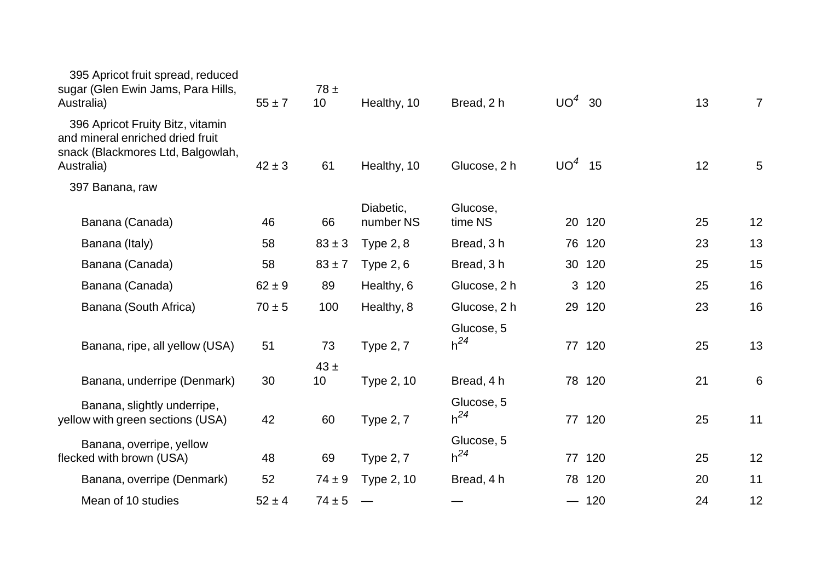| 395 Apricot fruit spread, reduced<br>sugar (Glen Ewin Jams, Para Hills,<br>Australia)                                   | $55 \pm 7$ | $78 \pm$<br>10 <sup>°</sup> | Healthy, 10            | Bread, 2 h             | $UO4$ 30        |        | 13 | $\overline{7}$  |
|-------------------------------------------------------------------------------------------------------------------------|------------|-----------------------------|------------------------|------------------------|-----------------|--------|----|-----------------|
| 396 Apricot Fruity Bitz, vitamin<br>and mineral enriched dried fruit<br>snack (Blackmores Ltd, Balgowlah,<br>Australia) | $42 \pm 3$ | 61                          | Healthy, 10            | Glucose, 2 h           | UO <sup>4</sup> | 15     | 12 | $5\phantom{.0}$ |
| 397 Banana, raw                                                                                                         |            |                             |                        |                        |                 |        |    |                 |
| Banana (Canada)                                                                                                         | 46         | 66                          | Diabetic,<br>number NS | Glucose,<br>time NS    |                 | 20 120 | 25 | 12              |
| Banana (Italy)                                                                                                          | 58         | $83 \pm 3$                  | <b>Type 2, 8</b>       | Bread, 3h              |                 | 76 120 | 23 | 13              |
| Banana (Canada)                                                                                                         | 58         | $83 + 7$                    | <b>Type 2, 6</b>       | Bread, 3h              |                 | 30 120 | 25 | 15              |
| Banana (Canada)                                                                                                         | $62 \pm 9$ | 89                          | Healthy, 6             | Glucose, 2 h           |                 | 3 120  | 25 | 16              |
| Banana (South Africa)                                                                                                   | $70 \pm 5$ | 100                         | Healthy, 8             | Glucose, 2 h           |                 | 29 120 | 23 | 16              |
| Banana, ripe, all yellow (USA)                                                                                          | 51         | 73                          | <b>Type 2, 7</b>       | Glucose, 5<br>$h^{24}$ |                 | 77 120 | 25 | 13              |
| Banana, underripe (Denmark)                                                                                             | 30         | $43 \pm$<br>10              | Type 2, 10             | Bread, 4 h             |                 | 78 120 | 21 | 6               |
| Banana, slightly underripe,<br>yellow with green sections (USA)                                                         | 42         | 60                          | <b>Type 2, 7</b>       | Glucose, 5<br>$h^{24}$ |                 | 77 120 | 25 | 11              |
| Banana, overripe, yellow<br>flecked with brown (USA)                                                                    | 48         | 69                          | <b>Type 2, 7</b>       | Glucose, 5<br>$h^{24}$ |                 | 77 120 | 25 | 12              |
| Banana, overripe (Denmark)                                                                                              | 52         | $74 \pm 9$                  | Type 2, 10             | Bread, 4 h             |                 | 78 120 | 20 | 11              |
| Mean of 10 studies                                                                                                      | $52 \pm 4$ | $74 \pm 5$                  |                        |                        |                 | $-120$ | 24 | 12              |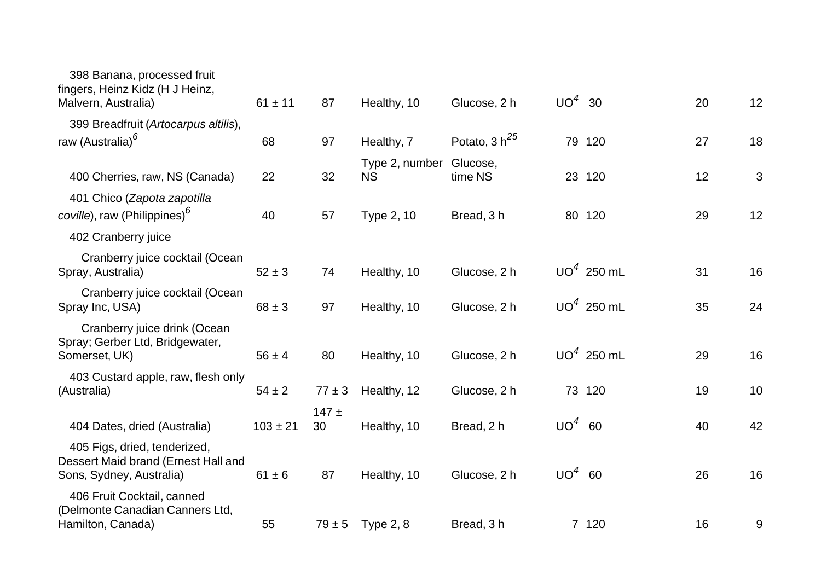| 398 Banana, processed fruit<br>fingers, Heinz Kidz (H J Heinz,<br>Malvern, Australia)           | $61 \pm 11$  | 87              | Healthy, 10                 | Glucose, 2 h        | $UO4$ 30 |              | 20 | 12 |
|-------------------------------------------------------------------------------------------------|--------------|-----------------|-----------------------------|---------------------|----------|--------------|----|----|
| 399 Breadfruit (Artocarpus altilis),                                                            |              |                 |                             |                     |          |              |    |    |
| raw (Australia) <sup>6</sup>                                                                    | 68           | 97              | Healthy, 7                  | Potato, 3 $h^{25}$  |          | 79 120       | 27 | 18 |
| 400 Cherries, raw, NS (Canada)                                                                  | 22           | 32              | Type 2, number<br><b>NS</b> | Glucose,<br>time NS |          | 23 120       | 12 | 3  |
| 401 Chico (Zapota zapotilla<br>coville), raw (Philippines) <sup>6</sup>                         | 40           | 57              | Type 2, 10                  | Bread, 3h           |          | 80 120       | 29 | 12 |
| 402 Cranberry juice                                                                             |              |                 |                             |                     |          |              |    |    |
| Cranberry juice cocktail (Ocean<br>Spray, Australia)                                            | $52 \pm 3$   | 74              | Healthy, 10                 | Glucose, 2 h        |          | $UO4$ 250 mL | 31 | 16 |
| Cranberry juice cocktail (Ocean<br>Spray Inc, USA)                                              | $68 \pm 3$   | 97              | Healthy, 10                 | Glucose, 2 h        |          | $UO4$ 250 mL | 35 | 24 |
| Cranberry juice drink (Ocean<br>Spray; Gerber Ltd, Bridgewater,<br>Somerset, UK)                | $56 \pm 4$   | 80              | Healthy, 10                 | Glucose, 2 h        |          | $UO4$ 250 mL | 29 | 16 |
| 403 Custard apple, raw, flesh only<br>(Australia)                                               | $54 \pm 2$   | $77 \pm 3$      | Healthy, 12                 | Glucose, 2 h        |          | 73 120       | 19 | 10 |
| 404 Dates, dried (Australia)                                                                    | $103 \pm 21$ | $147 \pm$<br>30 | Healthy, 10                 | Bread, 2 h          | $UO4$ 60 |              | 40 | 42 |
| 405 Figs, dried, tenderized,<br>Dessert Maid brand (Ernest Hall and<br>Sons, Sydney, Australia) | $61 \pm 6$   | 87              | Healthy, 10                 | Glucose, 2 h        | $UO4$ 60 |              | 26 | 16 |
| 406 Fruit Cocktail, canned<br>(Delmonte Canadian Canners Ltd,<br>Hamilton, Canada)              | 55           | $79 \pm 5$      | Type $2, 8$                 | Bread, 3 h          |          | 7 120        | 16 | 9  |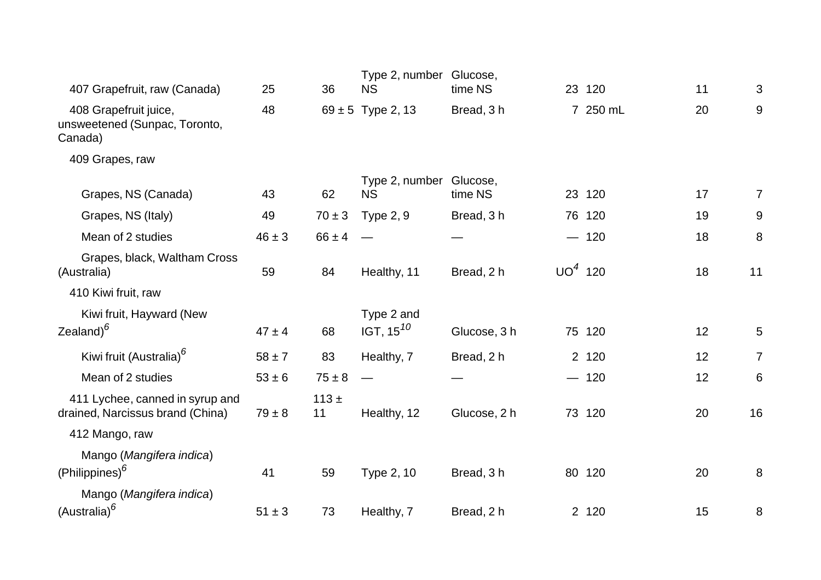| 407 Grapefruit, raw (Canada)                                        | 25         | 36            | Type 2, number<br><b>NS</b>          | Glucose,<br>time NS |           | 23 120   | 11 | 3              |
|---------------------------------------------------------------------|------------|---------------|--------------------------------------|---------------------|-----------|----------|----|----------------|
| 408 Grapefruit juice,<br>unsweetened (Sunpac, Toronto,<br>Canada)   | 48         |               | $69 \pm 5$ Type 2, 13                | Bread, 3h           |           | 7 250 mL | 20 | $9\,$          |
| 409 Grapes, raw                                                     |            |               |                                      |                     |           |          |    |                |
| Grapes, NS (Canada)                                                 | 43         | 62            | Type 2, number Glucose,<br><b>NS</b> | time NS             |           | 23 120   | 17 | $\overline{7}$ |
| Grapes, NS (Italy)                                                  | 49         | $70 \pm 3$    | <b>Type 2, 9</b>                     | Bread, 3 h          |           | 76 120   | 19 | 9              |
| Mean of 2 studies                                                   | $46 \pm 3$ | $66 \pm 4$    |                                      |                     |           | $-120$   | 18 | 8              |
| Grapes, black, Waltham Cross<br>(Australia)                         | 59         | 84            | Healthy, 11                          | Bread, 2 h          | $UO4$ 120 |          | 18 | 11             |
| 410 Kiwi fruit, raw                                                 |            |               |                                      |                     |           |          |    |                |
| Kiwi fruit, Hayward (New<br>Zealand) $^6$                           | $47 \pm 4$ | 68            | Type 2 and<br>IGT, $15^{10}$         | Glucose, 3 h        |           | 75 120   | 12 | $\overline{5}$ |
| Kiwi fruit (Australia) <sup>6</sup>                                 | $58 \pm 7$ | 83            | Healthy, 7                           | Bread, 2 h          |           | 2 120    | 12 | $\overline{7}$ |
| Mean of 2 studies                                                   | $53 \pm 6$ | $75 \pm 8$    |                                      |                     |           | $-120$   | 12 | 6              |
| 411 Lychee, canned in syrup and<br>drained, Narcissus brand (China) | $79 \pm 8$ | $113 +$<br>11 | Healthy, 12                          | Glucose, 2 h        |           | 73 120   | 20 | 16             |
| 412 Mango, raw                                                      |            |               |                                      |                     |           |          |    |                |
| Mango (Mangifera indica)<br>$(Philippines)^6$                       | 41         | 59            | Type 2, 10                           | Bread, 3h           |           | 80 120   | 20 | 8              |
| Mango (Mangifera indica)<br>(Australia) <sup>6</sup>                | $51 \pm 3$ | 73            | Healthy, 7                           | Bread, 2 h          |           | 2 120    | 15 | 8              |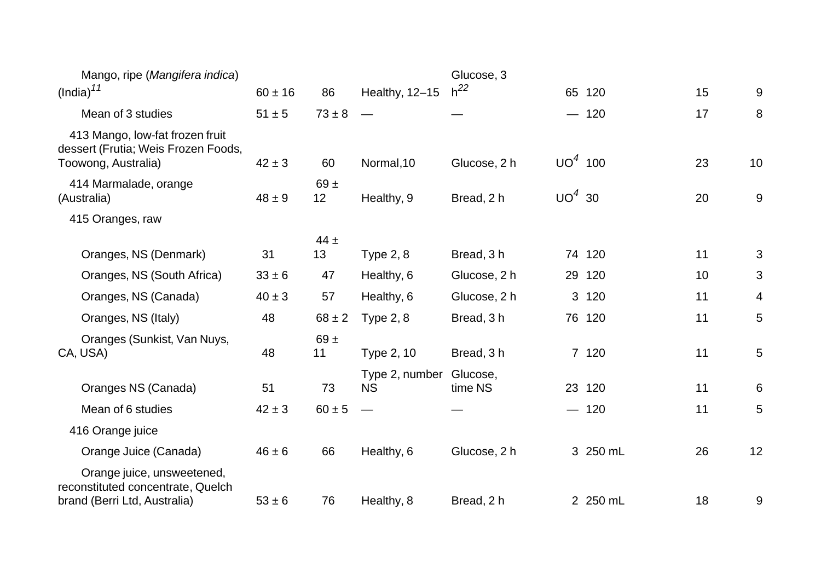| Mango, ripe (Mangifera indica)                                                                  |             |                |                             | Glucose, 3          |           |          |    |       |
|-------------------------------------------------------------------------------------------------|-------------|----------------|-----------------------------|---------------------|-----------|----------|----|-------|
| $(India)^{11}$                                                                                  | $60 \pm 16$ | 86             | Healthy, 12-15              | $h^{22}$            |           | 65 120   | 15 | 9     |
| Mean of 3 studies                                                                               | $51 \pm 5$  | $73 \pm 8$     |                             |                     |           | $-120$   | 17 | 8     |
| 413 Mango, low-fat frozen fruit<br>dessert (Frutia; Weis Frozen Foods,<br>Toowong, Australia)   | $42 \pm 3$  | 60             | Normal, 10                  | Glucose, 2 h        | $UO4$ 100 |          | 23 | 10    |
| 414 Marmalade, orange<br>(Australia)                                                            | $48 \pm 9$  | $69 \pm$<br>12 | Healthy, 9                  | Bread, 2 h          | $UO4$ 30  |          | 20 | $9\,$ |
| 415 Oranges, raw                                                                                |             |                |                             |                     |           |          |    |       |
| Oranges, NS (Denmark)                                                                           | 31          | $44 \pm$<br>13 | <b>Type 2, 8</b>            | Bread, 3 h          |           | 74 120   | 11 | 3     |
| Oranges, NS (South Africa)                                                                      | $33 \pm 6$  | 47             | Healthy, 6                  | Glucose, 2 h        |           | 29 120   | 10 | 3     |
| Oranges, NS (Canada)                                                                            | $40 \pm 3$  | 57             | Healthy, 6                  | Glucose, 2 h        |           | 3 120    | 11 | 4     |
| Oranges, NS (Italy)                                                                             | 48          | $68 \pm 2$     | Type $2, 8$                 | Bread, 3h           |           | 76 120   | 11 | 5     |
| Oranges (Sunkist, Van Nuys,<br>CA, USA)                                                         | 48          | $69 +$<br>11   | Type 2, 10                  | Bread, 3 h          |           | 7 120    | 11 | 5     |
| Oranges NS (Canada)                                                                             | 51          | 73             | Type 2, number<br><b>NS</b> | Glucose,<br>time NS |           | 23 120   | 11 | 6     |
| Mean of 6 studies                                                                               | $42 \pm 3$  | $60 \pm 5$     |                             |                     |           | $-120$   | 11 | 5     |
| 416 Orange juice                                                                                |             |                |                             |                     |           |          |    |       |
| Orange Juice (Canada)                                                                           | $46 \pm 6$  | 66             | Healthy, 6                  | Glucose, 2 h        |           | 3 250 mL | 26 | 12    |
| Orange juice, unsweetened,<br>reconstituted concentrate, Quelch<br>brand (Berri Ltd, Australia) | $53 \pm 6$  | 76             | Healthy, 8                  | Bread, 2 h          |           | 2 250 mL | 18 | 9     |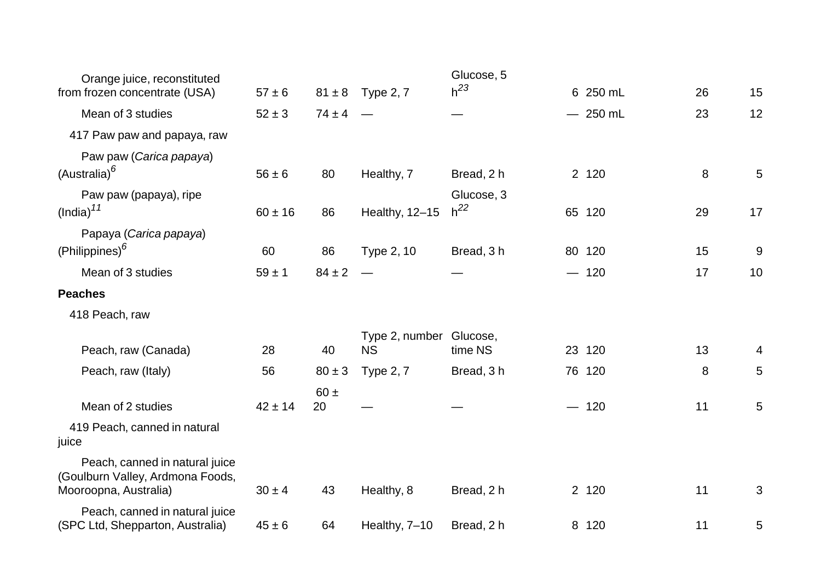| Orange juice, reconstituted                                                                 |             |                |                                      | Glucose, 5             |           |    |    |
|---------------------------------------------------------------------------------------------|-------------|----------------|--------------------------------------|------------------------|-----------|----|----|
| from frozen concentrate (USA)                                                               | $57 \pm 6$  |                | $81 \pm 8$ Type 2, 7                 | $h^{23}$               | 6 250 mL  | 26 | 15 |
| Mean of 3 studies                                                                           | $52 \pm 3$  | $74 \pm 4$     |                                      |                        | $-250$ mL | 23 | 12 |
| 417 Paw paw and papaya, raw                                                                 |             |                |                                      |                        |           |    |    |
| Paw paw (Carica papaya)                                                                     |             |                |                                      |                        |           |    |    |
| (Australia) <sup>6</sup>                                                                    | $56 \pm 6$  | 80             | Healthy, 7                           | Bread, 2 h             | 2 120     | 8  | 5  |
| Paw paw (papaya), ripe<br>(India) <sup>11</sup>                                             | $60 \pm 16$ | 86             | Healthy, 12-15                       | Glucose, 3<br>$h^{22}$ | 65 120    | 29 | 17 |
| Papaya (Carica papaya)                                                                      |             |                |                                      |                        |           |    |    |
| (Philippines) <sup>6</sup>                                                                  | 60          | 86             | Type 2, 10                           | Bread, 3h              | 80 120    | 15 | 9  |
| Mean of 3 studies                                                                           | $59 \pm 1$  | $84 \pm 2$     |                                      |                        | $-120$    | 17 | 10 |
| <b>Peaches</b>                                                                              |             |                |                                      |                        |           |    |    |
| 418 Peach, raw                                                                              |             |                |                                      |                        |           |    |    |
| Peach, raw (Canada)                                                                         | 28          | 40             | Type 2, number Glucose,<br><b>NS</b> | time NS                | 23 120    | 13 | 4  |
| Peach, raw (Italy)                                                                          | 56          | $80 \pm 3$     | <b>Type 2, 7</b>                     | Bread, 3h              | 76 120    | 8  | 5  |
| Mean of 2 studies                                                                           | $42 \pm 14$ | $60 \pm$<br>20 |                                      |                        | $-120$    | 11 | 5  |
| 419 Peach, canned in natural<br>juice                                                       |             |                |                                      |                        |           |    |    |
| Peach, canned in natural juice<br>(Goulburn Valley, Ardmona Foods,<br>Mooroopna, Australia) | $30 \pm 4$  | 43             | Healthy, 8                           | Bread, 2 h             | 2 120     | 11 | 3  |
| Peach, canned in natural juice<br>(SPC Ltd, Shepparton, Australia)                          | $45 \pm 6$  | 64             | Healthy, 7-10                        | Bread, 2 h             | 8 120     | 11 | 5  |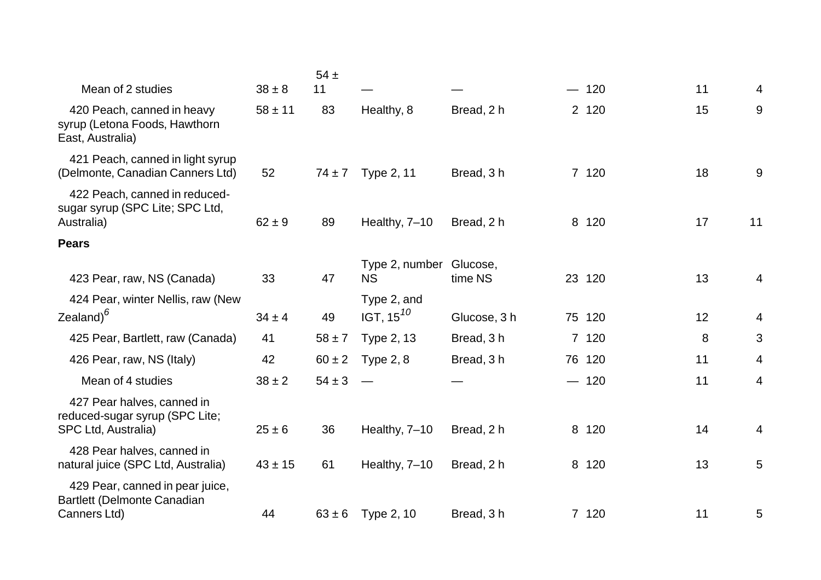|                                                                                     |             | $54 \pm$   |                                      |              |        |    |                |
|-------------------------------------------------------------------------------------|-------------|------------|--------------------------------------|--------------|--------|----|----------------|
| Mean of 2 studies                                                                   | $38 \pm 8$  | 11         |                                      |              | $-120$ | 11 | 4              |
| 420 Peach, canned in heavy<br>syrup (Letona Foods, Hawthorn<br>East, Australia)     | $58 \pm 11$ | 83         | Healthy, 8                           | Bread, 2 h   | 2 120  | 15 | $9\,$          |
| 421 Peach, canned in light syrup<br>(Delmonte, Canadian Canners Ltd)                | 52          | $74 \pm 7$ | Type 2, 11                           | Bread, 3 h   | 7 120  | 18 | 9              |
| 422 Peach, canned in reduced-<br>sugar syrup (SPC Lite; SPC Ltd,<br>Australia)      | $62 \pm 9$  | 89         | Healthy, 7-10                        | Bread, 2 h   | 8 120  | 17 | 11             |
| <b>Pears</b>                                                                        |             |            |                                      |              |        |    |                |
| 423 Pear, raw, NS (Canada)                                                          | 33          | 47         | Type 2, number Glucose,<br><b>NS</b> | time NS      | 23 120 | 13 | $\overline{4}$ |
| 424 Pear, winter Nellis, raw (New<br>Zealand) $^6$                                  | $34 \pm 4$  | 49         | Type 2, and<br>IGT, 15 $^{10}$       | Glucose, 3 h | 75 120 | 12 | 4              |
| 425 Pear, Bartlett, raw (Canada)                                                    | 41          | $58 \pm 7$ | <b>Type 2, 13</b>                    | Bread, 3h    | 7 120  | 8  | 3              |
| 426 Pear, raw, NS (Italy)                                                           | 42          | $60 \pm 2$ | Type $2, 8$                          | Bread, 3h    | 76 120 | 11 | 4              |
| Mean of 4 studies                                                                   | $38 \pm 2$  | $54 \pm 3$ |                                      |              | $-120$ | 11 | 4              |
| 427 Pear halves, canned in<br>reduced-sugar syrup (SPC Lite;<br>SPC Ltd, Australia) | $25 \pm 6$  | 36         | Healthy, 7-10                        | Bread, 2 h   | 8 120  | 14 | 4              |
| 428 Pear halves, canned in<br>natural juice (SPC Ltd, Australia)                    | $43 \pm 15$ | 61         | Healthy, 7-10                        | Bread, 2 h   | 8 120  | 13 | 5              |
| 429 Pear, canned in pear juice,<br>Bartlett (Delmonte Canadian<br>Canners Ltd)      | 44          | $63 \pm 6$ | Type 2, 10                           | Bread, 3h    | 7 120  | 11 | 5              |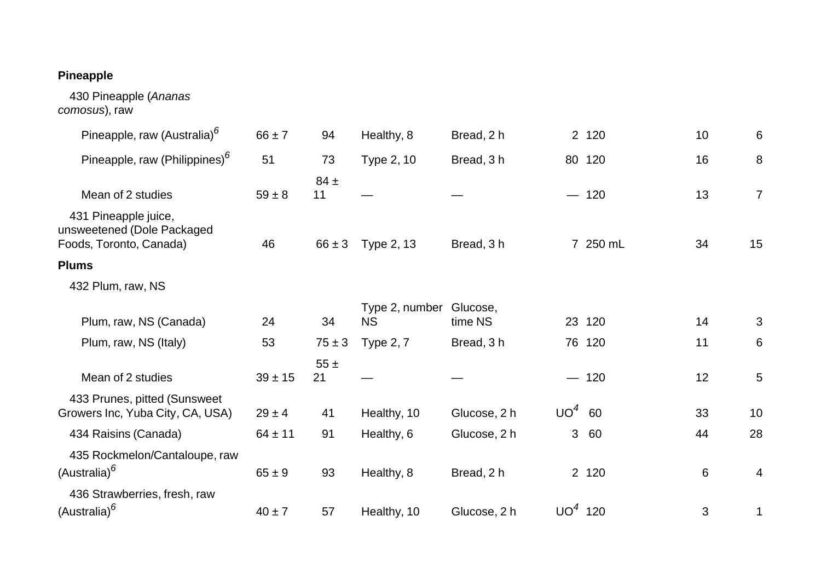## **Pineapple**

 430 Pineapple (*Ananas comosus*), raw

| Pineapple, raw (Australia) <sup>6</sup>                                       | $66 \pm 7$  | 94             | Healthy, 8                  | Bread, 2 h          |           | 2 120    | 10      | 6               |
|-------------------------------------------------------------------------------|-------------|----------------|-----------------------------|---------------------|-----------|----------|---------|-----------------|
| Pineapple, raw (Philippines) <sup>6</sup>                                     | 51          | 73             | Type 2, 10                  | Bread, 3 h          |           | 80 120   | 16      | 8               |
| Mean of 2 studies                                                             | $59 \pm 8$  | $84 \pm$<br>11 |                             |                     |           | $-120$   | 13      | $\overline{7}$  |
| 431 Pineapple juice,<br>unsweetened (Dole Packaged<br>Foods, Toronto, Canada) | 46          | $66 \pm 3$     | Type 2, 13                  | Bread, 3 h          |           | 7 250 mL | 34      | 15              |
| <b>Plums</b>                                                                  |             |                |                             |                     |           |          |         |                 |
| 432 Plum, raw, NS                                                             |             |                |                             |                     |           |          |         |                 |
| Plum, raw, NS (Canada)                                                        | 24          | 34             | Type 2, number<br><b>NS</b> | Glucose,<br>time NS |           | 23 120   | 14      | 3               |
| Plum, raw, NS (Italy)                                                         | 53          | $75 \pm 3$     | <b>Type 2, 7</b>            | Bread, 3 h          |           | 76 120   | 11      | 6               |
| Mean of 2 studies                                                             | $39 \pm 15$ | $55 \pm$<br>21 |                             |                     |           | $-120$   | 12      | $5\phantom{.0}$ |
| 433 Prunes, pitted (Sunsweet<br>Growers Inc, Yuba City, CA, USA)              | $29 \pm 4$  | 41             | Healthy, 10                 | Glucose, 2 h        | $UO4$ 60  |          | 33      | 10              |
| 434 Raisins (Canada)                                                          | $64 \pm 11$ | 91             | Healthy, 6                  | Glucose, 2 h        | 3         | 60       | 44      | 28              |
| 435 Rockmelon/Cantaloupe, raw<br>(Australia) <sup>6</sup>                     | $65 \pm 9$  | 93             | Healthy, 8                  | Bread, 2 h          |           | 2 120    | $\,6\,$ | 4               |
| 436 Strawberries, fresh, raw<br>(Australia) <sup>6</sup>                      | $40 \pm 7$  | 57             | Healthy, 10                 | Glucose, 2 h        | $UO4$ 120 |          | 3       | 1               |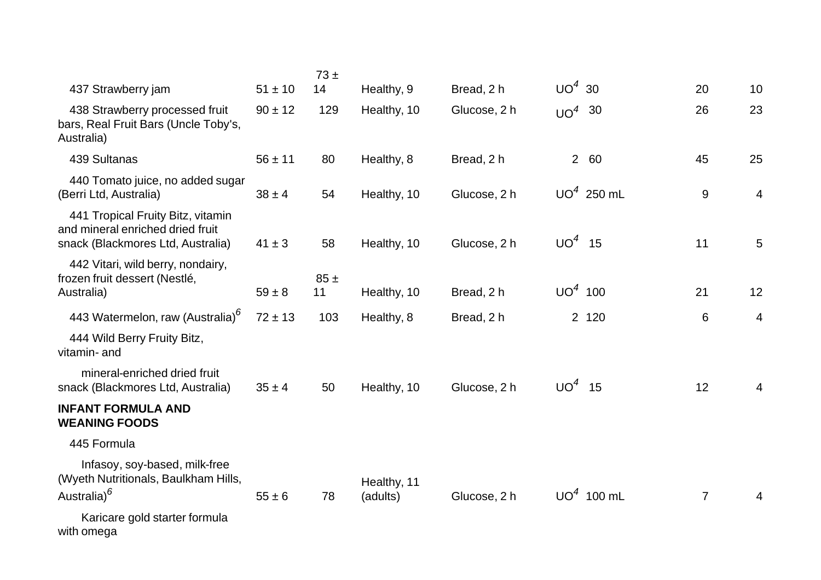|                                                                                                            |             | 73±       |                         |              |           |              |                  |                |
|------------------------------------------------------------------------------------------------------------|-------------|-----------|-------------------------|--------------|-----------|--------------|------------------|----------------|
| 437 Strawberry jam                                                                                         | $51 \pm 10$ | 14        | Healthy, 9              | Bread, 2 h   | $UO4$ 30  |              | 20               | 10             |
| 438 Strawberry processed fruit<br>bars, Real Fruit Bars (Uncle Toby's,<br>Australia)                       | $90 \pm 12$ | 129       | Healthy, 10             | Glucose, 2 h | $UO4$ 30  |              | 26               | 23             |
| 439 Sultanas                                                                                               | $56 \pm 11$ | 80        | Healthy, 8              | Bread, 2 h   |           | 2 60         | 45               | 25             |
| 440 Tomato juice, no added sugar<br>(Berri Ltd, Australia)                                                 | $38 \pm 4$  | 54        | Healthy, 10             | Glucose, 2 h |           | $UO4$ 250 mL | $\boldsymbol{9}$ | $\overline{4}$ |
| 441 Tropical Fruity Bitz, vitamin<br>and mineral enriched dried fruit<br>snack (Blackmores Ltd, Australia) | $41 \pm 3$  | 58        | Healthy, 10             | Glucose, 2 h | $UO4$ 15  |              | 11               | 5              |
| 442 Vitari, wild berry, nondairy,<br>frozen fruit dessert (Nestlé,<br>Australia)                           | $59 \pm 8$  | 85±<br>11 | Healthy, 10             | Bread, 2 h   | $UO4$ 100 |              | 21               | 12             |
| 443 Watermelon, raw (Australia) <sup>6</sup>                                                               | $72 \pm 13$ | 103       | Healthy, 8              | Bread, 2 h   |           | 2 120        | 6                | $\overline{4}$ |
| 444 Wild Berry Fruity Bitz,<br>vitamin- and                                                                |             |           |                         |              |           |              |                  |                |
| mineral-enriched dried fruit<br>snack (Blackmores Ltd, Australia)                                          | $35 \pm 4$  | 50        | Healthy, 10             | Glucose, 2 h | $UO4$ 15  |              | 12               | $\overline{4}$ |
| <b>INFANT FORMULA AND</b><br><b>WEANING FOODS</b>                                                          |             |           |                         |              |           |              |                  |                |
| 445 Formula                                                                                                |             |           |                         |              |           |              |                  |                |
| Infasoy, soy-based, milk-free<br>(Wyeth Nutritionals, Baulkham Hills,<br>Australia) <sup>6</sup>           | $55 \pm 6$  | 78        | Healthy, 11<br>(adults) | Glucose, 2 h |           | $UO4$ 100 mL | $\overline{7}$   | 4              |
| Karicare gold starter formula<br>with omega                                                                |             |           |                         |              |           |              |                  |                |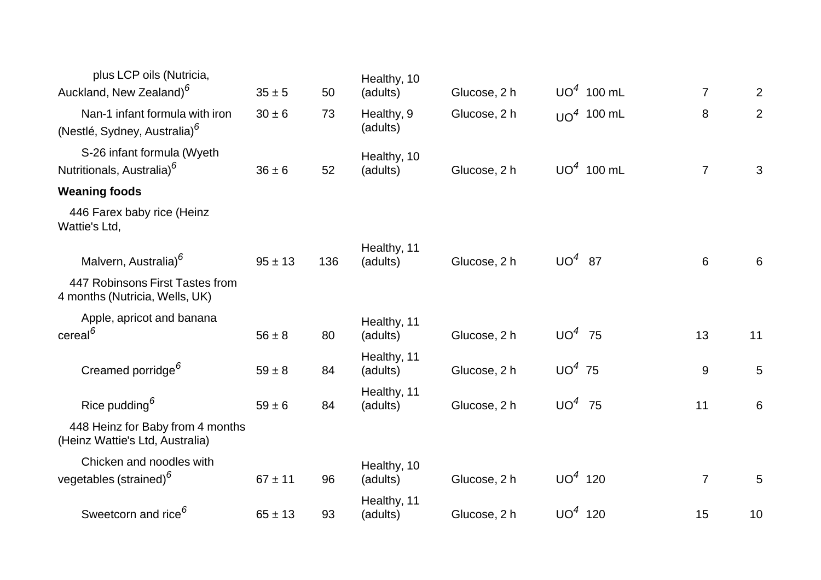| plus LCP oils (Nutricia,                                            |             |     | Healthy, 10             |              |           |              |                |                 |
|---------------------------------------------------------------------|-------------|-----|-------------------------|--------------|-----------|--------------|----------------|-----------------|
| Auckland, New Zealand) <sup>6</sup>                                 | $35 \pm 5$  | 50  | (adults)                | Glucose, 2 h |           | $UO4$ 100 mL | $\overline{7}$ | $\overline{2}$  |
| Nan-1 infant formula with iron                                      | $30 \pm 6$  | 73  | Healthy, 9              | Glucose, 2 h |           | $UO4$ 100 mL | 8              | $\overline{2}$  |
| (Nestlé, Sydney, Australia) <sup>6</sup>                            |             |     | (adults)                |              |           |              |                |                 |
| S-26 infant formula (Wyeth                                          |             |     | Healthy, 10             |              |           |              |                |                 |
| Nutritionals, Australia) <sup>6</sup>                               | $36 \pm 6$  | 52  | (adults)                | Glucose, 2 h |           | $UO4$ 100 mL | $\overline{7}$ | 3               |
| <b>Weaning foods</b>                                                |             |     |                         |              |           |              |                |                 |
| 446 Farex baby rice (Heinz<br>Wattie's Ltd,                         |             |     |                         |              |           |              |                |                 |
|                                                                     |             |     | Healthy, 11             |              |           |              |                |                 |
| Malvern, Australia) <sup>6</sup>                                    | $95 \pm 13$ | 136 | (adults)                | Glucose, 2 h | $UO4$ 87  |              | 6              | 6               |
| 447 Robinsons First Tastes from<br>4 months (Nutricia, Wells, UK)   |             |     |                         |              |           |              |                |                 |
| Apple, apricot and banana                                           |             |     | Healthy, 11             |              |           |              |                |                 |
| $\text{cereal}^6$                                                   | $56 \pm 8$  | 80  | (adults)                | Glucose, 2 h | $UO4$ 75  |              | 13             | 11              |
|                                                                     |             |     | Healthy, 11             |              |           |              |                |                 |
| Creamed porridge <sup>6</sup>                                       | $59 \pm 8$  | 84  | (adults)                | Glucose, 2 h | $UO4$ 75  |              | $9$            | $\overline{5}$  |
| Rice pudding $6$                                                    | $59 \pm 6$  | 84  | Healthy, 11<br>(adults) | Glucose, 2 h | $UO4$ 75  |              | 11             | $6\phantom{1}$  |
|                                                                     |             |     |                         |              |           |              |                |                 |
| 448 Heinz for Baby from 4 months<br>(Heinz Wattie's Ltd, Australia) |             |     |                         |              |           |              |                |                 |
| Chicken and noodles with                                            |             |     | Healthy, 10             |              |           |              |                |                 |
| vegetables (strained) <sup>6</sup>                                  | $67 \pm 11$ | 96  | (adults)                | Glucose, 2 h | $UO4$ 120 |              | $\overline{7}$ | $5\phantom{.0}$ |
|                                                                     |             |     | Healthy, 11             |              |           |              |                |                 |
| Sweetcorn and rice <sup>6</sup>                                     | $65 \pm 13$ | 93  | (adults)                | Glucose, 2 h | $UO4$ 120 |              | 15             | 10              |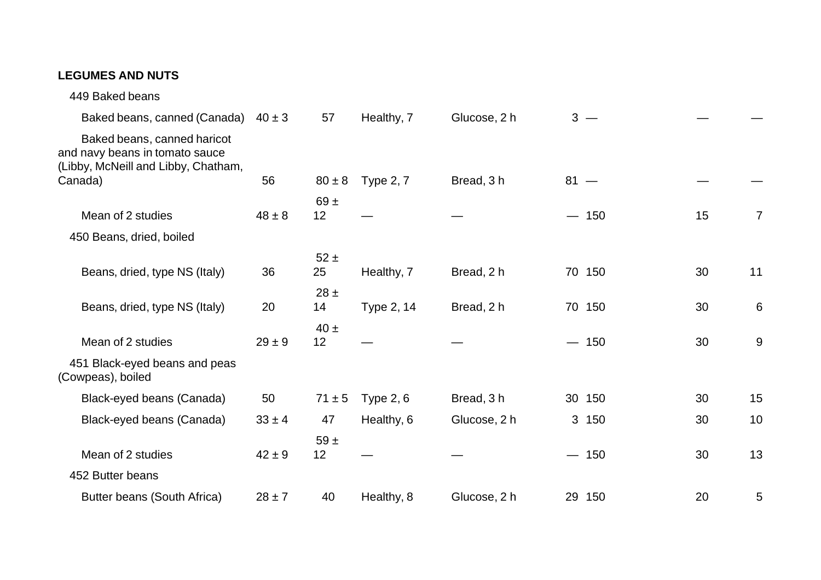## **LEGUMES AND NUTS**

| Baked beans, canned (Canada)                                                                         | $40 \pm 3$ | 57             | Healthy, 7       | Glucose, 2 h |        | $3 -$  |    |                |
|------------------------------------------------------------------------------------------------------|------------|----------------|------------------|--------------|--------|--------|----|----------------|
| Baked beans, canned haricot<br>and navy beans in tomato sauce<br>(Libby, McNeill and Libby, Chatham, |            |                |                  |              |        |        |    |                |
| Canada)                                                                                              | 56         | $80 \pm 8$     | <b>Type 2, 7</b> | Bread, 3 h   | $81 -$ |        |    |                |
|                                                                                                      |            | 69 $\pm$       |                  |              |        |        |    |                |
| Mean of 2 studies                                                                                    | $48 \pm 8$ | 12             |                  |              |        | $-150$ | 15 | $\overline{7}$ |
| 450 Beans, dried, boiled                                                                             |            |                |                  |              |        |        |    |                |
| Beans, dried, type NS (Italy)                                                                        | 36         | $52 \pm$<br>25 | Healthy, 7       | Bread, 2 h   |        | 70 150 | 30 | 11             |
|                                                                                                      |            |                |                  |              |        |        |    |                |
| Beans, dried, type NS (Italy)                                                                        | 20         | $28 \pm$<br>14 | Type 2, 14       | Bread, 2 h   |        | 70 150 | 30 | 6              |
| Mean of 2 studies                                                                                    | $29 \pm 9$ | $40 \pm$<br>12 |                  |              |        | $-150$ | 30 | 9              |
| 451 Black-eyed beans and peas<br>(Cowpeas), boiled                                                   |            |                |                  |              |        |        |    |                |
| Black-eyed beans (Canada)                                                                            | 50         | $71 \pm 5$     | Type $2, 6$      | Bread, 3 h   |        | 30 150 | 30 | 15             |
| Black-eyed beans (Canada)                                                                            | $33 \pm 4$ | 47             | Healthy, 6       | Glucose, 2 h |        | 3 150  | 30 | 10             |
|                                                                                                      |            | $59 +$         |                  |              |        |        |    |                |
| Mean of 2 studies                                                                                    | $42 \pm 9$ | 12             |                  |              |        | $-150$ | 30 | 13             |
| 452 Butter beans                                                                                     |            |                |                  |              |        |        |    |                |
| Butter beans (South Africa)                                                                          | $28 \pm 7$ | 40             | Healthy, 8       | Glucose, 2 h |        | 29 150 | 20 | 5              |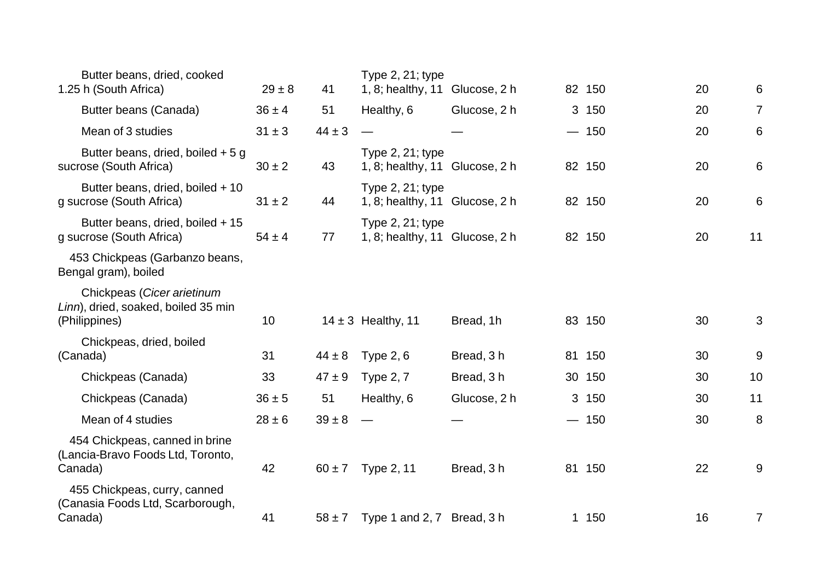| Butter beans, dried, cooked<br>1.25 h (South Africa)                               | $29 \pm 8$ | 41         | Type $2, 21$ ; type<br>1, 8; healthy, 11 Glucose, 2 h     |              | 82 150 | 20 | 6              |
|------------------------------------------------------------------------------------|------------|------------|-----------------------------------------------------------|--------------|--------|----|----------------|
| Butter beans (Canada)                                                              | $36 \pm 4$ | 51         | Healthy, 6                                                | Glucose, 2 h | 3 150  | 20 | $\overline{7}$ |
| Mean of 3 studies                                                                  | $31 \pm 3$ | $44 \pm 3$ |                                                           |              | $-150$ | 20 | 6              |
| Butter beans, dried, boiled $+5$ g<br>sucrose (South Africa)                       | $30 \pm 2$ | 43         | Type $2, 21$ ; type<br>1, 8; healthy, 11 Glucose, 2 h     |              | 82 150 | 20 | 6              |
| Butter beans, dried, boiled + 10<br>g sucrose (South Africa)                       | $31 \pm 2$ | 44         | Type $2, 21$ ; type<br>1, 8; healthy, $11$ Glucose, $2 h$ |              | 82 150 | 20 | 6              |
| Butter beans, dried, boiled + 15<br>g sucrose (South Africa)                       | $54 \pm 4$ | 77         | Type 2, 21; type<br>1, 8; healthy, 11 Glucose, 2 h        |              | 82 150 | 20 | 11             |
| 453 Chickpeas (Garbanzo beans,<br>Bengal gram), boiled                             |            |            |                                                           |              |        |    |                |
| Chickpeas (Cicer arietinum<br>Linn), dried, soaked, boiled 35 min<br>(Philippines) | 10         |            | $14 \pm 3$ Healthy, 11                                    | Bread, 1h    | 83 150 | 30 | 3              |
| Chickpeas, dried, boiled<br>(Canada)                                               | 31         | $44 \pm 8$ | Type $2, 6$                                               | Bread, 3 h   | 81 150 | 30 | 9              |
| Chickpeas (Canada)                                                                 | 33         | $47 \pm 9$ | <b>Type 2, 7</b>                                          | Bread, 3 h   | 30 150 | 30 | 10             |
| Chickpeas (Canada)                                                                 | $36 \pm 5$ | 51         | Healthy, 6                                                | Glucose, 2 h | 3 150  | 30 | 11             |
| Mean of 4 studies                                                                  | $28 \pm 6$ | $39 \pm 8$ |                                                           |              | $-150$ | 30 | 8              |
| 454 Chickpeas, canned in brine<br>(Lancia-Bravo Foods Ltd, Toronto,<br>Canada)     | 42         | $60 \pm 7$ | Type 2, 11                                                | Bread, 3h    | 81 150 | 22 | 9              |
| 455 Chickpeas, curry, canned<br>(Canasia Foods Ltd, Scarborough,<br>Canada)        | 41         | $58 \pm 7$ | Type 1 and 2, 7 Bread, 3 h                                |              | 1 150  | 16 | 7              |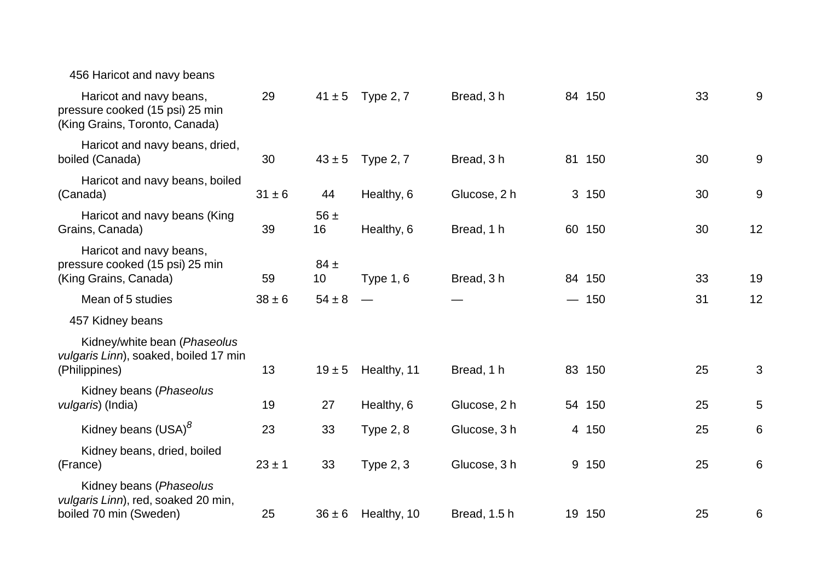| 456 Haricot and navy beans                                                                   |            |                |                      |              |           |    |    |
|----------------------------------------------------------------------------------------------|------------|----------------|----------------------|--------------|-----------|----|----|
| Haricot and navy beans,<br>pressure cooked (15 psi) 25 min<br>(King Grains, Toronto, Canada) | 29         |                | $41 \pm 5$ Type 2, 7 | Bread, 3h    | 84 150    | 33 | 9  |
| Haricot and navy beans, dried,<br>boiled (Canada)                                            | 30         | $43 \pm 5$     | <b>Type 2, 7</b>     | Bread, 3 h   | 81 150    | 30 | 9  |
| Haricot and navy beans, boiled<br>(Canada)                                                   | $31 \pm 6$ | 44             | Healthy, 6           | Glucose, 2 h | 3 150     | 30 | 9  |
| Haricot and navy beans (King<br>Grains, Canada)                                              | 39         | $56 \pm$<br>16 | Healthy, 6           | Bread, 1 h   | 60 150    | 30 | 12 |
| Haricot and navy beans,<br>pressure cooked (15 psi) 25 min<br>(King Grains, Canada)          | 59         | $84 \pm$<br>10 | <b>Type 1, 6</b>     | Bread, 3 h   | 84 150    | 33 | 19 |
| Mean of 5 studies                                                                            | $38 \pm 6$ | $54 \pm 8$     |                      |              | $-150$    | 31 | 12 |
| 457 Kidney beans                                                                             |            |                |                      |              |           |    |    |
| Kidney/white bean (Phaseolus<br>vulgaris Linn), soaked, boiled 17 min<br>(Philippines)       | 13         | $19 \pm 5$     | Healthy, 11          | Bread, 1 h   | 83 150    | 25 | 3  |
| Kidney beans (Phaseolus<br>vulgaris) (India)                                                 | 19         | 27             | Healthy, 6           | Glucose, 2 h | 54 150    | 25 | 5  |
| Kidney beans (USA) <sup>8</sup>                                                              | 23         | 33             | <b>Type 2, 8</b>     | Glucose, 3 h | 4 150     | 25 | 6  |
| Kidney beans, dried, boiled<br>(France)                                                      | $23 \pm 1$ | 33             | Type $2, 3$          | Glucose, 3 h | 9 150     | 25 | 6  |
| Kidney beans (Phaseolus<br>vulgaris Linn), red, soaked 20 min,<br>boiled 70 min (Sweden)     | 25         | $36 \pm 6$     | Healthy, 10          | Bread, 1.5 h | 150<br>19 | 25 | 6  |
|                                                                                              |            |                |                      |              |           |    |    |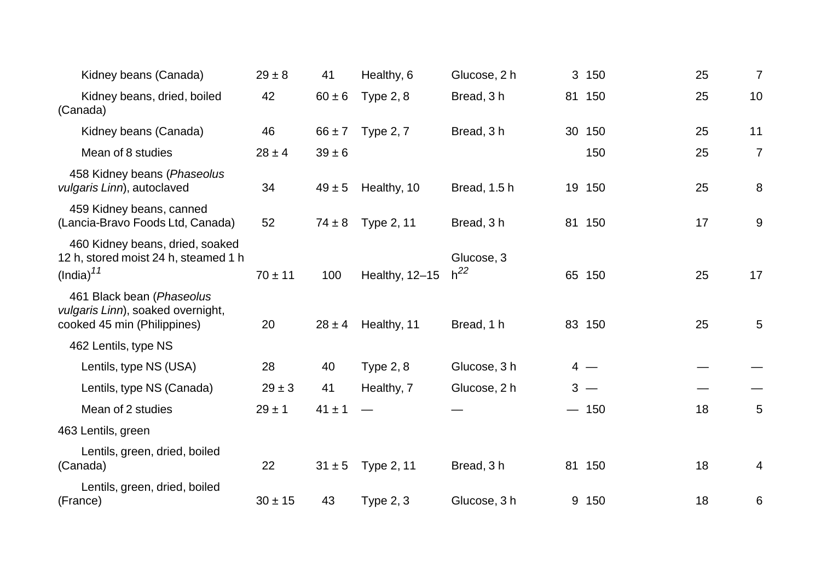| Kidney beans (Canada)                                                                            | $29 \pm 8$  | 41         | Healthy, 6       | Glucose, 2 h           | 3 150  | 25 | $\overline{7}$ |
|--------------------------------------------------------------------------------------------------|-------------|------------|------------------|------------------------|--------|----|----------------|
| Kidney beans, dried, boiled<br>(Canada)                                                          | 42          | $60 \pm 6$ | <b>Type 2, 8</b> | Bread, 3h              | 81 150 | 25 | 10             |
| Kidney beans (Canada)                                                                            | 46          | $66 \pm 7$ | <b>Type 2, 7</b> | Bread, 3 h             | 30 150 | 25 | 11             |
| Mean of 8 studies                                                                                | $28 \pm 4$  | $39 \pm 6$ |                  |                        | 150    | 25 | $\overline{7}$ |
| 458 Kidney beans (Phaseolus<br>vulgaris Linn), autoclaved                                        | 34          | $49 \pm 5$ | Healthy, 10      | Bread, 1.5 h           | 19 150 | 25 | 8              |
| 459 Kidney beans, canned<br>(Lancia-Bravo Foods Ltd, Canada)                                     | 52          | $74 \pm 8$ | Type 2, 11       | Bread, 3 h             | 81 150 | 17 | 9              |
| 460 Kidney beans, dried, soaked<br>12 h, stored moist 24 h, steamed 1 h<br>(India) <sup>11</sup> | $70 \pm 11$ | 100        | Healthy, 12-15   | Glucose, 3<br>$h^{22}$ | 65 150 | 25 | 17             |
| 461 Black bean (Phaseolus<br>vulgaris Linn), soaked overnight,<br>cooked 45 min (Philippines)    | 20          | $28 \pm 4$ | Healthy, 11      | Bread, 1 h             | 83 150 | 25 | 5              |
| 462 Lentils, type NS                                                                             |             |            |                  |                        |        |    |                |
| Lentils, type NS (USA)                                                                           | 28          | 40         | Type $2, 8$      | Glucose, 3 h           | $4 -$  |    |                |
| Lentils, type NS (Canada)                                                                        | $29 \pm 3$  | 41         | Healthy, 7       | Glucose, 2 h           | $3 -$  |    |                |
| Mean of 2 studies                                                                                | $29 \pm 1$  | $41 \pm 1$ |                  |                        | $-150$ | 18 | 5              |
| 463 Lentils, green                                                                               |             |            |                  |                        |        |    |                |
| Lentils, green, dried, boiled<br>(Canada)                                                        | 22          | $31 \pm 5$ | Type 2, 11       | Bread, 3 h             | 81 150 | 18 | 4              |
| Lentils, green, dried, boiled<br>(France)                                                        | $30 \pm 15$ | 43         | <b>Type 2, 3</b> | Glucose, 3 h           | 9 150  | 18 | 6              |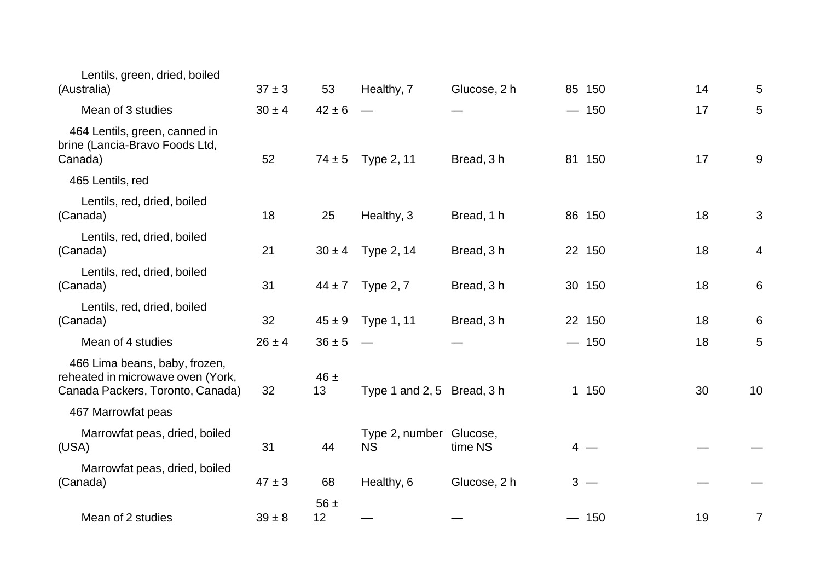| Lentils, green, dried, boiled<br>(Australia)                                                           | $37 \pm 3$ | 53             | Healthy, 7                           | Glucose, 2 h | 85 150 | 14 | 5  |
|--------------------------------------------------------------------------------------------------------|------------|----------------|--------------------------------------|--------------|--------|----|----|
| Mean of 3 studies                                                                                      | $30 \pm 4$ | $42 \pm 6$     |                                      |              | $-150$ | 17 | 5  |
| 464 Lentils, green, canned in<br>brine (Lancia-Bravo Foods Ltd,<br>Canada)                             | 52         | $74 \pm 5$     | Type 2, 11                           | Bread, 3 h   | 81 150 | 17 | 9  |
| 465 Lentils, red                                                                                       |            |                |                                      |              |        |    |    |
| Lentils, red, dried, boiled<br>(Canada)                                                                | 18         | 25             | Healthy, 3                           | Bread, 1 h   | 86 150 | 18 | 3  |
| Lentils, red, dried, boiled<br>(Canada)                                                                | 21         | $30 \pm 4$     | Type 2, 14                           | Bread, 3 h   | 22 150 | 18 | 4  |
| Lentils, red, dried, boiled<br>(Canada)                                                                | 31         | $44 \pm 7$     | <b>Type 2, 7</b>                     | Bread, 3h    | 30 150 | 18 | 6  |
| Lentils, red, dried, boiled<br>(Canada)                                                                | 32         | $45 \pm 9$     | <b>Type 1, 11</b>                    | Bread, 3h    | 22 150 | 18 | 6  |
| Mean of 4 studies                                                                                      | $26 \pm 4$ | $36 \pm 5$     |                                      |              | $-150$ | 18 | 5  |
| 466 Lima beans, baby, frozen,<br>reheated in microwave oven (York,<br>Canada Packers, Toronto, Canada) | 32         | $46 \pm$<br>13 | Type 1 and 2, 5 Bread, 3 h           |              | 1 150  | 30 | 10 |
| 467 Marrowfat peas                                                                                     |            |                |                                      |              |        |    |    |
| Marrowfat peas, dried, boiled<br>(USA)                                                                 | 31         | 44             | Type 2, number Glucose,<br><b>NS</b> | time NS      | $4 -$  |    |    |
| Marrowfat peas, dried, boiled<br>(Canada)                                                              | $47 \pm 3$ | 68             | Healthy, 6                           | Glucose, 2 h | $3 -$  |    |    |
| Mean of 2 studies                                                                                      | $39 \pm 8$ | 56 $\pm$<br>12 |                                      |              | $-150$ | 19 | 7  |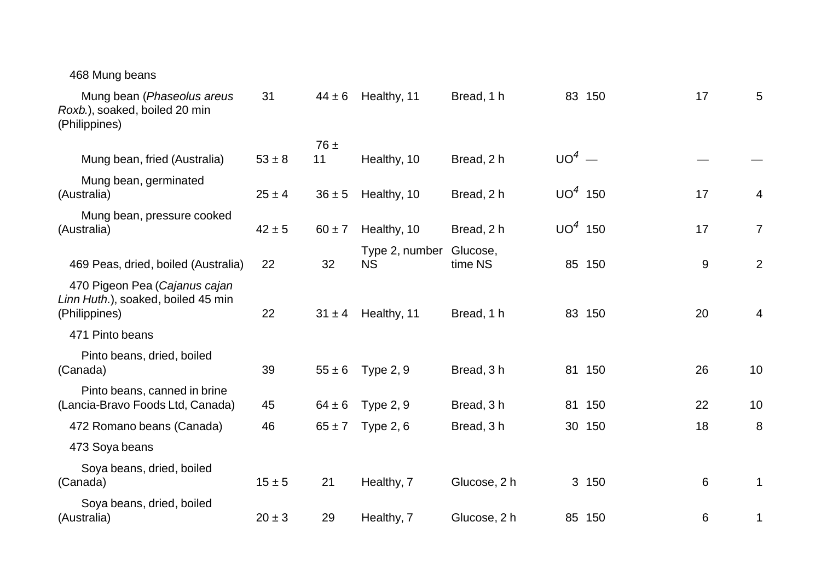| 468 Mung beans                                                                       |            |            |                             |                     |           |        |       |                |
|--------------------------------------------------------------------------------------|------------|------------|-----------------------------|---------------------|-----------|--------|-------|----------------|
| Mung bean (Phaseolus areus<br>Roxb.), soaked, boiled 20 min<br>(Philippines)         | 31         | $44 \pm 6$ | Healthy, 11                 | Bread, 1 h          |           | 83 150 | 17    | 5              |
|                                                                                      |            | $76 \pm$   |                             |                     |           |        |       |                |
| Mung bean, fried (Australia)                                                         | $53 \pm 8$ | 11         | Healthy, 10                 | Bread, 2 h          | $UO4$ —   |        |       |                |
| Mung bean, germinated<br>(Australia)                                                 | $25 \pm 4$ | $36 \pm 5$ | Healthy, 10                 | Bread, 2 h          | $UO4$ 150 |        | 17    | 4              |
| Mung bean, pressure cooked<br>(Australia)                                            | $42 \pm 5$ | $60 \pm 7$ | Healthy, 10                 | Bread, 2 h          | $UO4$ 150 |        | 17    | $\overline{7}$ |
| 469 Peas, dried, boiled (Australia)                                                  | 22         | 32         | Type 2, number<br><b>NS</b> | Glucose,<br>time NS |           | 85 150 | $9\,$ | $\overline{2}$ |
| 470 Pigeon Pea (Cajanus cajan<br>Linn Huth.), soaked, boiled 45 min<br>(Philippines) | 22         | $31 \pm 4$ | Healthy, 11                 | Bread, 1 h          |           | 83 150 | 20    | 4              |
| 471 Pinto beans                                                                      |            |            |                             |                     |           |        |       |                |
| Pinto beans, dried, boiled<br>(Canada)                                               | 39         | $55 \pm 6$ | <b>Type 2, 9</b>            | Bread, 3h           | 81        | 150    | 26    | 10             |
| Pinto beans, canned in brine<br>(Lancia-Bravo Foods Ltd, Canada)                     | 45         | $64 \pm 6$ | <b>Type 2, 9</b>            | Bread, 3 h          |           | 81 150 | 22    | 10             |
| 472 Romano beans (Canada)                                                            | 46         | $65 \pm 7$ | <b>Type 2, 6</b>            | Bread, 3h           | 30        | 150    | 18    | 8              |
| 473 Soya beans                                                                       |            |            |                             |                     |           |        |       |                |
| Soya beans, dried, boiled<br>(Canada)                                                | $15 \pm 5$ | 21         | Healthy, 7                  | Glucose, 2 h        |           | 3 150  | 6     | 1              |
| Soya beans, dried, boiled<br>(Australia)                                             | $20 \pm 3$ | 29         | Healthy, 7                  | Glucose, 2 h        |           | 85 150 | 6     | 1              |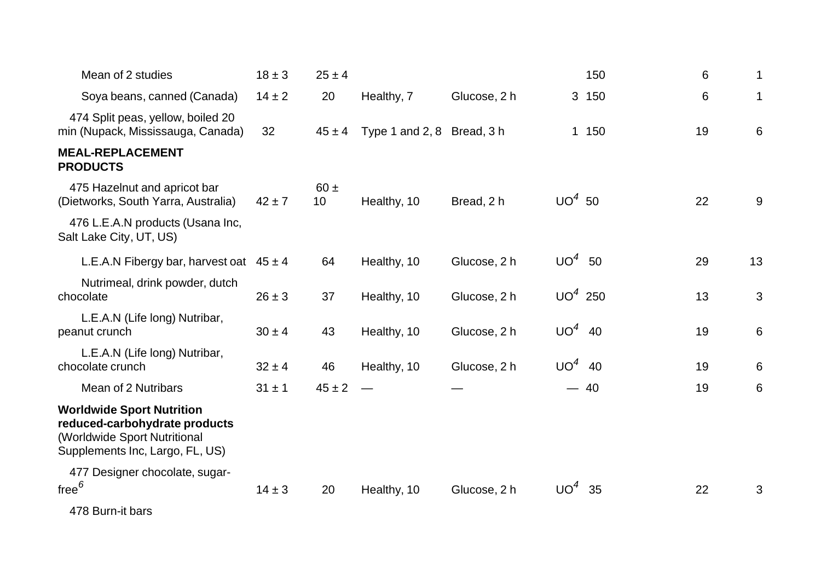| Mean of 2 studies                                                                                                                    | $18 \pm 3$ | $25 \pm 4$                  |                            |              |                 | 150   | 6  | 1              |
|--------------------------------------------------------------------------------------------------------------------------------------|------------|-----------------------------|----------------------------|--------------|-----------------|-------|----|----------------|
| Soya beans, canned (Canada)                                                                                                          | $14 \pm 2$ | 20                          | Healthy, 7                 | Glucose, 2 h |                 | 3 150 | 6  | 1              |
| 474 Split peas, yellow, boiled 20<br>min (Nupack, Mississauga, Canada)                                                               | 32         | $45 \pm 4$                  | Type 1 and 2, 8 Bread, 3 h |              |                 | 1 150 | 19 | $6\phantom{1}$ |
| <b>MEAL-REPLACEMENT</b><br><b>PRODUCTS</b>                                                                                           |            |                             |                            |              |                 |       |    |                |
| 475 Hazelnut and apricot bar<br>(Dietworks, South Yarra, Australia)                                                                  | $42 \pm 7$ | $60 \pm$<br>10 <sup>1</sup> | Healthy, 10                | Bread, 2 h   | $UO4$ 50        |       | 22 | 9              |
| 476 L.E.A.N products (Usana Inc,<br>Salt Lake City, UT, US)                                                                          |            |                             |                            |              |                 |       |    |                |
| L.E.A.N Fibergy bar, harvest oat $45 \pm 4$                                                                                          |            | 64                          | Healthy, 10                | Glucose, 2 h | UO <sup>4</sup> | 50    | 29 | 13             |
| Nutrimeal, drink powder, dutch<br>chocolate                                                                                          | $26 \pm 3$ | 37                          | Healthy, 10                | Glucose, 2 h | $UO4$ 250       |       | 13 | 3              |
| L.E.A.N (Life long) Nutribar,<br>peanut crunch                                                                                       | $30 \pm 4$ | 43                          | Healthy, 10                | Glucose, 2 h | $UO4$ 40        |       | 19 | $6\phantom{1}$ |
| L.E.A.N (Life long) Nutribar,<br>chocolate crunch                                                                                    | $32 \pm 4$ | 46                          | Healthy, 10                | Glucose, 2 h | $UO4$ 40        |       | 19 | 6              |
| Mean of 2 Nutribars                                                                                                                  | $31 \pm 1$ | $45 \pm 2$                  |                            |              |                 | $-40$ | 19 | 6              |
| <b>Worldwide Sport Nutrition</b><br>reduced-carbohydrate products<br>(Worldwide Sport Nutritional<br>Supplements Inc, Largo, FL, US) |            |                             |                            |              |                 |       |    |                |
| 477 Designer chocolate, sugar-<br>free $^6$                                                                                          | $14 \pm 3$ | 20                          | Healthy, 10                | Glucose, 2 h | $UO4$ 35        |       | 22 | 3              |
| 478 Burn-it bars                                                                                                                     |            |                             |                            |              |                 |       |    |                |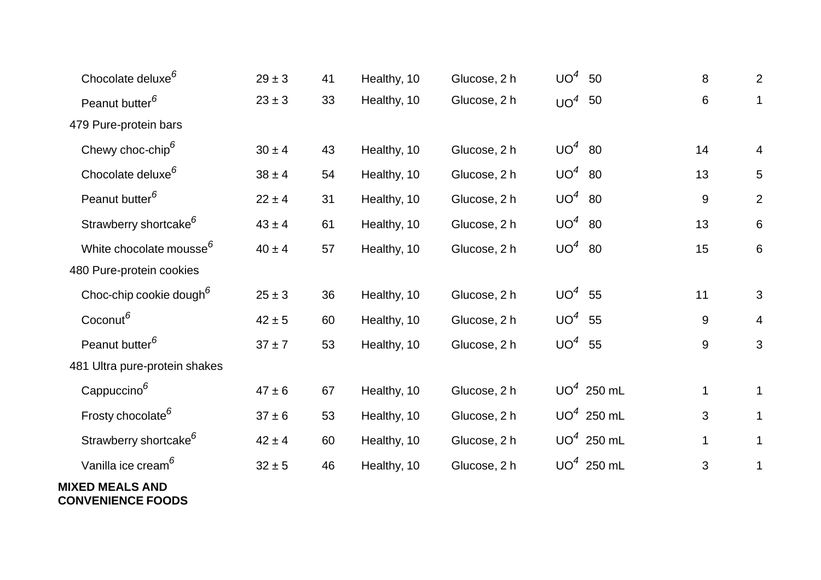| Chocolate deluxe <sup>6</sup>                      | $29 \pm 3$ | 41 | Healthy, 10 | Glucose, 2 h | $UO^4$<br>50 | 8            | $\overline{2}$  |
|----------------------------------------------------|------------|----|-------------|--------------|--------------|--------------|-----------------|
| Peanut butter <sup>6</sup>                         | $23 \pm 3$ | 33 | Healthy, 10 | Glucose, 2 h | $UO4$ 50     | 6            | $\mathbf 1$     |
| 479 Pure-protein bars                              |            |    |             |              |              |              |                 |
| Chewy choc-chip <sup>6</sup>                       | $30\pm4$   | 43 | Healthy, 10 | Glucose, 2 h | $UO4$ 80     | 14           | $\overline{4}$  |
| Chocolate deluxe <sup>6</sup>                      | $38 \pm 4$ | 54 | Healthy, 10 | Glucose, 2 h | $UO4$ 80     | 13           | $5\phantom{.0}$ |
| Peanut butter <sup>6</sup>                         | $22 \pm 4$ | 31 | Healthy, 10 | Glucose, 2 h | $UO4$ 80     | $9\,$        | $\overline{2}$  |
| Strawberry shortcake <sup>6</sup>                  | $43 \pm 4$ | 61 | Healthy, 10 | Glucose, 2 h | $UO4$ 80     | 13           | 6               |
| White chocolate mousse <sup>6</sup>                | $40 \pm 4$ | 57 | Healthy, 10 | Glucose, 2 h | $UO4$ 80     | 15           | $6\phantom{1}$  |
| 480 Pure-protein cookies                           |            |    |             |              |              |              |                 |
| Choc-chip cookie dough <sup>6</sup>                | $25 \pm 3$ | 36 | Healthy, 10 | Glucose, 2 h | $UO^4$<br>55 | 11           | 3               |
| Coconut <sup>6</sup>                               | $42 \pm 5$ | 60 | Healthy, 10 | Glucose, 2 h | $UO4$ 55     | $9\,$        | $\overline{4}$  |
| Peanut butter <sup>6</sup>                         | $37 + 7$   | 53 | Healthy, 10 | Glucose, 2 h | $UO4$ 55     | 9            | 3               |
| 481 Ultra pure-protein shakes                      |            |    |             |              |              |              |                 |
| Cappuccino <sup>6</sup>                            | $47 \pm 6$ | 67 | Healthy, 10 | Glucose, 2 h | $UO4$ 250 mL | $\mathbf{1}$ | $\mathbf 1$     |
| Frosty chocolate <sup>6</sup>                      | $37 \pm 6$ | 53 | Healthy, 10 | Glucose, 2 h | $UO4$ 250 mL | 3            | $\mathbf 1$     |
| Strawberry shortcake <sup>6</sup>                  | $42 \pm 4$ | 60 | Healthy, 10 | Glucose, 2 h | $UO4$ 250 mL | 1            | 1               |
| Vanilla ice cream <sup>6</sup>                     | $32 \pm 5$ | 46 | Healthy, 10 | Glucose, 2 h | $UO4$ 250 mL | 3            | $\mathbf 1$     |
| <b>MIXED MEALS AND</b><br><b>CONVENIENCE FOODS</b> |            |    |             |              |              |              |                 |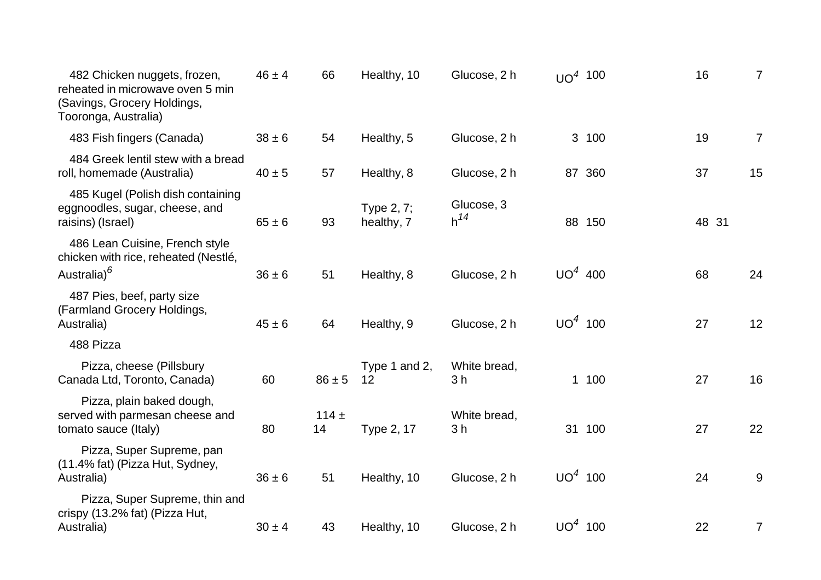| 482 Chicken nuggets, frozen,<br>reheated in microwave oven 5 min<br>(Savings, Grocery Holdings,<br>Tooronga, Australia) | $46 \pm 4$ | 66            | Healthy, 10              | Glucose, 2 h                   | UO <sup>4</sup> 100 |        | 16    | $\overline{7}$ |
|-------------------------------------------------------------------------------------------------------------------------|------------|---------------|--------------------------|--------------------------------|---------------------|--------|-------|----------------|
| 483 Fish fingers (Canada)                                                                                               | $38 \pm 6$ | 54            | Healthy, 5               | Glucose, 2 h                   |                     | 3 100  | 19    | $\overline{7}$ |
| 484 Greek lentil stew with a bread<br>roll, homemade (Australia)                                                        | $40 \pm 5$ | 57            | Healthy, 8               | Glucose, 2 h                   |                     | 87 360 | 37    | 15             |
| 485 Kugel (Polish dish containing<br>eggnoodles, sugar, cheese, and<br>raisins) (Israel)                                | $65 \pm 6$ | 93            | Type 2, 7;<br>healthy, 7 | Glucose, 3<br>$h^{14}$         |                     | 88 150 | 48 31 |                |
| 486 Lean Cuisine, French style<br>chicken with rice, reheated (Nestlé,<br>Australia) <sup>6</sup>                       | $36 \pm 6$ | 51            | Healthy, 8               | Glucose, 2 h                   | $UO4$ 400           |        | 68    | 24             |
| 487 Pies, beef, party size<br>(Farmland Grocery Holdings,<br>Australia)                                                 | $45 \pm 6$ | 64            | Healthy, 9               | Glucose, 2 h                   | $UO4$ 100           |        | 27    | 12             |
| 488 Pizza                                                                                                               |            |               |                          |                                |                     |        |       |                |
| Pizza, cheese (Pillsbury<br>Canada Ltd, Toronto, Canada)                                                                | 60         | $86 \pm 5$    | Type 1 and 2,<br>12      | White bread,<br>3 h            |                     | 1 100  | 27    | 16             |
| Pizza, plain baked dough,<br>served with parmesan cheese and<br>tomato sauce (Italy)                                    | 80         | $114 +$<br>14 | Type 2, 17               | White bread,<br>3 <sub>h</sub> |                     | 31 100 | 27    | 22             |
| Pizza, Super Supreme, pan<br>(11.4% fat) (Pizza Hut, Sydney,<br>Australia)                                              | $36 \pm 6$ | 51            | Healthy, 10              | Glucose, 2 h                   | $UO4$ 100           |        | 24    | $9\,$          |
| Pizza, Super Supreme, thin and<br>crispy (13.2% fat) (Pizza Hut,<br>Australia)                                          | $30 \pm 4$ | 43            | Healthy, 10              | Glucose, 2 h                   | $UO4$ 100           |        | 22    | 7              |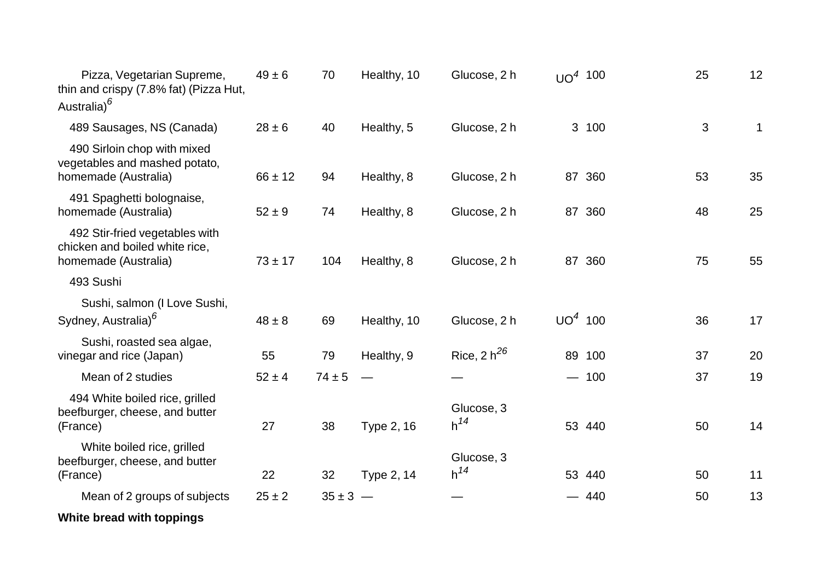| Pizza, Vegetarian Supreme,<br>thin and crispy (7.8% fat) (Pizza Hut,<br>Australia) <sup>6</sup> | $49 \pm 6$  | 70           | Healthy, 10 | Glucose, 2 h           | $UO4$ 100 |        | 25 | 12           |
|-------------------------------------------------------------------------------------------------|-------------|--------------|-------------|------------------------|-----------|--------|----|--------------|
| 489 Sausages, NS (Canada)                                                                       | $28 \pm 6$  | 40           | Healthy, 5  | Glucose, 2 h           |           | 3 100  | 3  | $\mathbf{1}$ |
| 490 Sirloin chop with mixed<br>vegetables and mashed potato,<br>homemade (Australia)            | $66 \pm 12$ | 94           | Healthy, 8  | Glucose, 2 h           |           | 87 360 | 53 | 35           |
| 491 Spaghetti bolognaise,<br>homemade (Australia)                                               | $52 \pm 9$  | 74           | Healthy, 8  | Glucose, 2 h           |           | 87 360 | 48 | 25           |
| 492 Stir-fried vegetables with<br>chicken and boiled white rice,<br>homemade (Australia)        | $73 \pm 17$ | 104          | Healthy, 8  | Glucose, 2 h           |           | 87 360 | 75 | 55           |
| 493 Sushi                                                                                       |             |              |             |                        |           |        |    |              |
| Sushi, salmon (I Love Sushi,<br>Sydney, Australia) <sup>6</sup>                                 | $48 \pm 8$  | 69           | Healthy, 10 | Glucose, 2 h           | $UO4$ 100 |        | 36 | 17           |
| Sushi, roasted sea algae,<br>vinegar and rice (Japan)                                           | 55          | 79           | Healthy, 9  | Rice, $2 h^{26}$       |           | 89 100 | 37 | 20           |
| Mean of 2 studies                                                                               | $52 \pm 4$  | $74 \pm 5$   |             |                        |           | $-100$ | 37 | 19           |
| 494 White boiled rice, grilled<br>beefburger, cheese, and butter<br>(France)                    | 27          | 38           | Type 2, 16  | Glucose, 3<br>$h^{14}$ |           | 53 440 | 50 | 14           |
| White boiled rice, grilled<br>beefburger, cheese, and butter<br>(France)                        | 22          | 32           | Type 2, 14  | Glucose, 3<br>$h^{14}$ |           | 53 440 | 50 | 11           |
| Mean of 2 groups of subjects                                                                    | $25 \pm 2$  | $35 \pm 3 -$ |             |                        |           | $-440$ | 50 | 13           |
| White bread with toppings                                                                       |             |              |             |                        |           |        |    |              |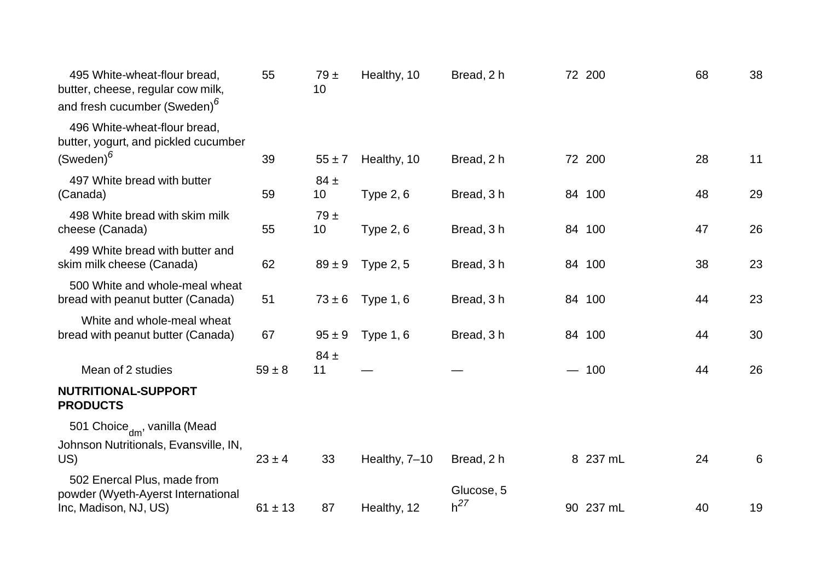| 495 White-wheat-flour bread,<br>butter, cheese, regular cow milk,<br>and fresh cucumber (Sweden) <sup>6</sup> | 55          | 79±<br>10      | Healthy, 10      | Bread, 2 h | 72 200    | 68 | 38 |
|---------------------------------------------------------------------------------------------------------------|-------------|----------------|------------------|------------|-----------|----|----|
| 496 White-wheat-flour bread,<br>butter, yogurt, and pickled cucumber<br>$(Sweden)^6$                          | 39          |                |                  |            | 72 200    | 28 | 11 |
|                                                                                                               |             | $55 \pm 7$     | Healthy, 10      | Bread, 2 h |           |    |    |
| 497 White bread with butter<br>(Canada)                                                                       | 59          | $84 \pm$<br>10 | Type $2, 6$      | Bread, 3 h | 84 100    | 48 | 29 |
| 498 White bread with skim milk<br>cheese (Canada)                                                             | 55          | 79±<br>10      | <b>Type 2, 6</b> | Bread, 3h  | 84 100    | 47 | 26 |
| 499 White bread with butter and<br>skim milk cheese (Canada)                                                  | 62          | $89 \pm 9$     | <b>Type 2, 5</b> | Bread, 3 h | 84 100    | 38 | 23 |
| 500 White and whole-meal wheat<br>bread with peanut butter (Canada)                                           | 51          | $73 \pm 6$     | Type $1, 6$      | Bread, 3h  | 84 100    | 44 | 23 |
| White and whole-meal wheat<br>bread with peanut butter (Canada)                                               | 67          | $95 \pm 9$     | Type $1, 6$      | Bread, 3h  | 84 100    | 44 | 30 |
| Mean of 2 studies                                                                                             | $59 \pm 8$  | $84 \pm$<br>11 |                  |            | $-100$    | 44 | 26 |
| <b>NUTRITIONAL-SUPPORT</b><br><b>PRODUCTS</b>                                                                 |             |                |                  |            |           |    |    |
| 501 Choice <sub>dm</sub> , vanilla (Mead                                                                      |             |                |                  |            |           |    |    |
| Johnson Nutritionals, Evansville, IN,<br>US)                                                                  | $23 \pm 4$  | 33             | Healthy, 7-10    | Bread, 2 h | 8 237 mL  | 24 | 6  |
| 502 Enercal Plus, made from<br>powder (Wyeth-Ayerst International                                             |             |                |                  | Glucose, 5 |           |    |    |
| Inc, Madison, NJ, US)                                                                                         | $61 \pm 13$ | 87             | Healthy, 12      | $h^{27}$   | 90 237 mL | 40 | 19 |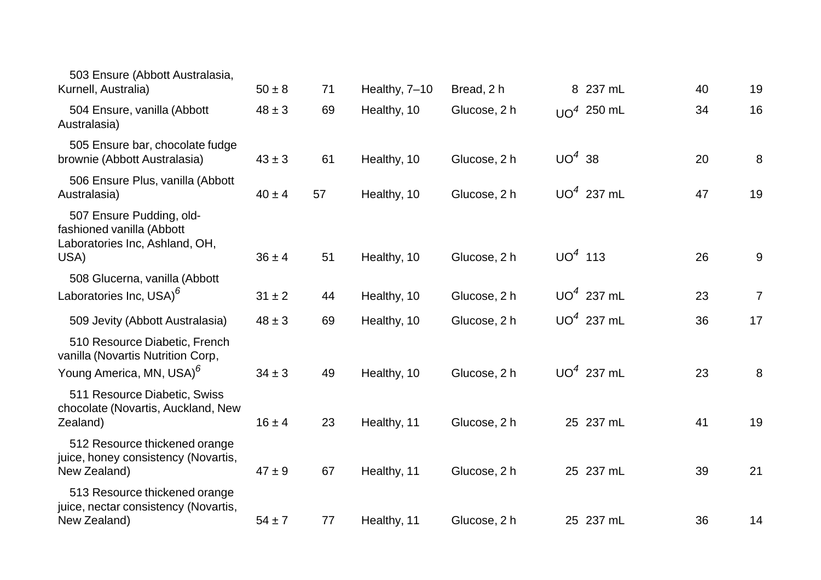| 503 Ensure (Abbott Australasia,<br>Kurnell, Australia)                                                     | $50 \pm 8$ | 71 | Healthy, 7-10 | Bread, 2 h   | 8 237 mL     | 40 | 19             |
|------------------------------------------------------------------------------------------------------------|------------|----|---------------|--------------|--------------|----|----------------|
| 504 Ensure, vanilla (Abbott<br>Australasia)                                                                | $48 \pm 3$ | 69 | Healthy, 10   | Glucose, 2 h | $UO4$ 250 mL | 34 | 16             |
| 505 Ensure bar, chocolate fudge<br>brownie (Abbott Australasia)                                            | $43 \pm 3$ | 61 | Healthy, 10   | Glucose, 2 h | $UO4$ 38     | 20 | 8              |
| 506 Ensure Plus, vanilla (Abbott<br>Australasia)                                                           | $40 \pm 4$ | 57 | Healthy, 10   | Glucose, 2 h | $UO4$ 237 mL | 47 | 19             |
| 507 Ensure Pudding, old-<br>fashioned vanilla (Abbott<br>Laboratories Inc, Ashland, OH,<br>USA)            | $36 \pm 4$ | 51 | Healthy, 10   | Glucose, 2 h | $UO4$ 113    | 26 | 9              |
| 508 Glucerna, vanilla (Abbott<br>Laboratories Inc, USA) <sup>6</sup>                                       | $31 \pm 2$ | 44 | Healthy, 10   | Glucose, 2 h | $UO4$ 237 mL | 23 | $\overline{7}$ |
| 509 Jevity (Abbott Australasia)                                                                            | $48 \pm 3$ | 69 | Healthy, 10   | Glucose, 2 h | $UO4$ 237 mL | 36 | 17             |
| 510 Resource Diabetic, French<br>vanilla (Novartis Nutrition Corp,<br>Young America, MN, USA) <sup>o</sup> | $34 \pm 3$ | 49 | Healthy, 10   | Glucose, 2 h | $UO4$ 237 mL | 23 | 8              |
| 511 Resource Diabetic, Swiss<br>chocolate (Novartis, Auckland, New<br>Zealand)                             | $16 \pm 4$ | 23 | Healthy, 11   | Glucose, 2 h | 25 237 mL    | 41 | 19             |
| 512 Resource thickened orange<br>juice, honey consistency (Novartis,<br>New Zealand)                       | $47 \pm 9$ | 67 | Healthy, 11   | Glucose, 2 h | 25 237 mL    | 39 | 21             |
| 513 Resource thickened orange<br>juice, nectar consistency (Novartis,<br>New Zealand)                      | $54 \pm 7$ | 77 | Healthy, 11   | Glucose, 2 h | 25 237 mL    | 36 | 14             |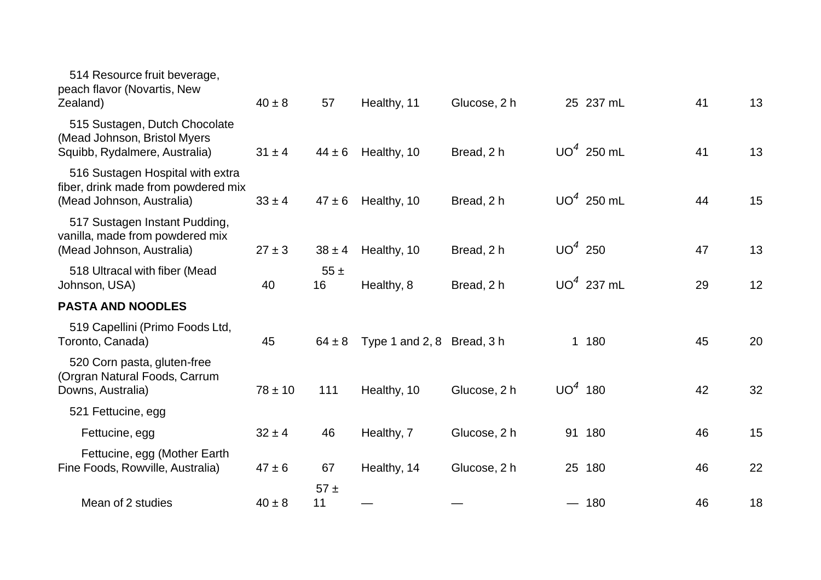| 514 Resource fruit beverage,<br>peach flavor (Novartis, New<br>Zealand)                              | $40 \pm 8$  | 57             | Healthy, 11                | Glucose, 2 h | 25 237 mL    | 41 | 13 |
|------------------------------------------------------------------------------------------------------|-------------|----------------|----------------------------|--------------|--------------|----|----|
| 515 Sustagen, Dutch Chocolate<br>(Mead Johnson, Bristol Myers<br>Squibb, Rydalmere, Australia)       | $31 \pm 4$  | $44 \pm 6$     | Healthy, 10                | Bread, 2 h   | $UO4$ 250 mL | 41 | 13 |
| 516 Sustagen Hospital with extra<br>fiber, drink made from powdered mix<br>(Mead Johnson, Australia) | $33 \pm 4$  | $47 \pm 6$     | Healthy, 10                | Bread, 2 h   | $UO4$ 250 mL | 44 | 15 |
| 517 Sustagen Instant Pudding,<br>vanilla, made from powdered mix<br>(Mead Johnson, Australia)        | $27 \pm 3$  | $38 \pm 4$     | Healthy, 10                | Bread, 2 h   | $UO4$ 250    | 47 | 13 |
| 518 Ultracal with fiber (Mead<br>Johnson, USA)                                                       | 40          | $55 \pm$<br>16 | Healthy, 8                 | Bread, 2 h   | $UO4$ 237 mL | 29 | 12 |
| <b>PASTA AND NOODLES</b>                                                                             |             |                |                            |              |              |    |    |
| 519 Capellini (Primo Foods Ltd,<br>Toronto, Canada)                                                  | 45          | $64 \pm 8$     | Type 1 and 2, 8 Bread, 3 h |              | 1 180        | 45 | 20 |
| 520 Corn pasta, gluten-free<br>(Orgran Natural Foods, Carrum<br>Downs, Australia)                    | $78 \pm 10$ | 111            | Healthy, 10                | Glucose, 2 h | $UO4$ 180    | 42 | 32 |
| 521 Fettucine, egg                                                                                   |             |                |                            |              |              |    |    |
| Fettucine, egg                                                                                       | $32 \pm 4$  | 46             | Healthy, 7                 | Glucose, 2 h | 91 180       | 46 | 15 |
| Fettucine, egg (Mother Earth<br>Fine Foods, Rowville, Australia)                                     | $47 \pm 6$  | 67             | Healthy, 14                | Glucose, 2 h | 25 180       | 46 | 22 |
| Mean of 2 studies                                                                                    | $40 \pm 8$  | $57 \pm$<br>11 |                            |              | $-180$       | 46 | 18 |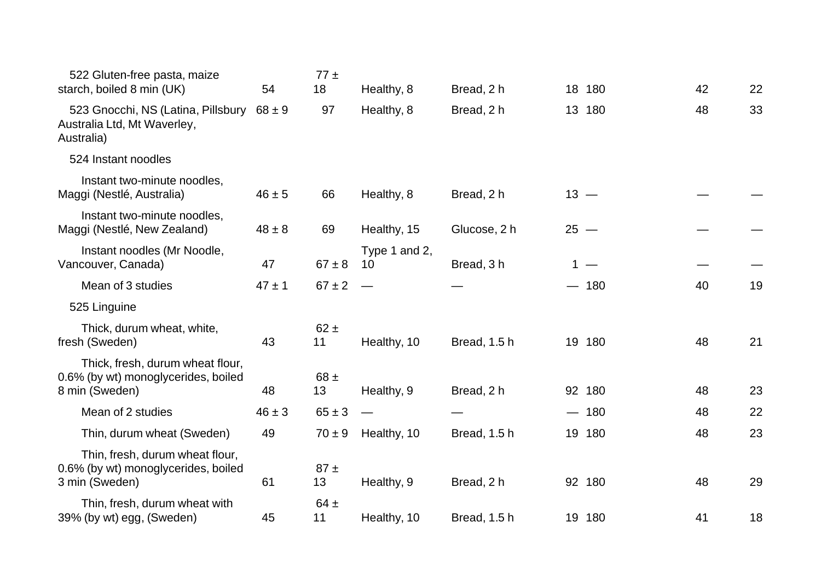| 522 Gluten-free pasta, maize<br>starch, boiled 8 min (UK)                                  | 54         | $77 \pm$<br>18 | Healthy, 8          | Bread, 2 h   |        | 18 180 | 42 | 22 |
|--------------------------------------------------------------------------------------------|------------|----------------|---------------------|--------------|--------|--------|----|----|
| 523 Gnocchi, NS (Latina, Pillsbury $68 \pm 9$<br>Australia Ltd, Mt Waverley,<br>Australia) |            | 97             | Healthy, 8          | Bread, 2 h   |        | 13 180 | 48 | 33 |
| 524 Instant noodles                                                                        |            |                |                     |              |        |        |    |    |
| Instant two-minute noodles,<br>Maggi (Nestlé, Australia)                                   | $46 \pm 5$ | 66             | Healthy, 8          | Bread, 2 h   |        | $13 -$ |    |    |
| Instant two-minute noodles,<br>Maggi (Nestlé, New Zealand)                                 | $48 \pm 8$ | 69             | Healthy, 15         | Glucose, 2 h | $25 -$ |        |    |    |
| Instant noodles (Mr Noodle,<br>Vancouver, Canada)                                          | 47         | $67 \pm 8$     | Type 1 and 2,<br>10 | Bread, 3h    |        | $1 -$  |    |    |
| Mean of 3 studies                                                                          | $47 \pm 1$ | $67 \pm 2$     |                     |              |        | $-180$ | 40 | 19 |
| 525 Linguine                                                                               |            |                |                     |              |        |        |    |    |
| Thick, durum wheat, white,<br>fresh (Sweden)                                               | 43         | $62 \pm$<br>11 | Healthy, 10         | Bread, 1.5 h |        | 19 180 | 48 | 21 |
| Thick, fresh, durum wheat flour,<br>0.6% (by wt) monoglycerides, boiled                    |            | $68 \pm$       |                     |              |        |        |    |    |
| 8 min (Sweden)                                                                             | 48         | 13             | Healthy, 9          | Bread, 2 h   |        | 92 180 | 48 | 23 |
| Mean of 2 studies                                                                          | $46 \pm 3$ | $65 \pm 3$     |                     |              |        | $-180$ | 48 | 22 |
| Thin, durum wheat (Sweden)                                                                 | 49         | $70 \pm 9$     | Healthy, 10         | Bread, 1.5 h |        | 19 180 | 48 | 23 |
| Thin, fresh, durum wheat flour,<br>0.6% (by wt) monoglycerides, boiled<br>3 min (Sweden)   | 61         | $87 \pm$<br>13 | Healthy, 9          | Bread, 2 h   |        | 92 180 | 48 | 29 |
| Thin, fresh, durum wheat with<br>39% (by wt) egg, (Sweden)                                 | 45         | $64 \pm$<br>11 | Healthy, 10         | Bread, 1.5 h |        | 19 180 | 41 | 18 |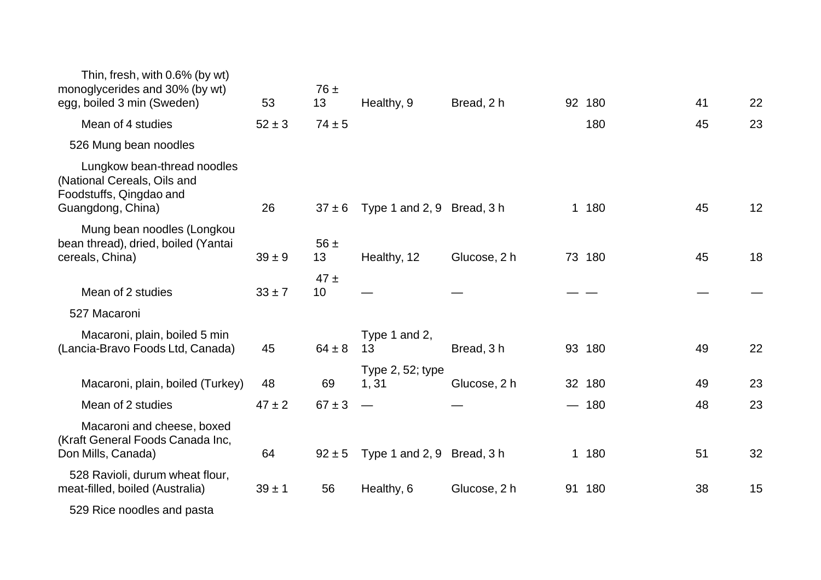| Thin, fresh, with 0.6% (by wt)<br>monoglycerides and 30% (by wt)<br>egg, boiled 3 min (Sweden)             | 53         | $76 \pm$<br>13 | Healthy, 9                 | Bread, 2 h   | 92 180 | 41 | 22 |
|------------------------------------------------------------------------------------------------------------|------------|----------------|----------------------------|--------------|--------|----|----|
| Mean of 4 studies                                                                                          | $52 \pm 3$ | $74 \pm 5$     |                            |              | 180    | 45 | 23 |
| 526 Mung bean noodles                                                                                      |            |                |                            |              |        |    |    |
| Lungkow bean-thread noodles<br>(National Cereals, Oils and<br>Foodstuffs, Qingdao and<br>Guangdong, China) | 26         | $37 \pm 6$     | Type 1 and 2, 9 Bread, 3 h |              | 1 180  | 45 | 12 |
| Mung bean noodles (Longkou<br>bean thread), dried, boiled (Yantai<br>cereals, China)                       | $39 \pm 9$ | $56 \pm$<br>13 | Healthy, 12                | Glucose, 2 h | 73 180 | 45 | 18 |
| Mean of 2 studies                                                                                          | $33 \pm 7$ | $47 \pm$<br>10 |                            |              |        |    |    |
| 527 Macaroni                                                                                               |            |                |                            |              |        |    |    |
| Macaroni, plain, boiled 5 min<br>(Lancia-Bravo Foods Ltd, Canada)                                          | 45         | $64 \pm 8$     | Type 1 and 2,<br>13        | Bread, 3h    | 93 180 | 49 | 22 |
| Macaroni, plain, boiled (Turkey)                                                                           | 48         | 69             | Type 2, 52; type<br>1,31   | Glucose, 2 h | 32 180 | 49 | 23 |
| Mean of 2 studies                                                                                          | $47 \pm 2$ | $67 \pm 3$     |                            |              | $-180$ | 48 | 23 |
| Macaroni and cheese, boxed<br>(Kraft General Foods Canada Inc,<br>Don Mills, Canada)                       | 64         | $92 \pm 5$     | Type 1 and 2, 9 Bread, 3 h |              | 1 180  | 51 | 32 |
| 528 Ravioli, durum wheat flour,<br>meat-filled, boiled (Australia)                                         | $39 \pm 1$ | 56             | Healthy, 6                 | Glucose, 2 h | 91 180 | 38 | 15 |
| 529 Rice noodles and pasta                                                                                 |            |                |                            |              |        |    |    |
|                                                                                                            |            |                |                            |              |        |    |    |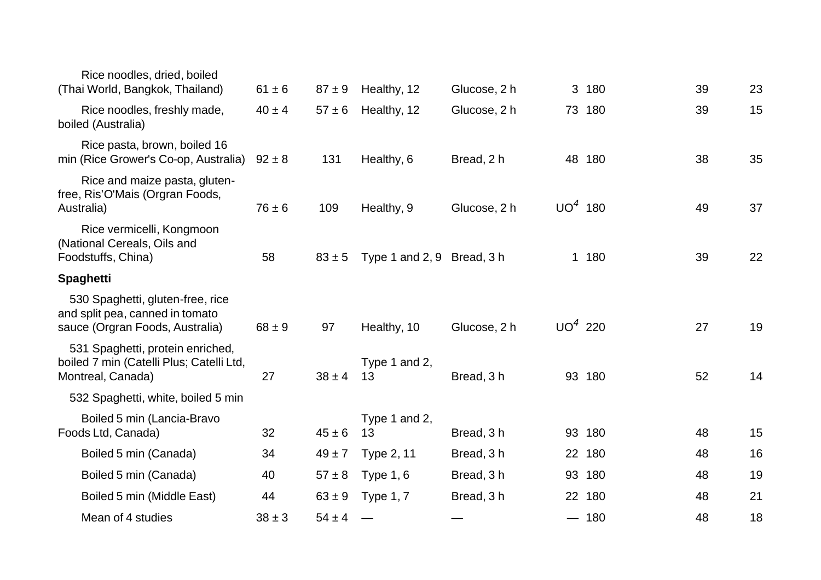| Rice noodles, dried, boiled<br>(Thai World, Bangkok, Thailand)                                         | $61 \pm 6$ | $87 + 9$   | Healthy, 12                | Glucose, 2 h | 3 180     | 39 | 23 |
|--------------------------------------------------------------------------------------------------------|------------|------------|----------------------------|--------------|-----------|----|----|
| Rice noodles, freshly made,<br>boiled (Australia)                                                      | $40 \pm 4$ | $57 \pm 6$ | Healthy, 12                | Glucose, 2 h | 73 180    | 39 | 15 |
| Rice pasta, brown, boiled 16<br>min (Rice Grower's Co-op, Australia)                                   | $92 \pm 8$ | 131        | Healthy, 6                 | Bread, 2 h   | 48 180    | 38 | 35 |
| Rice and maize pasta, gluten-<br>free, Ris'O'Mais (Orgran Foods,<br>Australia)                         | $76 \pm 6$ | 109        | Healthy, 9                 | Glucose, 2 h | $UO4$ 180 | 49 | 37 |
| Rice vermicelli, Kongmoon<br>(National Cereals, Oils and<br>Foodstuffs, China)                         | 58         | $83 \pm 5$ | Type 1 and 2, 9 Bread, 3 h |              | 1 180     | 39 | 22 |
| <b>Spaghetti</b>                                                                                       |            |            |                            |              |           |    |    |
| 530 Spaghetti, gluten-free, rice<br>and split pea, canned in tomato<br>sauce (Orgran Foods, Australia) | $68 \pm 9$ | 97         | Healthy, 10                | Glucose, 2 h | $UO4$ 220 | 27 | 19 |
| 531 Spaghetti, protein enriched,<br>boiled 7 min (Catelli Plus; Catelli Ltd,<br>Montreal, Canada)      | 27         | $38 \pm 4$ | Type 1 and 2,<br>13        | Bread, 3h    | 93 180    | 52 | 14 |
| 532 Spaghetti, white, boiled 5 min                                                                     |            |            |                            |              |           |    |    |
| Boiled 5 min (Lancia-Bravo<br>Foods Ltd, Canada)                                                       | 32         | $45 \pm 6$ | Type 1 and 2,<br>13        | Bread, 3h    | 93 180    | 48 | 15 |
| Boiled 5 min (Canada)                                                                                  | 34         | $49 \pm 7$ | <b>Type 2, 11</b>          | Bread, 3h    | 22 180    | 48 | 16 |
| Boiled 5 min (Canada)                                                                                  | 40         | $57 \pm 8$ | Type $1, 6$                | Bread, 3h    | 93 180    | 48 | 19 |
| Boiled 5 min (Middle East)                                                                             | 44         | $63 \pm 9$ | <b>Type 1, 7</b>           | Bread, 3h    | 22 180    | 48 | 21 |
| Mean of 4 studies                                                                                      | $38 \pm 3$ | $54 \pm 4$ |                            |              | $-180$    | 48 | 18 |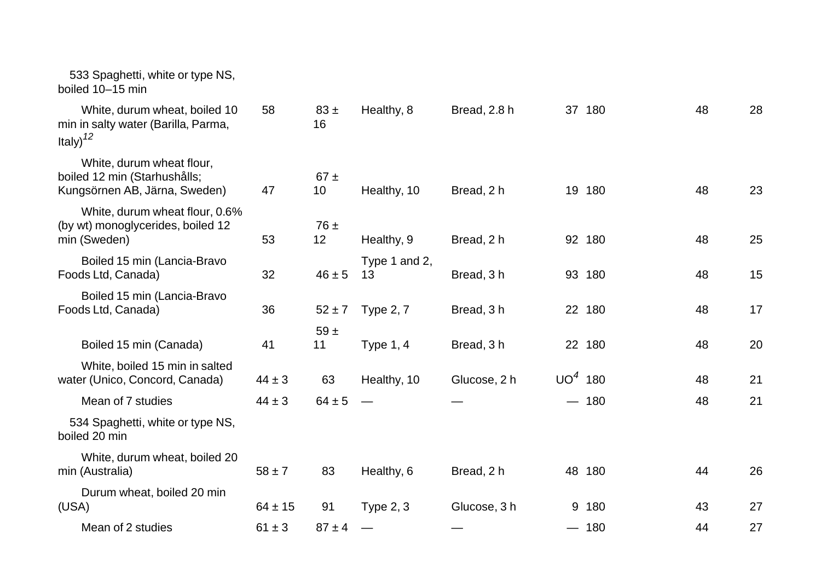| 533 Spaghetti, white or type NS,<br>boiled 10-15 min                                       |             |                |                     |              |           |        |    |    |
|--------------------------------------------------------------------------------------------|-------------|----------------|---------------------|--------------|-----------|--------|----|----|
| White, durum wheat, boiled 10<br>min in salty water (Barilla, Parma,<br>Italy) $12$        | 58          | $83 \pm$<br>16 | Healthy, 8          | Bread, 2.8 h |           | 37 180 | 48 | 28 |
| White, durum wheat flour,<br>boiled 12 min (Starhushålls;<br>Kungsörnen AB, Järna, Sweden) | 47          | $67 \pm$<br>10 | Healthy, 10         | Bread, 2 h   |           | 19 180 | 48 | 23 |
| White, durum wheat flour, 0.6%<br>(by wt) monoglycerides, boiled 12<br>min (Sweden)        | 53          | $76 \pm$<br>12 | Healthy, 9          | Bread, 2 h   |           | 92 180 | 48 | 25 |
| Boiled 15 min (Lancia-Bravo<br>Foods Ltd, Canada)                                          | 32          | $46 \pm 5$     | Type 1 and 2,<br>13 | Bread, 3h    |           | 93 180 | 48 | 15 |
| Boiled 15 min (Lancia-Bravo<br>Foods Ltd, Canada)                                          | 36          | $52 \pm 7$     | <b>Type 2, 7</b>    | Bread, 3 h   |           | 22 180 | 48 | 17 |
| Boiled 15 min (Canada)                                                                     | 41          | 59 $\pm$<br>11 | Type $1, 4$         | Bread, 3h    |           | 22 180 | 48 | 20 |
| White, boiled 15 min in salted<br>water (Unico, Concord, Canada)                           | $44 \pm 3$  | 63             | Healthy, 10         | Glucose, 2 h | $UO4$ 180 |        | 48 | 21 |
| Mean of 7 studies                                                                          | $44 \pm 3$  | $64 \pm 5$     |                     |              |           | $-180$ | 48 | 21 |
| 534 Spaghetti, white or type NS,<br>boiled 20 min                                          |             |                |                     |              |           |        |    |    |
| White, durum wheat, boiled 20<br>min (Australia)                                           | $58 \pm 7$  | 83             | Healthy, 6          | Bread, 2 h   |           | 48 180 | 44 | 26 |
| Durum wheat, boiled 20 min<br>(USA)                                                        | $64 \pm 15$ | 91             | Type $2, 3$         | Glucose, 3 h |           | 9 180  | 43 | 27 |
| Mean of 2 studies                                                                          | $61 \pm 3$  | $87 \pm 4$     |                     |              |           | $-180$ | 44 | 27 |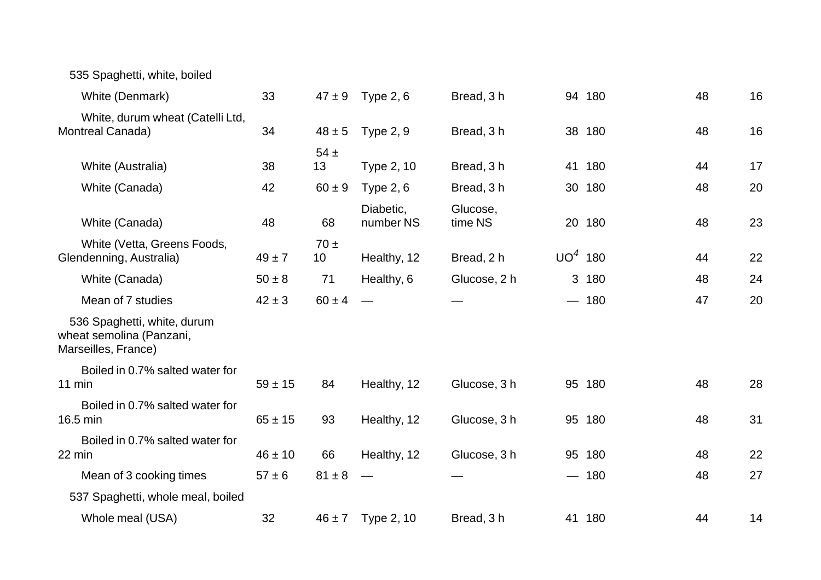| 535 Spaghetti, white, boiled                                                   |             |                             |                        |                     |           |        |    |    |
|--------------------------------------------------------------------------------|-------------|-----------------------------|------------------------|---------------------|-----------|--------|----|----|
| White (Denmark)                                                                | 33          | $47 \pm 9$                  | Type $2, 6$            | Bread, 3h           |           | 94 180 | 48 | 16 |
| White, durum wheat (Catelli Ltd,<br>Montreal Canada)                           | 34          | $48 \pm 5$                  | <b>Type 2, 9</b>       | Bread, 3 h          | 38        | 180    | 48 | 16 |
| White (Australia)                                                              | 38          | $54 \pm$<br>13              | Type 2, 10             | Bread, 3 h          | 41        | 180    | 44 | 17 |
| White (Canada)                                                                 | 42          | $60 \pm 9$                  | <b>Type 2, 6</b>       | Bread, 3h           |           | 30 180 | 48 | 20 |
| White (Canada)                                                                 | 48          | 68                          | Diabetic,<br>number NS | Glucose,<br>time NS |           | 20 180 | 48 | 23 |
| White (Vetta, Greens Foods,<br>Glendenning, Australia)                         | $49 \pm 7$  | $70 \pm$<br>10 <sub>1</sub> | Healthy, 12            | Bread, 2 h          | $UO4$ 180 |        | 44 | 22 |
| White (Canada)                                                                 | $50 \pm 8$  | 71                          | Healthy, 6             | Glucose, 2 h        |           | 3 180  | 48 | 24 |
| Mean of 7 studies                                                              | $42 \pm 3$  | $60 \pm 4$                  |                        |                     |           | $-180$ | 47 | 20 |
| 536 Spaghetti, white, durum<br>wheat semolina (Panzani,<br>Marseilles, France) |             |                             |                        |                     |           |        |    |    |
| Boiled in 0.7% salted water for<br>11 min                                      | $59 \pm 15$ | 84                          | Healthy, 12            | Glucose, 3 h        |           | 95 180 | 48 | 28 |
| Boiled in 0.7% salted water for<br>16.5 min                                    | $65 \pm 15$ | 93                          | Healthy, 12            | Glucose, 3 h        |           | 95 180 | 48 | 31 |
| Boiled in 0.7% salted water for<br>22 min                                      | $46 \pm 10$ | 66                          | Healthy, 12            | Glucose, 3 h        |           | 95 180 | 48 | 22 |
| Mean of 3 cooking times                                                        | $57 \pm 6$  | $81 \pm 8$                  |                        |                     |           | $-180$ | 48 | 27 |
| 537 Spaghetti, whole meal, boiled                                              |             |                             |                        |                     |           |        |    |    |
| Whole meal (USA)                                                               | 32          | $46 \pm 7$                  | Type 2, 10             | Bread, 3 h          |           | 41 180 | 44 | 14 |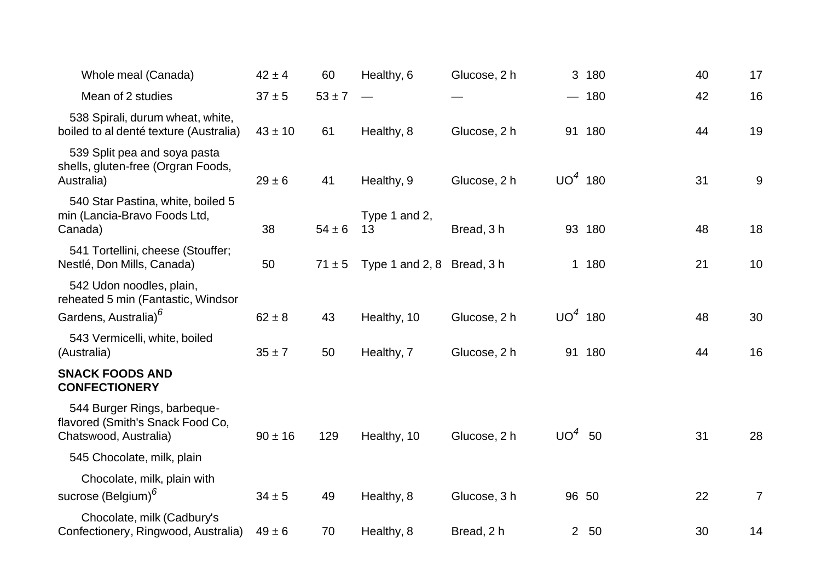| Whole meal (Canada)                                                                                | $42 \pm 4$  | 60         | Healthy, 6                 | Glucose, 2 h |           | 3 180  | 40 | 17             |
|----------------------------------------------------------------------------------------------------|-------------|------------|----------------------------|--------------|-----------|--------|----|----------------|
| Mean of 2 studies                                                                                  | $37 \pm 5$  | $53 \pm 7$ |                            |              |           | $-180$ | 42 | 16             |
| 538 Spirali, durum wheat, white,<br>boiled to al denté texture (Australia)                         | $43 \pm 10$ | 61         | Healthy, 8                 | Glucose, 2 h |           | 91 180 | 44 | 19             |
| 539 Split pea and soya pasta<br>shells, gluten-free (Orgran Foods,<br>Australia)                   | $29 \pm 6$  | 41         | Healthy, 9                 | Glucose, 2 h | $UO4$ 180 |        | 31 | $9\,$          |
| 540 Star Pastina, white, boiled 5<br>min (Lancia-Bravo Foods Ltd,<br>Canada)                       | 38          | $54 \pm 6$ | Type 1 and 2,<br>13        | Bread, 3h    |           | 93 180 | 48 | 18             |
| 541 Tortellini, cheese (Stouffer;<br>Nestlé, Don Mills, Canada)                                    | 50          | $71 \pm 5$ | Type 1 and 2, 8 Bread, 3 h |              |           | 1 180  | 21 | 10             |
| 542 Udon noodles, plain,<br>reheated 5 min (Fantastic, Windsor<br>Gardens, Australia) <sup>6</sup> | $62 \pm 8$  | 43         | Healthy, 10                | Glucose, 2 h | $UO4$ 180 |        | 48 | 30             |
| 543 Vermicelli, white, boiled<br>(Australia)                                                       | $35 \pm 7$  | 50         | Healthy, 7                 | Glucose, 2 h |           | 91 180 | 44 | 16             |
| <b>SNACK FOODS AND</b><br><b>CONFECTIONERY</b>                                                     |             |            |                            |              |           |        |    |                |
| 544 Burger Rings, barbeque-<br>flavored (Smith's Snack Food Co,<br>Chatswood, Australia)           | $90 \pm 16$ | 129        | Healthy, 10                | Glucose, 2 h | $UO4$ 50  |        | 31 | 28             |
| 545 Chocolate, milk, plain                                                                         |             |            |                            |              |           |        |    |                |
| Chocolate, milk, plain with<br>sucrose (Belgium) <sup>6</sup>                                      | $34 \pm 5$  | 49         | Healthy, 8                 | Glucose, 3 h | 96 50     |        | 22 | $\overline{7}$ |
| Chocolate, milk (Cadbury's<br>Confectionery, Ringwood, Australia)                                  | $49 \pm 6$  | 70         | Healthy, 8                 | Bread, 2 h   |           | 2 50   | 30 | 14             |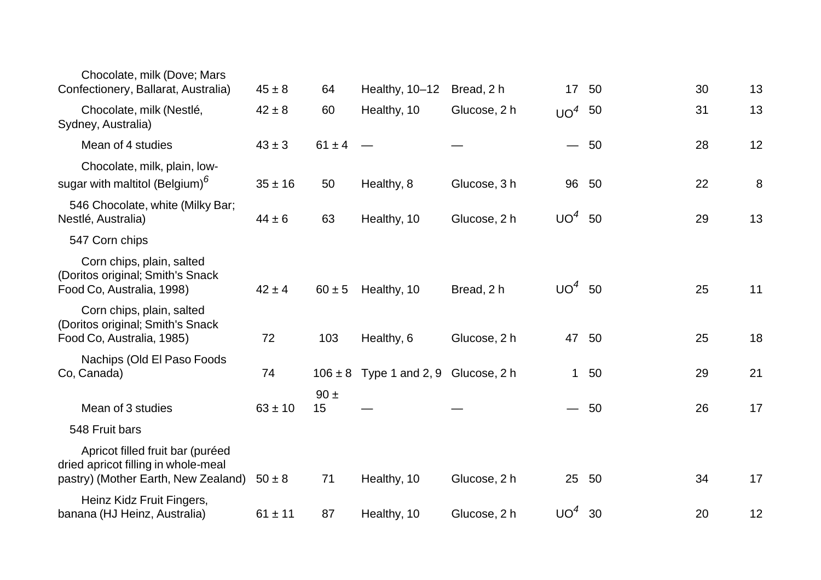| Chocolate, milk (Dove; Mars<br>Confectionery, Ballarat, Australia)                                             | $45 \pm 8$  | 64             | Healthy, 10-12                           | Bread, 2 h   | 17 <sup>2</sup>          | 50    | 30 | 13 |
|----------------------------------------------------------------------------------------------------------------|-------------|----------------|------------------------------------------|--------------|--------------------------|-------|----|----|
|                                                                                                                |             |                |                                          |              |                          |       |    |    |
| Chocolate, milk (Nestlé,<br>Sydney, Australia)                                                                 | $42 \pm 8$  | 60             | Healthy, 10                              | Glucose, 2 h | $UO4$ 50                 |       | 31 | 13 |
| Mean of 4 studies                                                                                              | $43 \pm 3$  | $61 \pm 4$     |                                          |              | $\overline{\phantom{0}}$ | 50    | 28 | 12 |
| Chocolate, milk, plain, low-<br>sugar with maltitol (Belgium) <sup>6</sup>                                     | $35 \pm 16$ | 50             | Healthy, 8                               | Glucose, 3 h |                          | 96 50 | 22 | 8  |
| 546 Chocolate, white (Milky Bar;<br>Nestlé, Australia)                                                         | $44 \pm 6$  | 63             | Healthy, 10                              | Glucose, 2 h | UO <sup>4</sup>          | 50    | 29 | 13 |
| 547 Corn chips                                                                                                 |             |                |                                          |              |                          |       |    |    |
| Corn chips, plain, salted<br>(Doritos original; Smith's Snack<br>Food Co, Australia, 1998)                     | $42 \pm 4$  | $60 \pm 5$     | Healthy, 10                              | Bread, 2 h   | $UO4$ 50                 |       | 25 | 11 |
| Corn chips, plain, salted<br>(Doritos original; Smith's Snack<br>Food Co, Australia, 1985)                     | 72          | 103            | Healthy, 6                               | Glucose, 2 h | 47                       | 50    | 25 | 18 |
| Nachips (Old El Paso Foods<br>Co, Canada)                                                                      | 74          |                | $106 \pm 8$ Type 1 and 2, 9 Glucose, 2 h |              | $\mathbf{1}$             | 50    | 29 | 21 |
| Mean of 3 studies                                                                                              | $63 \pm 10$ | $90 \pm$<br>15 |                                          |              |                          | $-50$ | 26 | 17 |
| 548 Fruit bars                                                                                                 |             |                |                                          |              |                          |       |    |    |
| Apricot filled fruit bar (puréed<br>dried apricot filling in whole-meal<br>pastry) (Mother Earth, New Zealand) | $50 \pm 8$  | 71             | Healthy, 10                              | Glucose, 2 h | 25                       | 50    | 34 | 17 |
| Heinz Kidz Fruit Fingers,<br>banana (HJ Heinz, Australia)                                                      | $61 \pm 11$ | 87             | Healthy, 10                              | Glucose, 2 h | $UO4$ 30                 |       | 20 | 12 |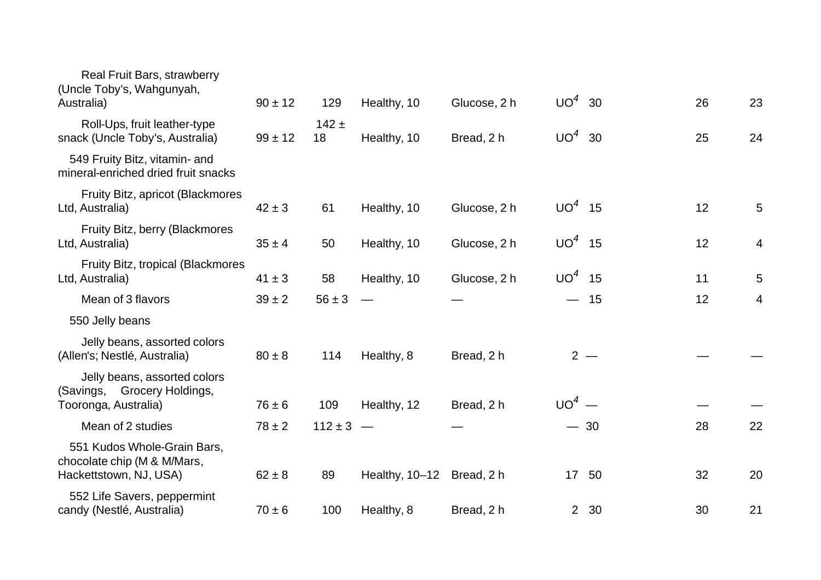| Real Fruit Bars, strawberry<br>(Uncle Toby's, Wahgunyah,<br>Australia)               | $90 \pm 12$ | 129           | Healthy, 10               | Glucose, 2 h | $UO4$ 30                 |       | 26 | 23 |
|--------------------------------------------------------------------------------------|-------------|---------------|---------------------------|--------------|--------------------------|-------|----|----|
| Roll-Ups, fruit leather-type<br>snack (Uncle Toby's, Australia)                      | $99 \pm 12$ | $142 +$<br>18 | Healthy, 10               | Bread, 2 h   | UO <sup>4</sup>          | 30    | 25 | 24 |
| 549 Fruity Bitz, vitamin- and<br>mineral-enriched dried fruit snacks                 |             |               |                           |              |                          |       |    |    |
| Fruity Bitz, apricot (Blackmores<br>Ltd, Australia)                                  | $42 \pm 3$  | 61            | Healthy, 10               | Glucose, 2 h | $UO4$ 15                 |       | 12 | 5  |
| Fruity Bitz, berry (Blackmores<br>Ltd, Australia)                                    | $35 \pm 4$  | 50            | Healthy, 10               | Glucose, 2 h | $UO4$ 15                 |       | 12 | 4  |
| Fruity Bitz, tropical (Blackmores<br>Ltd, Australia)                                 | $41 \pm 3$  | 58            | Healthy, 10               | Glucose, 2 h | $UO4$ 15                 |       | 11 | 5  |
| Mean of 3 flavors                                                                    | $39 \pm 2$  | $56 \pm 3$    |                           |              | $\overline{\phantom{0}}$ | 15    | 12 | 4  |
| 550 Jelly beans                                                                      |             |               |                           |              |                          |       |    |    |
| Jelly beans, assorted colors<br>(Allen's; Nestlé, Australia)                         | $80 \pm 8$  | 114           | Healthy, 8                | Bread, 2 h   |                          | $2 -$ |    |    |
| Jelly beans, assorted colors<br>(Savings, Grocery Holdings,                          |             |               |                           |              | $UO4$ —                  |       |    |    |
| Tooronga, Australia)                                                                 | $76 \pm 6$  | 109           | Healthy, 12               | Bread, 2 h   |                          |       |    |    |
| Mean of 2 studies                                                                    | $78 \pm 2$  | $112 \pm 3 -$ |                           |              |                          | $-30$ | 28 | 22 |
| 551 Kudos Whole-Grain Bars,<br>chocolate chip (M & M/Mars,<br>Hackettstown, NJ, USA) | $62 \pm 8$  | 89            | Healthy, 10-12 Bread, 2 h |              |                          | 17 50 | 32 | 20 |
| 552 Life Savers, peppermint<br>candy (Nestlé, Australia)                             | $70 \pm 6$  | 100           | Healthy, 8                | Bread, 2 h   |                          | 2 30  | 30 | 21 |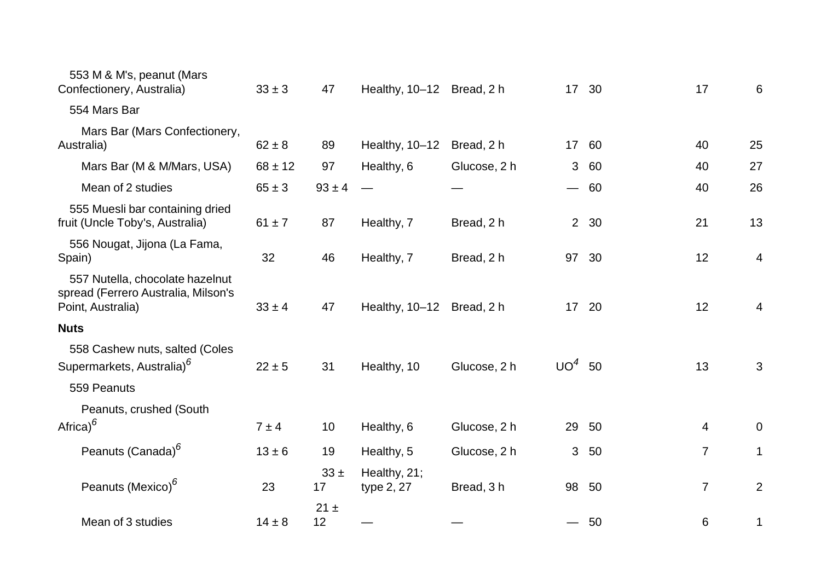| 553 M & M's, peanut (Mars<br>Confectionery, Australia)                                      | $33 \pm 3$  | 47             | Healthy, 10-12 Bread, 2 h  |              |                | 17 30 | 17             | 6              |
|---------------------------------------------------------------------------------------------|-------------|----------------|----------------------------|--------------|----------------|-------|----------------|----------------|
| 554 Mars Bar                                                                                |             |                |                            |              |                |       |                |                |
| Mars Bar (Mars Confectionery,<br>Australia)                                                 | $62 \pm 8$  | 89             | Healthy, 10-12             | Bread, 2 h   |                | 17 60 | 40             | 25             |
| Mars Bar (M & M/Mars, USA)                                                                  | $68 \pm 12$ | 97             | Healthy, 6                 | Glucose, 2 h | 3              | 60    | 40             | 27             |
| Mean of 2 studies                                                                           | $65 \pm 3$  | $93 \pm 4$     |                            |              |                | $-60$ | 40             | 26             |
| 555 Muesli bar containing dried<br>fruit (Uncle Toby's, Australia)                          | $61 \pm 7$  | 87             | Healthy, 7                 | Bread, 2 h   |                | 2 30  | 21             | 13             |
| 556 Nougat, Jijona (La Fama,<br>Spain)                                                      | 32          | 46             | Healthy, 7                 | Bread, 2 h   | 97             | 30    | 12             | $\overline{4}$ |
| 557 Nutella, chocolate hazelnut<br>spread (Ferrero Australia, Milson's<br>Point, Australia) | $33 \pm 4$  | 47             | Healthy, 10-12 Bread, 2 h  |              |                | 17 20 | 12             | $\overline{4}$ |
| <b>Nuts</b>                                                                                 |             |                |                            |              |                |       |                |                |
| 558 Cashew nuts, salted (Coles<br>Supermarkets, Australia) <sup>6</sup><br>559 Peanuts      | $22 \pm 5$  | 31             | Healthy, 10                | Glucose, 2 h | $UO4$ 50       |       | 13             | $\mathbf{3}$   |
| Peanuts, crushed (South                                                                     |             |                |                            |              |                |       |                |                |
| Africa) $^6$                                                                                | $7 \pm 4$   | 10             | Healthy, 6                 | Glucose, 2 h | 29             | 50    | 4              | $\mathbf 0$    |
| Peanuts (Canada) <sup>6</sup>                                                               | $13 \pm 6$  | 19             | Healthy, 5                 | Glucose, 2 h | 3 <sup>1</sup> | 50    | $\overline{7}$ | 1              |
| Peanuts (Mexico) <sup>6</sup>                                                               | 23          | $33 \pm$<br>17 | Healthy, 21;<br>type 2, 27 | Bread, 3h    | 98             | 50    | $\overline{7}$ | $\overline{2}$ |
| Mean of 3 studies                                                                           | $14 \pm 8$  | $21 \pm$<br>12 |                            |              |                | $-50$ | 6              | 1              |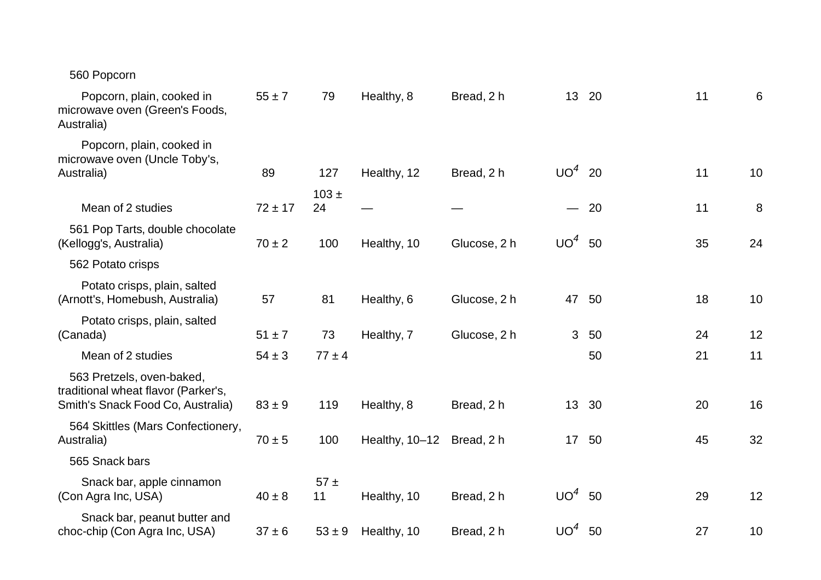## 560 Popcorn

| Popcorn, plain, cooked in<br>microwave oven (Green's Foods,<br>Australia)                             | $55 \pm 7$  | 79              | Healthy, 8     | Bread, 2 h   |                 | 13 20 | 11 | 6  |
|-------------------------------------------------------------------------------------------------------|-------------|-----------------|----------------|--------------|-----------------|-------|----|----|
| Popcorn, plain, cooked in<br>microwave oven (Uncle Toby's,<br>Australia)                              | 89          | 127             | Healthy, 12    | Bread, 2 h   | $UO4$ 20        |       | 11 | 10 |
| Mean of 2 studies                                                                                     | $72 \pm 17$ | $103 \pm$<br>24 |                |              |                 | $-20$ | 11 | 8  |
|                                                                                                       |             |                 |                |              |                 |       |    |    |
| 561 Pop Tarts, double chocolate<br>(Kellogg's, Australia)                                             | $70 \pm 2$  | 100             | Healthy, 10    | Glucose, 2 h | $UO4$ 50        |       | 35 | 24 |
| 562 Potato crisps                                                                                     |             |                 |                |              |                 |       |    |    |
| Potato crisps, plain, salted<br>(Arnott's, Homebush, Australia)                                       | 57          | 81              | Healthy, 6     | Glucose, 2 h | 47              | 50    | 18 | 10 |
| Potato crisps, plain, salted<br>(Canada)                                                              | $51 \pm 7$  | 73              | Healthy, 7     | Glucose, 2 h | 3               | 50    | 24 | 12 |
| Mean of 2 studies                                                                                     | $54 \pm 3$  | $77 \pm 4$      |                |              |                 | 50    | 21 | 11 |
| 563 Pretzels, oven-baked,<br>traditional wheat flavor (Parker's,<br>Smith's Snack Food Co, Australia) | $83 \pm 9$  | 119             | Healthy, 8     | Bread, 2 h   | 13 <sup>2</sup> | 30    | 20 | 16 |
| 564 Skittles (Mars Confectionery,<br>Australia)                                                       | $70 \pm 5$  | 100             | Healthy, 10-12 | Bread, 2 h   | 17              | 50    | 45 | 32 |
| 565 Snack bars                                                                                        |             |                 |                |              |                 |       |    |    |
| Snack bar, apple cinnamon<br>(Con Agra Inc, USA)                                                      | $40 \pm 8$  | $57 \pm$<br>11  | Healthy, 10    | Bread, 2 h   | $UO4$ 50        |       | 29 | 12 |
| Snack bar, peanut butter and<br>choc-chip (Con Agra Inc, USA)                                         | $37 \pm 6$  | $53 \pm 9$      | Healthy, 10    | Bread, 2 h   | UO <sup>4</sup> | 50    | 27 | 10 |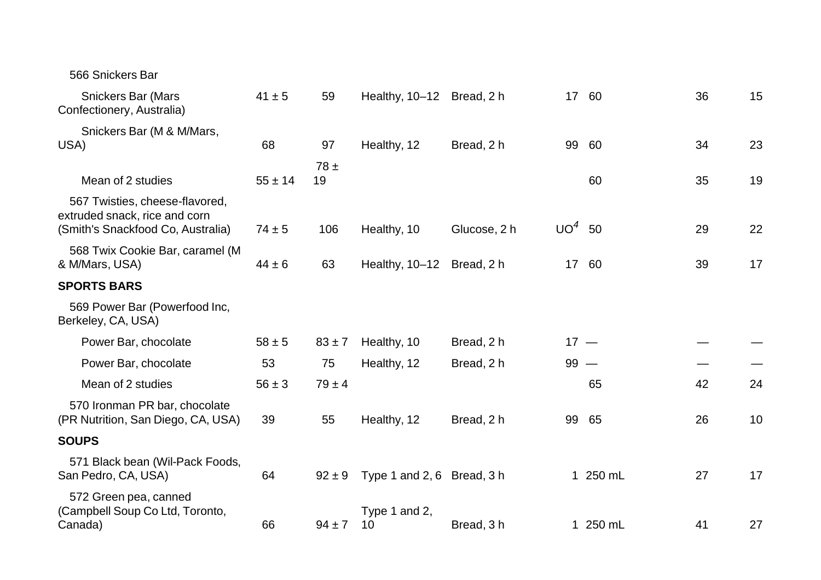| 566 Snickers Bar                                                                                     |             |            |                            |              |          |          |    |    |
|------------------------------------------------------------------------------------------------------|-------------|------------|----------------------------|--------------|----------|----------|----|----|
| <b>Snickers Bar (Mars</b><br>Confectionery, Australia)                                               | $41 \pm 5$  | 59         | Healthy, 10-12 Bread, 2 h  |              |          | 17 60    | 36 | 15 |
| Snickers Bar (M & M/Mars,<br>USA)                                                                    | 68          | 97         | Healthy, 12                | Bread, 2 h   | 99       | 60       | 34 | 23 |
| Mean of 2 studies                                                                                    | $55 \pm 14$ | 78±<br>19  |                            |              |          | 60       | 35 | 19 |
| 567 Twisties, cheese-flavored,<br>extruded snack, rice and corn<br>(Smith's Snackfood Co, Australia) | $74 \pm 5$  | 106        | Healthy, 10                | Glucose, 2 h | $UO4$ 50 |          | 29 | 22 |
| 568 Twix Cookie Bar, caramel (M<br>& M/Mars, USA)                                                    | $44 \pm 6$  | 63         | Healthy, 10-12 Bread, 2 h  |              |          | 17 60    | 39 | 17 |
| <b>SPORTS BARS</b>                                                                                   |             |            |                            |              |          |          |    |    |
| 569 Power Bar (Powerfood Inc,<br>Berkeley, CA, USA)                                                  |             |            |                            |              |          |          |    |    |
| Power Bar, chocolate                                                                                 | $58 \pm 5$  | $83 \pm 7$ | Healthy, 10                | Bread, 2 h   | $17 -$   |          |    |    |
| Power Bar, chocolate                                                                                 | 53          | 75         | Healthy, 12                | Bread, 2 h   | $99 -$   |          |    |    |
| Mean of 2 studies                                                                                    | $56 \pm 3$  | $79 \pm 4$ |                            |              |          | 65       | 42 | 24 |
| 570 Ironman PR bar, chocolate<br>(PR Nutrition, San Diego, CA, USA)                                  | 39          | 55         | Healthy, 12                | Bread, 2 h   |          | 99 65    | 26 | 10 |
| <b>SOUPS</b>                                                                                         |             |            |                            |              |          |          |    |    |
| 571 Black bean (Wil-Pack Foods,<br>San Pedro, CA, USA)                                               | 64          | $92 \pm 9$ | Type 1 and 2, 6 Bread, 3 h |              |          | 1 250 mL | 27 | 17 |
| 572 Green pea, canned<br>(Campbell Soup Co Ltd, Toronto,<br>Canada)                                  | 66          | $94 \pm 7$ | Type 1 and 2,<br>10        | Bread, 3h    |          | 1 250 mL | 41 | 27 |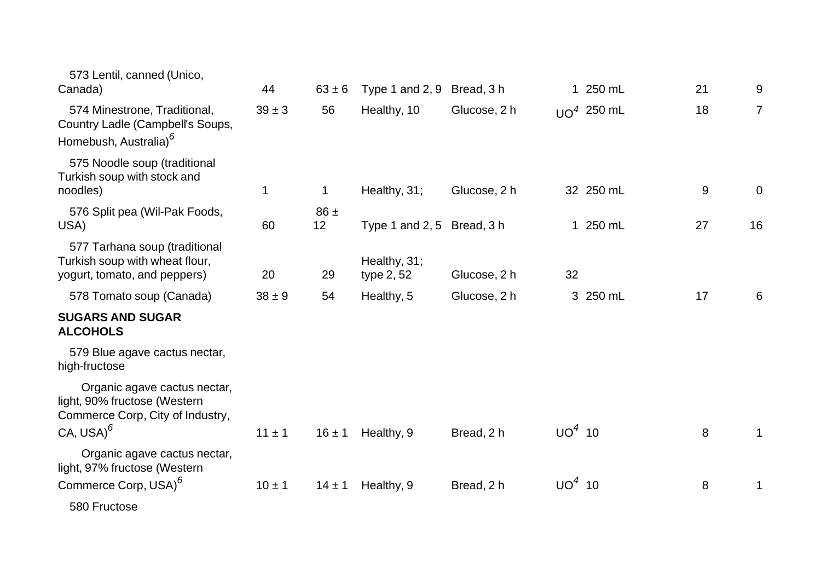| 573 Lentil, canned (Unico,<br>Canada)                                                                            | 44         | $63 \pm 6$     | Type 1 and $2, 9$          | Bread, 3 h   |          | 1 250 mL     | 21    | 9              |
|------------------------------------------------------------------------------------------------------------------|------------|----------------|----------------------------|--------------|----------|--------------|-------|----------------|
| 574 Minestrone, Traditional,<br>Country Ladle (Campbell's Soups,<br>Homebush, Australia) <sup>6</sup>            | $39 \pm 3$ | 56             | Healthy, 10                | Glucose, 2 h |          | $UO4$ 250 mL | 18    | $\overline{7}$ |
| 575 Noodle soup (traditional<br>Turkish soup with stock and<br>noodles)                                          | 1          | $\mathbf 1$    | Healthy, 31;               | Glucose, 2 h |          | 32 250 mL    | $9\,$ | $\mathbf 0$    |
| 576 Split pea (Wil-Pak Foods,<br>USA)                                                                            | 60         | $86 \pm$<br>12 | Type 1 and 2, 5 Bread, 3 h |              |          | 1 250 mL     | 27    | 16             |
| 577 Tarhana soup (traditional<br>Turkish soup with wheat flour,<br>yogurt, tomato, and peppers)                  | 20         | 29             | Healthy, 31;<br>type 2, 52 | Glucose, 2 h | 32       |              |       |                |
| 578 Tomato soup (Canada)                                                                                         | $38 \pm 9$ | 54             | Healthy, 5                 | Glucose, 2 h |          | 3 250 mL     | 17    | 6              |
| <b>SUGARS AND SUGAR</b><br><b>ALCOHOLS</b>                                                                       |            |                |                            |              |          |              |       |                |
| 579 Blue agave cactus nectar,<br>high-fructose                                                                   |            |                |                            |              |          |              |       |                |
| Organic agave cactus nectar,<br>light, 90% fructose (Western<br>Commerce Corp, City of Industry,<br>$CA, USA)^6$ | $11 \pm 1$ | $16 \pm 1$     | Healthy, 9                 | Bread, 2 h   | $UO4$ 10 |              | 8     | $\mathbf 1$    |
| Organic agave cactus nectar,<br>light, 97% fructose (Western                                                     |            |                |                            |              |          |              |       |                |
| Commerce Corp, USA) <sup>6</sup>                                                                                 | $10 \pm 1$ | $14 \pm 1$     | Healthy, 9                 | Bread, 2 h   | $UO4$ 10 |              | 8     | 1              |
| 580 Fructose                                                                                                     |            |                |                            |              |          |              |       |                |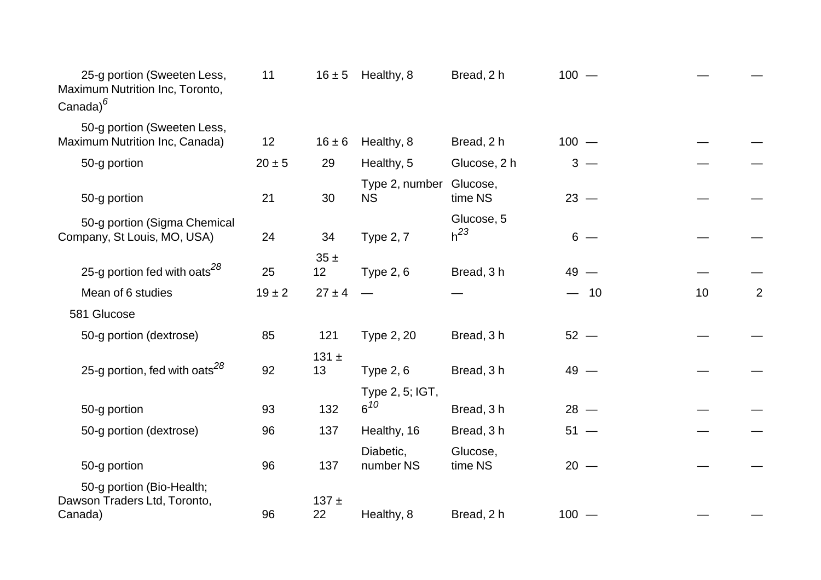| 11         |                  |                        | Bread, 2 h                                                            | $100 -$                                      |                  |                |
|------------|------------------|------------------------|-----------------------------------------------------------------------|----------------------------------------------|------------------|----------------|
|            |                  |                        |                                                                       |                                              |                  |                |
|            |                  |                        |                                                                       |                                              |                  |                |
|            |                  |                        |                                                                       |                                              |                  |                |
| 21         | 30               | <b>NS</b>              | Glucose,<br>time NS                                                   | $23 -$                                       |                  |                |
| 24         |                  |                        | Glucose, 5<br>$h^{23}$                                                | $6 -$                                        |                  |                |
| 25         | 35±<br>12        | Type $2, 6$            | Bread, 3 h                                                            | $49 -$                                       |                  |                |
| $19 \pm 2$ | $27 \pm 4$       |                        |                                                                       | $-10$                                        | 10               | $\overline{2}$ |
|            |                  |                        |                                                                       |                                              |                  |                |
| 85         | 121              | Type 2, 20             | Bread, 3h                                                             | $52 -$                                       |                  |                |
| 92         | 131 $\pm$<br>13  | <b>Type 2, 6</b>       | Bread, 3 h                                                            | $49 -$                                       |                  |                |
|            |                  | Type 2, 5; IGT,        |                                                                       |                                              |                  |                |
| 93         | 132              | $6^{10}$               | Bread, 3h                                                             | $28 -$                                       |                  |                |
| 96         | 137              | Healthy, 16            | Bread, 3 h                                                            | $51 -$                                       |                  |                |
| 96         | 137              | Diabetic,<br>number NS | Glucose,<br>time NS                                                   | $20 -$                                       |                  |                |
| 96         | $137 +$<br>22    | Healthy, 8             | Bread, 2 h                                                            | $100 -$                                      |                  |                |
|            | 12<br>$20 \pm 5$ | $16 \pm 6$<br>29<br>34 | $16 \pm 5$ Healthy, 8<br>Healthy, 8<br>Healthy, 5<br><b>Type 2, 7</b> | Bread, 2 h<br>Glucose, 2 h<br>Type 2, number | $100 -$<br>$3 -$ |                |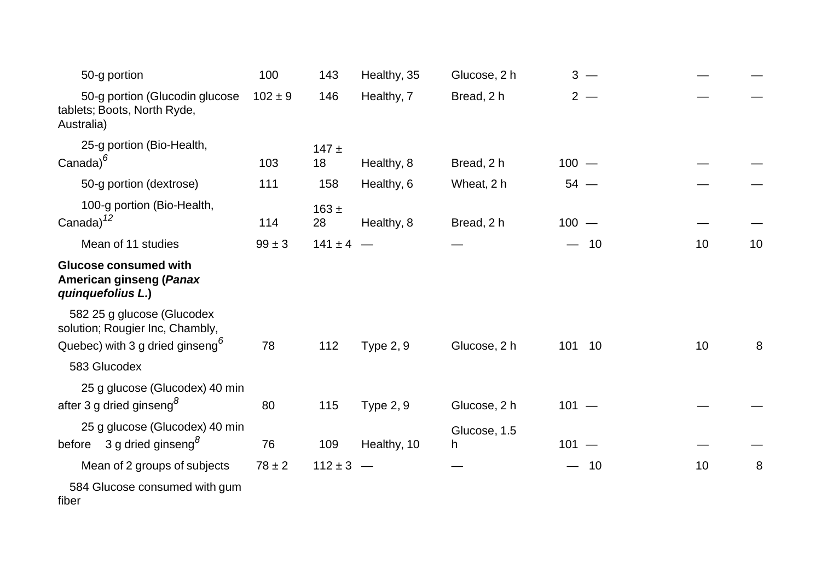| 50-g portion                                                                                                 | 100         | 143             | Healthy, 35      | Glucose, 2 h      | $3 -$                 |    |    |
|--------------------------------------------------------------------------------------------------------------|-------------|-----------------|------------------|-------------------|-----------------------|----|----|
| 50-g portion (Glucodin glucose<br>tablets; Boots, North Ryde,<br>Australia)                                  | $102 \pm 9$ | 146             | Healthy, 7       | Bread, 2 h        | $2 -$                 |    |    |
| 25-g portion (Bio-Health,<br>Canada) $^6$                                                                    | 103         | $147 \pm$<br>18 | Healthy, 8       | Bread, 2 h        | $100 -$               |    |    |
| 50-g portion (dextrose)                                                                                      | 111         | 158             | Healthy, 6       | Wheat, 2 h        | $54 -$                |    |    |
| 100-g portion (Bio-Health,<br>Canada) $^{12}$                                                                | 114         | $163 \pm$<br>28 | Healthy, 8       | Bread, 2 h        | $100 -$               |    |    |
| Mean of 11 studies                                                                                           | $99 \pm 3$  | $141 \pm 4$ –   |                  |                   | $-10$                 | 10 | 10 |
| <b>Glucose consumed with</b><br>American ginseng (Panax<br>quinquefolius L.)                                 |             |                 |                  |                   |                       |    |    |
| 582 25 g glucose (Glucodex<br>solution; Rougier Inc, Chambly,<br>Quebec) with 3 g dried ginseng <sup>6</sup> | 78          | 112             | <b>Type 2, 9</b> | Glucose, 2 h      | 101 10                | 10 | 8  |
| 583 Glucodex                                                                                                 |             |                 |                  |                   |                       |    |    |
| 25 g glucose (Glucodex) 40 min<br>after 3 g dried ginseng <sup>8</sup>                                       | 80          | 115             | <b>Type 2, 9</b> | Glucose, 2 h      | $101 -$               |    |    |
| 25 g glucose (Glucodex) 40 min<br>3 g dried ginseng <sup>8</sup><br>before                                   | 76          | 109             | Healthy, 10      | Glucose, 1.5<br>h | $101 -$               |    |    |
| Mean of 2 groups of subjects                                                                                 | $78 \pm 2$  | $112 \pm 3$     |                  |                   | 10<br>$\qquad \qquad$ | 10 | 8  |
| 584 Glucose consumed with gum<br>fiber                                                                       |             |                 |                  |                   |                       |    |    |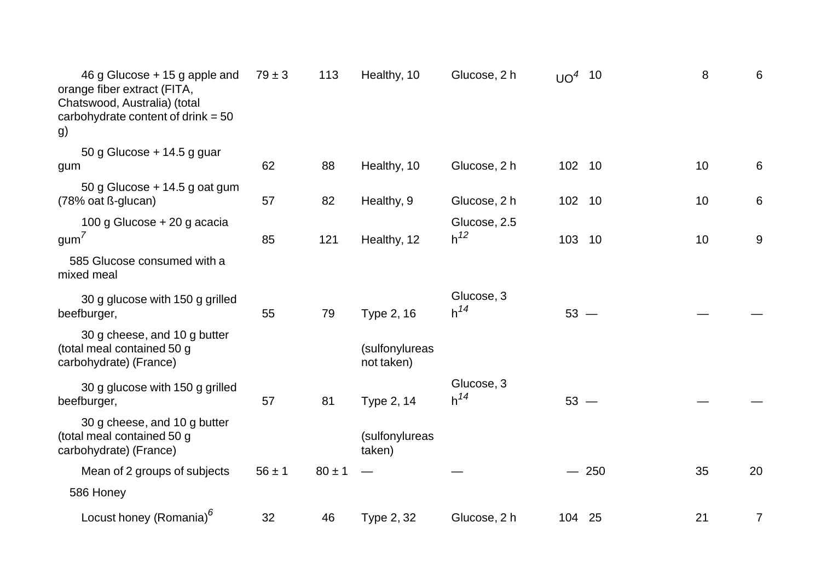| 46 g Glucose + 15 g apple and<br>orange fiber extract (FITA,<br>Chatswood, Australia) (total<br>carbohydrate content of drink $= 50$<br>g) | $79 \pm 3$ | 113        | Healthy, 10                  | Glucose, 2 h             | $UO4$ 10 |        | 8<br>6                |
|--------------------------------------------------------------------------------------------------------------------------------------------|------------|------------|------------------------------|--------------------------|----------|--------|-----------------------|
| 50 g Glucose $+$ 14.5 g guar<br>gum                                                                                                        | 62         | 88         | Healthy, 10                  | Glucose, 2 h             | 102      | 10     | 10<br>6               |
| 50 g Glucose + 14.5 g oat gum<br>(78% oat ß-glucan)                                                                                        | 57         | 82         | Healthy, 9                   | Glucose, 2 h             | 102 10   |        | $6\phantom{1}6$<br>10 |
| 100 g Glucose + 20 g acacia<br>$g \text{um}^{\prime}$                                                                                      | 85         | 121        | Healthy, 12                  | Glucose, 2.5<br>$h^{12}$ | 103      | 10     | 9<br>10               |
| 585 Glucose consumed with a<br>mixed meal                                                                                                  |            |            |                              |                          |          |        |                       |
| 30 g glucose with 150 g grilled<br>beefburger,                                                                                             | 55         | 79         | Type 2, 16                   | Glucose, 3<br>$h^{14}$   | $53 -$   |        |                       |
| 30 g cheese, and 10 g butter<br>(total meal contained 50 g<br>carbohydrate) (France)                                                       |            |            | (sulfonylureas<br>not taken) |                          |          |        |                       |
| 30 g glucose with 150 g grilled<br>beefburger,                                                                                             | 57         | 81         | Type 2, 14                   | Glucose, 3<br>$h^{14}$   | $53 -$   |        |                       |
| 30 g cheese, and 10 g butter<br>(total meal contained 50 g<br>carbohydrate) (France)                                                       |            |            | (sulfonylureas<br>taken)     |                          |          |        |                       |
| Mean of 2 groups of subjects                                                                                                               | $56 \pm 1$ | $80 \pm 1$ |                              |                          |          | $-250$ | 35<br>20              |
| 586 Honey                                                                                                                                  |            |            |                              |                          |          |        |                       |
| Locust honey (Romania) <sup>6</sup>                                                                                                        | 32         | 46         | Type 2, 32                   | Glucose, 2 h             | 104 25   |        | 21<br>$\overline{7}$  |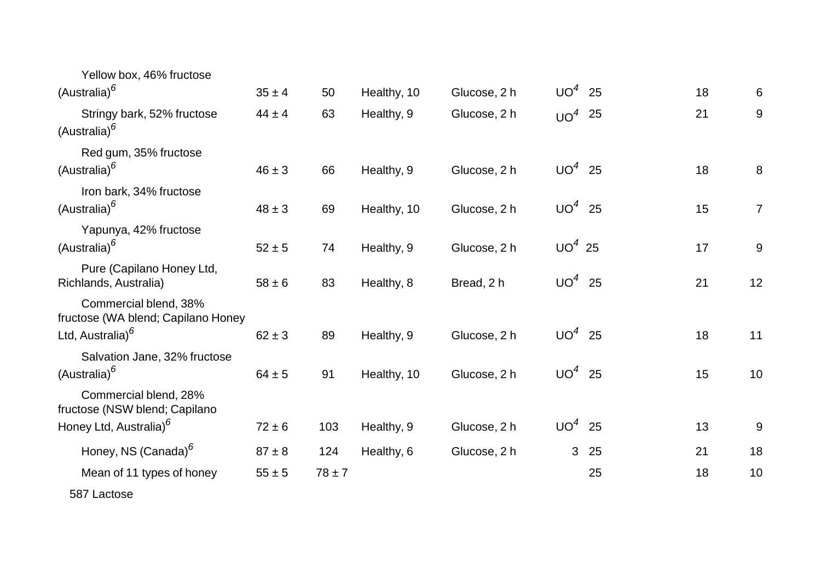| Yellow box, 46% fructose<br>(Australia) <sup>6</sup>                                         | $35 \pm 4$ | 50         | Healthy, 10 | Glucose, 2 h | $UO4$ 25 |    | 18 | 6              |
|----------------------------------------------------------------------------------------------|------------|------------|-------------|--------------|----------|----|----|----------------|
| Stringy bark, 52% fructose<br>(Australia) <sup>6</sup>                                       | $44 \pm 4$ | 63         | Healthy, 9  | Glucose, 2 h | $UO4$ 25 |    | 21 | 9              |
| Red gum, 35% fructose<br>(Australia) <sup>6</sup>                                            | $46 \pm 3$ | 66         | Healthy, 9  | Glucose, 2 h | $UO4$ 25 |    | 18 | 8              |
| Iron bark, 34% fructose<br>(Australia) <sup>6</sup>                                          | $48 \pm 3$ | 69         | Healthy, 10 | Glucose, 2 h | $UO4$ 25 |    | 15 | $\overline{7}$ |
| Yapunya, 42% fructose<br>(Australia) <sup>6</sup>                                            | $52 \pm 5$ | 74         | Healthy, 9  | Glucose, 2 h | $UO4$ 25 |    | 17 | 9              |
| Pure (Capilano Honey Ltd,<br>Richlands, Australia)                                           | $58 \pm 6$ | 83         | Healthy, 8  | Bread, 2 h   | $UO4$ 25 |    | 21 | 12             |
| Commercial blend, 38%<br>fructose (WA blend; Capilano Honey<br>Ltd, Australia) <sup>6</sup>  | $62 \pm 3$ | 89         | Healthy, 9  | Glucose, 2 h | $UO4$ 25 |    | 18 | 11             |
| Salvation Jane, 32% fructose<br>(Australia) <sup>6</sup>                                     | $64 \pm 5$ | 91         | Healthy, 10 | Glucose, 2 h | $UO4$ 25 |    | 15 | 10             |
| Commercial blend, 28%<br>fructose (NSW blend; Capilano<br>Honey Ltd, Australia) <sup>6</sup> | $72 \pm 6$ | 103        | Healthy, 9  | Glucose, 2 h | $UO4$ 25 |    | 13 | 9              |
| Honey, NS (Canada) <sup>6</sup>                                                              | $87 \pm 8$ | 124        | Healthy, 6  | Glucose, 2 h | 3        | 25 | 21 | 18             |
| Mean of 11 types of honey                                                                    | $55 \pm 5$ | $78 \pm 7$ |             |              |          | 25 | 18 | 10             |
| 587 Lactose                                                                                  |            |            |             |              |          |    |    |                |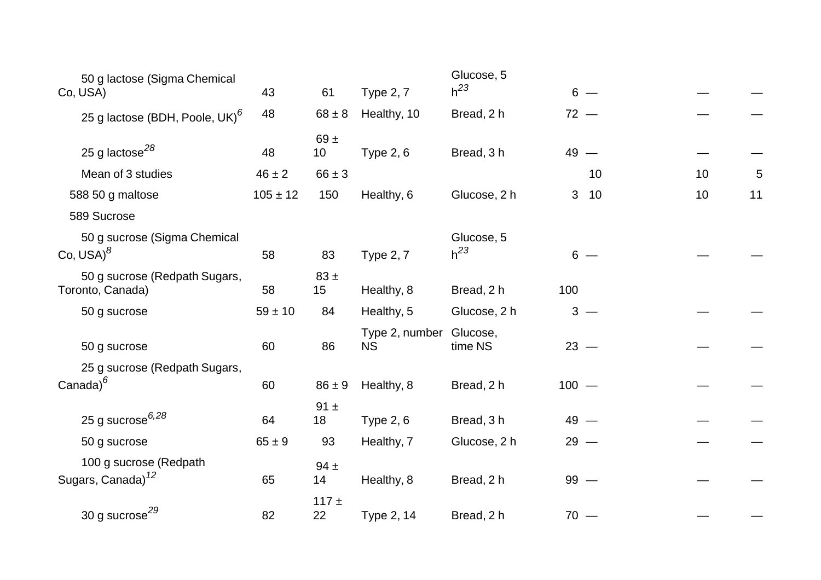| 50 g lactose (Sigma Chemical                            |              |                             |                             | Glucose, 5             |         |       |    |    |
|---------------------------------------------------------|--------------|-----------------------------|-----------------------------|------------------------|---------|-------|----|----|
| Co, USA)                                                | 43           | 61                          | <b>Type 2, 7</b>            | $h^{23}$               |         | $6 -$ |    |    |
| 25 g lactose (BDH, Poole, UK) <sup>6</sup>              | 48           | $68 \pm 8$                  | Healthy, 10                 | Bread, 2 h             | $72 -$  |       |    |    |
| 25 g lactose $^{28}$                                    | 48           | 69 $\pm$<br>10 <sub>1</sub> | <b>Type 2, 6</b>            | Bread, 3 h             | $49 -$  |       |    |    |
| Mean of 3 studies                                       | $46 \pm 2$   | $66 \pm 3$                  |                             |                        |         | 10    | 10 | 5  |
| 588 50 g maltose                                        | $105 \pm 12$ | 150                         | Healthy, 6                  | Glucose, 2 h           | 3       | 10    | 10 | 11 |
| 589 Sucrose                                             |              |                             |                             |                        |         |       |    |    |
| 50 g sucrose (Sigma Chemical<br>Co, $USA$ <sup>8</sup>  | 58           | 83                          | <b>Type 2, 7</b>            | Glucose, 5<br>$h^{23}$ |         | $6 -$ |    |    |
| 50 g sucrose (Redpath Sugars,<br>Toronto, Canada)       | 58           | $83 \pm$<br>15              | Healthy, 8                  | Bread, 2 h             | 100     |       |    |    |
| 50 g sucrose                                            | $59 \pm 10$  | 84                          | Healthy, 5                  | Glucose, 2 h           |         | $3 -$ |    |    |
| 50 g sucrose                                            | 60           | 86                          | Type 2, number<br><b>NS</b> | Glucose,<br>time NS    | $23 -$  |       |    |    |
| 25 g sucrose (Redpath Sugars,<br>Canada) $^6$           | 60           | $86 \pm 9$                  | Healthy, 8                  | Bread, 2 h             | $100 -$ |       |    |    |
| 25 g sucrose $6,28$                                     | 64           | $91 \pm$<br>18              | <b>Type 2, 6</b>            | Bread, 3 h             | $49 -$  |       |    |    |
| 50 g sucrose                                            | $65 \pm 9$   | 93                          | Healthy, 7                  | Glucose, 2 h           | $29 -$  |       |    |    |
| 100 g sucrose (Redpath<br>Sugars, Canada) <sup>12</sup> | 65           | $94 \pm$<br>14              | Healthy, 8                  | Bread, 2 h             | $99 -$  |       |    |    |
| 30 g sucrose <sup>29</sup>                              | 82           | $117 +$<br>22               | Type 2, 14                  | Bread, 2 h             | $70 -$  |       |    |    |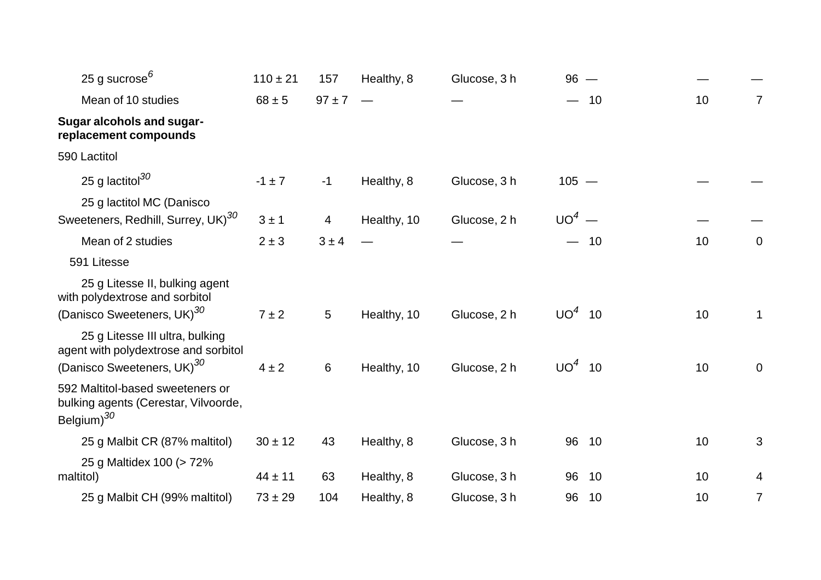| 25 g sucrose <sup>6</sup>                                                                                         | $110 \pm 21$ | 157             | Healthy, 8  | Glucose, 3 h | $96 -$   |    |    |                |
|-------------------------------------------------------------------------------------------------------------------|--------------|-----------------|-------------|--------------|----------|----|----|----------------|
| Mean of 10 studies                                                                                                | $68 \pm 5$   | $97 \pm 7$      |             |              |          | 10 | 10 | 7              |
| <b>Sugar alcohols and sugar-</b><br>replacement compounds                                                         |              |                 |             |              |          |    |    |                |
| 590 Lactitol                                                                                                      |              |                 |             |              |          |    |    |                |
| 25 g lactitol $^{30}$                                                                                             | $-1 \pm 7$   | $-1$            | Healthy, 8  | Glucose, 3 h | $105 -$  |    |    |                |
| 25 g lactitol MC (Danisco<br>Sweeteners, Redhill, Surrey, UK) <sup>30</sup>                                       | 3±1          | 4               | Healthy, 10 | Glucose, 2 h | $UO4$ —  |    |    |                |
| Mean of 2 studies                                                                                                 | $2 \pm 3$    | $3 \pm 4$       |             |              |          | 10 | 10 | 0              |
| 591 Litesse                                                                                                       |              |                 |             |              |          |    |    |                |
| 25 g Litesse II, bulking agent<br>with polydextrose and sorbitol<br>(Danisco Sweeteners, UK) <sup>30</sup>        | $7 \pm 2$    | $5\overline{)}$ | Healthy, 10 | Glucose, 2 h | $UO4$ 10 |    | 10 | 1              |
| 25 g Litesse III ultra, bulking<br>agent with polydextrose and sorbitol<br>(Danisco Sweeteners, UK) <sup>30</sup> | $4 \pm 2$    | 6               | Healthy, 10 | Glucose, 2 h | $UO4$ 10 |    | 10 | 0              |
| 592 Maltitol-based sweeteners or<br>bulking agents (Cerestar, Vilvoorde,<br>Belgium) <sup>30</sup>                |              |                 |             |              |          |    |    |                |
| 25 g Malbit CR (87% maltitol)                                                                                     | $30 \pm 12$  | 43              | Healthy, 8  | Glucose, 3 h | 96       | 10 | 10 | 3              |
| 25 g Maltidex 100 (> 72%<br>maltitol)                                                                             | $44 \pm 11$  | 63              | Healthy, 8  | Glucose, 3 h | 96       | 10 | 10 | 4              |
| 25 g Malbit CH (99% maltitol)                                                                                     | $73 \pm 29$  | 104             | Healthy, 8  | Glucose, 3 h | 96       | 10 | 10 | $\overline{7}$ |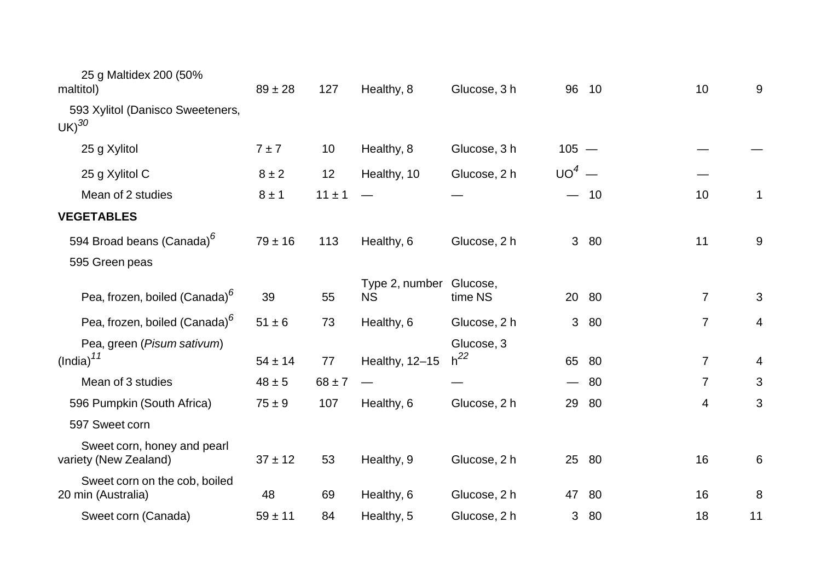| 25 g Maltidex 200 (50%<br>maltitol)                  | $89 \pm 28$ | 127        | Healthy, 8                           | Glucose, 3 h           | 96             | 10    | 10             | 9  |
|------------------------------------------------------|-------------|------------|--------------------------------------|------------------------|----------------|-------|----------------|----|
| 593 Xylitol (Danisco Sweeteners,<br>$UK)^{30}$       |             |            |                                      |                        |                |       |                |    |
| 25 g Xylitol                                         | 7±7         | 10         | Healthy, 8                           | Glucose, 3 h           | $105 -$        |       |                |    |
| 25 g Xylitol C                                       | $8 \pm 2$   | 12         | Healthy, 10                          | Glucose, 2 h           | $UO4$ —        |       |                |    |
| Mean of 2 studies                                    | $8 \pm 1$   | $11 \pm 1$ |                                      |                        |                | 10    | 10             | 1  |
| <b>VEGETABLES</b>                                    |             |            |                                      |                        |                |       |                |    |
| 594 Broad beans (Canada) <sup>6</sup>                | $79 \pm 16$ | 113        | Healthy, 6                           | Glucose, 2 h           |                | 3 80  | 11             | 9  |
| 595 Green peas                                       |             |            |                                      |                        |                |       |                |    |
| Pea, frozen, boiled (Canada) <sup>6</sup>            | 39          | 55         | Type 2, number Glucose,<br><b>NS</b> | time NS                |                | 20 80 | 7              | 3  |
| Pea, frozen, boiled (Canada) <sup>6</sup>            | $51 \pm 6$  | 73         | Healthy, 6                           | Glucose, 2 h           | 3 <sup>1</sup> | 80    | $\overline{7}$ | 4  |
| Pea, green (Pisum sativum)<br>(India) <sup>11</sup>  | $54 \pm 14$ | 77         | Healthy, 12-15                       | Glucose, 3<br>$h^{22}$ | 65             | -80   | $\overline{7}$ | 4  |
| Mean of 3 studies                                    | $48 \pm 5$  | $68 \pm 7$ |                                      |                        |                | $-80$ | $\overline{7}$ | 3  |
| 596 Pumpkin (South Africa)                           | $75 \pm 9$  | 107        | Healthy, 6                           | Glucose, 2 h           | 29             | -80   | 4              | 3  |
| 597 Sweet corn                                       |             |            |                                      |                        |                |       |                |    |
| Sweet corn, honey and pearl<br>variety (New Zealand) | $37 \pm 12$ | 53         | Healthy, 9                           | Glucose, 2 h           |                | 25 80 | 16             | 6  |
| Sweet corn on the cob, boiled<br>20 min (Australia)  | 48          | 69         | Healthy, 6                           | Glucose, 2 h           | 47             | 80    | 16             | 8  |
| Sweet corn (Canada)                                  | $59 \pm 11$ | 84         | Healthy, 5                           | Glucose, 2 h           | 3              | 80    | 18             | 11 |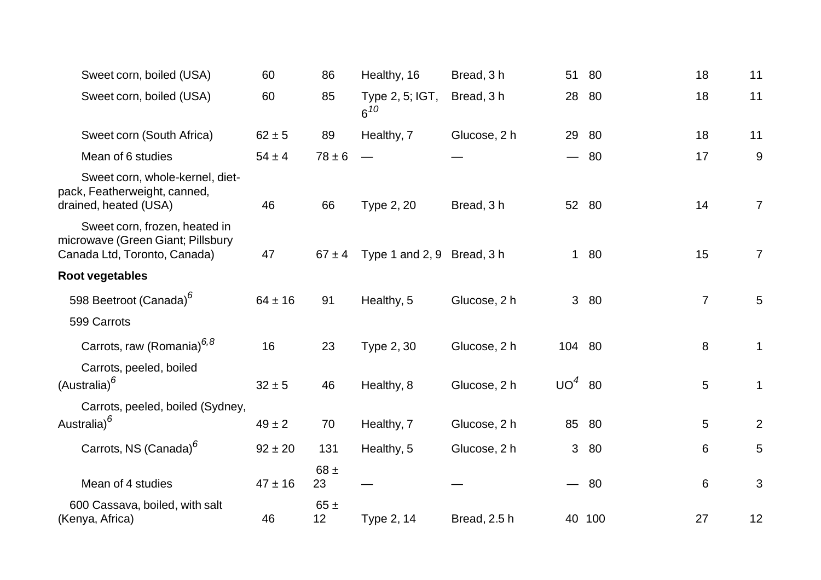| Sweet corn, boiled (USA)                                                                           | 60          | 86             | Healthy, 16                 | Bread, 3h    | 51                       | -80    | 18             | 11              |
|----------------------------------------------------------------------------------------------------|-------------|----------------|-----------------------------|--------------|--------------------------|--------|----------------|-----------------|
| Sweet corn, boiled (USA)                                                                           | 60          | 85             | Type 2, 5; IGT,<br>$6^{10}$ | Bread, 3 h   | 28                       | -80    | 18             | 11              |
| Sweet corn (South Africa)                                                                          | $62 \pm 5$  | 89             | Healthy, 7                  | Glucose, 2 h | 29                       | 80     | 18             | 11              |
| Mean of 6 studies                                                                                  | $54 \pm 4$  | $78 \pm 6$     |                             |              | $\qquad \qquad$          | 80     | 17             | 9               |
| Sweet corn, whole-kernel, diet-<br>pack, Featherweight, canned,<br>drained, heated (USA)           | 46          | 66             | Type 2, 20                  | Bread, 3 h   |                          | 52 80  | 14             | $\overline{7}$  |
| Sweet corn, frozen, heated in<br>microwave (Green Giant; Pillsbury<br>Canada Ltd, Toronto, Canada) | 47          | $67 \pm 4$     | Type 1 and 2, 9 Bread, 3 h  |              |                          | 1 80   | 15             | $\overline{7}$  |
| Root vegetables                                                                                    |             |                |                             |              |                          |        |                |                 |
| 598 Beetroot (Canada) <sup>6</sup>                                                                 | $64 \pm 16$ | 91             | Healthy, 5                  | Glucose, 2 h |                          | 3 80   | $\overline{7}$ | $5\phantom{.0}$ |
| 599 Carrots                                                                                        |             |                |                             |              |                          |        |                |                 |
| Carrots, raw (Romania) <sup>6,8</sup>                                                              | 16          | 23             | Type 2, 30                  | Glucose, 2 h | 104 80                   |        | $\,8\,$        | $\mathbf 1$     |
| Carrots, peeled, boiled<br>(Australia) <sup>6</sup>                                                | $32 \pm 5$  | 46             | Healthy, 8                  | Glucose, 2 h | $UO4$ 80                 |        | 5              | 1               |
| Carrots, peeled, boiled (Sydney,                                                                   |             |                |                             |              |                          |        |                |                 |
| Australia) <sup>6</sup>                                                                            | $49 \pm 2$  | 70             | Healthy, 7                  | Glucose, 2 h |                          | 85 80  | 5              | $\overline{2}$  |
| Carrots, NS (Canada) <sup>6</sup>                                                                  | $92 \pm 20$ | 131            | Healthy, 5                  | Glucose, 2 h |                          | 3 80   | 6              | 5               |
| Mean of 4 studies                                                                                  | $47 \pm 16$ | 68 $\pm$<br>23 |                             |              | $\overline{\phantom{0}}$ | 80     | $\,6$          | $\mathfrak{S}$  |
| 600 Cassava, boiled, with salt<br>(Kenya, Africa)                                                  | 46          | 65±<br>12      | Type 2, 14                  | Bread, 2.5 h |                          | 40 100 | 27             | 12              |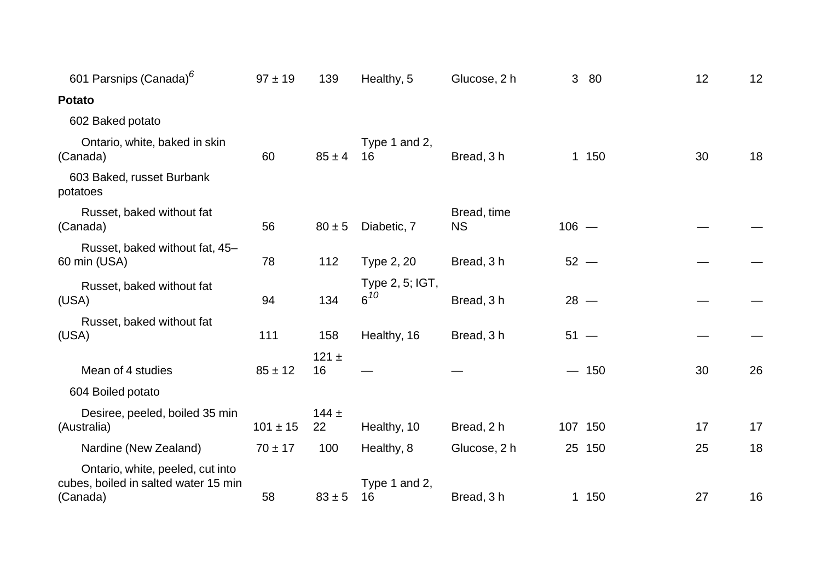| Type 1 and 2,                                                    |          |
|------------------------------------------------------------------|----------|
|                                                                  |          |
|                                                                  |          |
| $85 \pm 4$<br>Bread, 3h<br>1 150<br>16                           | 18<br>30 |
|                                                                  |          |
| Bread, time<br>Diabetic, 7<br>$106 -$<br>$80 \pm 5$<br><b>NS</b> |          |
| Type 2, 20<br>Bread, 3 h<br>$52 -$                               |          |
| Type 2, 5; IGT,<br>$6^{10}$<br>Bread, 3h<br>$28 -$               |          |
| Healthy, 16<br>Bread, 3 h<br>$51 -$                              |          |
| $-150$                                                           | 26<br>30 |
|                                                                  |          |
| Healthy, 10<br>Bread, 2 h<br>107 150                             | 17<br>17 |
| Healthy, 8<br>Glucose, 2 h<br>25 150                             | 18<br>25 |
| Type 1 and 2,<br>$83 \pm 5$<br>16<br>Bread, 3 h<br>1 150         | 16       |
|                                                                  | 27       |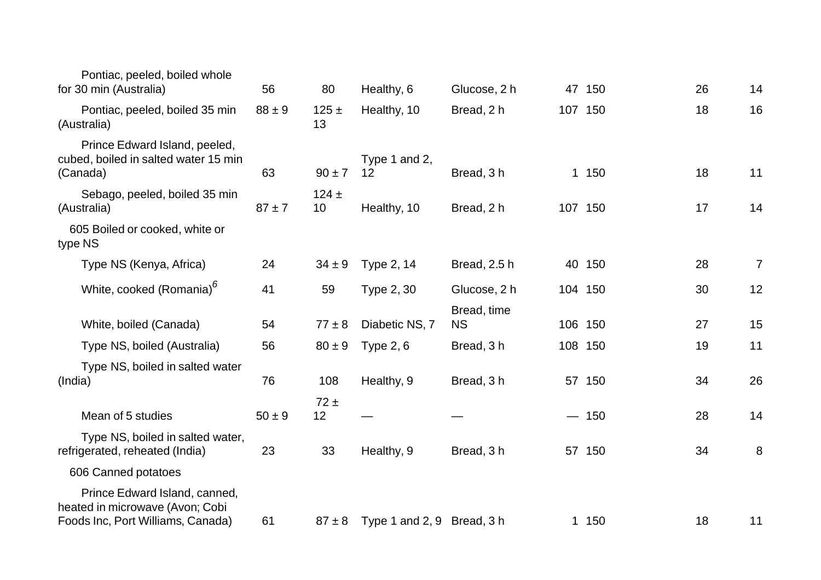| Pontiac, peeled, boiled whole<br>for 30 min (Australia)                                               | 56         | 80              | Healthy, 6                 | Glucose, 2 h | 47 150  | 26 | 14             |
|-------------------------------------------------------------------------------------------------------|------------|-----------------|----------------------------|--------------|---------|----|----------------|
|                                                                                                       |            |                 |                            |              |         |    |                |
| Pontiac, peeled, boiled 35 min<br>(Australia)                                                         | $88 \pm 9$ | $125 \pm$<br>13 | Healthy, 10                | Bread, 2 h   | 107 150 | 18 | 16             |
| Prince Edward Island, peeled,<br>cubed, boiled in salted water 15 min<br>(Canada)                     | 63         | $90 \pm 7$      | Type 1 and 2,<br>12        | Bread, 3h    | 1 150   | 18 | 11             |
| Sebago, peeled, boiled 35 min<br>(Australia)                                                          | $87 + 7$   | $124 +$<br>10   | Healthy, 10                | Bread, 2 h   | 107 150 | 17 | 14             |
| 605 Boiled or cooked, white or<br>type NS                                                             |            |                 |                            |              |         |    |                |
| Type NS (Kenya, Africa)                                                                               | 24         | $34 \pm 9$      | Type 2, 14                 | Bread, 2.5 h | 40 150  | 28 | $\overline{7}$ |
| White, cooked (Romania) <sup>6</sup>                                                                  | 41         | 59              | Type 2, 30                 | Glucose, 2 h | 104 150 | 30 | 12             |
|                                                                                                       |            |                 |                            | Bread, time  |         |    |                |
| White, boiled (Canada)                                                                                | 54         | $77 \pm 8$      | Diabetic NS, 7             | <b>NS</b>    | 106 150 | 27 | 15             |
| Type NS, boiled (Australia)                                                                           | 56         | $80 \pm 9$      | Type $2, 6$                | Bread, 3 h   | 108 150 | 19 | 11             |
| Type NS, boiled in salted water<br>(India)                                                            | 76         | 108             | Healthy, 9                 | Bread, 3 h   | 57 150  | 34 | 26             |
| Mean of 5 studies                                                                                     | $50 \pm 9$ | $72 \pm$<br>12  |                            |              | $-150$  | 28 | 14             |
| Type NS, boiled in salted water,<br>refrigerated, reheated (India)                                    | 23         | 33              | Healthy, 9                 | Bread, 3 h   | 57 150  | 34 | 8              |
| 606 Canned potatoes                                                                                   |            |                 |                            |              |         |    |                |
| Prince Edward Island, canned,<br>heated in microwave (Avon; Cobi<br>Foods Inc, Port Williams, Canada) | 61         | $87 \pm 8$      | Type 1 and 2, 9 Bread, 3 h |              | 1 150   | 18 | 11             |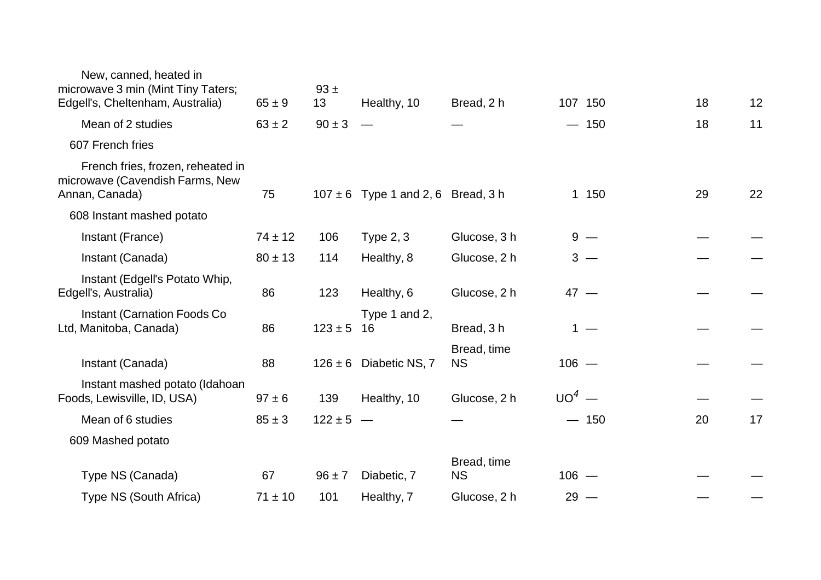| New, canned, heated in<br>microwave 3 min (Mint Tiny Taters;<br>Edgell's, Cheltenham, Australia) | $65 \pm 9$  | $93 +$<br>13  | Healthy, 10                            | Bread, 2 h               |         | 107 150 | 18 | 12 |
|--------------------------------------------------------------------------------------------------|-------------|---------------|----------------------------------------|--------------------------|---------|---------|----|----|
| Mean of 2 studies                                                                                | $63 \pm 2$  | $90 \pm 3$    |                                        |                          |         | $-150$  | 18 | 11 |
| 607 French fries                                                                                 |             |               |                                        |                          |         |         |    |    |
| French fries, frozen, reheated in<br>microwave (Cavendish Farms, New<br>Annan, Canada)           | 75          |               | $107 \pm 6$ Type 1 and 2, 6 Bread, 3 h |                          |         | 1 150   | 29 | 22 |
| 608 Instant mashed potato                                                                        |             |               |                                        |                          |         |         |    |    |
| Instant (France)                                                                                 | $74 \pm 12$ | 106           | Type $2, 3$                            | Glucose, 3 h             |         | $9 -$   |    |    |
| Instant (Canada)                                                                                 | $80 \pm 13$ | 114           | Healthy, 8                             | Glucose, 2 h             |         | $3 -$   |    |    |
| Instant (Edgell's Potato Whip,<br>Edgell's, Australia)                                           | 86          | 123           | Healthy, 6                             | Glucose, 2 h             | $47 -$  |         |    |    |
| <b>Instant (Carnation Foods Co</b><br>Ltd, Manitoba, Canada)                                     | 86          | $123 \pm 5$   | Type 1 and 2,<br>16                    | Bread, 3h                |         | $1 -$   |    |    |
| Instant (Canada)                                                                                 | 88          |               | $126 \pm 6$ Diabetic NS, 7             | Bread, time<br><b>NS</b> | $106 -$ |         |    |    |
| Instant mashed potato (Idahoan<br>Foods, Lewisville, ID, USA)                                    | $97 \pm 6$  | 139           | Healthy, 10                            | Glucose, 2 h             | $UO4$ — |         |    |    |
| Mean of 6 studies                                                                                | $85 \pm 3$  | $122 \pm 5 -$ |                                        |                          |         | $-150$  | 20 | 17 |
| 609 Mashed potato                                                                                |             |               |                                        |                          |         |         |    |    |
| Type NS (Canada)                                                                                 | 67          | $96 \pm 7$    | Diabetic, 7                            | Bread, time<br><b>NS</b> | $106 -$ |         |    |    |
| Type NS (South Africa)                                                                           | $71 \pm 10$ | 101           | Healthy, 7                             | Glucose, 2 h             | $29 -$  |         |    |    |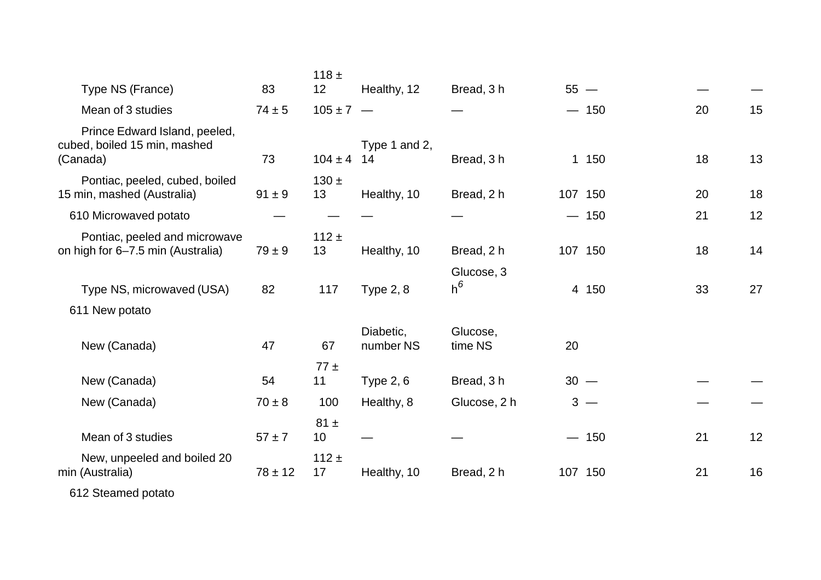|                                                                           |             | 118 $\pm$       |                        |                     |        |         |    |    |
|---------------------------------------------------------------------------|-------------|-----------------|------------------------|---------------------|--------|---------|----|----|
| Type NS (France)                                                          | 83          | 12              | Healthy, 12            | Bread, 3 h          |        | $55 -$  |    |    |
| Mean of 3 studies                                                         | $74 \pm 5$  | $105 \pm 7 -$   |                        |                     |        | $-150$  | 20 | 15 |
| Prince Edward Island, peeled,<br>cubed, boiled 15 min, mashed<br>(Canada) | 73          | $104 \pm 4$     | Type 1 and 2,<br>14    | Bread, 3h           |        | 1 150   | 18 | 13 |
| Pontiac, peeled, cubed, boiled<br>15 min, mashed (Australia)              | $91 \pm 9$  | $130 \pm$<br>13 | Healthy, 10            | Bread, 2 h          |        | 107 150 | 20 | 18 |
| 610 Microwaved potato                                                     |             |                 |                        |                     |        | $-150$  | 21 | 12 |
| Pontiac, peeled and microwave<br>on high for 6-7.5 min (Australia)        | $79 \pm 9$  | $112 \pm$<br>13 | Healthy, 10            | Bread, 2 h          |        | 107 150 | 18 | 14 |
| Type NS, microwaved (USA)                                                 | 82          | 117             | <b>Type 2, 8</b>       | Glucose, 3<br>$h^6$ |        | 4 150   | 33 | 27 |
| 611 New potato                                                            |             |                 |                        |                     |        |         |    |    |
| New (Canada)                                                              | 47          | 67              | Diabetic,<br>number NS | Glucose,<br>time NS | 20     |         |    |    |
| New (Canada)                                                              | 54          | $77 \pm$<br>11  | Type $2, 6$            | Bread, 3 h          | $30 -$ |         |    |    |
| New (Canada)                                                              | $70 \pm 8$  | 100             | Healthy, 8             | Glucose, 2 h        |        | $3 -$   |    |    |
| Mean of 3 studies                                                         | $57 + 7$    | $81 \pm$<br>10  |                        |                     |        | $-150$  | 21 | 12 |
| New, unpeeled and boiled 20<br>min (Australia)                            | $78 \pm 12$ | 112 $\pm$<br>17 | Healthy, 10            | Bread, 2 h          |        | 107 150 | 21 | 16 |
|                                                                           |             |                 |                        |                     |        |         |    |    |

612 Steamed potato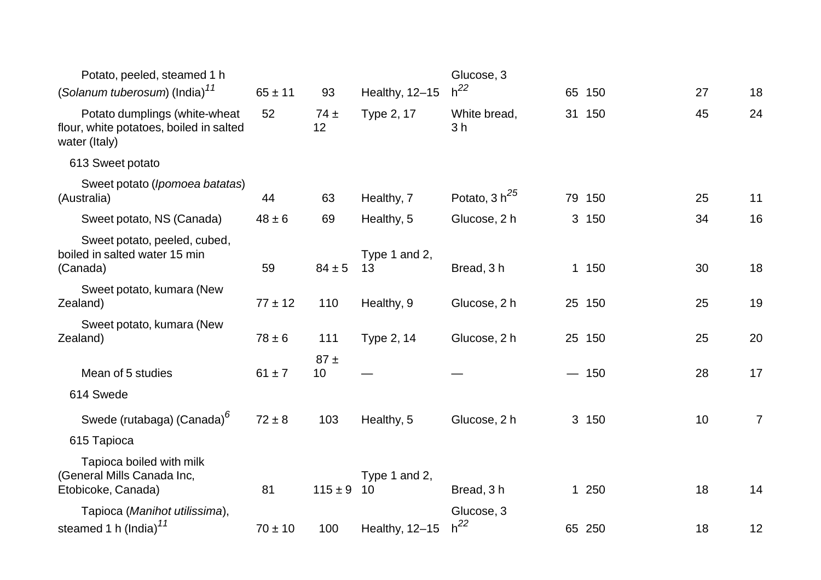| Potato, peeled, steamed 1 h                                                               |             |                |                     | Glucose, 3                     |        |    |                |
|-------------------------------------------------------------------------------------------|-------------|----------------|---------------------|--------------------------------|--------|----|----------------|
| (Solanum tuberosum) (India) <sup>11</sup>                                                 | $65 \pm 11$ | 93             | Healthy, 12-15      | $h^{22}$                       | 65 150 | 27 | 18             |
| Potato dumplings (white-wheat<br>flour, white potatoes, boiled in salted<br>water (Italy) | 52          | $74 \pm$<br>12 | Type 2, 17          | White bread,<br>3 <sub>h</sub> | 31 150 | 45 | 24             |
| 613 Sweet potato                                                                          |             |                |                     |                                |        |    |                |
| Sweet potato (Ipomoea batatas)<br>(Australia)                                             | 44          | 63             | Healthy, 7          | Potato, $3 h^{25}$             | 79 150 | 25 | 11             |
| Sweet potato, NS (Canada)                                                                 | $48 \pm 6$  | 69             | Healthy, 5          | Glucose, 2 h                   | 3 150  | 34 | 16             |
| Sweet potato, peeled, cubed,<br>boiled in salted water 15 min<br>(Canada)                 | 59          | $84 \pm 5$     | Type 1 and 2,<br>13 | Bread, 3h                      | 1 150  | 30 | 18             |
| Sweet potato, kumara (New<br>Zealand)                                                     | $77 \pm 12$ | 110            | Healthy, 9          | Glucose, 2 h                   | 25 150 | 25 | 19             |
| Sweet potato, kumara (New<br>Zealand)                                                     | $78 \pm 6$  | 111            | Type 2, 14          | Glucose, 2 h                   | 25 150 | 25 | 20             |
| Mean of 5 studies<br>614 Swede                                                            | $61 \pm 7$  | $87 \pm$<br>10 |                     |                                | $-150$ | 28 | 17             |
| Swede (rutabaga) (Canada) <sup>6</sup>                                                    | $72 \pm 8$  | 103            | Healthy, 5          | Glucose, 2 h                   | 3 150  | 10 | $\overline{7}$ |
| 615 Tapioca                                                                               |             |                |                     |                                |        |    |                |
| Tapioca boiled with milk<br>(General Mills Canada Inc,<br>Etobicoke, Canada)              | 81          | $115 \pm 9$    | Type 1 and 2,<br>10 | Bread, 3h                      | 1 250  | 18 | 14             |
| Tapioca (Manihot utilissima),<br>steamed 1 h (India) <sup>11</sup>                        | $70 \pm 10$ | 100            | Healthy, 12-15      | Glucose, 3<br>$h^{22}$         | 65 250 | 18 | 12             |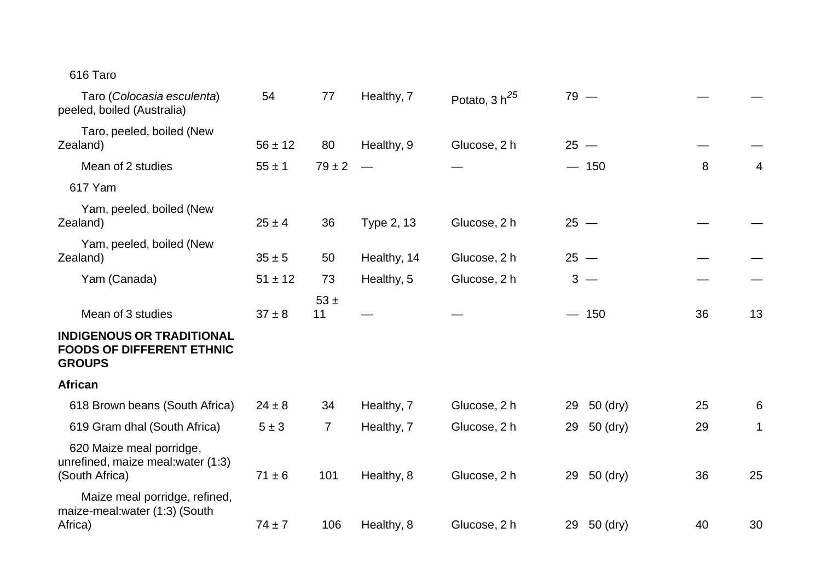## 616 Taro

| Taro (Colocasia esculenta)<br>peeled, boiled (Australia)                              | 54          | 77             | Healthy, 7  | Potato, 3 h <sup>25</sup> | $79 -$         |    |    |
|---------------------------------------------------------------------------------------|-------------|----------------|-------------|---------------------------|----------------|----|----|
| Taro, peeled, boiled (New<br>Zealand)                                                 | $56 \pm 12$ | 80             | Healthy, 9  | Glucose, 2 h              | $25 -$         |    |    |
| Mean of 2 studies                                                                     | $55 \pm 1$  | $79 \pm 2$     |             |                           | $-150$         | 8  | 4  |
| 617 Yam                                                                               |             |                |             |                           |                |    |    |
| Yam, peeled, boiled (New<br>Zealand)                                                  | $25 \pm 4$  | 36             | Type 2, 13  | Glucose, 2 h              | $25 -$         |    |    |
| Yam, peeled, boiled (New<br>Zealand)                                                  | $35 \pm 5$  | 50             | Healthy, 14 | Glucose, 2 h              | $25 -$         |    |    |
| Yam (Canada)                                                                          | $51 \pm 12$ | 73             | Healthy, 5  | Glucose, 2 h              | $3 -$          |    |    |
| Mean of 3 studies                                                                     | $37 \pm 8$  | $53 \pm$<br>11 |             |                           | $-150$         | 36 | 13 |
| <b>INDIGENOUS OR TRADITIONAL</b><br><b>FOODS OF DIFFERENT ETHNIC</b><br><b>GROUPS</b> |             |                |             |                           |                |    |    |
| <b>African</b>                                                                        |             |                |             |                           |                |    |    |
| 618 Brown beans (South Africa)                                                        | $24 \pm 8$  | 34             | Healthy, 7  | Glucose, 2 h              | 50 (dry)<br>29 | 25 | 6  |
| 619 Gram dhal (South Africa)                                                          | $5 \pm 3$   | $\overline{7}$ | Healthy, 7  | Glucose, 2 h              | 50 (dry)<br>29 | 29 | 1  |
| 620 Maize meal porridge,<br>unrefined, maize meal: water (1:3)<br>(South Africa)      | $71 \pm 6$  | 101            | Healthy, 8  | Glucose, 2 h              | 50 (dry)<br>29 | 36 | 25 |
| Maize meal porridge, refined,<br>maize-meal: water (1:3) (South<br>Africa)            | $74 \pm 7$  | 106            | Healthy, 8  | Glucose, 2 h              | 29 50 (dry)    | 40 | 30 |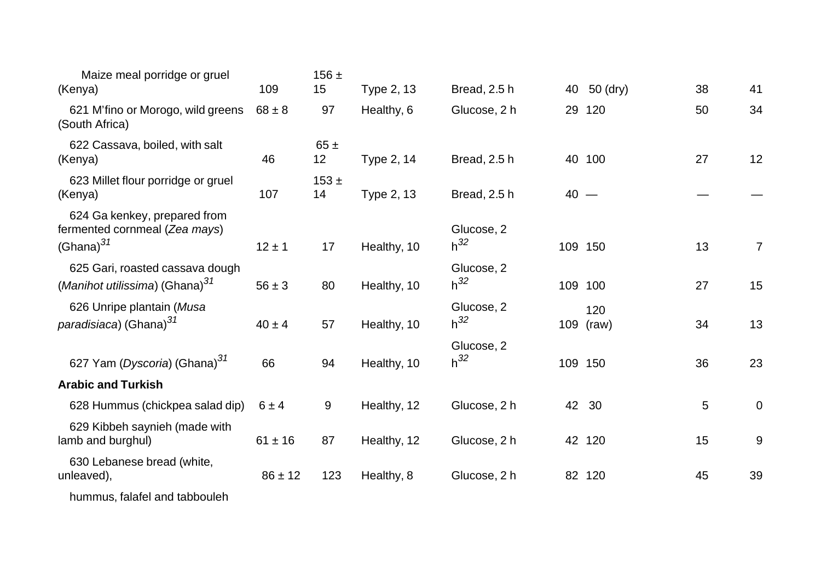| Maize meal porridge or gruel<br>(Kenya)                                         | 109         | 156 $\pm$<br>15 | Type 2, 13  | Bread, 2.5 h           | 40     | 50 (dry)         | 38 | 41             |
|---------------------------------------------------------------------------------|-------------|-----------------|-------------|------------------------|--------|------------------|----|----------------|
| 621 M'fino or Morogo, wild greens<br>(South Africa)                             | $68 \pm 8$  | 97              | Healthy, 6  | Glucose, 2 h           |        | 29 120           | 50 | 34             |
| 622 Cassava, boiled, with salt<br>(Kenya)                                       | 46          | $65 \pm$<br>12  | Type 2, 14  | Bread, 2.5 h           |        | 40 100           | 27 | 12             |
| 623 Millet flour porridge or gruel<br>(Kenya)                                   | 107         | $153 +$<br>14   | Type 2, 13  | Bread, 2.5 h           | $40 -$ |                  |    |                |
| 624 Ga kenkey, prepared from<br>fermented cornmeal (Zea mays)<br>$(Ghana)^{31}$ | $12 \pm 1$  | 17              | Healthy, 10 | Glucose, 2<br>$h^{32}$ |        | 109 150          | 13 | $\overline{7}$ |
| 625 Gari, roasted cassava dough<br>(Manihot utilissima) (Ghana) <sup>31</sup>   | $56 \pm 3$  | 80              | Healthy, 10 | Glucose, 2<br>$h^{32}$ |        | 109 100          | 27 | 15             |
| 626 Unripe plantain (Musa<br>paradisiaca) (Ghana) <sup>31</sup>                 | $40 \pm 4$  | 57              | Healthy, 10 | Glucose, 2<br>$h^{32}$ |        | 120<br>109 (raw) | 34 | 13             |
| 627 Yam (Dyscoria) (Ghana) <sup>31</sup>                                        | 66          | 94              | Healthy, 10 | Glucose, 2<br>$h^{32}$ |        | 109 150          | 36 | 23             |
| <b>Arabic and Turkish</b>                                                       |             |                 |             |                        |        |                  |    |                |
| 628 Hummus (chickpea salad dip)                                                 | $6 \pm 4$   | 9               | Healthy, 12 | Glucose, 2 h           |        | 42 30            | 5  | $\overline{0}$ |
| 629 Kibbeh saynieh (made with<br>lamb and burghul)                              | $61 \pm 16$ | 87              | Healthy, 12 | Glucose, 2 h           |        | 42 120           | 15 | 9              |
| 630 Lebanese bread (white,<br>unleaved),                                        | $86 \pm 12$ | 123             | Healthy, 8  | Glucose, 2 h           |        | 82 120           | 45 | 39             |
| bummun folofol and tophouleh                                                    |             |                 |             |                        |        |                  |    |                |

hummus, falafel and tabbouleh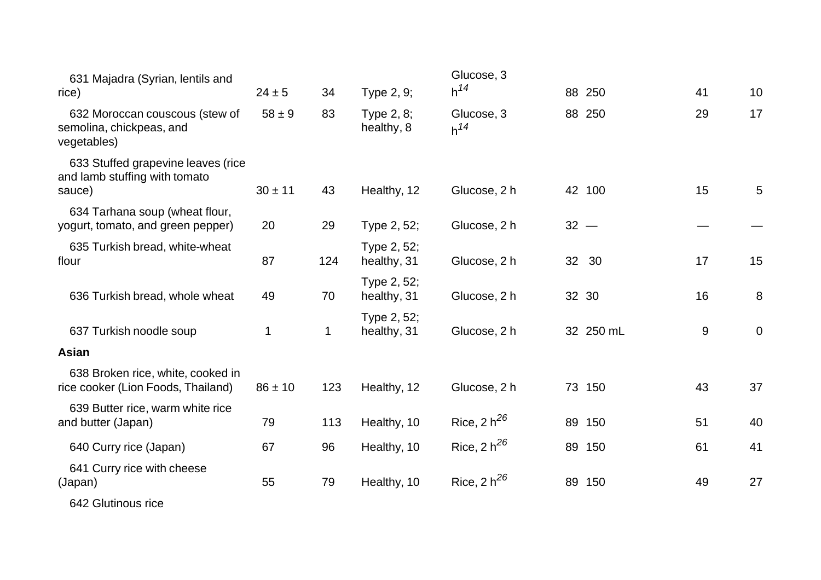| 631 Majadra (Syrian, lentils and<br>rice)                                     | $24 \pm 5$  | 34  | Type 2, 9;                 | Glucose, 3<br>$h^{14}$ |                 | 88 250    | 41 | 10              |
|-------------------------------------------------------------------------------|-------------|-----|----------------------------|------------------------|-----------------|-----------|----|-----------------|
| 632 Moroccan couscous (stew of<br>semolina, chickpeas, and<br>vegetables)     | $58 \pm 9$  | 83  | Type 2, 8;<br>healthy, 8   | Glucose, 3<br>$h^{14}$ |                 | 88 250    | 29 | 17              |
| 633 Stuffed grapevine leaves (rice<br>and lamb stuffing with tomato<br>sauce) | $30 \pm 11$ | 43  | Healthy, 12                | Glucose, 2 h           |                 | 42 100    | 15 | $5\phantom{.0}$ |
| 634 Tarhana soup (wheat flour,<br>yogurt, tomato, and green pepper)           | 20          | 29  | Type 2, 52;                | Glucose, 2 h           | $32 -$          |           |    |                 |
| 635 Turkish bread, white-wheat<br>flour                                       | 87          | 124 | Type 2, 52;<br>healthy, 31 | Glucose, 2 h           | 32 <sup>2</sup> | 30        | 17 | 15              |
| 636 Turkish bread, whole wheat                                                | 49          | 70  | Type 2, 52;<br>healthy, 31 | Glucose, 2 h           |                 | 32 30     | 16 | 8               |
| 637 Turkish noodle soup                                                       | 1           | 1   | Type 2, 52;<br>healthy, 31 | Glucose, 2 h           |                 | 32 250 mL | 9  | $\overline{0}$  |
| Asian                                                                         |             |     |                            |                        |                 |           |    |                 |
| 638 Broken rice, white, cooked in<br>rice cooker (Lion Foods, Thailand)       | $86 \pm 10$ | 123 | Healthy, 12                | Glucose, 2 h           |                 | 73 150    | 43 | 37              |
| 639 Butter rice, warm white rice<br>and butter (Japan)                        | 79          | 113 | Healthy, 10                | Rice, 2 $h^{26}$       |                 | 89 150    | 51 | 40              |
| 640 Curry rice (Japan)                                                        | 67          | 96  | Healthy, 10                | Rice, $2 h^{26}$       |                 | 89 150    | 61 | 41              |
| 641 Curry rice with cheese<br>(Japan)                                         | 55          | 79  | Healthy, 10                | Rice, $2 h^{26}$       |                 | 89 150    | 49 | 27              |
| 642 Glutinous rice                                                            |             |     |                            |                        |                 |           |    |                 |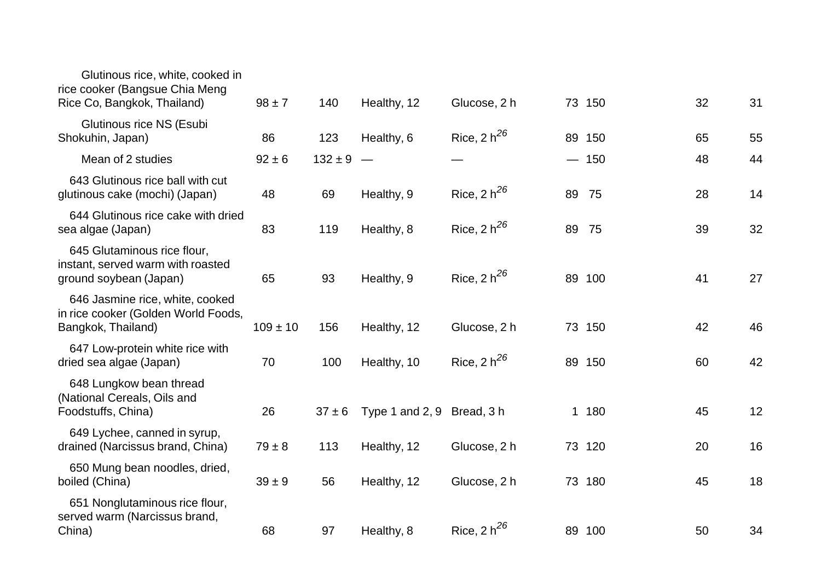| Glutinous rice, white, cooked in<br>rice cooker (Bangsue Chia Meng<br>Rice Co, Bangkok, Thailand) | $98 \pm 7$   | 140         | Healthy, 12                | Glucose, 2 h     |    | 73 150 | 32 | 31 |
|---------------------------------------------------------------------------------------------------|--------------|-------------|----------------------------|------------------|----|--------|----|----|
| Glutinous rice NS (Esubi<br>Shokuhin, Japan)                                                      | 86           | 123         | Healthy, 6                 | Rice, $2 h^{26}$ |    | 89 150 | 65 | 55 |
| Mean of 2 studies                                                                                 | $92 \pm 6$   | $132 \pm 9$ |                            |                  |    | $-150$ | 48 | 44 |
| 643 Glutinous rice ball with cut<br>glutinous cake (mochi) (Japan)                                | 48           | 69          | Healthy, 9                 | Rice, $2 h^{26}$ | 89 | 75     | 28 | 14 |
| 644 Glutinous rice cake with dried<br>sea algae (Japan)                                           | 83           | 119         | Healthy, 8                 | Rice, $2 h^{26}$ | 89 | 75     | 39 | 32 |
| 645 Glutaminous rice flour,<br>instant, served warm with roasted<br>ground soybean (Japan)        | 65           | 93          | Healthy, 9                 | Rice, $2 h^{26}$ |    | 89 100 | 41 | 27 |
| 646 Jasmine rice, white, cooked<br>in rice cooker (Golden World Foods,<br>Bangkok, Thailand)      | $109 \pm 10$ | 156         | Healthy, 12                | Glucose, 2 h     |    | 73 150 | 42 | 46 |
| 647 Low-protein white rice with<br>dried sea algae (Japan)                                        | 70           | 100         | Healthy, 10                | Rice, $2 h^{26}$ |    | 89 150 | 60 | 42 |
| 648 Lungkow bean thread<br>(National Cereals, Oils and<br>Foodstuffs, China)                      | 26           | $37 \pm 6$  | Type 1 and 2, 9 Bread, 3 h |                  |    | 1 180  | 45 | 12 |
| 649 Lychee, canned in syrup,<br>drained (Narcissus brand, China)                                  | $79 \pm 8$   | 113         | Healthy, 12                | Glucose, 2 h     | 73 | 120    | 20 | 16 |
| 650 Mung bean noodles, dried,<br>boiled (China)                                                   | $39 \pm 9$   | 56          | Healthy, 12                | Glucose, 2 h     |    | 73 180 | 45 | 18 |
| 651 Nonglutaminous rice flour,<br>served warm (Narcissus brand,<br>China)                         | 68           | 97          | Healthy, 8                 | Rice, 2 $h^{26}$ |    | 89 100 | 50 | 34 |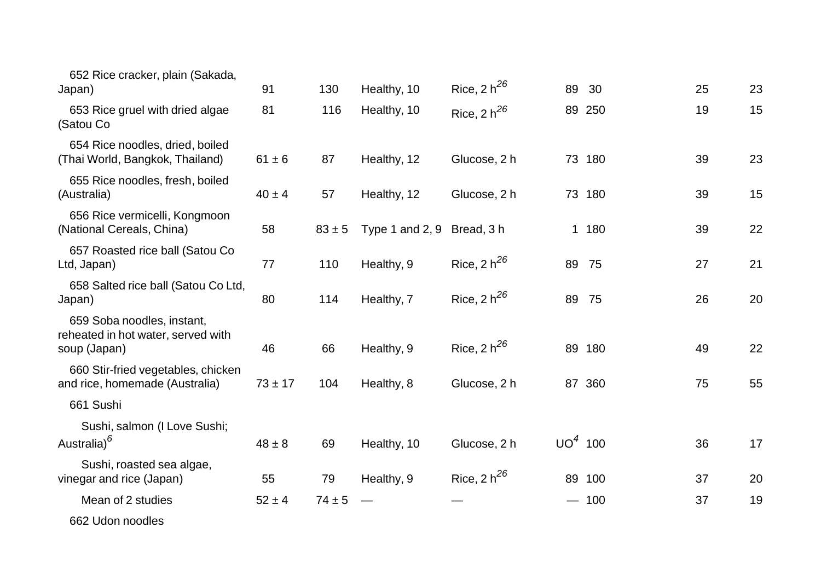| 652 Rice cracker, plain (Sakada,<br>Japan)                                       | 91          | 130        | Healthy, 10       | Rice, $2 h^{26}$ | 89                            | 30     | 25 | 23 |
|----------------------------------------------------------------------------------|-------------|------------|-------------------|------------------|-------------------------------|--------|----|----|
| 653 Rice gruel with dried algae<br>(Satou Co                                     | 81          | 116        | Healthy, 10       | Rice, $2 h^{26}$ |                               | 89 250 | 19 | 15 |
| 654 Rice noodles, dried, boiled<br>(Thai World, Bangkok, Thailand)               | $61 \pm 6$  | 87         | Healthy, 12       | Glucose, 2 h     |                               | 73 180 | 39 | 23 |
| 655 Rice noodles, fresh, boiled<br>(Australia)                                   | $40 \pm 4$  | 57         | Healthy, 12       | Glucose, 2 h     |                               | 73 180 | 39 | 15 |
| 656 Rice vermicelli, Kongmoon<br>(National Cereals, China)                       | 58          | $83 \pm 5$ | Type 1 and $2, 9$ | Bread, 3 h       |                               | 1 180  | 39 | 22 |
| 657 Roasted rice ball (Satou Co<br>Ltd, Japan)                                   | 77          | 110        | Healthy, 9        | Rice, 2 $h^{26}$ | 89                            | 75     | 27 | 21 |
| 658 Salted rice ball (Satou Co Ltd,<br>Japan)                                    | 80          | 114        | Healthy, 7        | Rice, $2 h^{26}$ | 89                            | 75     | 26 | 20 |
| 659 Soba noodles, instant,<br>reheated in hot water, served with<br>soup (Japan) | 46          | 66         | Healthy, 9        | Rice, $2 h^{26}$ |                               | 89 180 | 49 | 22 |
| 660 Stir-fried vegetables, chicken<br>and rice, homemade (Australia)             | $73 \pm 17$ | 104        | Healthy, 8        | Glucose, 2 h     |                               | 87 360 | 75 | 55 |
| 661 Sushi                                                                        |             |            |                   |                  |                               |        |    |    |
| Sushi, salmon (I Love Sushi;<br>Australia) <sup>6</sup>                          | $48 \pm 8$  | 69         | Healthy, 10       | Glucose, 2 h     | $UO4$ 100                     |        | 36 | 17 |
| Sushi, roasted sea algae,<br>vinegar and rice (Japan)                            | 55          | 79         | Healthy, 9        | Rice, $2 h^{26}$ |                               | 89 100 | 37 | 20 |
| Mean of 2 studies                                                                | $52 \pm 4$  | $74 \pm 5$ |                   |                  | $\overbrace{\phantom{aaaaa}}$ | 100    | 37 | 19 |
| 662 Udon noodles                                                                 |             |            |                   |                  |                               |        |    |    |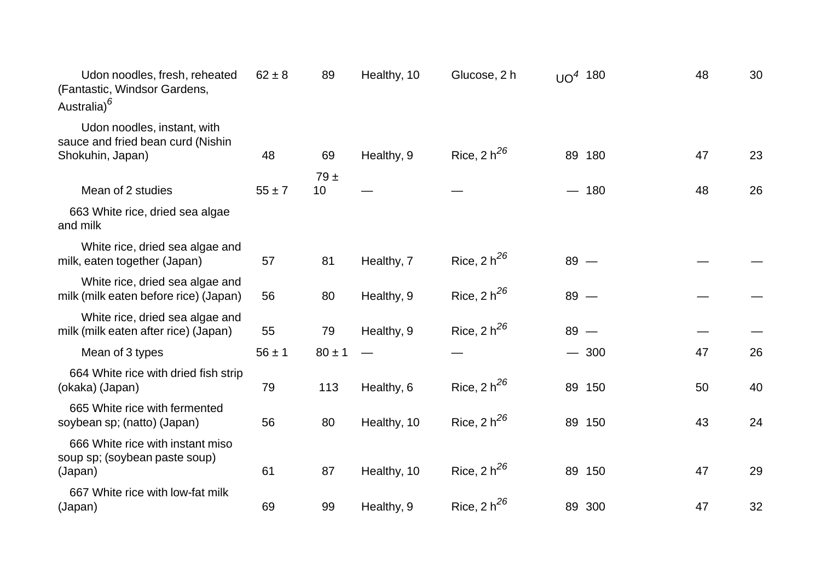| Udon noodles, fresh, reheated<br>(Fantastic, Windsor Gardens,<br>Australia) <sup>6</sup> | $62 \pm 8$ | 89         | Healthy, 10 | Glucose, 2 h     | UO <sup>4</sup> 180 |        | 48 | 30 |
|------------------------------------------------------------------------------------------|------------|------------|-------------|------------------|---------------------|--------|----|----|
| Udon noodles, instant, with<br>sauce and fried bean curd (Nishin<br>Shokuhin, Japan)     | 48         | 69         | Healthy, 9  | Rice, $2 h^{26}$ |                     | 89 180 | 47 | 23 |
|                                                                                          |            | $79 \pm$   |             |                  |                     |        |    |    |
| Mean of 2 studies                                                                        | $55 \pm 7$ | 10         |             |                  |                     | 180    | 48 | 26 |
| 663 White rice, dried sea algae<br>and milk                                              |            |            |             |                  |                     |        |    |    |
| White rice, dried sea algae and<br>milk, eaten together (Japan)                          | 57         | 81         | Healthy, 7  | Rice, $2 h^{26}$ | $89 -$              |        |    |    |
| White rice, dried sea algae and<br>milk (milk eaten before rice) (Japan)                 | 56         | 80         | Healthy, 9  | Rice, $2 h^{26}$ | $89 -$              |        |    |    |
| White rice, dried sea algae and<br>milk (milk eaten after rice) (Japan)                  | 55         | 79         | Healthy, 9  | Rice, $2 h^{26}$ | $89 -$              |        |    |    |
| Mean of 3 types                                                                          | $56 \pm 1$ | $80 \pm 1$ |             |                  |                     | $-300$ | 47 | 26 |
| 664 White rice with dried fish strip<br>(okaka) (Japan)                                  | 79         | 113        | Healthy, 6  | Rice, $2 h^{26}$ |                     | 89 150 | 50 | 40 |
| 665 White rice with fermented<br>soybean sp; (natto) (Japan)                             | 56         | 80         | Healthy, 10 | Rice, 2 $h^{26}$ |                     | 89 150 | 43 | 24 |
| 666 White rice with instant miso<br>soup sp; (soybean paste soup)<br>(Japan)             | 61         | 87         | Healthy, 10 | Rice, $2 h^{26}$ |                     | 89 150 | 47 | 29 |
| 667 White rice with low-fat milk<br>(Japan)                                              | 69         | 99         | Healthy, 9  | Rice, $2 h^{26}$ |                     | 89 300 | 47 | 32 |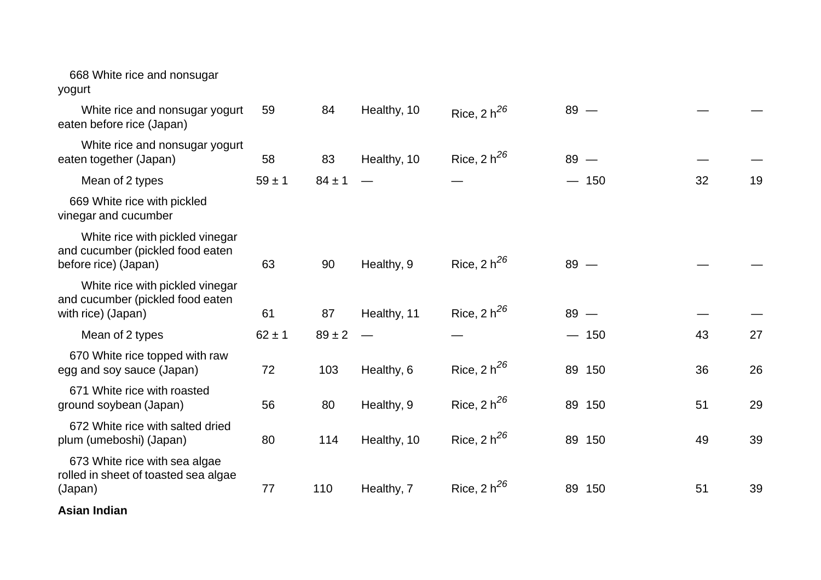| 668 White rice and nonsugar<br>yogurt                                                       |            |            |             |                  |           |    |    |
|---------------------------------------------------------------------------------------------|------------|------------|-------------|------------------|-----------|----|----|
| White rice and nonsugar yogurt<br>eaten before rice (Japan)                                 | 59         | 84         | Healthy, 10 | Rice, $2 h^{26}$ | $89 -$    |    |    |
| White rice and nonsugar yogurt<br>eaten together (Japan)                                    | 58         | 83         | Healthy, 10 | Rice, 2 $h^{26}$ | $89 -$    |    |    |
| Mean of 2 types                                                                             | $59 \pm 1$ | $84 \pm 1$ |             |                  | $-150$    | 32 | 19 |
| 669 White rice with pickled<br>vinegar and cucumber                                         |            |            |             |                  |           |    |    |
| White rice with pickled vinegar<br>and cucumber (pickled food eaten<br>before rice) (Japan) | 63         | 90         | Healthy, 9  | Rice, $2 h^{26}$ | $89 -$    |    |    |
| White rice with pickled vinegar<br>and cucumber (pickled food eaten<br>with rice) (Japan)   | 61         | 87         | Healthy, 11 | Rice, $2 h^{26}$ | $89 -$    |    |    |
| Mean of 2 types                                                                             | $62 \pm 1$ | $89 \pm 2$ |             |                  | $-150$    | 43 | 27 |
| 670 White rice topped with raw<br>egg and soy sauce (Japan)                                 | 72         | 103        | Healthy, 6  | Rice, $2 h^{26}$ | 89 150    | 36 | 26 |
| 671 White rice with roasted<br>ground soybean (Japan)                                       | 56         | 80         | Healthy, 9  | Rice, $2 h^{26}$ | 89 150    | 51 | 29 |
| 672 White rice with salted dried<br>plum (umeboshi) (Japan)                                 | 80         | 114        | Healthy, 10 | Rice, $2 h^{26}$ | 89 150    | 49 | 39 |
| 673 White rice with sea algae<br>rolled in sheet of toasted sea algae<br>(Japan)            | 77         | 110        | Healthy, 7  | Rice, 2 $h^{26}$ | 89<br>150 | 51 | 39 |
| .                                                                                           |            |            |             |                  |           |    |    |

**Asian Indian**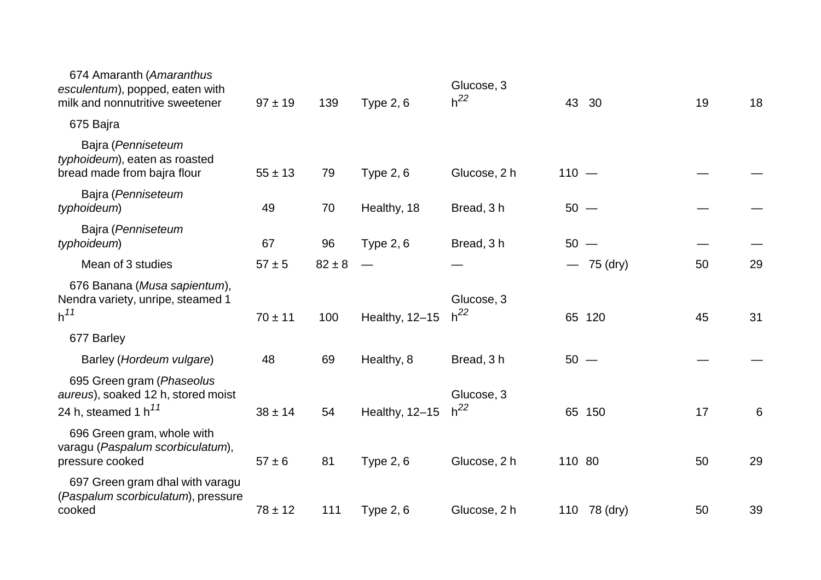| 674 Amaranth (Amaranthus<br>esculentum), popped, eaten with<br>milk and nonnutritive sweetener | $97 \pm 19$ | 139        | <b>Type 2, 6</b> | Glucose, 3<br>$h^{22}$ | 43      | 30           | 19 | 18 |
|------------------------------------------------------------------------------------------------|-------------|------------|------------------|------------------------|---------|--------------|----|----|
| 675 Bajra                                                                                      |             |            |                  |                        |         |              |    |    |
| Bajra (Penniseteum<br>typhoideum), eaten as roasted<br>bread made from bajra flour             | $55 \pm 13$ | 79         | <b>Type 2, 6</b> | Glucose, 2 h           | $110 -$ |              |    |    |
| Bajra (Penniseteum<br>typhoideum)                                                              | 49          | 70         | Healthy, 18      | Bread, 3 h             | $50 -$  |              |    |    |
| Bajra (Penniseteum<br>typhoideum)                                                              | 67          | 96         | <b>Type 2, 6</b> | Bread, 3 h             | $50 -$  |              |    |    |
| Mean of 3 studies                                                                              | $57 + 5$    | $82 \pm 8$ |                  |                        |         | $-75$ (dry)  | 50 | 29 |
| 676 Banana (Musa sapientum),<br>Nendra variety, unripe, steamed 1<br>h <sup>11</sup>           | $70 \pm 11$ | 100        | Healthy, 12-15   | Glucose, 3<br>$h^{22}$ |         | 65 120       | 45 | 31 |
| 677 Barley                                                                                     |             |            |                  |                        |         |              |    |    |
| Barley (Hordeum vulgare)                                                                       | 48          | 69         | Healthy, 8       | Bread, 3h              | $50 -$  |              |    |    |
| 695 Green gram (Phaseolus<br>aureus), soaked 12 h, stored moist<br>24 h, steamed 1 h $^{11}$   | $38 \pm 14$ | 54         | Healthy, 12-15   | Glucose, 3<br>$h^{22}$ |         | 65 150       | 17 | 6  |
| 696 Green gram, whole with<br>varagu (Paspalum scorbiculatum),<br>pressure cooked              | $57 \pm 6$  | 81         | <b>Type 2, 6</b> | Glucose, 2 h           | 110 80  |              | 50 | 29 |
| 697 Green gram dhal with varagu<br>(Paspalum scorbiculatum), pressure<br>cooked                | $78 \pm 12$ | 111        | <b>Type 2, 6</b> | Glucose, 2 h           |         | 110 78 (dry) | 50 | 39 |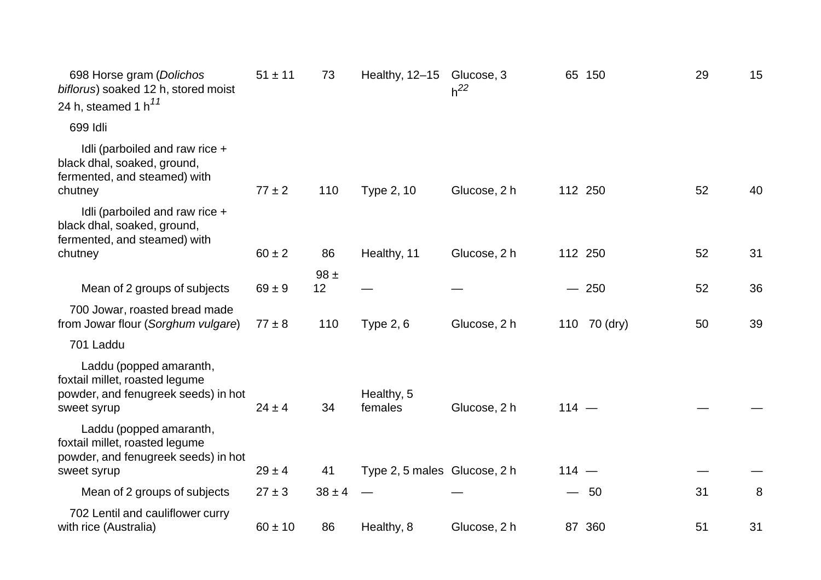| 698 Horse gram (Dolichos<br>biflorus) soaked 12 h, stored moist<br>24 h, steamed 1 h $^{11}$                    | $51 \pm 11$ | 73         | Healthy, $12-15$             | Glucose, 3<br>$h^{22}$ |         | 65 150       | 29 | 15 |
|-----------------------------------------------------------------------------------------------------------------|-------------|------------|------------------------------|------------------------|---------|--------------|----|----|
| 699 Idli                                                                                                        |             |            |                              |                        |         |              |    |    |
| Idli (parboiled and raw rice +<br>black dhal, soaked, ground,<br>fermented, and steamed) with<br>chutney        | $77 \pm 2$  | 110        | Type 2, 10                   | Glucose, 2 h           |         | 112 250      | 52 | 40 |
| Idli (parboiled and raw rice +<br>black dhal, soaked, ground,<br>fermented, and steamed) with                   |             |            |                              |                        |         |              |    |    |
| chutney                                                                                                         | $60 \pm 2$  | 86         | Healthy, 11                  | Glucose, 2 h           |         | 112 250      | 52 | 31 |
|                                                                                                                 |             | $98 \pm$   |                              |                        |         |              |    |    |
| Mean of 2 groups of subjects                                                                                    | $69 \pm 9$  | 12         |                              |                        |         | $-250$       | 52 | 36 |
| 700 Jowar, roasted bread made<br>from Jowar flour (Sorghum vulgare)                                             | $77 \pm 8$  | 110        | Type $2, 6$                  | Glucose, 2 h           |         | 110 70 (dry) | 50 | 39 |
| 701 Laddu                                                                                                       |             |            |                              |                        |         |              |    |    |
| Laddu (popped amaranth,<br>foxtail millet, roasted legume<br>powder, and fenugreek seeds) in hot<br>sweet syrup | $24 \pm 4$  | 34         | Healthy, 5<br>females        | Glucose, 2 h           | $114 -$ |              |    |    |
| Laddu (popped amaranth,<br>foxtail millet, roasted legume<br>powder, and fenugreek seeds) in hot<br>sweet syrup | $29 \pm 4$  | 41         | Type 2, 5 males Glucose, 2 h |                        | $114 -$ |              |    |    |
|                                                                                                                 | $27 \pm 3$  | $38 \pm 4$ |                              |                        |         | $-50$        | 31 |    |
| Mean of 2 groups of subjects                                                                                    |             |            |                              |                        |         |              |    | 8  |
| 702 Lentil and cauliflower curry<br>with rice (Australia)                                                       | $60 \pm 10$ | 86         | Healthy, 8                   | Glucose, 2 h           |         | 87 360       | 51 | 31 |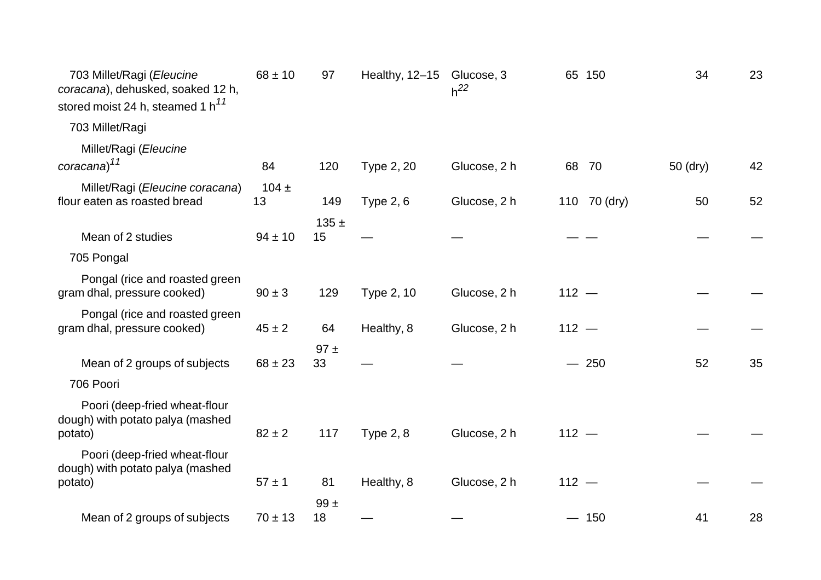| 703 Millet/Ragi (Eleucine<br>coracana), dehusked, soaked 12 h,<br>stored moist 24 h, steamed 1 h <sup>11</sup> | $68 \pm 10$     | 97              | Healthy, 12-15   | Glucose, 3<br>$h^{22}$ |         | 65 150       | 34       | 23 |
|----------------------------------------------------------------------------------------------------------------|-----------------|-----------------|------------------|------------------------|---------|--------------|----------|----|
| 703 Millet/Ragi                                                                                                |                 |                 |                  |                        |         |              |          |    |
| Millet/Ragi (Eleucine<br>coracana) <sup>11</sup>                                                               | 84              | 120             | Type 2, 20       | Glucose, 2 h           | 68      | 70           | 50 (dry) | 42 |
| Millet/Ragi (Eleucine coracana)<br>flour eaten as roasted bread                                                | 104 $\pm$<br>13 | 149             | <b>Type 2, 6</b> | Glucose, 2 h           |         | 110 70 (dry) | 50       | 52 |
| Mean of 2 studies                                                                                              | $94 \pm 10$     | $135 \pm$<br>15 |                  |                        |         |              |          |    |
| 705 Pongal                                                                                                     |                 |                 |                  |                        |         |              |          |    |
| Pongal (rice and roasted green<br>gram dhal, pressure cooked)                                                  | $90 \pm 3$      | 129             | Type 2, 10       | Glucose, 2 h           | $112 -$ |              |          |    |
| Pongal (rice and roasted green<br>gram dhal, pressure cooked)                                                  | $45 \pm 2$      | 64              | Healthy, 8       | Glucose, 2 h           | $112 -$ |              |          |    |
| Mean of 2 groups of subjects                                                                                   | $68 \pm 23$     | 97±<br>33       |                  |                        |         | $-250$       | 52       | 35 |
| 706 Poori                                                                                                      |                 |                 |                  |                        |         |              |          |    |
| Poori (deep-fried wheat-flour<br>dough) with potato palya (mashed<br>potato)                                   | $82 \pm 2$      | 117             | <b>Type 2, 8</b> | Glucose, 2 h           | $112 -$ |              |          |    |
| Poori (deep-fried wheat-flour<br>dough) with potato palya (mashed<br>potato)                                   | $57 \pm 1$      | 81              | Healthy, 8       | Glucose, 2 h           | $112 -$ |              |          |    |
| Mean of 2 groups of subjects                                                                                   | $70 \pm 13$     | 99±<br>18       |                  |                        |         | $-150$       | 41       | 28 |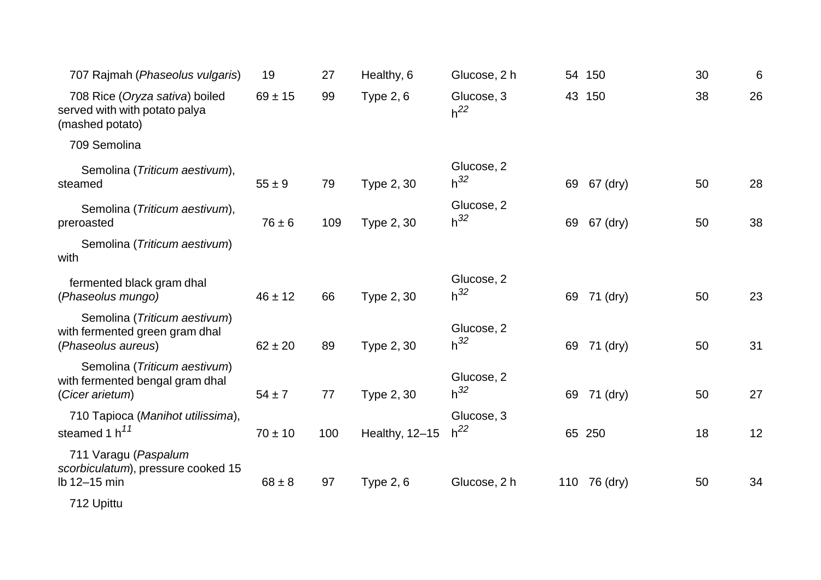| 707 Rajmah (Phaseolus vulgaris)                                                      | 19          | 27  | Healthy, 6       | Glucose, 2 h           |    | 54 150       | 30 | 6  |
|--------------------------------------------------------------------------------------|-------------|-----|------------------|------------------------|----|--------------|----|----|
| 708 Rice (Oryza sativa) boiled<br>served with with potato palya<br>(mashed potato)   | $69 \pm 15$ | 99  | <b>Type 2, 6</b> | Glucose, 3<br>$h^{22}$ |    | 43 150       | 38 | 26 |
| 709 Semolina                                                                         |             |     |                  |                        |    |              |    |    |
| Semolina (Triticum aestivum),<br>steamed                                             | $55 \pm 9$  | 79  | Type 2, 30       | Glucose, 2<br>$h^{32}$ | 69 | 67 (dry)     | 50 | 28 |
| Semolina (Triticum aestivum),<br>preroasted                                          | $76 \pm 6$  | 109 | Type 2, 30       | Glucose, 2<br>$h^{32}$ | 69 | 67 (dry)     | 50 | 38 |
| Semolina (Triticum aestivum)<br>with                                                 |             |     |                  |                        |    |              |    |    |
| fermented black gram dhal<br>(Phaseolus mungo)                                       | $46 \pm 12$ | 66  | Type 2, 30       | Glucose, 2<br>$h^{32}$ | 69 | 71 (dry)     | 50 | 23 |
| Semolina (Triticum aestivum)<br>with fermented green gram dhal<br>(Phaseolus aureus) | $62 \pm 20$ | 89  | Type 2, 30       | Glucose, 2<br>$h^{32}$ | 69 | 71 (dry)     | 50 | 31 |
| Semolina (Triticum aestivum)<br>with fermented bengal gram dhal<br>(Cicer arietum)   | $54 \pm 7$  | 77  | Type 2, 30       | Glucose, 2<br>$h^{32}$ | 69 | 71 (dry)     | 50 | 27 |
| 710 Tapioca (Manihot utilissima),<br>steamed 1 $h^{11}$                              | $70 \pm 10$ | 100 | Healthy, 12-15   | Glucose, 3<br>$h^{22}$ |    | 65 250       | 18 | 12 |
| 711 Varagu (Paspalum<br>scorbiculatum), pressure cooked 15<br>lb 12-15 min           | $68 \pm 8$  | 97  | Type $2, 6$      | Glucose, 2 h           |    | 110 76 (dry) | 50 | 34 |
| 712 Upittu                                                                           |             |     |                  |                        |    |              |    |    |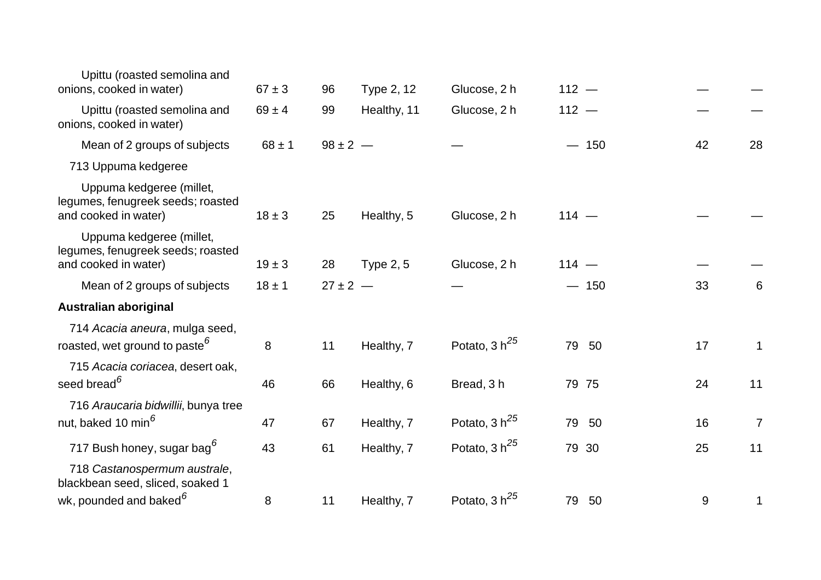| Upittu (roasted semolina and<br>onions, cooked in water)                              | $67 \pm 3$ | 96           | Type 2, 12       | Glucose, 2 h       | $112 -$  |       |                |
|---------------------------------------------------------------------------------------|------------|--------------|------------------|--------------------|----------|-------|----------------|
| Upittu (roasted semolina and<br>onions, cooked in water)                              | $69 \pm 4$ | 99           | Healthy, 11      | Glucose, 2 h       | $112 -$  |       |                |
| Mean of 2 groups of subjects                                                          | $68 \pm 1$ | $98 \pm 2 -$ |                  |                    | $-150$   | 42    | 28             |
| 713 Uppuma kedgeree                                                                   |            |              |                  |                    |          |       |                |
| Uppuma kedgeree (millet,<br>legumes, fenugreek seeds; roasted<br>and cooked in water) | $18 \pm 3$ | 25           | Healthy, 5       | Glucose, 2 h       | $114 -$  |       |                |
| Uppuma kedgeree (millet,<br>legumes, fenugreek seeds; roasted<br>and cooked in water) | $19 \pm 3$ | 28           | <b>Type 2, 5</b> | Glucose, 2 h       | $114 -$  |       |                |
| Mean of 2 groups of subjects                                                          | $18 \pm 1$ | $27 \pm 2 -$ |                  |                    | $-150$   | 33    | 6              |
| <b>Australian aboriginal</b>                                                          |            |              |                  |                    |          |       |                |
| 714 Acacia aneura, mulga seed,<br>roasted, wet ground to paste <sup>6</sup>           | 8          | 11           | Healthy, 7       | Potato, 3 $h^{25}$ | 79<br>50 | 17    | 1              |
| 715 Acacia coriacea, desert oak,<br>seed bread <sup>6</sup>                           | 46         | 66           | Healthy, 6       | Bread, 3h          | 79 75    | 24    | 11             |
| 716 Araucaria bidwillii, bunya tree<br>nut, baked 10 min <sup>6</sup>                 | 47         | 67           | Healthy, 7       | Potato, $3 h25$    | 79<br>50 | 16    | $\overline{7}$ |
| 717 Bush honey, sugar bag <sup>6</sup>                                                | 43         | 61           | Healthy, 7       | Potato, 3 $h^{25}$ | 79 30    | 25    | 11             |
| 718 Castanospermum australe,<br>blackbean seed, sliced, soaked 1                      |            |              |                  |                    |          |       |                |
| wk, pounded and baked <sup>6</sup>                                                    | 8          | 11           | Healthy, 7       | Potato, 3 $h^{25}$ | 50<br>79 | $9\,$ | 1              |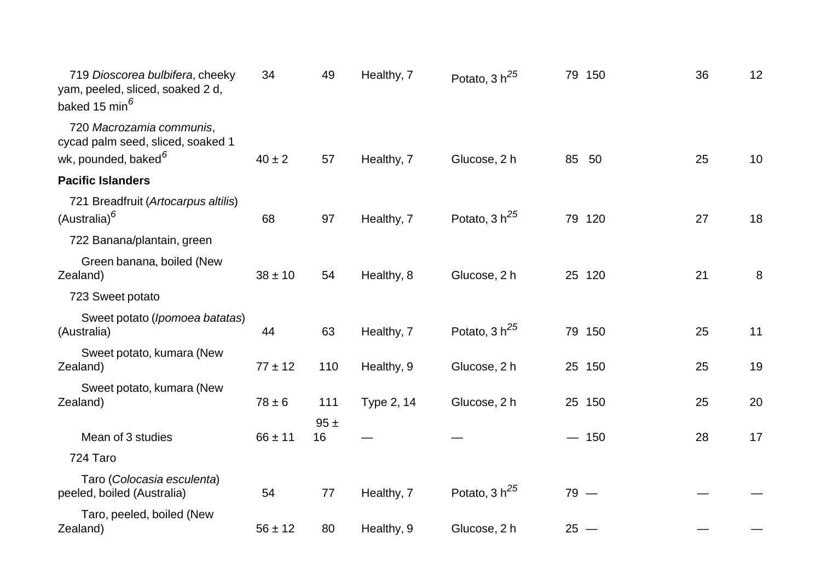| 719 Dioscorea bulbifera, cheeky<br>yam, peeled, sliced, soaked 2 d,<br>baked 15 min <sup>6</sup> | 34          | 49        | Healthy, 7 | Potato, $3 h^{25}$ | 79 150   | 36 | 12 |
|--------------------------------------------------------------------------------------------------|-------------|-----------|------------|--------------------|----------|----|----|
| 720 Macrozamia communis,<br>cycad palm seed, sliced, soaked 1<br>wk, pounded, baked <sup>6</sup> | $40 \pm 2$  | 57        | Healthy, 7 | Glucose, 2 h       | 85<br>50 | 25 | 10 |
| <b>Pacific Islanders</b>                                                                         |             |           |            |                    |          |    |    |
| 721 Breadfruit (Artocarpus altilis)<br>(Australia) <sup>6</sup>                                  | 68          | 97        | Healthy, 7 | Potato, 3 $h^{25}$ | 79 120   | 27 | 18 |
| 722 Banana/plantain, green                                                                       |             |           |            |                    |          |    |    |
| Green banana, boiled (New<br>Zealand)                                                            | $38 \pm 10$ | 54        | Healthy, 8 | Glucose, 2 h       | 25 120   | 21 | 8  |
| 723 Sweet potato                                                                                 |             |           |            |                    |          |    |    |
| Sweet potato (Ipomoea batatas)<br>(Australia)                                                    | 44          | 63        | Healthy, 7 | Potato, 3 $h^{25}$ | 79 150   | 25 | 11 |
| Sweet potato, kumara (New<br>Zealand)                                                            | $77 \pm 12$ | 110       | Healthy, 9 | Glucose, 2 h       | 25 150   | 25 | 19 |
| Sweet potato, kumara (New<br>Zealand)                                                            | $78 \pm 6$  | 111       | Type 2, 14 | Glucose, 2 h       | 25 150   | 25 | 20 |
| Mean of 3 studies                                                                                | $66 \pm 11$ | 95±<br>16 |            |                    | $-150$   | 28 | 17 |
| 724 Taro                                                                                         |             |           |            |                    |          |    |    |
| Taro (Colocasia esculenta)<br>peeled, boiled (Australia)                                         | 54          | 77        | Healthy, 7 | Potato, 3 $h^{25}$ | $79 -$   |    |    |
| Taro, peeled, boiled (New<br>Zealand)                                                            | $56 \pm 12$ | 80        | Healthy, 9 | Glucose, 2 h       | $25 -$   |    |    |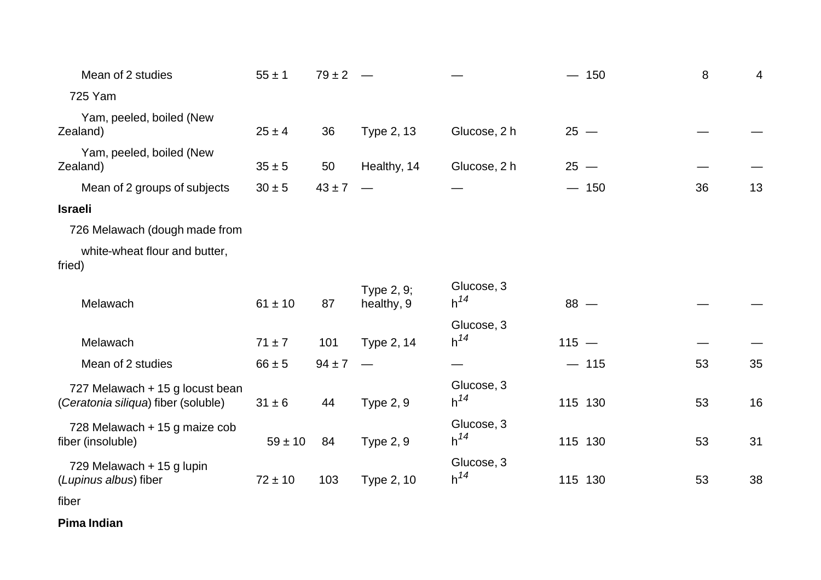| Mean of 2 studies                                                      | $55 \pm 1$  | $79 \pm 2$ |                          |                        |         | $-150$  | $\,8\,$ | 4  |
|------------------------------------------------------------------------|-------------|------------|--------------------------|------------------------|---------|---------|---------|----|
| 725 Yam                                                                |             |            |                          |                        |         |         |         |    |
| Yam, peeled, boiled (New<br>Zealand)                                   | $25 \pm 4$  | 36         | Type 2, 13               | Glucose, 2 h           |         | $25 -$  |         |    |
| Yam, peeled, boiled (New<br>Zealand)                                   | $35 \pm 5$  | 50         | Healthy, 14              | Glucose, 2 h           |         | $25 -$  |         |    |
| Mean of 2 groups of subjects                                           | $30 \pm 5$  | $43 \pm 7$ |                          |                        |         | $-150$  | 36      | 13 |
| <b>Israeli</b>                                                         |             |            |                          |                        |         |         |         |    |
| 726 Melawach (dough made from                                          |             |            |                          |                        |         |         |         |    |
| white-wheat flour and butter,<br>fried)                                |             |            |                          |                        |         |         |         |    |
| Melawach                                                               | $61 \pm 10$ | 87         | Type 2, 9;<br>healthy, 9 | Glucose, 3<br>$h^{14}$ |         | $88 -$  |         |    |
| Melawach                                                               | $71 \pm 7$  | 101        | Type 2, 14               | Glucose, 3<br>$h^{14}$ | $115 -$ |         |         |    |
| Mean of 2 studies                                                      | $66 \pm 5$  | $94 \pm 7$ |                          |                        |         | $-115$  | 53      | 35 |
| 727 Melawach + 15 g locust bean<br>(Ceratonia siliqua) fiber (soluble) | $31 \pm 6$  | 44         | <b>Type 2, 9</b>         | Glucose, 3<br>$h^{14}$ |         | 115 130 | 53      | 16 |
| 728 Melawach + 15 g maize cob<br>fiber (insoluble)                     | $59 \pm 10$ | 84         | <b>Type 2, 9</b>         | Glucose, 3<br>$h^{14}$ |         | 115 130 | 53      | 31 |
| 729 Melawach + 15 g lupin<br>(Lupinus albus) fiber                     | $72 \pm 10$ | 103        | Type 2, 10               | Glucose, 3<br>$h^{14}$ |         | 115 130 | 53      | 38 |
|                                                                        |             |            |                          |                        |         |         |         |    |

fiber

**Pima Indian**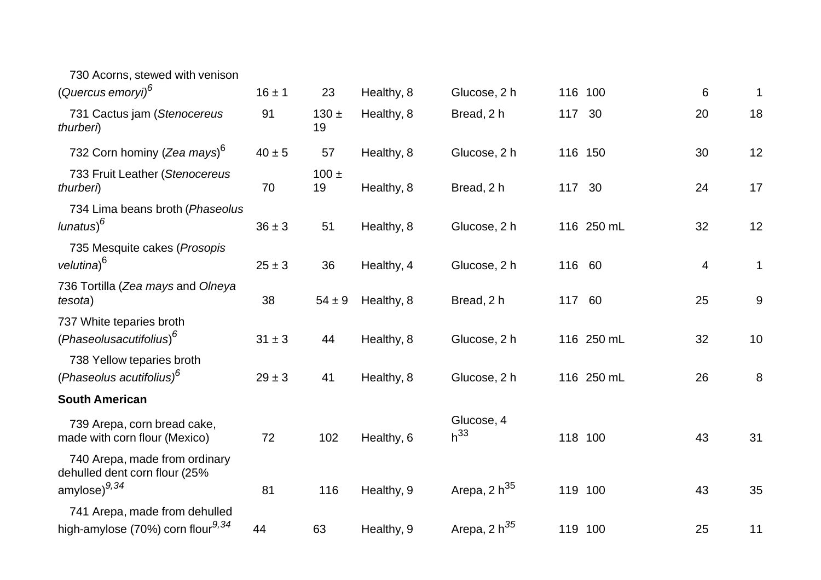| 730 Acorns, stewed with venison                                                |            |                 |            |                        |        |            |                |             |
|--------------------------------------------------------------------------------|------------|-----------------|------------|------------------------|--------|------------|----------------|-------------|
| (Quercus emoryi) <sup>6</sup>                                                  | $16 \pm 1$ | 23              | Healthy, 8 | Glucose, 2 h           |        | 116 100    | 6              | 1           |
| 731 Cactus jam (Stenocereus<br>thurberi)                                       | 91         | $130 \pm$<br>19 | Healthy, 8 | Bread, 2 h             | 117 30 |            | 20             | 18          |
| 732 Corn hominy (Zea mays) <sup>6</sup>                                        | $40\pm5$   | 57              | Healthy, 8 | Glucose, 2 h           |        | 116 150    | 30             | 12          |
| 733 Fruit Leather (Stenocereus<br>thurberi)                                    | 70         | $100 \pm$<br>19 | Healthy, 8 | Bread, 2 h             | 117 30 |            | 24             | 17          |
| 734 Lima beans broth (Phaseolus<br>$l$ unatus) $6$                             | $36 \pm 3$ | 51              | Healthy, 8 | Glucose, 2 h           |        | 116 250 mL | 32             | 12          |
| 735 Mesquite cakes (Prosopis<br>velutina) <sup>6</sup>                         | $25 \pm 3$ | 36              | Healthy, 4 | Glucose, 2 h           | 116 60 |            | $\overline{4}$ | $\mathbf 1$ |
| 736 Tortilla (Zea mays and Olneya<br>tesota)                                   | 38         | $54 \pm 9$      | Healthy, 8 | Bread, 2 h             | 117 60 |            | 25             | $9\,$       |
| 737 White teparies broth<br>(Phaseolusacutifolius) <sup>6</sup>                | $31 \pm 3$ | 44              | Healthy, 8 | Glucose, 2 h           |        | 116 250 mL | 32             | 10          |
| 738 Yellow teparies broth<br>(Phaseolus acutifolius) <sup>6</sup>              | $29 \pm 3$ | 41              | Healthy, 8 | Glucose, 2 h           |        | 116 250 mL | 26             | 8           |
| <b>South American</b>                                                          |            |                 |            |                        |        |            |                |             |
| 739 Arepa, corn bread cake,<br>made with corn flour (Mexico)                   | 72         | 102             | Healthy, 6 | Glucose, 4<br>$h^{33}$ |        | 118 100    | 43             | 31          |
| 740 Arepa, made from ordinary<br>dehulled dent corn flour (25%                 |            |                 |            |                        |        |            |                |             |
| amylose) <sup>9,34</sup>                                                       | 81         | 116             | Healthy, 9 | Arepa, 2 $h^{35}$      |        | 119 100    | 43             | 35          |
| 741 Arepa, made from dehulled<br>high-amylose (70%) corn flour <sup>9,34</sup> | 44         | 63              | Healthy, 9 | Arepa, 2 $h^{35}$      |        | 119 100    | 25             | 11          |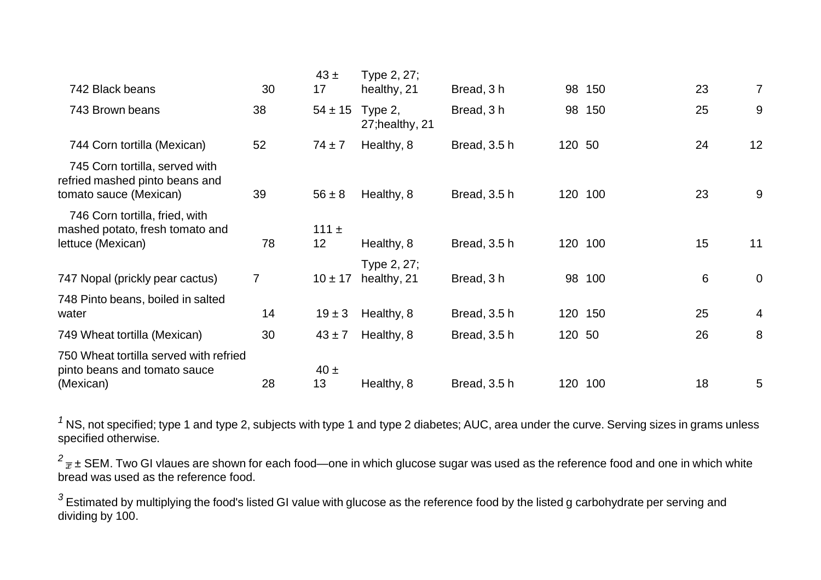| 742 Black beans                                                                            | 30             | $43 \pm$<br>17  | Type 2, 27;<br>healthy, 21 | Bread, 3 h   |        | 98 150  | 23 | 7              |
|--------------------------------------------------------------------------------------------|----------------|-----------------|----------------------------|--------------|--------|---------|----|----------------|
| 743 Brown beans                                                                            | 38             | $54 \pm 15$     | Type 2,<br>27; healthy, 21 | Bread, 3 h   |        | 98 150  | 25 | 9              |
| 744 Corn tortilla (Mexican)                                                                | 52             | $74 \pm 7$      | Healthy, 8                 | Bread, 3.5 h | 120 50 |         | 24 | 12             |
| 745 Corn tortilla, served with<br>refried mashed pinto beans and<br>tomato sauce (Mexican) | 39             | $56 \pm 8$      | Healthy, 8                 | Bread, 3.5 h |        | 120 100 | 23 | 9              |
| 746 Corn tortilla, fried, with<br>mashed potato, fresh tomato and<br>lettuce (Mexican)     | 78             | 111 $\pm$<br>12 | Healthy, 8                 | Bread, 3.5 h |        | 120 100 | 15 | 11             |
| 747 Nopal (prickly pear cactus)                                                            | $\overline{7}$ | $10 \pm 17$     | Type 2, 27;<br>healthy, 21 | Bread, 3 h   |        | 98 100  | 6  | $\overline{0}$ |
| 748 Pinto beans, boiled in salted<br>water                                                 | 14             | $19 \pm 3$      | Healthy, 8                 | Bread, 3.5 h |        | 120 150 | 25 | $\overline{4}$ |
| 749 Wheat tortilla (Mexican)                                                               | 30             | $43 \pm 7$      | Healthy, 8                 | Bread, 3.5 h | 120 50 |         | 26 | 8              |
| 750 Wheat tortilla served with refried<br>pinto beans and tomato sauce<br>(Mexican)        | 28             | $40 \pm$<br>13  | Healthy, 8                 | Bread, 3.5 h |        | 120 100 | 18 | 5              |

<sup>1</sup> NS, not specified; type 1 and type 2, subjects with type 1 and type 2 diabetes; AUC, area under the curve. Serving sizes in grams unless specified otherwise.

 $^2$ <sub> $\overline{x}$  ± SEM. Two GI vlaues are shown for each food—one in which glucose sugar was used as the reference food and one in which white</sub> bread was used as the reference food.

<sup>3</sup> Estimated by multiplying the food's listed GI value with glucose as the reference food by the listed g carbohydrate per serving and dividing by 100.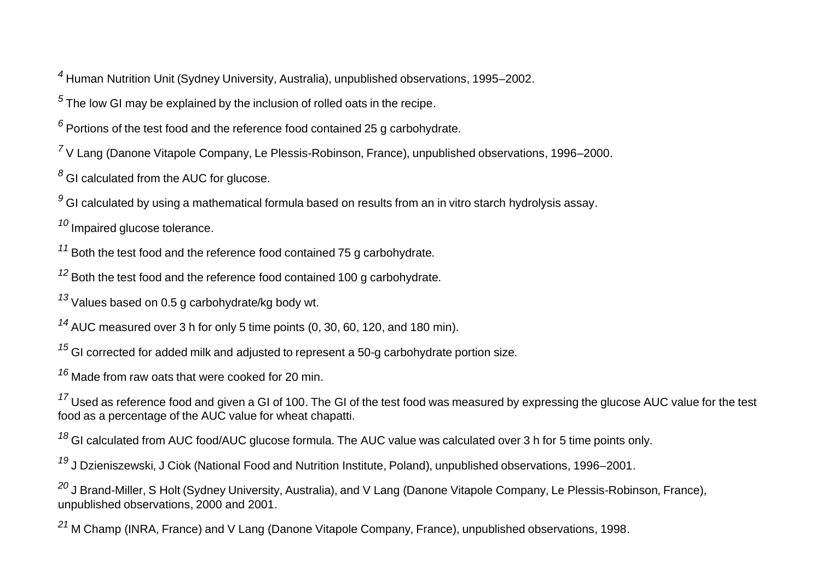*4* Human Nutrition Unit (Sydney University, Australia), unpublished observations, 1995–2002.

*5* The low GI may be explained by the inclusion of rolled oats in the recipe.

*6* Portions of the test food and the reference food contained 25 g carbohydrate.

*7* V Lang (Danone Vitapole Company, Le Plessis-Robinson, France), unpublished observations, 1996–2000.

*8* GI calculated from the AUC for glucose.

*9* GI calculated by using <sup>a</sup> mathematical formula based on results from an in vitro starch hydrolysis assay.

*10* Impaired glucose tolerance.

*11* Both the test food and the reference food contained 75 g carbohydrate.

*12* Both the test food and the reference food contained 100 g carbohydrate.

*13* Values based on 0.5 g carbohydrate/kg body wt.

*14* AUC measured over 3 h for only 5 time points (0, 30, 60, 120, and 180 min).

*15* GI corrected for added milk and adjusted to represent <sup>a</sup> 50-g carbohydrate portion size.

*16* Made from raw oats that were cooked for 20 min.

<sup>17</sup> Used as reference food and given a GI of 100. The GI of the test food was measured by expressing the glucose AUC value for the test food as <sup>a</sup> percentage of the AUC value for wheat chapatti.

*18* GI calculated from AUC food/AUC glucose formula. The AUC value was calculated over 3 h for 5 time points only.

*19* J Dzieniszewski, J Ciok (National Food and Nutrition Institute, Poland), unpublished observations, 1996–2001.

*20* J Brand-Miller, S Holt (Sydney University, Australia), and V Lang (Danone Vitapole Company, Le Plessis-Robinson, France), unpublished observations, 2000 and 2001.

*21* M Champ (INRA, France) and V Lang (Danone Vitapole Company, France), unpublished observations, 1998.